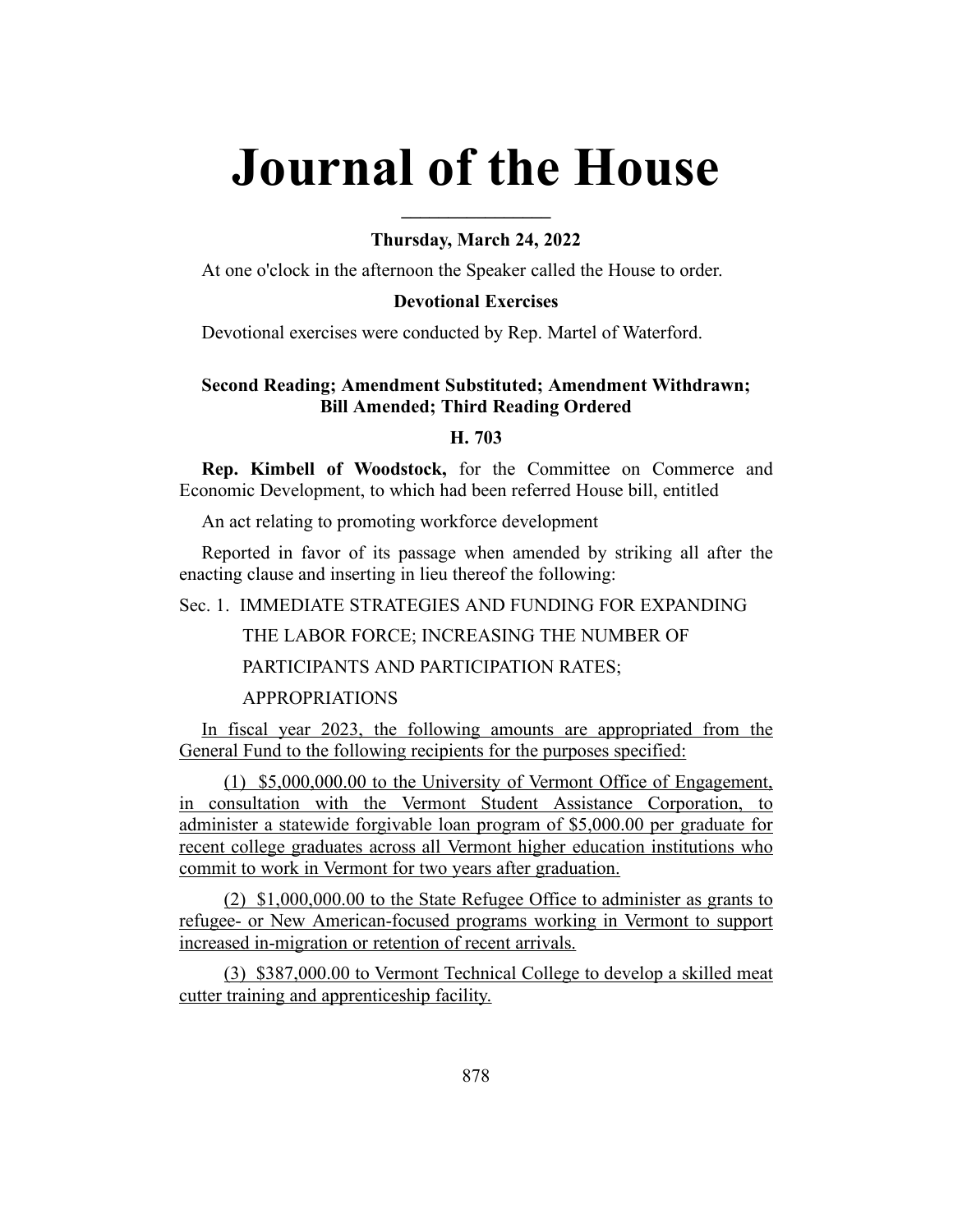# **Journal of the House**

## **Thursday, March 24, 2022**

**\_\_\_\_\_\_\_\_\_\_\_\_\_\_\_\_**

At one o'clock in the afternoon the Speaker called the House to order.

# **Devotional Exercises**

Devotional exercises were conducted by Rep. Martel of Waterford.

# **Second Reading; Amendment Substituted; Amendment Withdrawn; Bill Amended; Third Reading Ordered**

# **H. 703**

**Rep. Kimbell of Woodstock,** for the Committee on Commerce and Economic Development, to which had been referred House bill, entitled

An act relating to promoting workforce development

Reported in favor of its passage when amended by striking all after the enacting clause and inserting in lieu thereof the following:

Sec. 1. IMMEDIATE STRATEGIES AND FUNDING FOR EXPANDING

THE LABOR FORCE; INCREASING THE NUMBER OF

PARTICIPANTS AND PARTICIPATION RATES;

#### APPROPRIATIONS

In fiscal year 2023, the following amounts are appropriated from the General Fund to the following recipients for the purposes specified:

(1) \$5,000,000.00 to the University of Vermont Office of Engagement, in consultation with the Vermont Student Assistance Corporation, to administer a statewide forgivable loan program of \$5,000.00 per graduate for recent college graduates across all Vermont higher education institutions who commit to work in Vermont for two years after graduation.

(2) \$1,000,000.00 to the State Refugee Office to administer as grants to refugee- or New American-focused programs working in Vermont to support increased in-migration or retention of recent arrivals.

(3) \$387,000.00 to Vermont Technical College to develop a skilled meat cutter training and apprenticeship facility.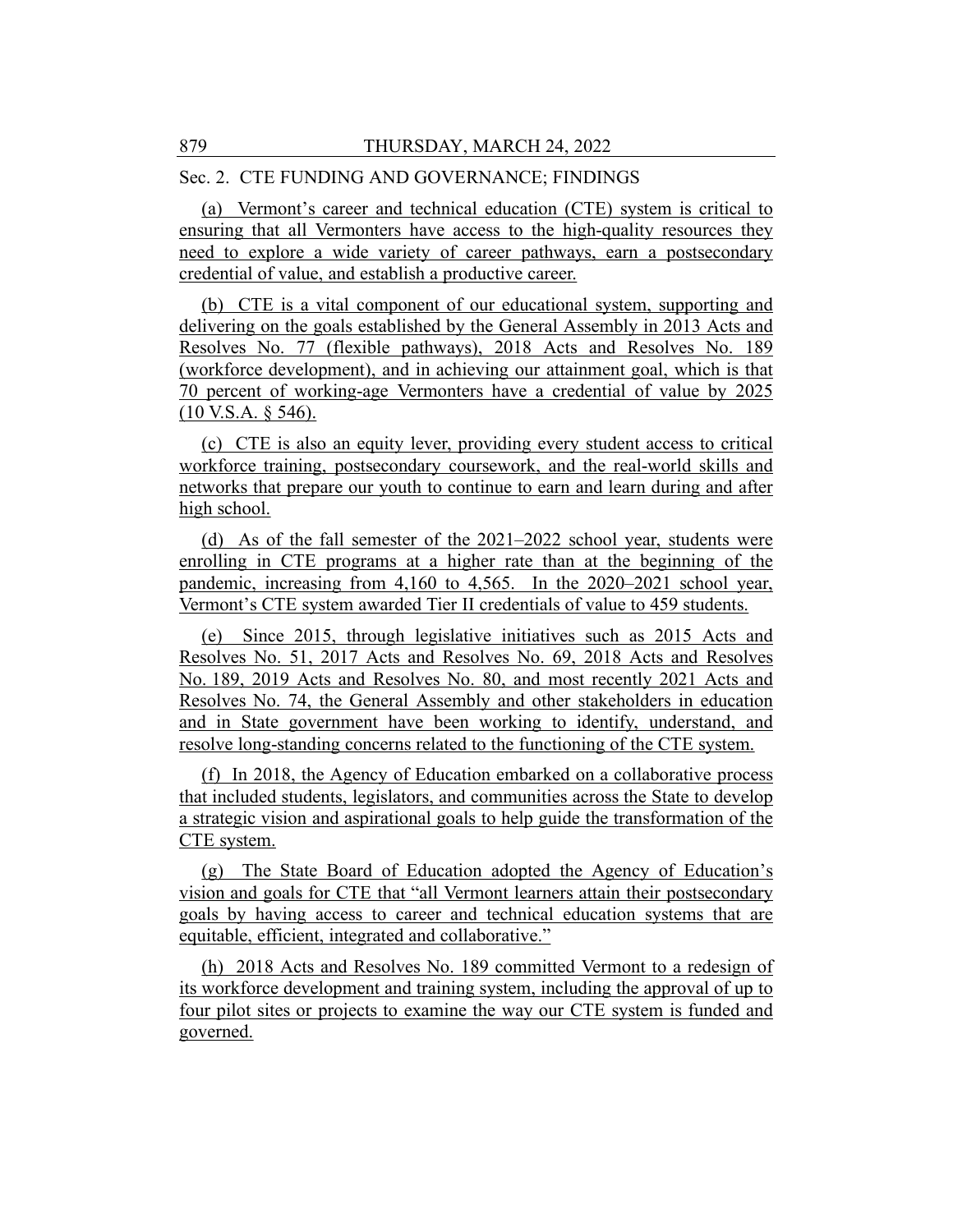#### Sec. 2. CTE FUNDING AND GOVERNANCE; FINDINGS

(a) Vermont's career and technical education (CTE) system is critical to ensuring that all Vermonters have access to the high-quality resources they need to explore a wide variety of career pathways, earn a postsecondary credential of value, and establish a productive career.

(b) CTE is a vital component of our educational system, supporting and delivering on the goals established by the General Assembly in 2013 Acts and Resolves No. 77 (flexible pathways), 2018 Acts and Resolves No. 189 (workforce development), and in achieving our attainment goal, which is that 70 percent of working-age Vermonters have a credential of value by 2025 (10 V.S.A. § 546).

(c) CTE is also an equity lever, providing every student access to critical workforce training, postsecondary coursework, and the real-world skills and networks that prepare our youth to continue to earn and learn during and after high school.

(d) As of the fall semester of the 2021–2022 school year, students were enrolling in CTE programs at a higher rate than at the beginning of the pandemic, increasing from 4,160 to 4,565. In the 2020–2021 school year, Vermont's CTE system awarded Tier II credentials of value to 459 students.

(e) Since 2015, through legislative initiatives such as 2015 Acts and Resolves No. 51, 2017 Acts and Resolves No. 69, 2018 Acts and Resolves No. 189, 2019 Acts and Resolves No. 80, and most recently 2021 Acts and Resolves No. 74, the General Assembly and other stakeholders in education and in State government have been working to identify, understand, and resolve long-standing concerns related to the functioning of the CTE system.

(f) In 2018, the Agency of Education embarked on a collaborative process that included students, legislators, and communities across the State to develop a strategic vision and aspirational goals to help guide the transformation of the CTE system.

(g) The State Board of Education adopted the Agency of Education's vision and goals for CTE that "all Vermont learners attain their postsecondary goals by having access to career and technical education systems that are equitable, efficient, integrated and collaborative."

(h) 2018 Acts and Resolves No. 189 committed Vermont to a redesign of its workforce development and training system, including the approval of up to four pilot sites or projects to examine the way our CTE system is funded and governed.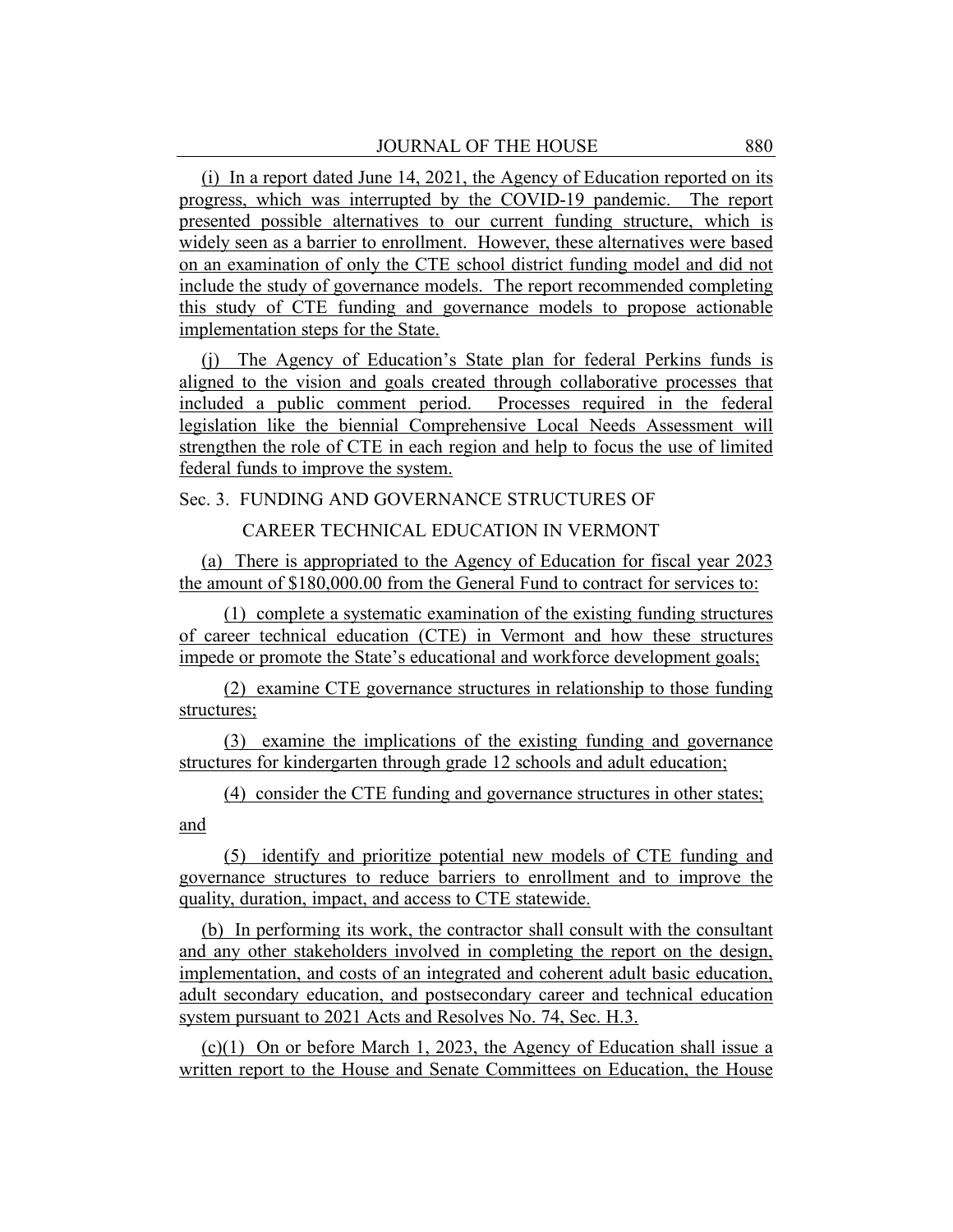(i) In a report dated June 14, 2021, the Agency of Education reported on its progress, which was interrupted by the COVID-19 pandemic. The report presented possible alternatives to our current funding structure, which is widely seen as a barrier to enrollment. However, these alternatives were based on an examination of only the CTE school district funding model and did not include the study of governance models. The report recommended completing this study of CTE funding and governance models to propose actionable implementation steps for the State.

(j) The Agency of Education's State plan for federal Perkins funds is aligned to the vision and goals created through collaborative processes that included a public comment period. Processes required in the federal legislation like the biennial Comprehensive Local Needs Assessment will strengthen the role of CTE in each region and help to focus the use of limited federal funds to improve the system.

Sec. 3. FUNDING AND GOVERNANCE STRUCTURES OF

CAREER TECHNICAL EDUCATION IN VERMONT

(a) There is appropriated to the Agency of Education for fiscal year 2023 the amount of \$180,000.00 from the General Fund to contract for services to:

(1) complete a systematic examination of the existing funding structures of career technical education (CTE) in Vermont and how these structures impede or promote the State's educational and workforce development goals;

(2) examine CTE governance structures in relationship to those funding structures;

(3) examine the implications of the existing funding and governance structures for kindergarten through grade 12 schools and adult education;

(4) consider the CTE funding and governance structures in other states;

and

(5) identify and prioritize potential new models of CTE funding and governance structures to reduce barriers to enrollment and to improve the quality, duration, impact, and access to CTE statewide.

(b) In performing its work, the contractor shall consult with the consultant and any other stakeholders involved in completing the report on the design, implementation, and costs of an integrated and coherent adult basic education, adult secondary education, and postsecondary career and technical education system pursuant to 2021 Acts and Resolves No. 74, Sec. H.3.

(c)(1) On or before March 1, 2023, the Agency of Education shall issue a written report to the House and Senate Committees on Education, the House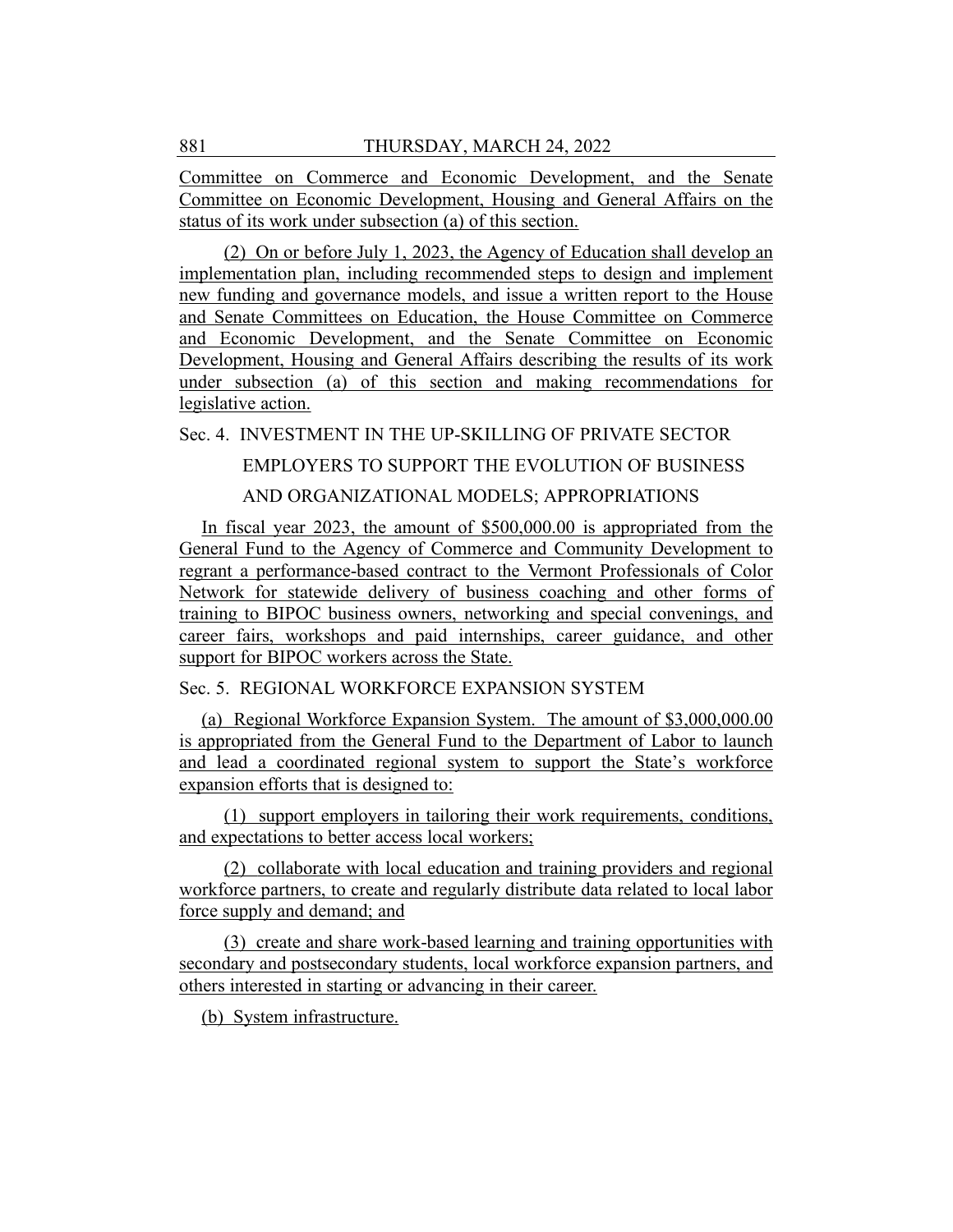Committee on Commerce and Economic Development, and the Senate Committee on Economic Development, Housing and General Affairs on the status of its work under subsection (a) of this section.

(2) On or before July 1, 2023, the Agency of Education shall develop an implementation plan, including recommended steps to design and implement new funding and governance models, and issue a written report to the House and Senate Committees on Education, the House Committee on Commerce and Economic Development, and the Senate Committee on Economic Development, Housing and General Affairs describing the results of its work under subsection (a) of this section and making recommendations for legislative action.

# Sec. 4. INVESTMENT IN THE UP-SKILLING OF PRIVATE SECTOR

# EMPLOYERS TO SUPPORT THE EVOLUTION OF BUSINESS

# AND ORGANIZATIONAL MODELS; APPROPRIATIONS

In fiscal year 2023, the amount of \$500,000.00 is appropriated from the General Fund to the Agency of Commerce and Community Development to regrant a performance-based contract to the Vermont Professionals of Color Network for statewide delivery of business coaching and other forms of training to BIPOC business owners, networking and special convenings, and career fairs, workshops and paid internships, career guidance, and other support for BIPOC workers across the State.

# Sec. 5. REGIONAL WORKFORCE EXPANSION SYSTEM

(a) Regional Workforce Expansion System. The amount of \$3,000,000.00 is appropriated from the General Fund to the Department of Labor to launch and lead a coordinated regional system to support the State's workforce expansion efforts that is designed to:

(1) support employers in tailoring their work requirements, conditions, and expectations to better access local workers;

(2) collaborate with local education and training providers and regional workforce partners, to create and regularly distribute data related to local labor force supply and demand; and

(3) create and share work-based learning and training opportunities with secondary and postsecondary students, local workforce expansion partners, and others interested in starting or advancing in their career.

(b) System infrastructure.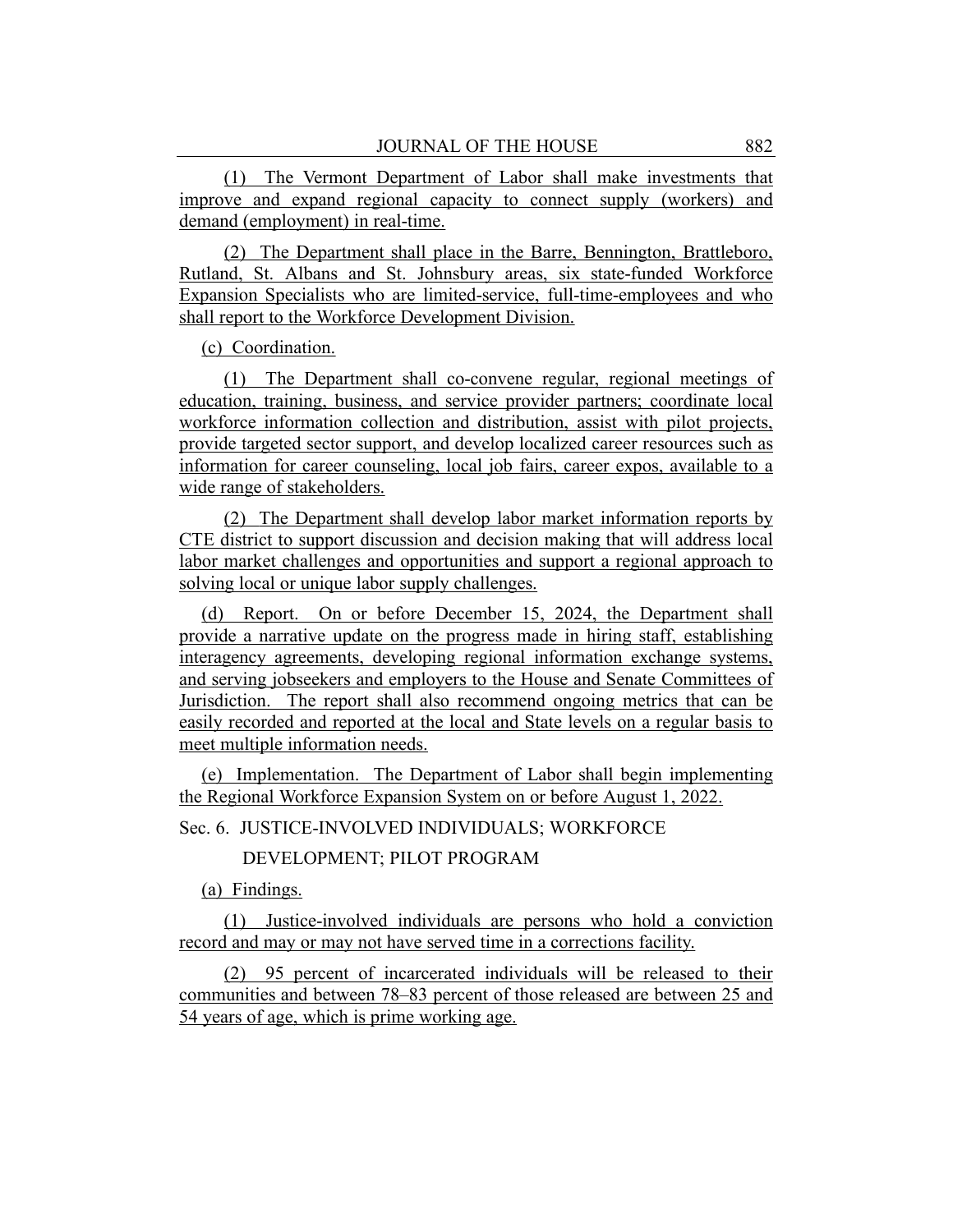(1) The Vermont Department of Labor shall make investments that improve and expand regional capacity to connect supply (workers) and demand (employment) in real-time.

(2) The Department shall place in the Barre, Bennington, Brattleboro, Rutland, St. Albans and St. Johnsbury areas, six state-funded Workforce Expansion Specialists who are limited-service, full-time-employees and who shall report to the Workforce Development Division.

(c) Coordination.

(1) The Department shall co-convene regular, regional meetings of education, training, business, and service provider partners; coordinate local workforce information collection and distribution, assist with pilot projects, provide targeted sector support, and develop localized career resources such as information for career counseling, local job fairs, career expos, available to a wide range of stakeholders.

(2) The Department shall develop labor market information reports by CTE district to support discussion and decision making that will address local labor market challenges and opportunities and support a regional approach to solving local or unique labor supply challenges.

(d) Report. On or before December 15, 2024, the Department shall provide a narrative update on the progress made in hiring staff, establishing interagency agreements, developing regional information exchange systems, and serving jobseekers and employers to the House and Senate Committees of Jurisdiction. The report shall also recommend ongoing metrics that can be easily recorded and reported at the local and State levels on a regular basis to meet multiple information needs.

(e) Implementation. The Department of Labor shall begin implementing the Regional Workforce Expansion System on or before August 1, 2022.

Sec. 6. JUSTICE-INVOLVED INDIVIDUALS; WORKFORCE

DEVELOPMENT; PILOT PROGRAM

(a) Findings.

(1) Justice-involved individuals are persons who hold a conviction record and may or may not have served time in a corrections facility.

(2) 95 percent of incarcerated individuals will be released to their communities and between 78–83 percent of those released are between 25 and 54 years of age, which is prime working age.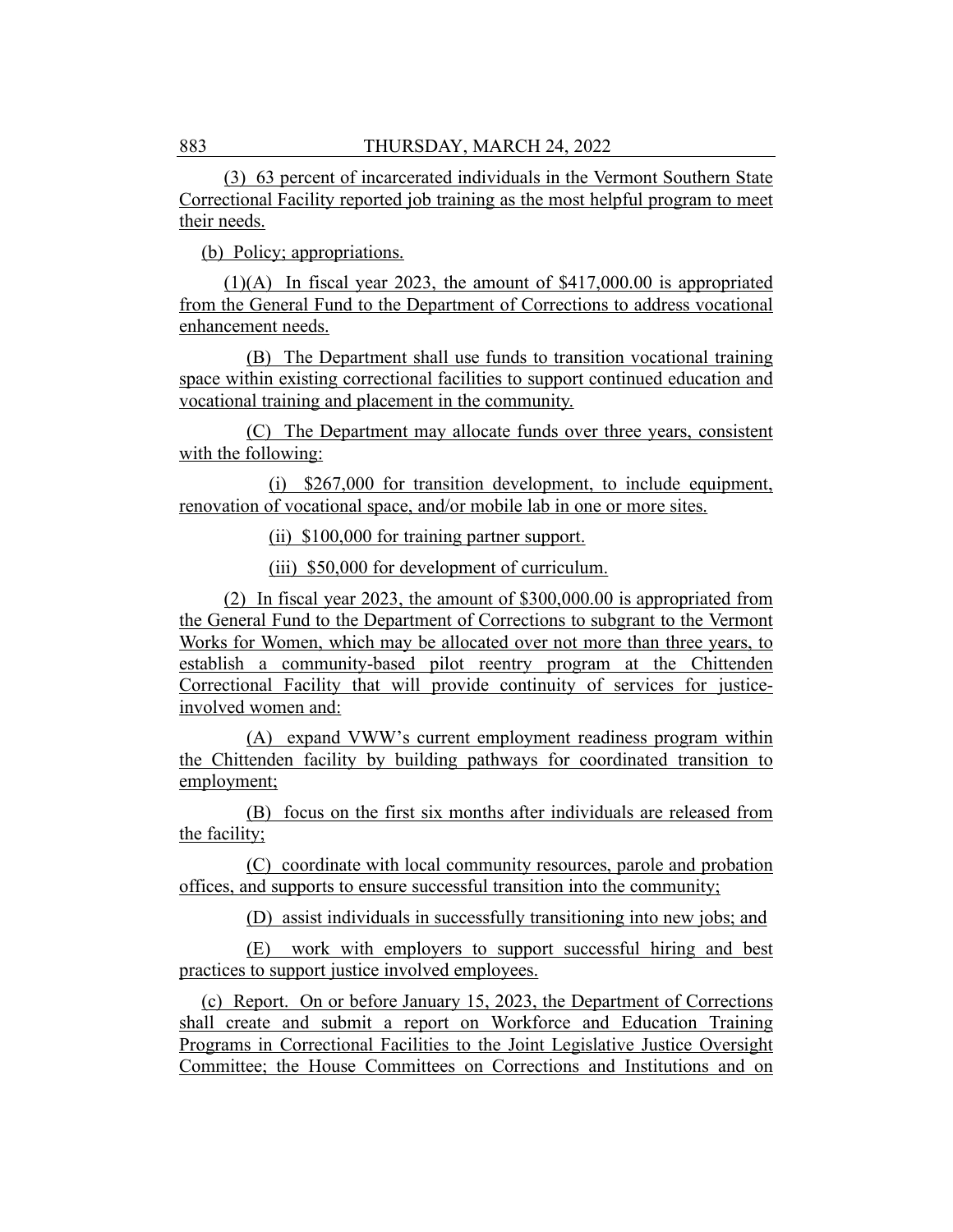(3) 63 percent of incarcerated individuals in the Vermont Southern State Correctional Facility reported job training as the most helpful program to meet their needs.

(b) Policy; appropriations.

(1)(A) In fiscal year 2023, the amount of \$417,000.00 is appropriated from the General Fund to the Department of Corrections to address vocational enhancement needs.

(B) The Department shall use funds to transition vocational training space within existing correctional facilities to support continued education and vocational training and placement in the community.

(C) The Department may allocate funds over three years, consistent with the following:

(i) \$267,000 for transition development, to include equipment, renovation of vocational space, and/or mobile lab in one or more sites.

(ii) \$100,000 for training partner support.

(iii) \$50,000 for development of curriculum.

(2) In fiscal year 2023, the amount of \$300,000.00 is appropriated from the General Fund to the Department of Corrections to subgrant to the Vermont Works for Women, which may be allocated over not more than three years, to establish a community-based pilot reentry program at the Chittenden Correctional Facility that will provide continuity of services for justiceinvolved women and:

(A) expand VWW's current employment readiness program within the Chittenden facility by building pathways for coordinated transition to employment;

(B) focus on the first six months after individuals are released from the facility;

(C) coordinate with local community resources, parole and probation offices, and supports to ensure successful transition into the community;

(D) assist individuals in successfully transitioning into new jobs; and

(E) work with employers to support successful hiring and best practices to support justice involved employees.

(c) Report. On or before January 15, 2023, the Department of Corrections shall create and submit a report on Workforce and Education Training Programs in Correctional Facilities to the Joint Legislative Justice Oversight Committee; the House Committees on Corrections and Institutions and on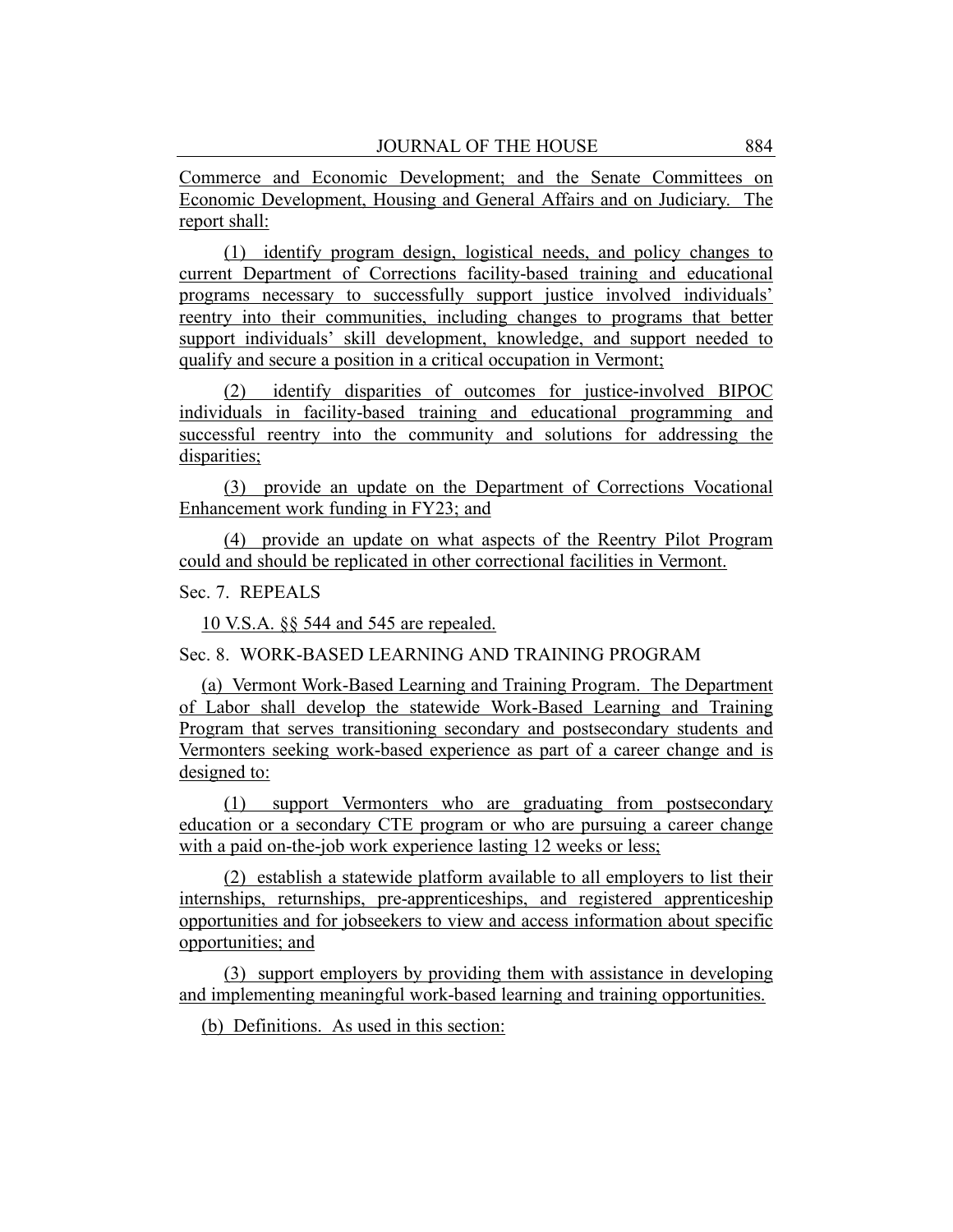Commerce and Economic Development; and the Senate Committees on Economic Development, Housing and General Affairs and on Judiciary. The report shall:

(1) identify program design, logistical needs, and policy changes to current Department of Corrections facility-based training and educational programs necessary to successfully support justice involved individuals' reentry into their communities, including changes to programs that better support individuals' skill development, knowledge, and support needed to qualify and secure a position in a critical occupation in Vermont;

(2) identify disparities of outcomes for justice-involved BIPOC individuals in facility-based training and educational programming and successful reentry into the community and solutions for addressing the disparities;

(3) provide an update on the Department of Corrections Vocational Enhancement work funding in FY23; and

(4) provide an update on what aspects of the Reentry Pilot Program could and should be replicated in other correctional facilities in Vermont.

Sec. 7. REPEALS

10 V.S.A. §§ 544 and 545 are repealed.

Sec. 8. WORK-BASED LEARNING AND TRAINING PROGRAM

(a) Vermont Work-Based Learning and Training Program. The Department of Labor shall develop the statewide Work-Based Learning and Training Program that serves transitioning secondary and postsecondary students and Vermonters seeking work-based experience as part of a career change and is designed to:

(1) support Vermonters who are graduating from postsecondary education or a secondary CTE program or who are pursuing a career change with a paid on-the-job work experience lasting 12 weeks or less;

(2) establish a statewide platform available to all employers to list their internships, returnships, pre-apprenticeships, and registered apprenticeship opportunities and for jobseekers to view and access information about specific opportunities; and

(3) support employers by providing them with assistance in developing and implementing meaningful work-based learning and training opportunities.

(b) Definitions. As used in this section: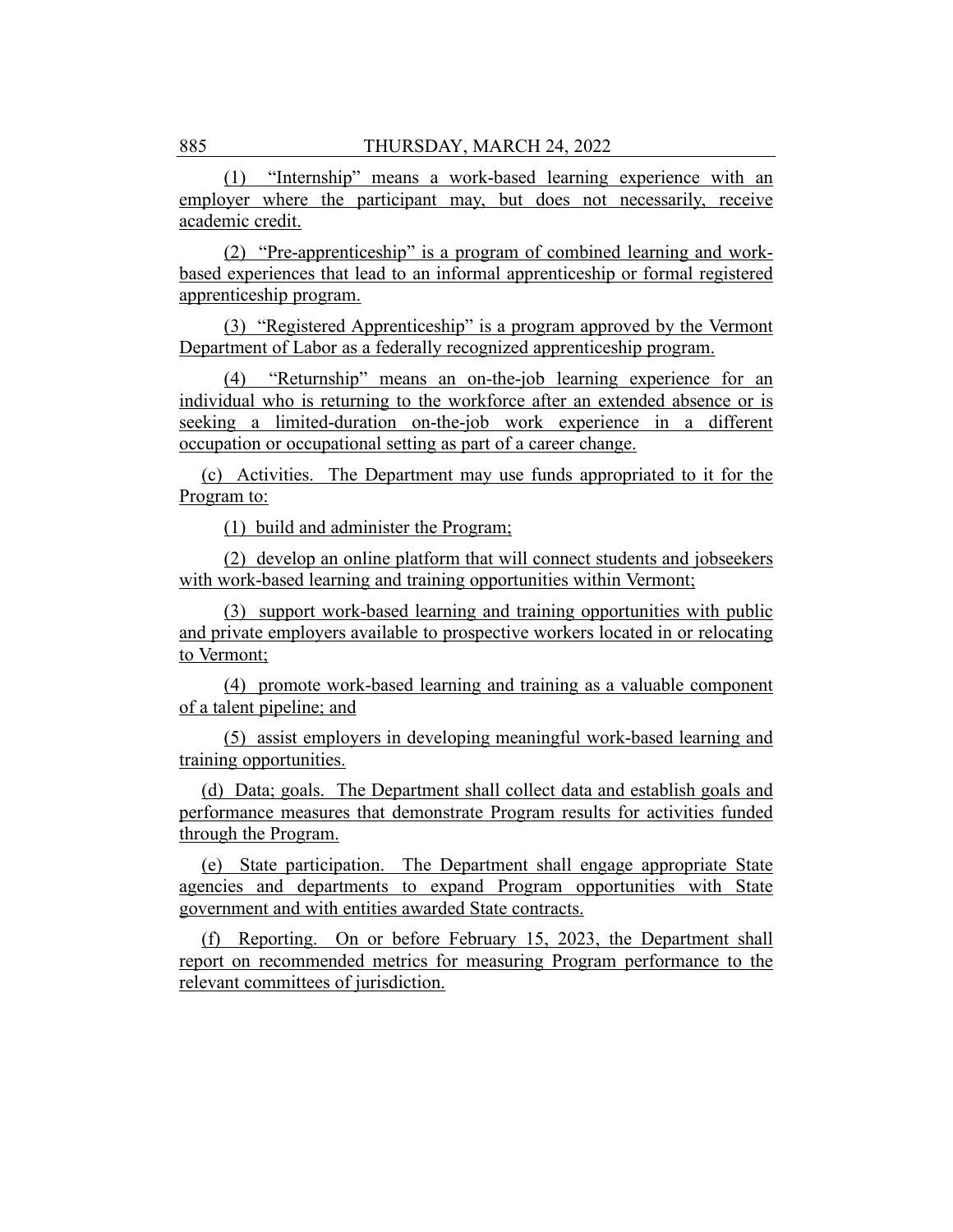(1) "Internship" means a work-based learning experience with an employer where the participant may, but does not necessarily, receive academic credit.

(2) "Pre-apprenticeship" is a program of combined learning and workbased experiences that lead to an informal apprenticeship or formal registered apprenticeship program.

(3) "Registered Apprenticeship" is a program approved by the Vermont Department of Labor as a federally recognized apprenticeship program.

(4) "Returnship" means an on-the-job learning experience for an individual who is returning to the workforce after an extended absence or is seeking a limited-duration on-the-job work experience in a different occupation or occupational setting as part of a career change.

(c) Activities. The Department may use funds appropriated to it for the Program to:

(1) build and administer the Program;

(2) develop an online platform that will connect students and jobseekers with work-based learning and training opportunities within Vermont;

(3) support work-based learning and training opportunities with public and private employers available to prospective workers located in or relocating to Vermont;

(4) promote work-based learning and training as a valuable component of a talent pipeline; and

(5) assist employers in developing meaningful work-based learning and training opportunities.

(d) Data; goals. The Department shall collect data and establish goals and performance measures that demonstrate Program results for activities funded through the Program.

(e) State participation. The Department shall engage appropriate State agencies and departments to expand Program opportunities with State government and with entities awarded State contracts.

(f) Reporting. On or before February 15, 2023, the Department shall report on recommended metrics for measuring Program performance to the relevant committees of jurisdiction.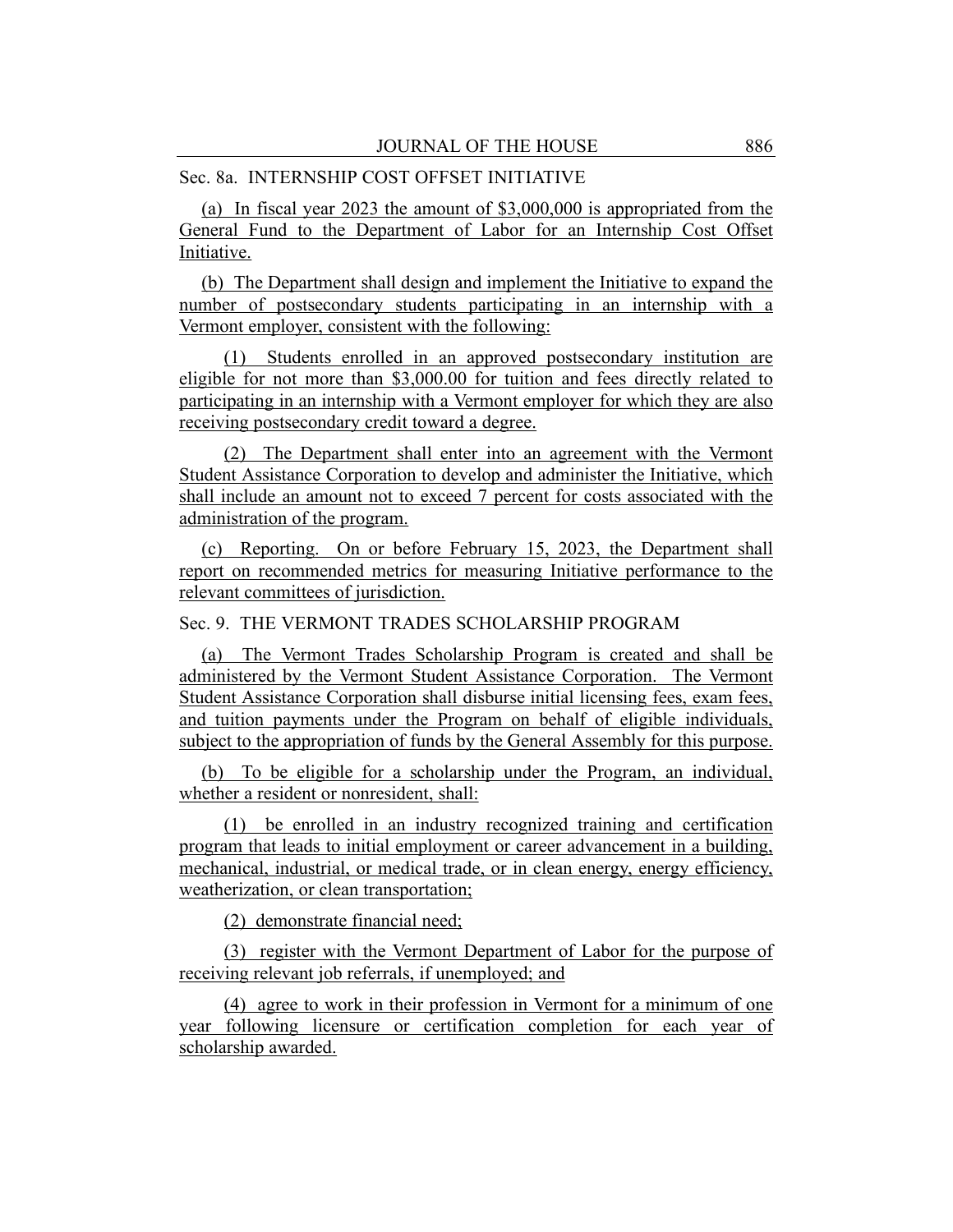#### Sec. 8a. INTERNSHIP COST OFFSET INITIATIVE

(a) In fiscal year 2023 the amount of \$3,000,000 is appropriated from the General Fund to the Department of Labor for an Internship Cost Offset Initiative.

(b) The Department shall design and implement the Initiative to expand the number of postsecondary students participating in an internship with a Vermont employer, consistent with the following:

(1) Students enrolled in an approved postsecondary institution are eligible for not more than \$3,000.00 for tuition and fees directly related to participating in an internship with a Vermont employer for which they are also receiving postsecondary credit toward a degree.

(2) The Department shall enter into an agreement with the Vermont Student Assistance Corporation to develop and administer the Initiative, which shall include an amount not to exceed 7 percent for costs associated with the administration of the program.

(c) Reporting. On or before February 15, 2023, the Department shall report on recommended metrics for measuring Initiative performance to the relevant committees of jurisdiction.

Sec. 9. THE VERMONT TRADES SCHOLARSHIP PROGRAM

(a) The Vermont Trades Scholarship Program is created and shall be administered by the Vermont Student Assistance Corporation. The Vermont Student Assistance Corporation shall disburse initial licensing fees, exam fees, and tuition payments under the Program on behalf of eligible individuals, subject to the appropriation of funds by the General Assembly for this purpose.

(b) To be eligible for a scholarship under the Program, an individual, whether a resident or nonresident, shall:

(1) be enrolled in an industry recognized training and certification program that leads to initial employment or career advancement in a building, mechanical, industrial, or medical trade, or in clean energy, energy efficiency, weatherization, or clean transportation;

(2) demonstrate financial need;

(3) register with the Vermont Department of Labor for the purpose of receiving relevant job referrals, if unemployed; and

(4) agree to work in their profession in Vermont for a minimum of one year following licensure or certification completion for each year of scholarship awarded.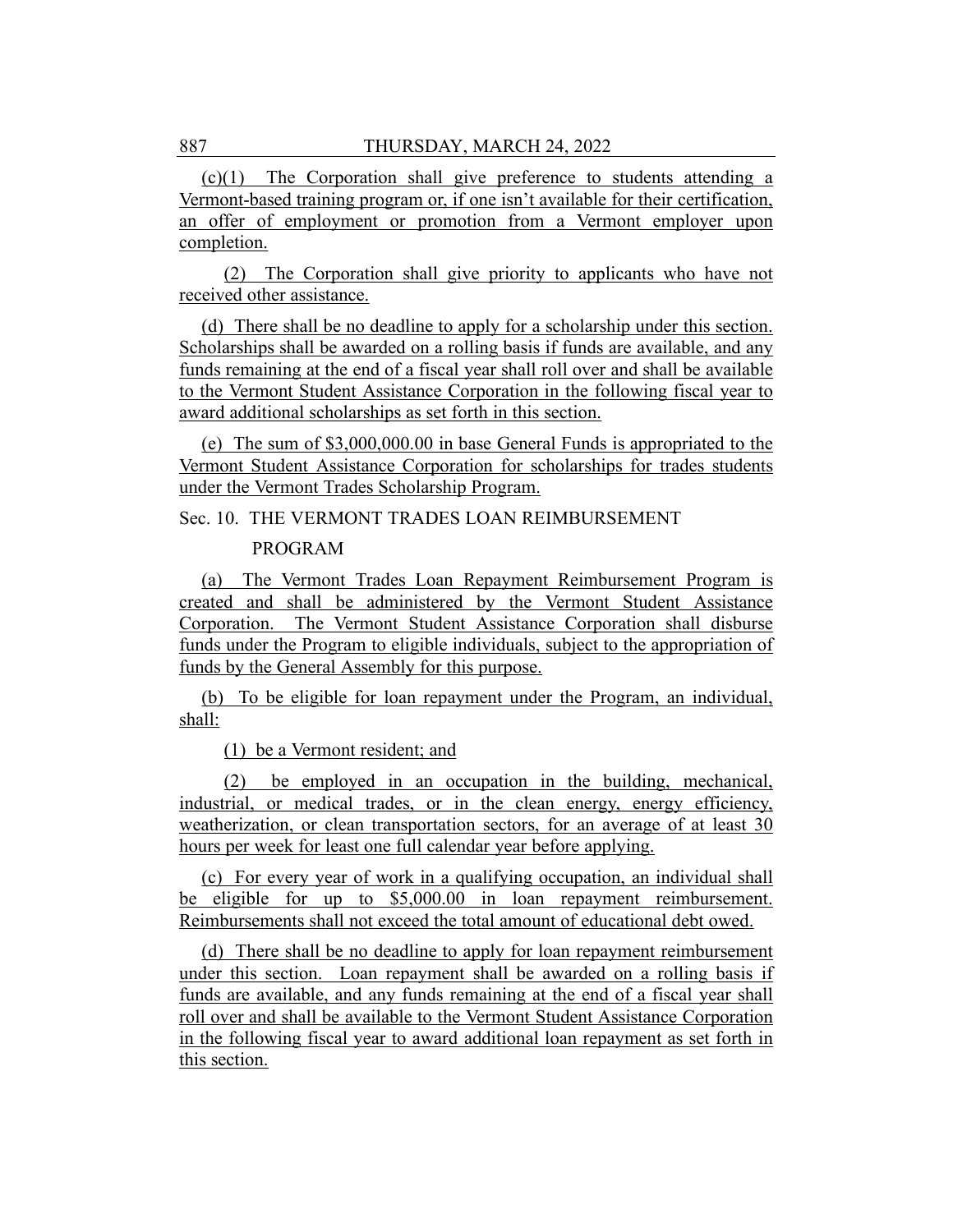(c)(1) The Corporation shall give preference to students attending a Vermont-based training program or, if one isn't available for their certification, an offer of employment or promotion from a Vermont employer upon completion.

(2) The Corporation shall give priority to applicants who have not received other assistance.

(d) There shall be no deadline to apply for a scholarship under this section. Scholarships shall be awarded on a rolling basis if funds are available, and any funds remaining at the end of a fiscal year shall roll over and shall be available to the Vermont Student Assistance Corporation in the following fiscal year to award additional scholarships as set forth in this section.

(e) The sum of \$3,000,000.00 in base General Funds is appropriated to the Vermont Student Assistance Corporation for scholarships for trades students under the Vermont Trades Scholarship Program.

Sec. 10. THE VERMONT TRADES LOAN REIMBURSEMENT

#### PROGRAM

(a) The Vermont Trades Loan Repayment Reimbursement Program is created and shall be administered by the Vermont Student Assistance Corporation. The Vermont Student Assistance Corporation shall disburse funds under the Program to eligible individuals, subject to the appropriation of funds by the General Assembly for this purpose.

(b) To be eligible for loan repayment under the Program, an individual, shall:

(1) be a Vermont resident; and

(2) be employed in an occupation in the building, mechanical, industrial, or medical trades, or in the clean energy, energy efficiency, weatherization, or clean transportation sectors, for an average of at least 30 hours per week for least one full calendar year before applying.

(c) For every year of work in a qualifying occupation, an individual shall be eligible for up to \$5,000.00 in loan repayment reimbursement. Reimbursements shall not exceed the total amount of educational debt owed.

(d) There shall be no deadline to apply for loan repayment reimbursement under this section. Loan repayment shall be awarded on a rolling basis if funds are available, and any funds remaining at the end of a fiscal year shall roll over and shall be available to the Vermont Student Assistance Corporation in the following fiscal year to award additional loan repayment as set forth in this section.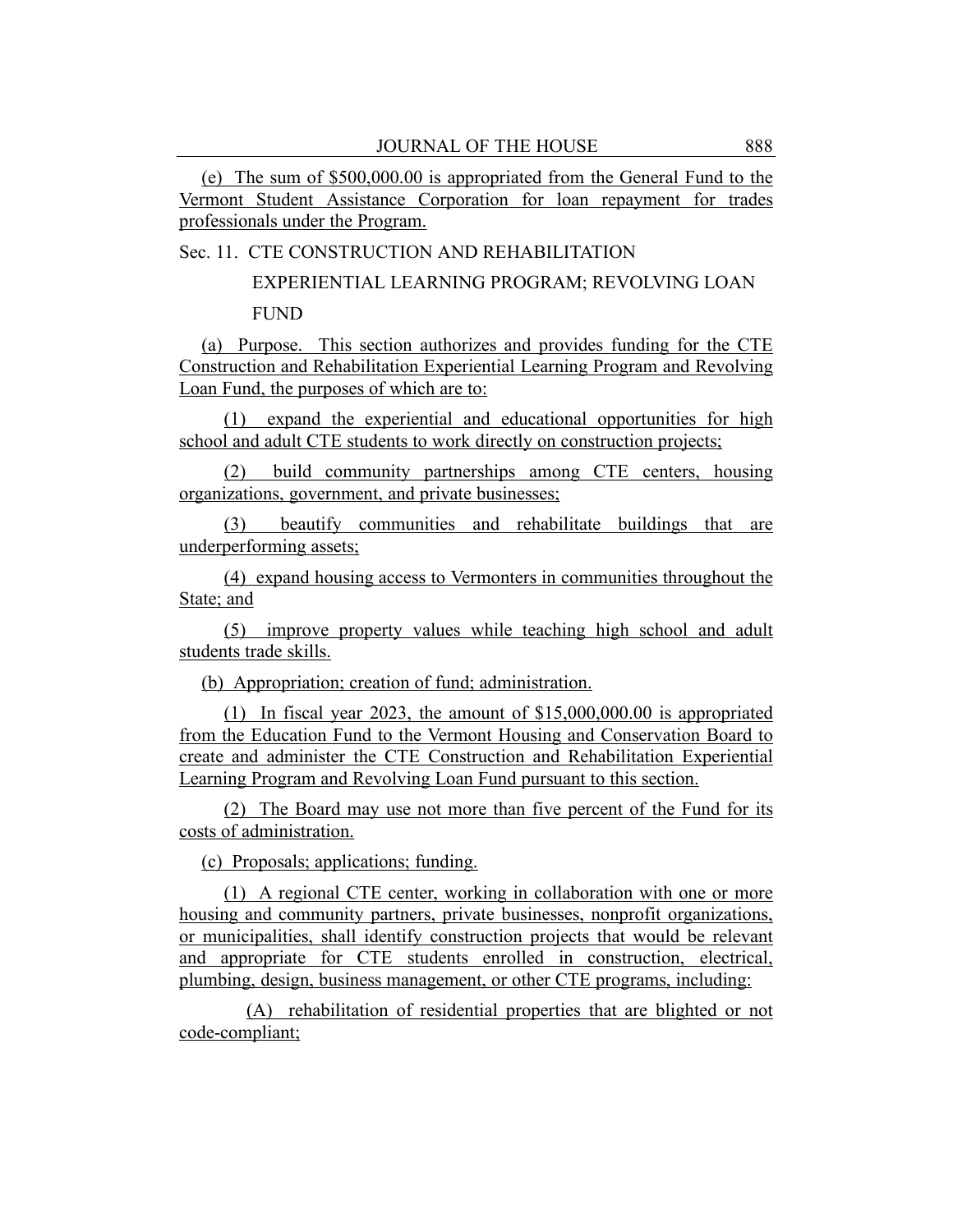(e) The sum of \$500,000.00 is appropriated from the General Fund to the Vermont Student Assistance Corporation for loan repayment for trades professionals under the Program.

Sec. 11. CTE CONSTRUCTION AND REHABILITATION

EXPERIENTIAL LEARNING PROGRAM; REVOLVING LOAN

**FUND** 

(a) Purpose. This section authorizes and provides funding for the CTE Construction and Rehabilitation Experiential Learning Program and Revolving Loan Fund, the purposes of which are to:

(1) expand the experiential and educational opportunities for high school and adult CTE students to work directly on construction projects;

(2) build community partnerships among CTE centers, housing organizations, government, and private businesses;

(3) beautify communities and rehabilitate buildings that are underperforming assets;

(4) expand housing access to Vermonters in communities throughout the State; and

(5) improve property values while teaching high school and adult students trade skills.

(b) Appropriation; creation of fund; administration.

(1) In fiscal year 2023, the amount of \$15,000,000.00 is appropriated from the Education Fund to the Vermont Housing and Conservation Board to create and administer the CTE Construction and Rehabilitation Experiential Learning Program and Revolving Loan Fund pursuant to this section.

(2) The Board may use not more than five percent of the Fund for its costs of administration.

(c) Proposals; applications; funding.

(1) A regional CTE center, working in collaboration with one or more housing and community partners, private businesses, nonprofit organizations, or municipalities, shall identify construction projects that would be relevant and appropriate for CTE students enrolled in construction, electrical, plumbing, design, business management, or other CTE programs, including:

(A) rehabilitation of residential properties that are blighted or not code-compliant;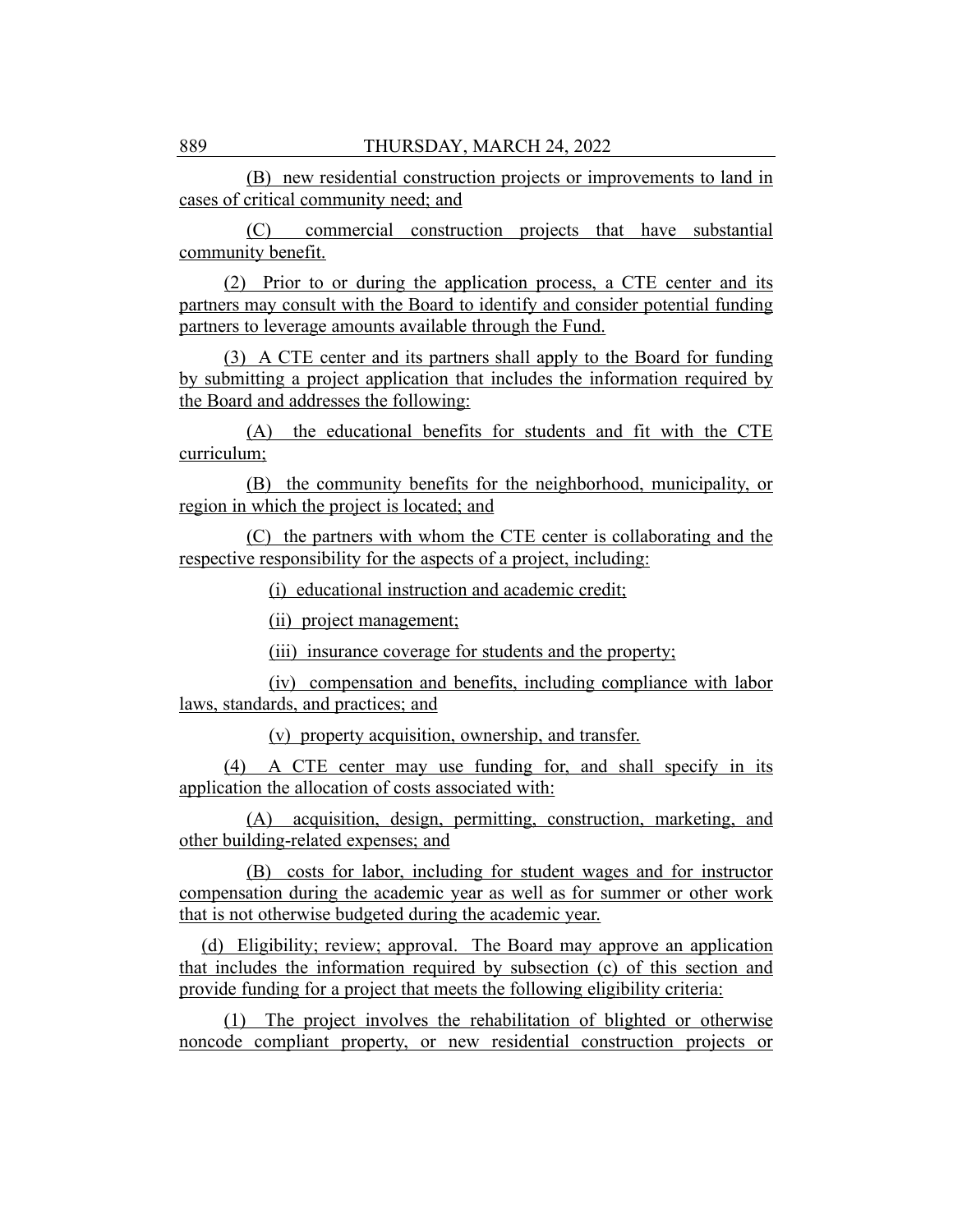(B) new residential construction projects or improvements to land in cases of critical community need; and

(C) commercial construction projects that have substantial community benefit.

(2) Prior to or during the application process, a CTE center and its partners may consult with the Board to identify and consider potential funding partners to leverage amounts available through the Fund.

(3) A CTE center and its partners shall apply to the Board for funding by submitting a project application that includes the information required by the Board and addresses the following:

(A) the educational benefits for students and fit with the CTE curriculum;

(B) the community benefits for the neighborhood, municipality, or region in which the project is located; and

(C) the partners with whom the CTE center is collaborating and the respective responsibility for the aspects of a project, including:

(i) educational instruction and academic credit;

(ii) project management;

(iii) insurance coverage for students and the property;

(iv) compensation and benefits, including compliance with labor laws, standards, and practices; and

(v) property acquisition, ownership, and transfer.

(4) A CTE center may use funding for, and shall specify in its application the allocation of costs associated with:

(A) acquisition, design, permitting, construction, marketing, and other building-related expenses; and

(B) costs for labor, including for student wages and for instructor compensation during the academic year as well as for summer or other work that is not otherwise budgeted during the academic year.

(d) Eligibility; review; approval. The Board may approve an application that includes the information required by subsection (c) of this section and provide funding for a project that meets the following eligibility criteria:

(1) The project involves the rehabilitation of blighted or otherwise noncode compliant property, or new residential construction projects or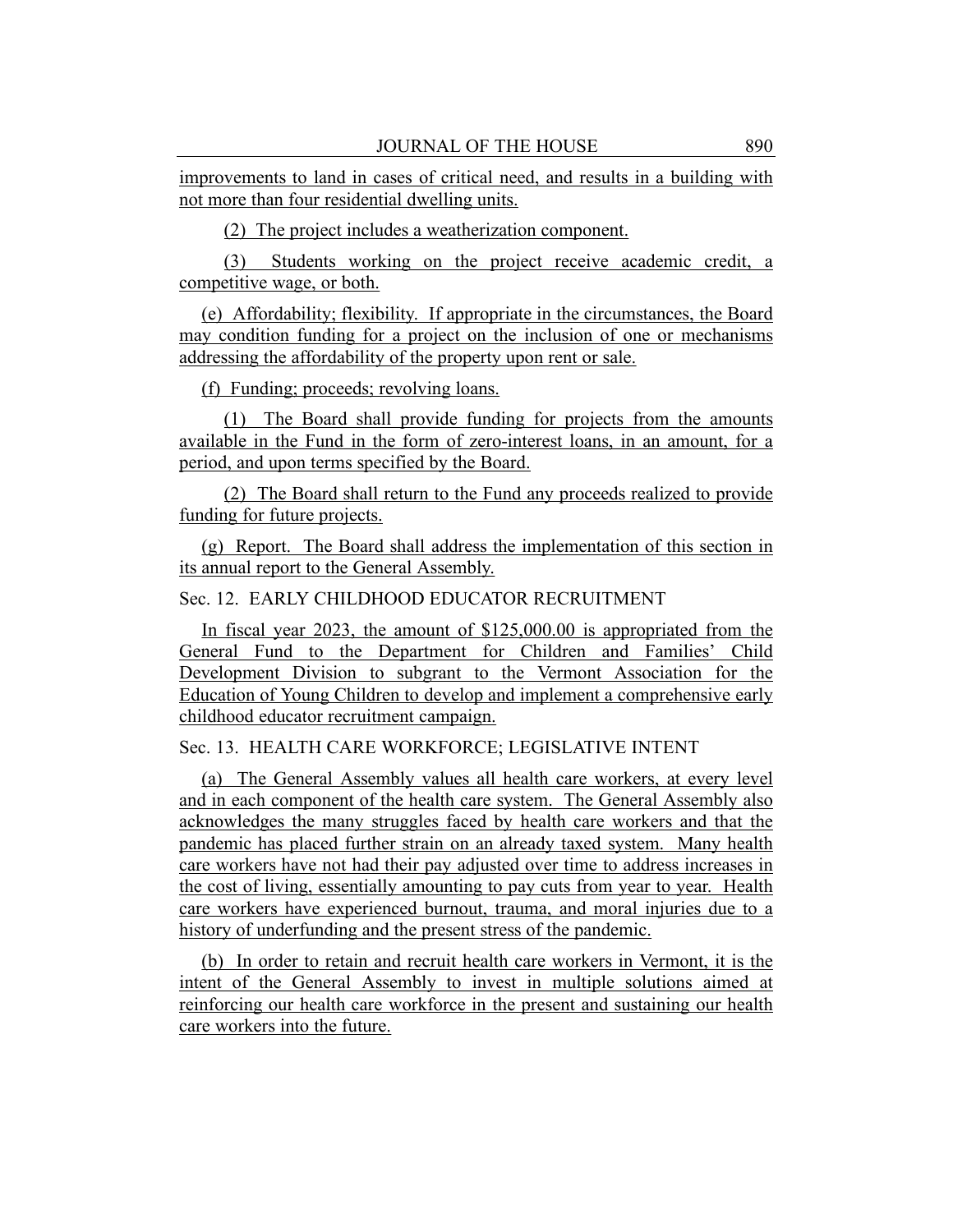improvements to land in cases of critical need, and results in a building with not more than four residential dwelling units.

(2) The project includes a weatherization component.

(3) Students working on the project receive academic credit, a competitive wage, or both.

(e) Affordability; flexibility. If appropriate in the circumstances, the Board may condition funding for a project on the inclusion of one or mechanisms addressing the affordability of the property upon rent or sale.

(f) Funding; proceeds; revolving loans.

(1) The Board shall provide funding for projects from the amounts available in the Fund in the form of zero-interest loans, in an amount, for a period, and upon terms specified by the Board.

(2) The Board shall return to the Fund any proceeds realized to provide funding for future projects.

(g) Report. The Board shall address the implementation of this section in its annual report to the General Assembly.

#### Sec. 12. EARLY CHILDHOOD EDUCATOR RECRUITMENT

In fiscal year 2023, the amount of \$125,000.00 is appropriated from the General Fund to the Department for Children and Families' Child Development Division to subgrant to the Vermont Association for the Education of Young Children to develop and implement a comprehensive early childhood educator recruitment campaign.

# Sec. 13. HEALTH CARE WORKFORCE; LEGISLATIVE INTENT

(a) The General Assembly values all health care workers, at every level and in each component of the health care system. The General Assembly also acknowledges the many struggles faced by health care workers and that the pandemic has placed further strain on an already taxed system. Many health care workers have not had their pay adjusted over time to address increases in the cost of living, essentially amounting to pay cuts from year to year. Health care workers have experienced burnout, trauma, and moral injuries due to a history of underfunding and the present stress of the pandemic.

(b) In order to retain and recruit health care workers in Vermont, it is the intent of the General Assembly to invest in multiple solutions aimed at reinforcing our health care workforce in the present and sustaining our health care workers into the future.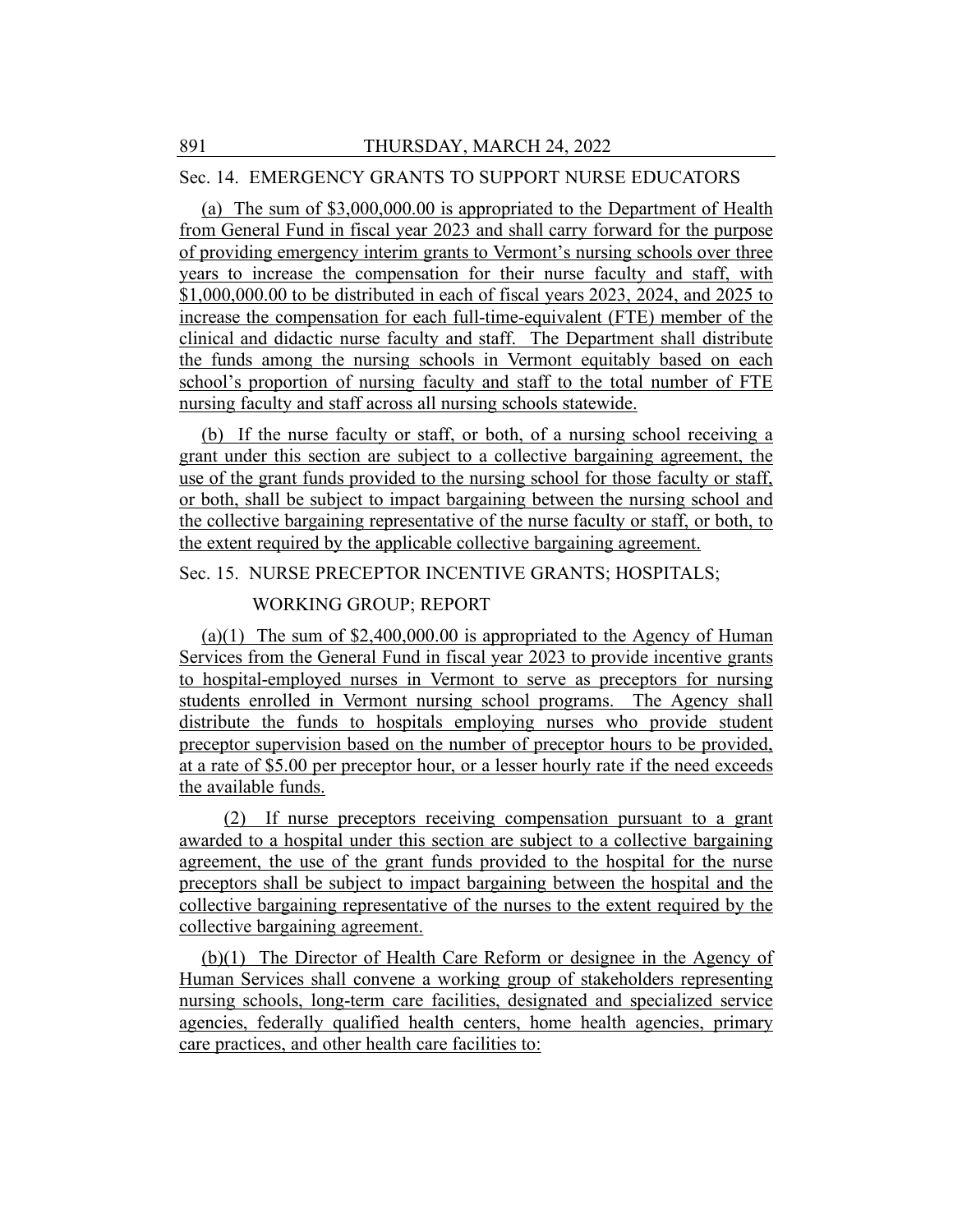# Sec. 14. EMERGENCY GRANTS TO SUPPORT NURSE EDUCATORS

(a) The sum of \$3,000,000.00 is appropriated to the Department of Health from General Fund in fiscal year 2023 and shall carry forward for the purpose of providing emergency interim grants to Vermont's nursing schools over three years to increase the compensation for their nurse faculty and staff, with \$1,000,000.00 to be distributed in each of fiscal years 2023, 2024, and 2025 to increase the compensation for each full-time-equivalent (FTE) member of the clinical and didactic nurse faculty and staff. The Department shall distribute the funds among the nursing schools in Vermont equitably based on each school's proportion of nursing faculty and staff to the total number of FTE nursing faculty and staff across all nursing schools statewide.

(b) If the nurse faculty or staff, or both, of a nursing school receiving a grant under this section are subject to a collective bargaining agreement, the use of the grant funds provided to the nursing school for those faculty or staff, or both, shall be subject to impact bargaining between the nursing school and the collective bargaining representative of the nurse faculty or staff, or both, to the extent required by the applicable collective bargaining agreement.

# Sec. 15. NURSE PRECEPTOR INCENTIVE GRANTS; HOSPITALS;

#### WORKING GROUP; REPORT

(a)(1) The sum of  $$2,400,000.00$  is appropriated to the Agency of Human Services from the General Fund in fiscal year 2023 to provide incentive grants to hospital-employed nurses in Vermont to serve as preceptors for nursing students enrolled in Vermont nursing school programs. The Agency shall distribute the funds to hospitals employing nurses who provide student preceptor supervision based on the number of preceptor hours to be provided, at a rate of \$5.00 per preceptor hour, or a lesser hourly rate if the need exceeds the available funds.

(2) If nurse preceptors receiving compensation pursuant to a grant awarded to a hospital under this section are subject to a collective bargaining agreement, the use of the grant funds provided to the hospital for the nurse preceptors shall be subject to impact bargaining between the hospital and the collective bargaining representative of the nurses to the extent required by the collective bargaining agreement.

(b)(1) The Director of Health Care Reform or designee in the Agency of Human Services shall convene a working group of stakeholders representing nursing schools, long-term care facilities, designated and specialized service agencies, federally qualified health centers, home health agencies, primary care practices, and other health care facilities to: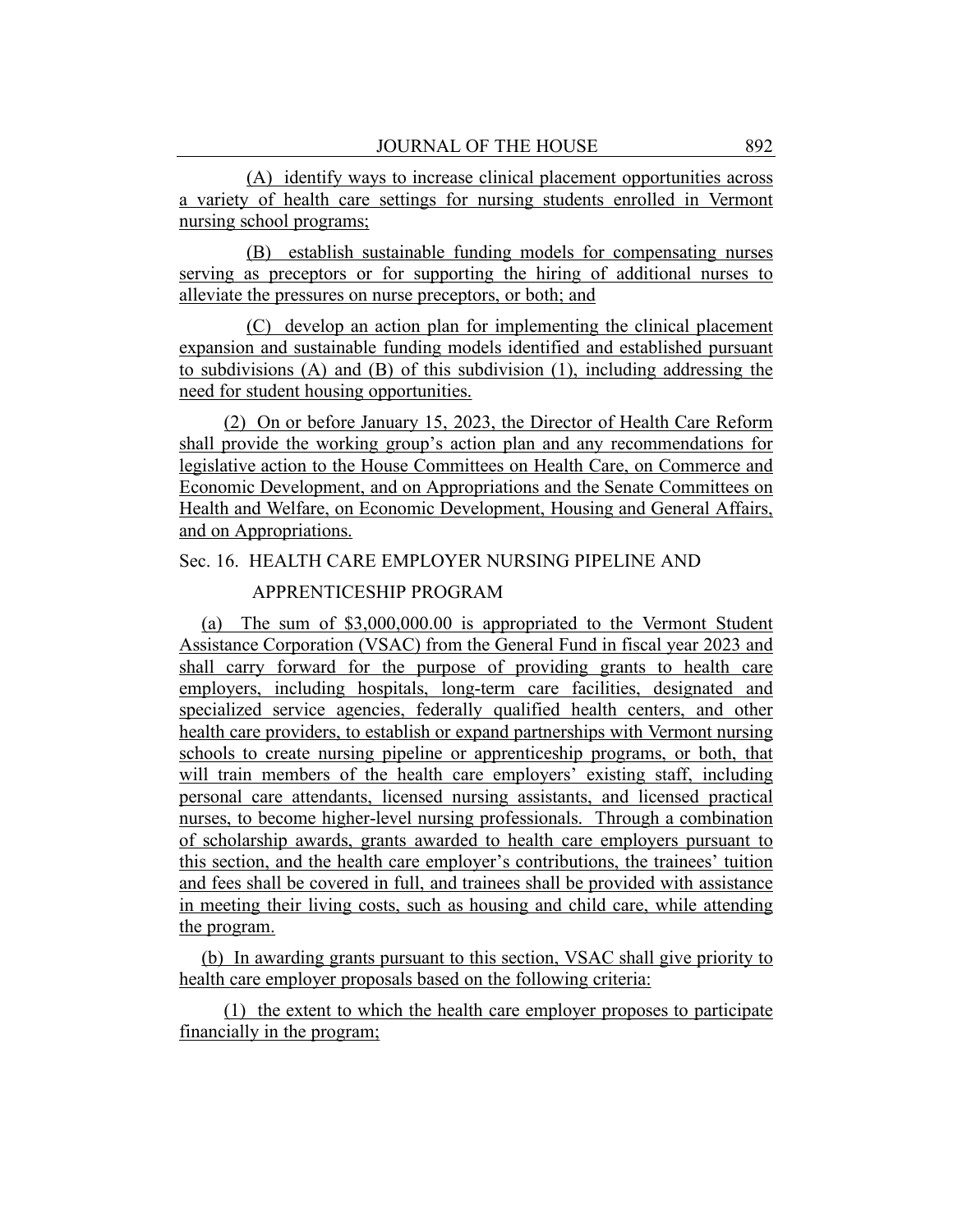(A) identify ways to increase clinical placement opportunities across a variety of health care settings for nursing students enrolled in Vermont nursing school programs;

(B) establish sustainable funding models for compensating nurses serving as preceptors or for supporting the hiring of additional nurses to alleviate the pressures on nurse preceptors, or both; and

(C) develop an action plan for implementing the clinical placement expansion and sustainable funding models identified and established pursuant to subdivisions (A) and (B) of this subdivision (1), including addressing the need for student housing opportunities.

(2) On or before January 15, 2023, the Director of Health Care Reform shall provide the working group's action plan and any recommendations for legislative action to the House Committees on Health Care, on Commerce and Economic Development, and on Appropriations and the Senate Committees on Health and Welfare, on Economic Development, Housing and General Affairs, and on Appropriations.

#### Sec. 16. HEALTH CARE EMPLOYER NURSING PIPELINE AND

#### APPRENTICESHIP PROGRAM

(a) The sum of \$3,000,000.00 is appropriated to the Vermont Student Assistance Corporation (VSAC) from the General Fund in fiscal year 2023 and shall carry forward for the purpose of providing grants to health care employers, including hospitals, long-term care facilities, designated and specialized service agencies, federally qualified health centers, and other health care providers, to establish or expand partnerships with Vermont nursing schools to create nursing pipeline or apprenticeship programs, or both, that will train members of the health care employers' existing staff, including personal care attendants, licensed nursing assistants, and licensed practical nurses, to become higher-level nursing professionals. Through a combination of scholarship awards, grants awarded to health care employers pursuant to this section, and the health care employer's contributions, the trainees' tuition and fees shall be covered in full, and trainees shall be provided with assistance in meeting their living costs, such as housing and child care, while attending the program.

(b) In awarding grants pursuant to this section, VSAC shall give priority to health care employer proposals based on the following criteria:

(1) the extent to which the health care employer proposes to participate financially in the program;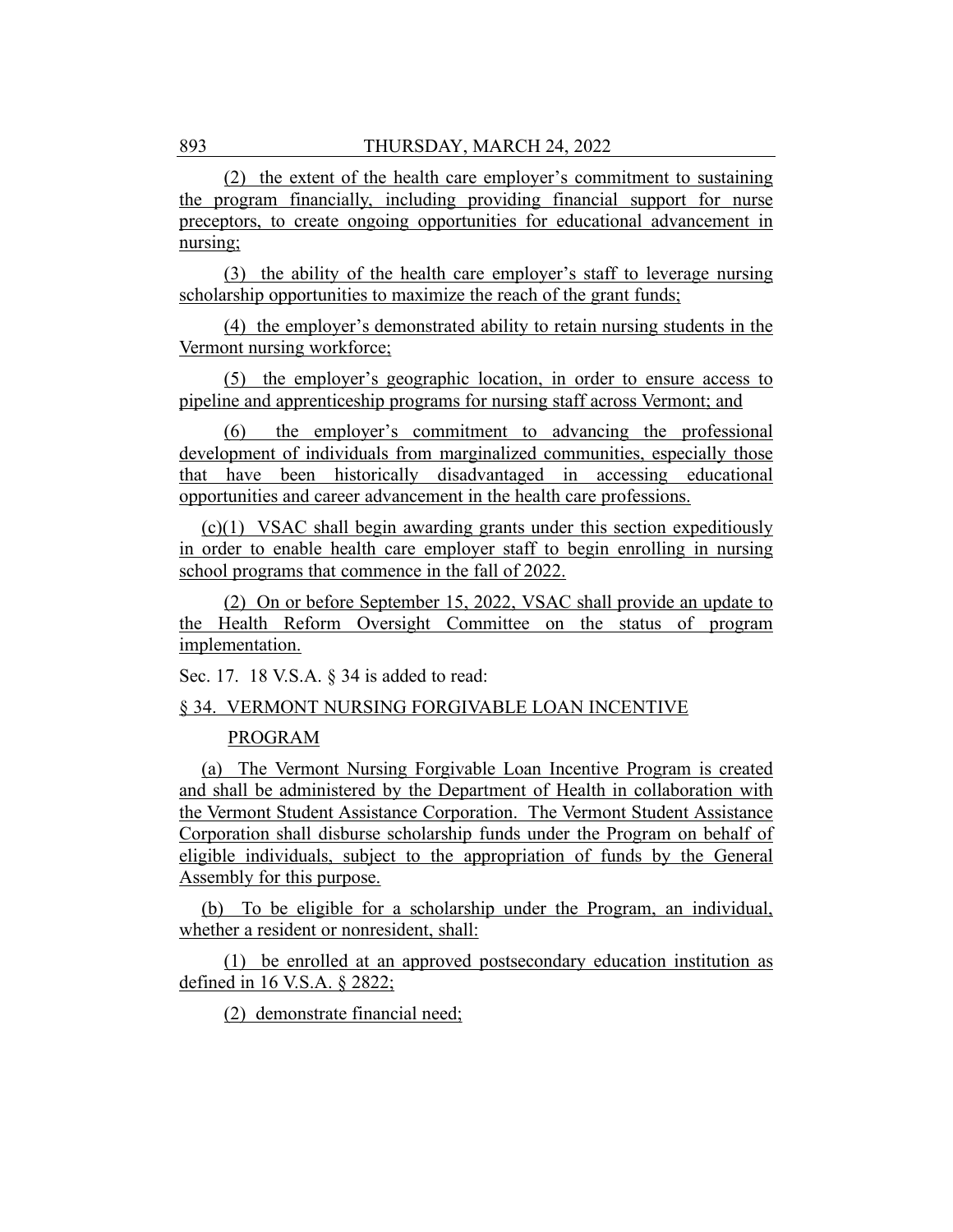(2) the extent of the health care employer's commitment to sustaining the program financially, including providing financial support for nurse preceptors, to create ongoing opportunities for educational advancement in nursing;

(3) the ability of the health care employer's staff to leverage nursing scholarship opportunities to maximize the reach of the grant funds;

(4) the employer's demonstrated ability to retain nursing students in the Vermont nursing workforce;

(5) the employer's geographic location, in order to ensure access to pipeline and apprenticeship programs for nursing staff across Vermont; and

(6) the employer's commitment to advancing the professional development of individuals from marginalized communities, especially those that have been historically disadvantaged in accessing educational opportunities and career advancement in the health care professions.

(c)(1) VSAC shall begin awarding grants under this section expeditiously in order to enable health care employer staff to begin enrolling in nursing school programs that commence in the fall of 2022.

(2) On or before September 15, 2022, VSAC shall provide an update to the Health Reform Oversight Committee on the status of program implementation.

Sec. 17. 18 V.S.A. § 34 is added to read:

#### § 34. VERMONT NURSING FORGIVABLE LOAN INCENTIVE

#### PROGRAM

(a) The Vermont Nursing Forgivable Loan Incentive Program is created and shall be administered by the Department of Health in collaboration with the Vermont Student Assistance Corporation. The Vermont Student Assistance Corporation shall disburse scholarship funds under the Program on behalf of eligible individuals, subject to the appropriation of funds by the General Assembly for this purpose.

(b) To be eligible for a scholarship under the Program, an individual, whether a resident or nonresident, shall:

(1) be enrolled at an approved postsecondary education institution as defined in 16 V.S.A. § 2822;

(2) demonstrate financial need;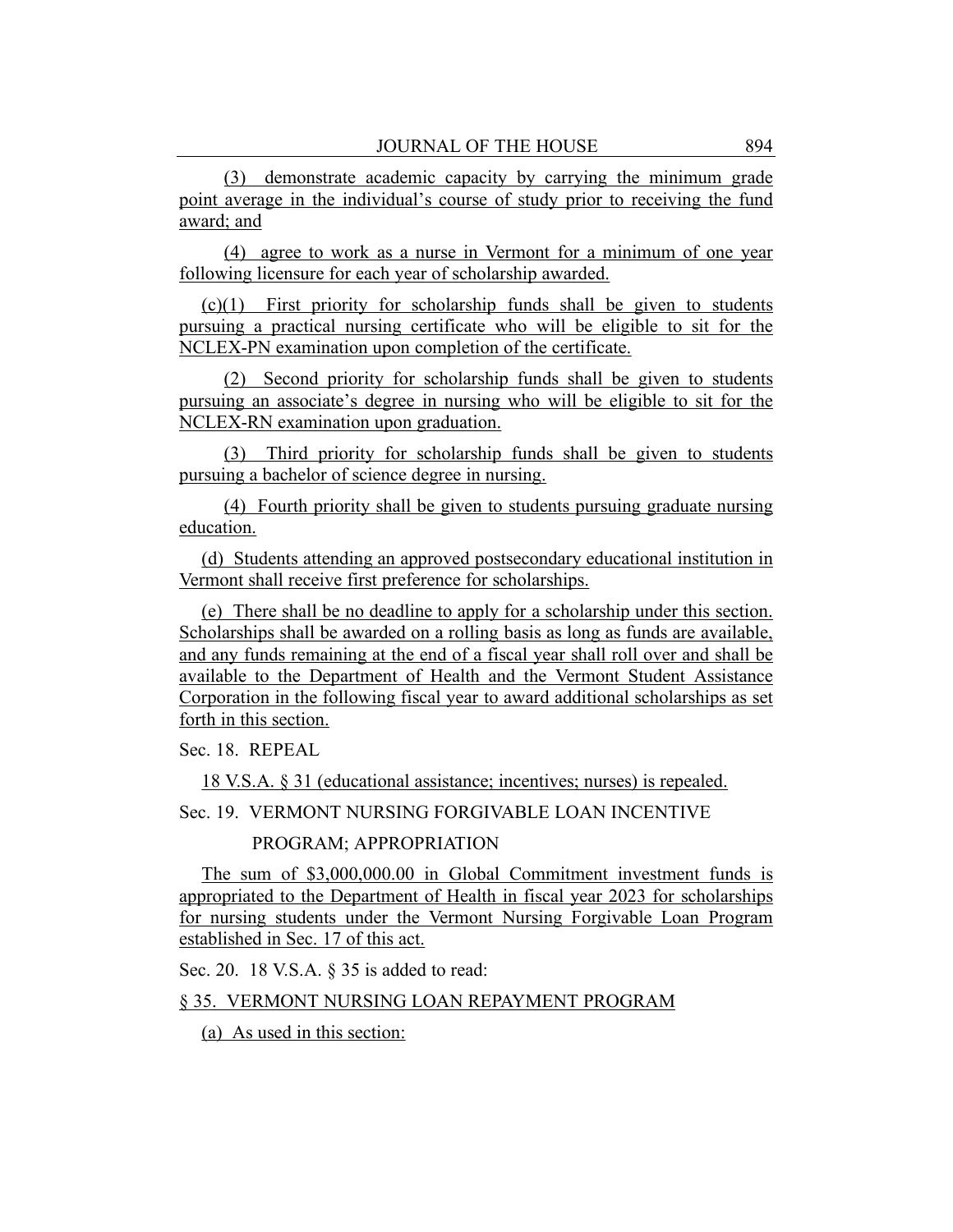(3) demonstrate academic capacity by carrying the minimum grade point average in the individual's course of study prior to receiving the fund award; and

(4) agree to work as a nurse in Vermont for a minimum of one year following licensure for each year of scholarship awarded.

(c)(1) First priority for scholarship funds shall be given to students pursuing a practical nursing certificate who will be eligible to sit for the NCLEX-PN examination upon completion of the certificate.

(2) Second priority for scholarship funds shall be given to students pursuing an associate's degree in nursing who will be eligible to sit for the NCLEX-RN examination upon graduation.

(3) Third priority for scholarship funds shall be given to students pursuing a bachelor of science degree in nursing.

(4) Fourth priority shall be given to students pursuing graduate nursing education.

(d) Students attending an approved postsecondary educational institution in Vermont shall receive first preference for scholarships.

(e) There shall be no deadline to apply for a scholarship under this section. Scholarships shall be awarded on a rolling basis as long as funds are available, and any funds remaining at the end of a fiscal year shall roll over and shall be available to the Department of Health and the Vermont Student Assistance Corporation in the following fiscal year to award additional scholarships as set forth in this section.

Sec. 18. REPEAL

18 V.S.A. § 31 (educational assistance; incentives; nurses) is repealed.

Sec. 19. VERMONT NURSING FORGIVABLE LOAN INCENTIVE

PROGRAM; APPROPRIATION

The sum of \$3,000,000.00 in Global Commitment investment funds is appropriated to the Department of Health in fiscal year 2023 for scholarships for nursing students under the Vermont Nursing Forgivable Loan Program established in Sec. 17 of this act.

Sec. 20. 18 V.S.A. § 35 is added to read:

# § 35. VERMONT NURSING LOAN REPAYMENT PROGRAM

(a) As used in this section: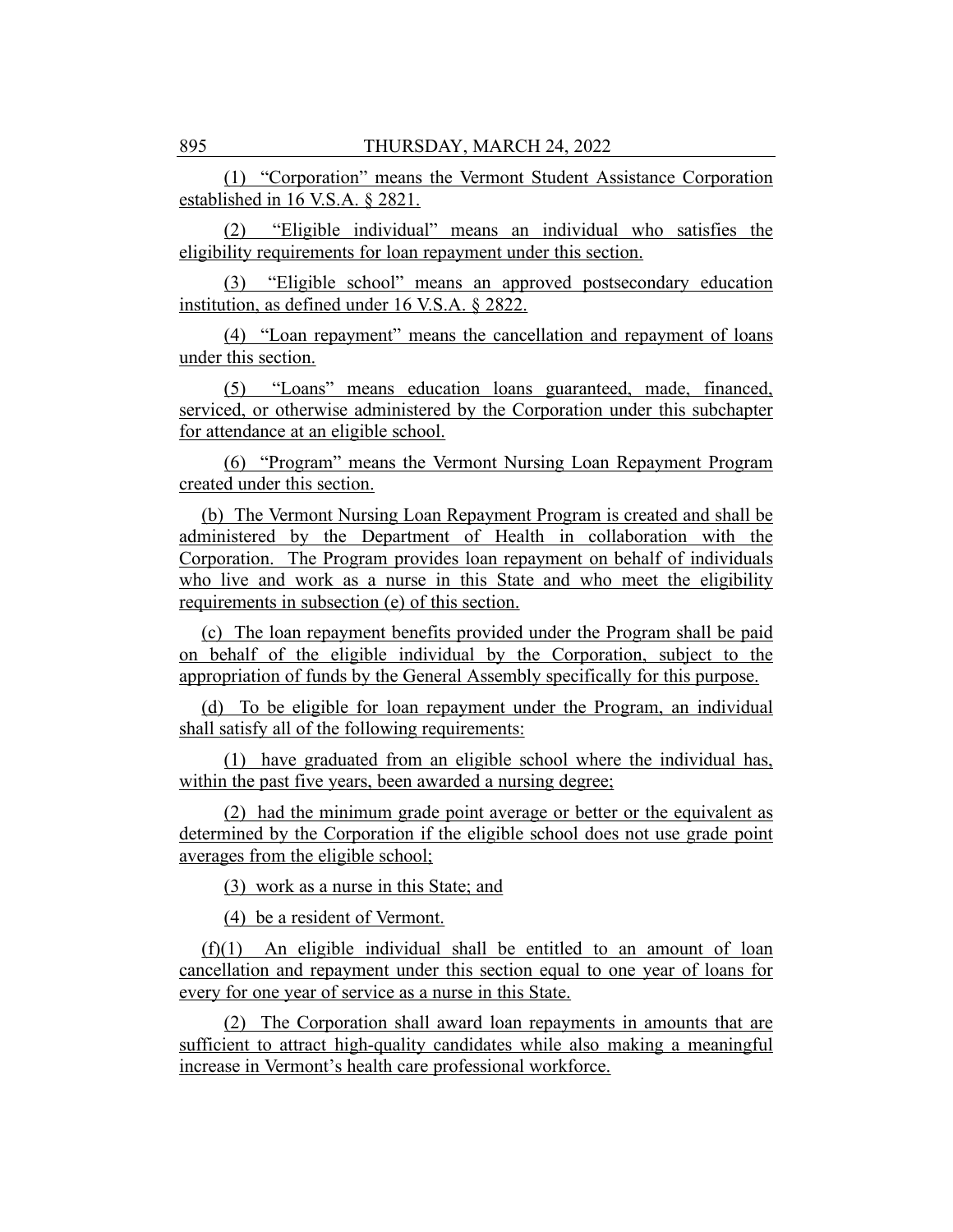(1) "Corporation" means the Vermont Student Assistance Corporation established in 16 V.S.A. § 2821.

(2) "Eligible individual" means an individual who satisfies the eligibility requirements for loan repayment under this section.

(3) "Eligible school" means an approved postsecondary education institution, as defined under 16 V.S.A. § 2822.

(4) "Loan repayment" means the cancellation and repayment of loans under this section.

(5) "Loans" means education loans guaranteed, made, financed, serviced, or otherwise administered by the Corporation under this subchapter for attendance at an eligible school.

(6) "Program" means the Vermont Nursing Loan Repayment Program created under this section.

(b) The Vermont Nursing Loan Repayment Program is created and shall be administered by the Department of Health in collaboration with the Corporation. The Program provides loan repayment on behalf of individuals who live and work as a nurse in this State and who meet the eligibility requirements in subsection (e) of this section.

(c) The loan repayment benefits provided under the Program shall be paid on behalf of the eligible individual by the Corporation, subject to the appropriation of funds by the General Assembly specifically for this purpose.

(d) To be eligible for loan repayment under the Program, an individual shall satisfy all of the following requirements:

(1) have graduated from an eligible school where the individual has, within the past five years, been awarded a nursing degree;

(2) had the minimum grade point average or better or the equivalent as determined by the Corporation if the eligible school does not use grade point averages from the eligible school;

(3) work as a nurse in this State; and

(4) be a resident of Vermont.

(f)(1) An eligible individual shall be entitled to an amount of loan cancellation and repayment under this section equal to one year of loans for every for one year of service as a nurse in this State.

(2) The Corporation shall award loan repayments in amounts that are sufficient to attract high-quality candidates while also making a meaningful increase in Vermont's health care professional workforce.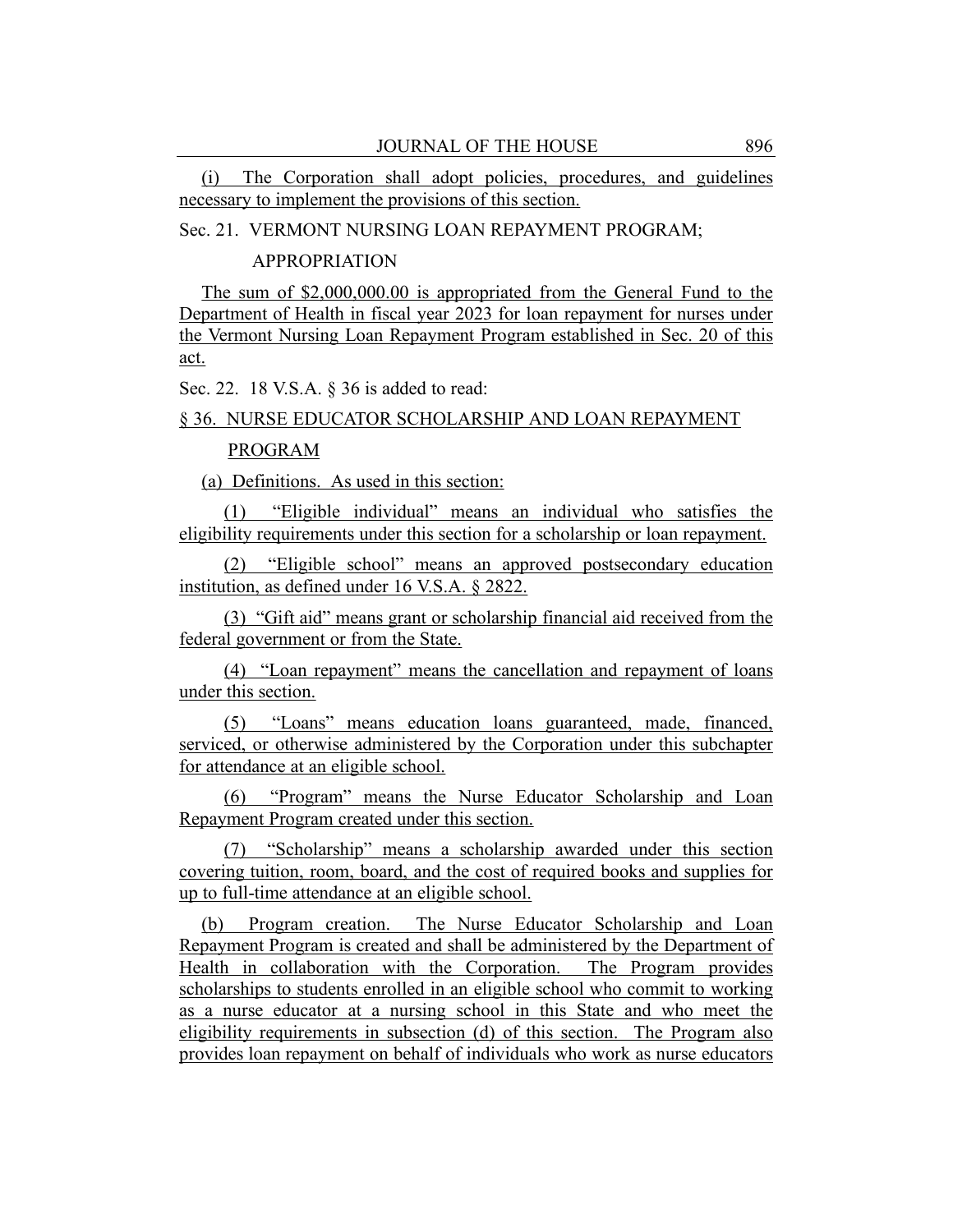(i) The Corporation shall adopt policies, procedures, and guidelines necessary to implement the provisions of this section.

# Sec. 21. VERMONT NURSING LOAN REPAYMENT PROGRAM;

APPROPRIATION

The sum of \$2,000,000.00 is appropriated from the General Fund to the Department of Health in fiscal year 2023 for loan repayment for nurses under the Vermont Nursing Loan Repayment Program established in Sec. 20 of this act.

Sec. 22. 18 V.S.A. § 36 is added to read:

# § 36. NURSE EDUCATOR SCHOLARSHIP AND LOAN REPAYMENT

#### PROGRAM

(a) Definitions. As used in this section:

(1) "Eligible individual" means an individual who satisfies the eligibility requirements under this section for a scholarship or loan repayment.

(2) "Eligible school" means an approved postsecondary education institution, as defined under 16 V.S.A. § 2822.

(3) "Gift aid" means grant or scholarship financial aid received from the federal government or from the State.

(4) "Loan repayment" means the cancellation and repayment of loans under this section.

(5) "Loans" means education loans guaranteed, made, financed, serviced, or otherwise administered by the Corporation under this subchapter for attendance at an eligible school.

(6) "Program" means the Nurse Educator Scholarship and Loan Repayment Program created under this section.

(7) "Scholarship" means a scholarship awarded under this section covering tuition, room, board, and the cost of required books and supplies for up to full-time attendance at an eligible school.

(b) Program creation. The Nurse Educator Scholarship and Loan Repayment Program is created and shall be administered by the Department of Health in collaboration with the Corporation. The Program provides scholarships to students enrolled in an eligible school who commit to working as a nurse educator at a nursing school in this State and who meet the eligibility requirements in subsection (d) of this section. The Program also provides loan repayment on behalf of individuals who work as nurse educators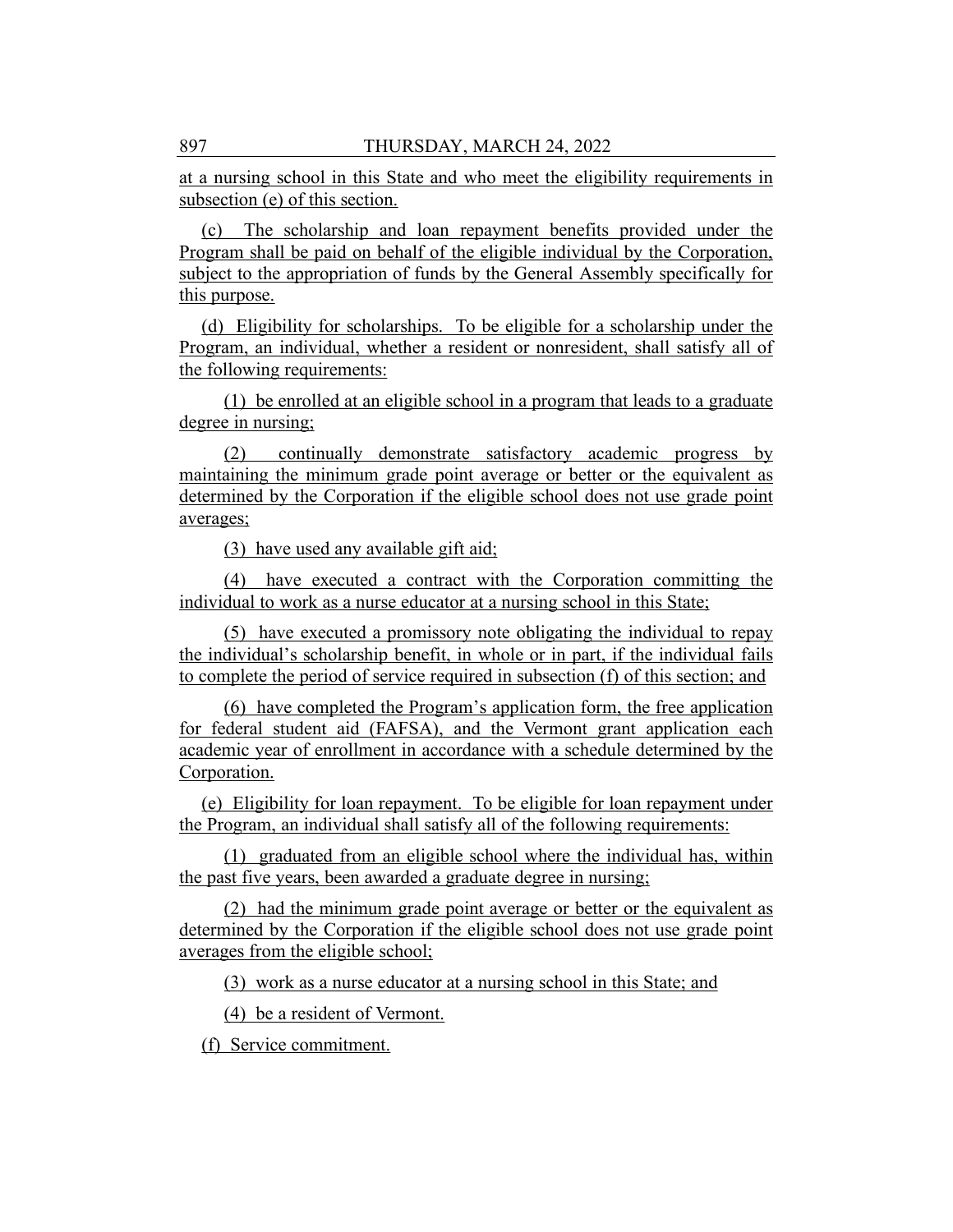at a nursing school in this State and who meet the eligibility requirements in subsection (e) of this section.

(c) The scholarship and loan repayment benefits provided under the Program shall be paid on behalf of the eligible individual by the Corporation, subject to the appropriation of funds by the General Assembly specifically for this purpose.

(d) Eligibility for scholarships. To be eligible for a scholarship under the Program, an individual, whether a resident or nonresident, shall satisfy all of the following requirements:

(1) be enrolled at an eligible school in a program that leads to a graduate degree in nursing;

(2) continually demonstrate satisfactory academic progress by maintaining the minimum grade point average or better or the equivalent as determined by the Corporation if the eligible school does not use grade point averages;

(3) have used any available gift aid;

(4) have executed a contract with the Corporation committing the individual to work as a nurse educator at a nursing school in this State;

(5) have executed a promissory note obligating the individual to repay the individual's scholarship benefit, in whole or in part, if the individual fails to complete the period of service required in subsection (f) of this section; and

(6) have completed the Program's application form, the free application for federal student aid (FAFSA), and the Vermont grant application each academic year of enrollment in accordance with a schedule determined by the Corporation.

(e) Eligibility for loan repayment. To be eligible for loan repayment under the Program, an individual shall satisfy all of the following requirements:

(1) graduated from an eligible school where the individual has, within the past five years, been awarded a graduate degree in nursing;

(2) had the minimum grade point average or better or the equivalent as determined by the Corporation if the eligible school does not use grade point averages from the eligible school;

(3) work as a nurse educator at a nursing school in this State; and

(4) be a resident of Vermont.

(f) Service commitment.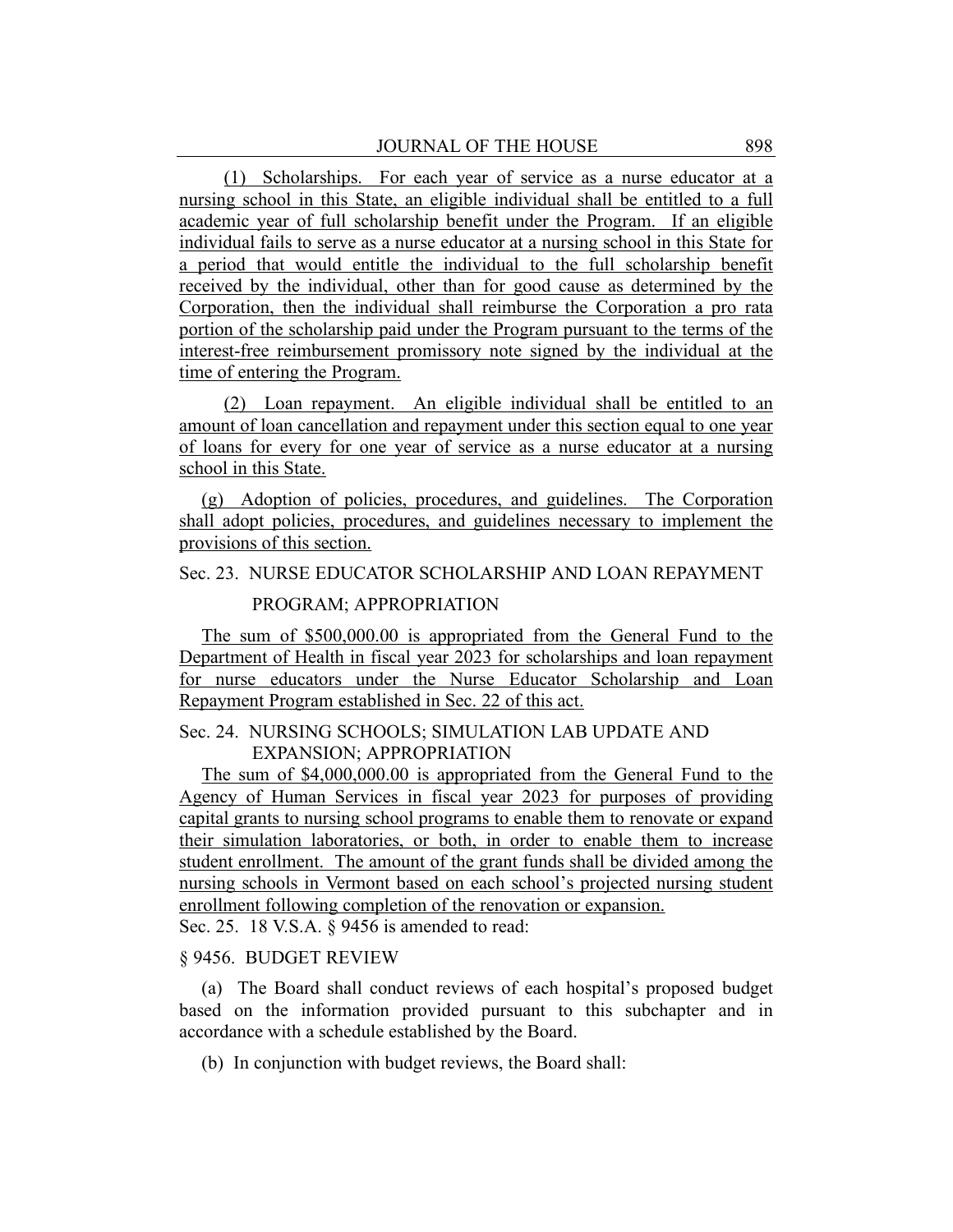(1) Scholarships. For each year of service as a nurse educator at a nursing school in this State, an eligible individual shall be entitled to a full academic year of full scholarship benefit under the Program. If an eligible individual fails to serve as a nurse educator at a nursing school in this State for a period that would entitle the individual to the full scholarship benefit received by the individual, other than for good cause as determined by the Corporation, then the individual shall reimburse the Corporation a pro rata portion of the scholarship paid under the Program pursuant to the terms of the interest-free reimbursement promissory note signed by the individual at the time of entering the Program.

(2) Loan repayment. An eligible individual shall be entitled to an amount of loan cancellation and repayment under this section equal to one year of loans for every for one year of service as a nurse educator at a nursing school in this State.

(g) Adoption of policies, procedures, and guidelines. The Corporation shall adopt policies, procedures, and guidelines necessary to implement the provisions of this section.

# Sec. 23. NURSE EDUCATOR SCHOLARSHIP AND LOAN REPAYMENT

#### PROGRAM; APPROPRIATION

The sum of \$500,000.00 is appropriated from the General Fund to the Department of Health in fiscal year 2023 for scholarships and loan repayment for nurse educators under the Nurse Educator Scholarship and Loan Repayment Program established in Sec. 22 of this act.

# Sec. 24. NURSING SCHOOLS; SIMULATION LAB UPDATE AND EXPANSION; APPROPRIATION

The sum of \$4,000,000.00 is appropriated from the General Fund to the Agency of Human Services in fiscal year 2023 for purposes of providing capital grants to nursing school programs to enable them to renovate or expand their simulation laboratories, or both, in order to enable them to increase student enrollment. The amount of the grant funds shall be divided among the nursing schools in Vermont based on each school's projected nursing student enrollment following completion of the renovation or expansion.

Sec. 25. 18 V.S.A. § 9456 is amended to read:

#### § 9456. BUDGET REVIEW

(a) The Board shall conduct reviews of each hospital's proposed budget based on the information provided pursuant to this subchapter and in accordance with a schedule established by the Board.

(b) In conjunction with budget reviews, the Board shall: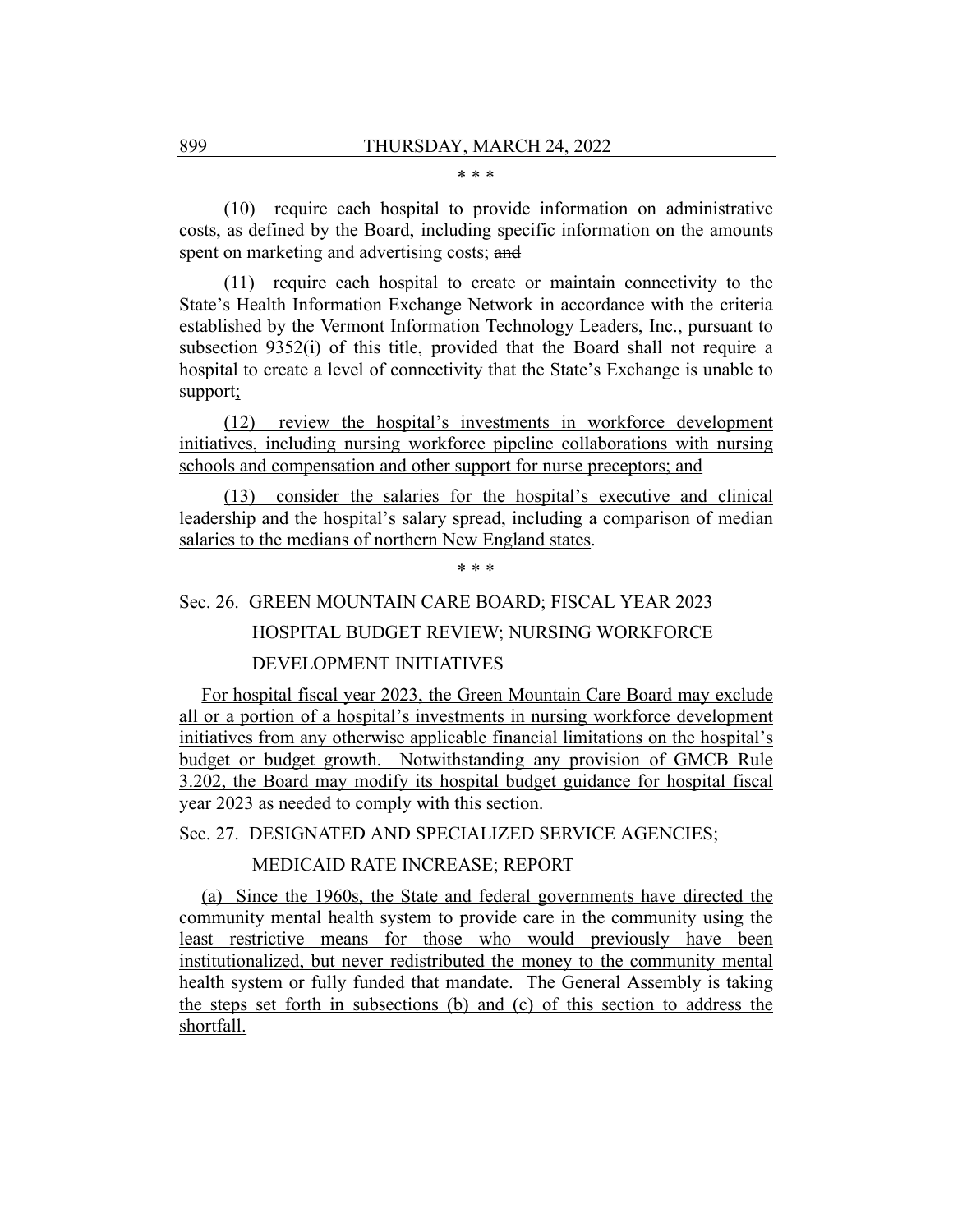#### \* \* \*

(10) require each hospital to provide information on administrative costs, as defined by the Board, including specific information on the amounts spent on marketing and advertising costs; and

(11) require each hospital to create or maintain connectivity to the State's Health Information Exchange Network in accordance with the criteria established by the Vermont Information Technology Leaders, Inc., pursuant to subsection 9352(i) of this title, provided that the Board shall not require a hospital to create a level of connectivity that the State's Exchange is unable to support;

(12) review the hospital's investments in workforce development initiatives, including nursing workforce pipeline collaborations with nursing schools and compensation and other support for nurse preceptors; and

(13) consider the salaries for the hospital's executive and clinical leadership and the hospital's salary spread, including a comparison of median salaries to the medians of northern New England states.

\* \* \*

# Sec. 26. GREEN MOUNTAIN CARE BOARD; FISCAL YEAR 2023

# HOSPITAL BUDGET REVIEW; NURSING WORKFORCE DEVELOPMENT INITIATIVES

For hospital fiscal year 2023, the Green Mountain Care Board may exclude all or a portion of a hospital's investments in nursing workforce development initiatives from any otherwise applicable financial limitations on the hospital's budget or budget growth. Notwithstanding any provision of GMCB Rule 3.202, the Board may modify its hospital budget guidance for hospital fiscal year 2023 as needed to comply with this section.

Sec. 27. DESIGNATED AND SPECIALIZED SERVICE AGENCIES;

# MEDICAID RATE INCREASE; REPORT

(a) Since the 1960s, the State and federal governments have directed the community mental health system to provide care in the community using the least restrictive means for those who would previously have been institutionalized, but never redistributed the money to the community mental health system or fully funded that mandate. The General Assembly is taking the steps set forth in subsections (b) and (c) of this section to address the shortfall.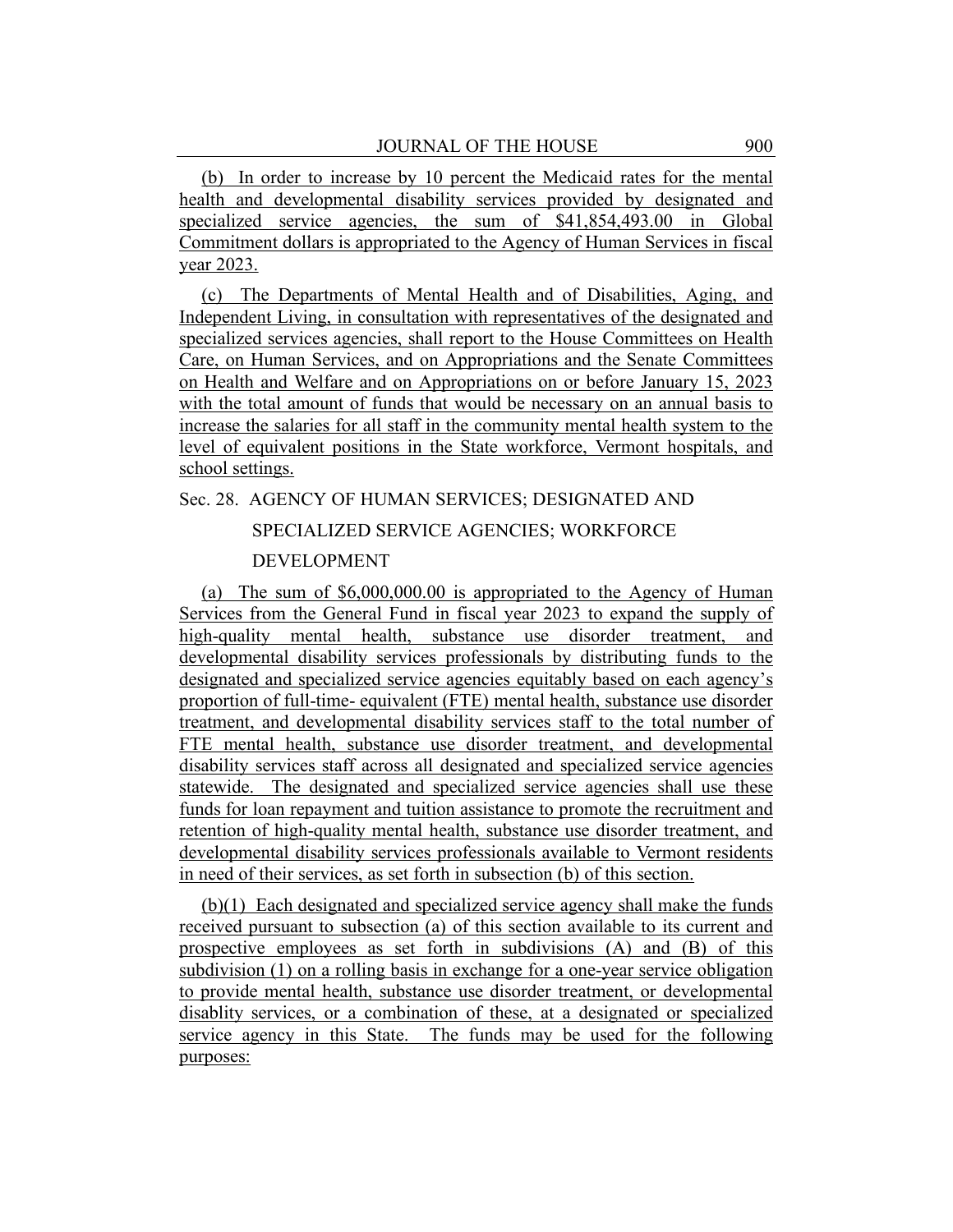(b) In order to increase by 10 percent the Medicaid rates for the mental health and developmental disability services provided by designated and specialized service agencies, the sum of \$41,854,493.00 in Global Commitment dollars is appropriated to the Agency of Human Services in fiscal year 2023.

(c) The Departments of Mental Health and of Disabilities, Aging, and Independent Living, in consultation with representatives of the designated and specialized services agencies, shall report to the House Committees on Health Care, on Human Services, and on Appropriations and the Senate Committees on Health and Welfare and on Appropriations on or before January 15, 2023 with the total amount of funds that would be necessary on an annual basis to increase the salaries for all staff in the community mental health system to the level of equivalent positions in the State workforce, Vermont hospitals, and school settings.

# Sec. 28. AGENCY OF HUMAN SERVICES; DESIGNATED AND

# SPECIALIZED SERVICE AGENCIES; WORKFORCE DEVELOPMENT

(a) The sum of \$6,000,000.00 is appropriated to the Agency of Human Services from the General Fund in fiscal year 2023 to expand the supply of high-quality mental health, substance use disorder treatment, and developmental disability services professionals by distributing funds to the designated and specialized service agencies equitably based on each agency's proportion of full-time- equivalent (FTE) mental health, substance use disorder treatment, and developmental disability services staff to the total number of FTE mental health, substance use disorder treatment, and developmental disability services staff across all designated and specialized service agencies statewide. The designated and specialized service agencies shall use these funds for loan repayment and tuition assistance to promote the recruitment and retention of high-quality mental health, substance use disorder treatment, and developmental disability services professionals available to Vermont residents in need of their services, as set forth in subsection (b) of this section.

(b)(1) Each designated and specialized service agency shall make the funds received pursuant to subsection (a) of this section available to its current and prospective employees as set forth in subdivisions (A) and (B) of this subdivision (1) on a rolling basis in exchange for a one-year service obligation to provide mental health, substance use disorder treatment, or developmental disablity services, or a combination of these, at a designated or specialized service agency in this State. The funds may be used for the following purposes: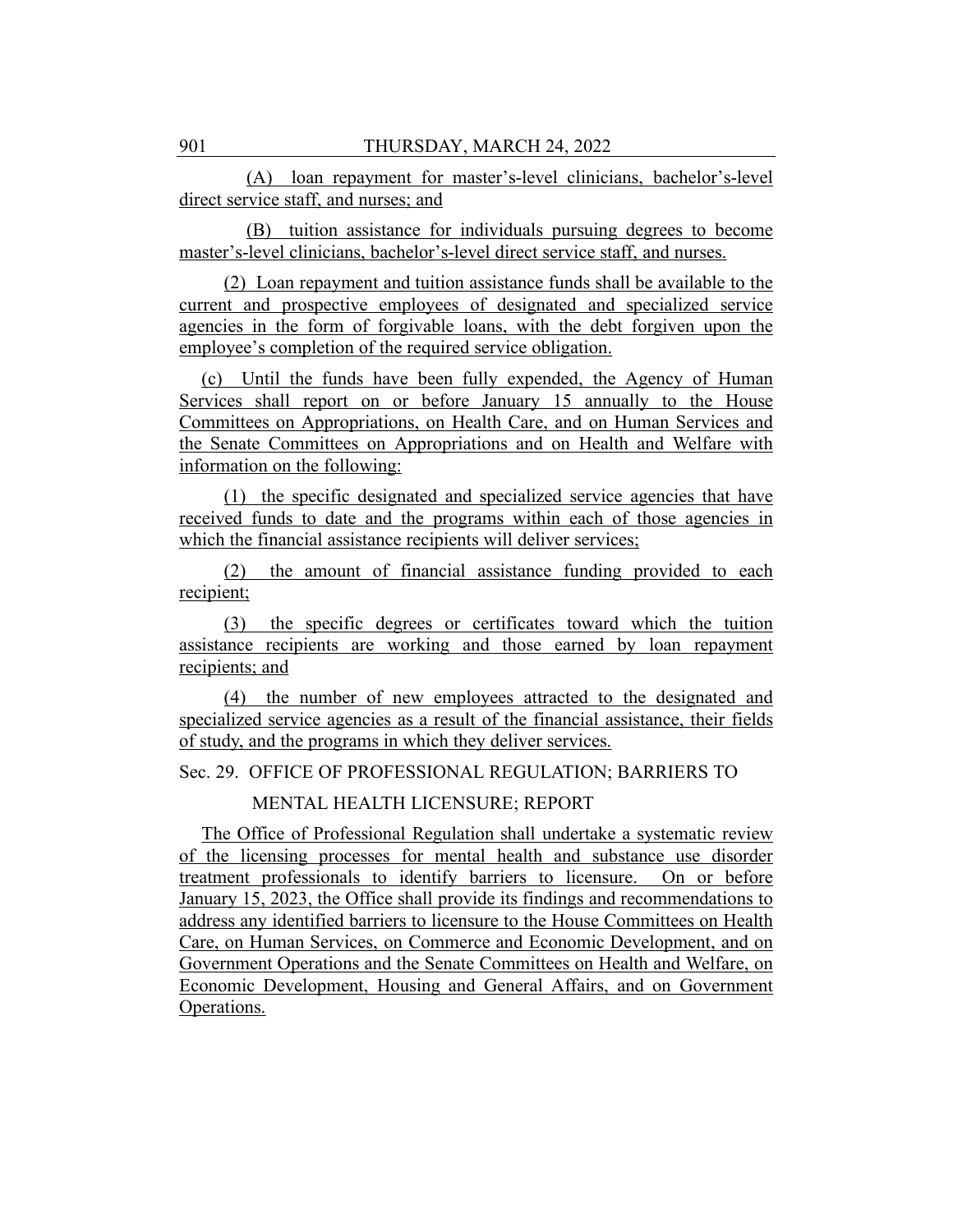(A) loan repayment for master's-level clinicians, bachelor's-level direct service staff, and nurses; and

(B) tuition assistance for individuals pursuing degrees to become master's-level clinicians, bachelor's-level direct service staff, and nurses.

(2) Loan repayment and tuition assistance funds shall be available to the current and prospective employees of designated and specialized service agencies in the form of forgivable loans, with the debt forgiven upon the employee's completion of the required service obligation.

(c) Until the funds have been fully expended, the Agency of Human Services shall report on or before January 15 annually to the House Committees on Appropriations, on Health Care, and on Human Services and the Senate Committees on Appropriations and on Health and Welfare with information on the following:

(1) the specific designated and specialized service agencies that have received funds to date and the programs within each of those agencies in which the financial assistance recipients will deliver services;

(2) the amount of financial assistance funding provided to each recipient;

(3) the specific degrees or certificates toward which the tuition assistance recipients are working and those earned by loan repayment recipients; and

(4) the number of new employees attracted to the designated and specialized service agencies as a result of the financial assistance, their fields of study, and the programs in which they deliver services.

Sec. 29. OFFICE OF PROFESSIONAL REGULATION; BARRIERS TO

MENTAL HEALTH LICENSURE; REPORT

The Office of Professional Regulation shall undertake a systematic review of the licensing processes for mental health and substance use disorder treatment professionals to identify barriers to licensure. On or before January 15, 2023, the Office shall provide its findings and recommendations to address any identified barriers to licensure to the House Committees on Health Care, on Human Services, on Commerce and Economic Development, and on Government Operations and the Senate Committees on Health and Welfare, on Economic Development, Housing and General Affairs, and on Government Operations.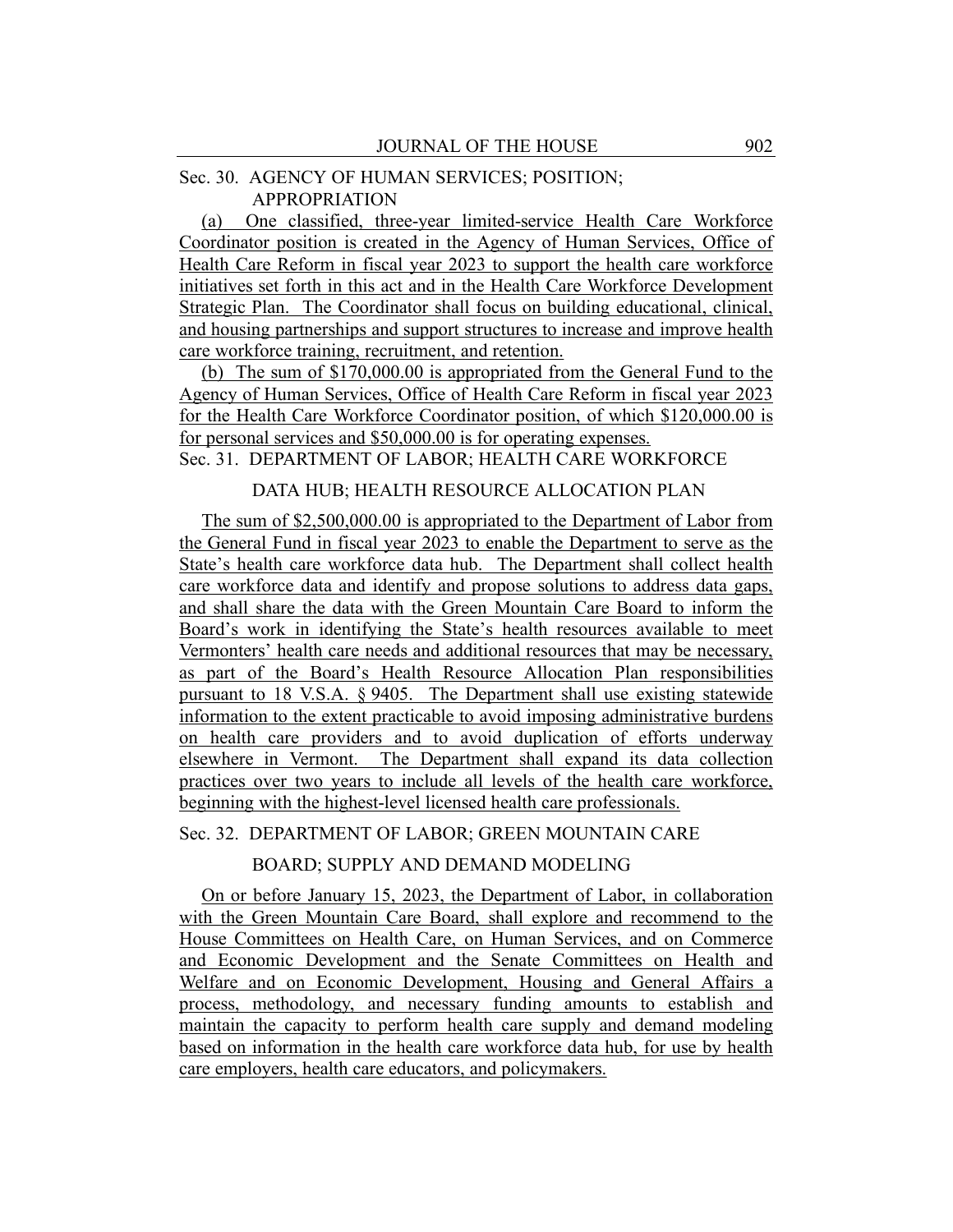# Sec. 30. AGENCY OF HUMAN SERVICES; POSITION; APPROPRIATION

(a) One classified, three-year limited-service Health Care Workforce Coordinator position is created in the Agency of Human Services, Office of Health Care Reform in fiscal year 2023 to support the health care workforce initiatives set forth in this act and in the Health Care Workforce Development Strategic Plan. The Coordinator shall focus on building educational, clinical, and housing partnerships and support structures to increase and improve health care workforce training, recruitment, and retention.

(b) The sum of \$170,000.00 is appropriated from the General Fund to the Agency of Human Services, Office of Health Care Reform in fiscal year 2023 for the Health Care Workforce Coordinator position, of which \$120,000.00 is for personal services and \$50,000.00 is for operating expenses. Sec. 31. DEPARTMENT OF LABOR; HEALTH CARE WORKFORCE

#### DATA HUB; HEALTH RESOURCE ALLOCATION PLAN

The sum of \$2,500,000.00 is appropriated to the Department of Labor from the General Fund in fiscal year 2023 to enable the Department to serve as the State's health care workforce data hub. The Department shall collect health care workforce data and identify and propose solutions to address data gaps, and shall share the data with the Green Mountain Care Board to inform the Board's work in identifying the State's health resources available to meet Vermonters' health care needs and additional resources that may be necessary, as part of the Board's Health Resource Allocation Plan responsibilities pursuant to 18 V.S.A. § 9405. The Department shall use existing statewide information to the extent practicable to avoid imposing administrative burdens on health care providers and to avoid duplication of efforts underway elsewhere in Vermont. The Department shall expand its data collection practices over two years to include all levels of the health care workforce, beginning with the highest-level licensed health care professionals.

Sec. 32. DEPARTMENT OF LABOR; GREEN MOUNTAIN CARE

# BOARD; SUPPLY AND DEMAND MODELING

On or before January 15, 2023, the Department of Labor, in collaboration with the Green Mountain Care Board, shall explore and recommend to the House Committees on Health Care, on Human Services, and on Commerce and Economic Development and the Senate Committees on Health and Welfare and on Economic Development, Housing and General Affairs a process, methodology, and necessary funding amounts to establish and maintain the capacity to perform health care supply and demand modeling based on information in the health care workforce data hub, for use by health care employers, health care educators, and policymakers.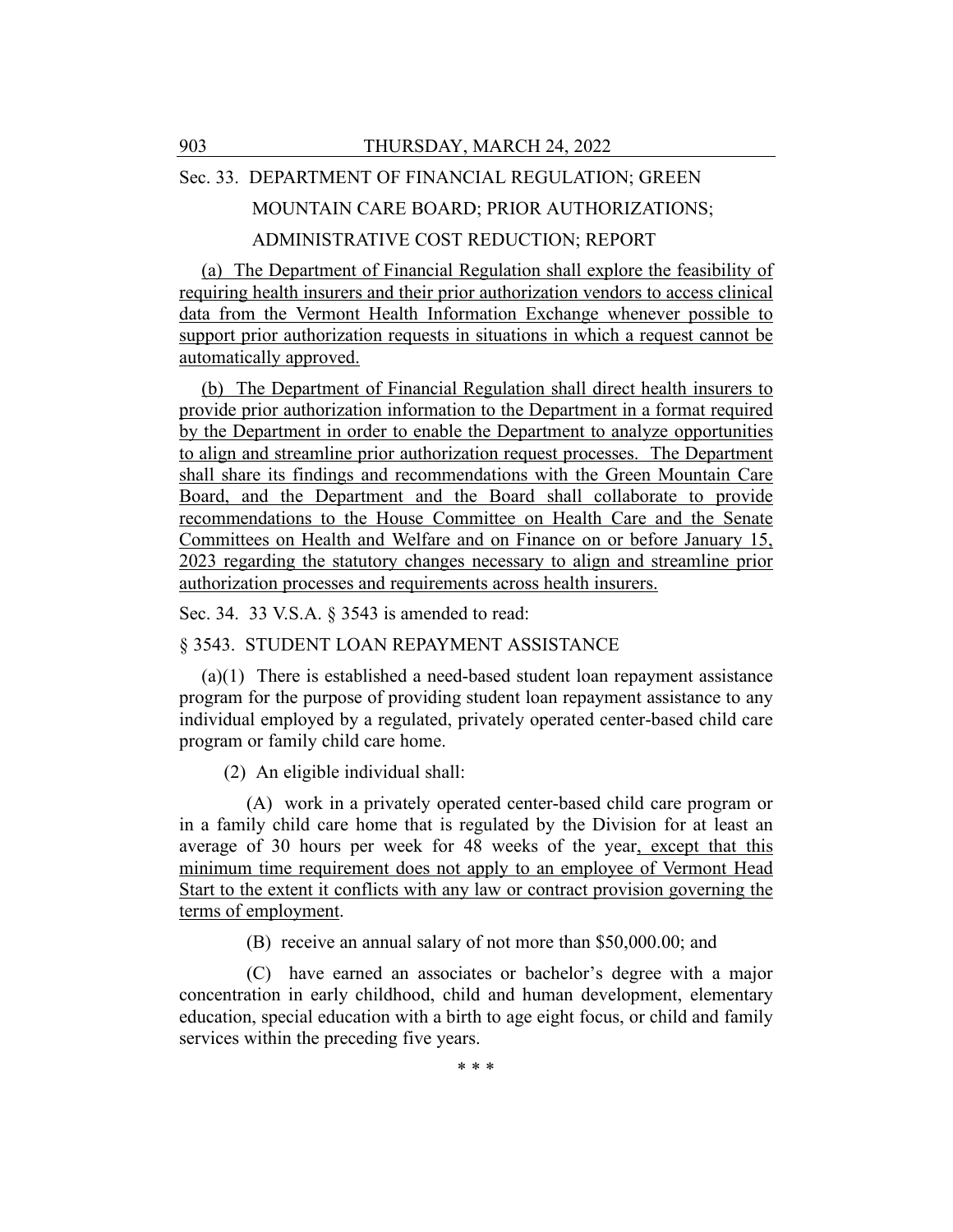#### Sec. 33. DEPARTMENT OF FINANCIAL REGULATION; GREEN

MOUNTAIN CARE BOARD; PRIOR AUTHORIZATIONS;

# ADMINISTRATIVE COST REDUCTION; REPORT

(a) The Department of Financial Regulation shall explore the feasibility of requiring health insurers and their prior authorization vendors to access clinical data from the Vermont Health Information Exchange whenever possible to support prior authorization requests in situations in which a request cannot be automatically approved.

(b) The Department of Financial Regulation shall direct health insurers to provide prior authorization information to the Department in a format required by the Department in order to enable the Department to analyze opportunities to align and streamline prior authorization request processes. The Department shall share its findings and recommendations with the Green Mountain Care Board, and the Department and the Board shall collaborate to provide recommendations to the House Committee on Health Care and the Senate Committees on Health and Welfare and on Finance on or before January 15, 2023 regarding the statutory changes necessary to align and streamline prior authorization processes and requirements across health insurers.

Sec. 34. 33 V.S.A. § 3543 is amended to read:

§ 3543. STUDENT LOAN REPAYMENT ASSISTANCE

(a)(1) There is established a need-based student loan repayment assistance program for the purpose of providing student loan repayment assistance to any individual employed by a regulated, privately operated center-based child care program or family child care home.

(2) An eligible individual shall:

(A) work in a privately operated center-based child care program or in a family child care home that is regulated by the Division for at least an average of 30 hours per week for 48 weeks of the year, except that this minimum time requirement does not apply to an employee of Vermont Head Start to the extent it conflicts with any law or contract provision governing the terms of employment.

(B) receive an annual salary of not more than \$50,000.00; and

(C) have earned an associates or bachelor's degree with a major concentration in early childhood, child and human development, elementary education, special education with a birth to age eight focus, or child and family services within the preceding five years.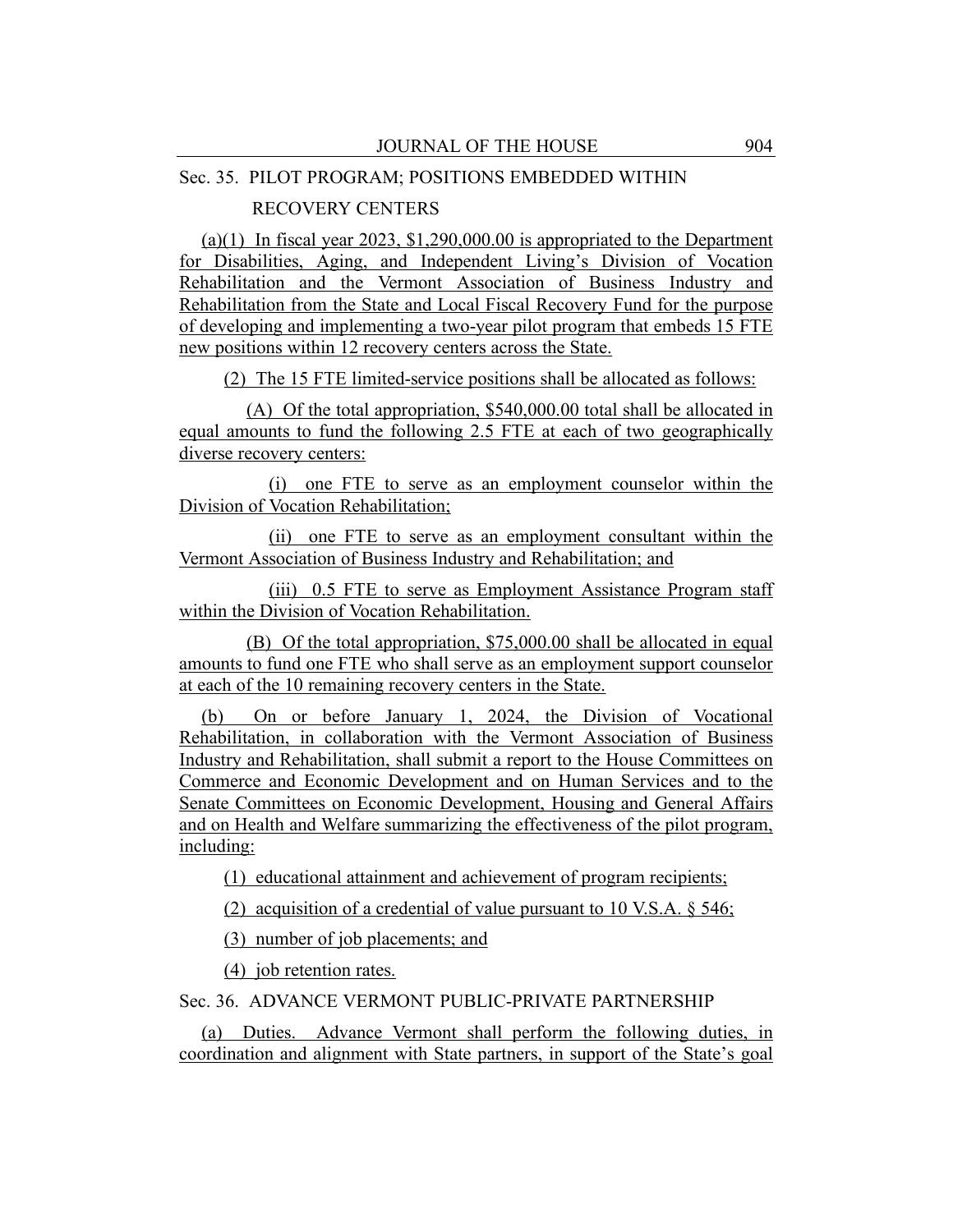#### Sec. 35. PILOT PROGRAM; POSITIONS EMBEDDED WITHIN

# RECOVERY CENTERS

(a)(1) In fiscal year 2023,  $$1,290,000.00$  is appropriated to the Department for Disabilities, Aging, and Independent Living's Division of Vocation Rehabilitation and the Vermont Association of Business Industry and Rehabilitation from the State and Local Fiscal Recovery Fund for the purpose of developing and implementing a two-year pilot program that embeds 15 FTE new positions within 12 recovery centers across the State.

(2) The 15 FTE limited-service positions shall be allocated as follows:

(A) Of the total appropriation, \$540,000.00 total shall be allocated in equal amounts to fund the following 2.5 FTE at each of two geographically diverse recovery centers:

(i) one FTE to serve as an employment counselor within the Division of Vocation Rehabilitation;

(ii) one FTE to serve as an employment consultant within the Vermont Association of Business Industry and Rehabilitation; and

(iii) 0.5 FTE to serve as Employment Assistance Program staff within the Division of Vocation Rehabilitation.

(B) Of the total appropriation, \$75,000.00 shall be allocated in equal amounts to fund one FTE who shall serve as an employment support counselor at each of the 10 remaining recovery centers in the State.

(b) On or before January 1, 2024, the Division of Vocational Rehabilitation, in collaboration with the Vermont Association of Business Industry and Rehabilitation, shall submit a report to the House Committees on Commerce and Economic Development and on Human Services and to the Senate Committees on Economic Development, Housing and General Affairs and on Health and Welfare summarizing the effectiveness of the pilot program, including:

(1) educational attainment and achievement of program recipients;

(2) acquisition of a credential of value pursuant to 10 V.S.A.  $\S$  546;

(3) number of job placements; and

(4) job retention rates.

Sec. 36. ADVANCE VERMONT PUBLIC-PRIVATE PARTNERSHIP

(a) Duties. Advance Vermont shall perform the following duties, in coordination and alignment with State partners, in support of the State's goal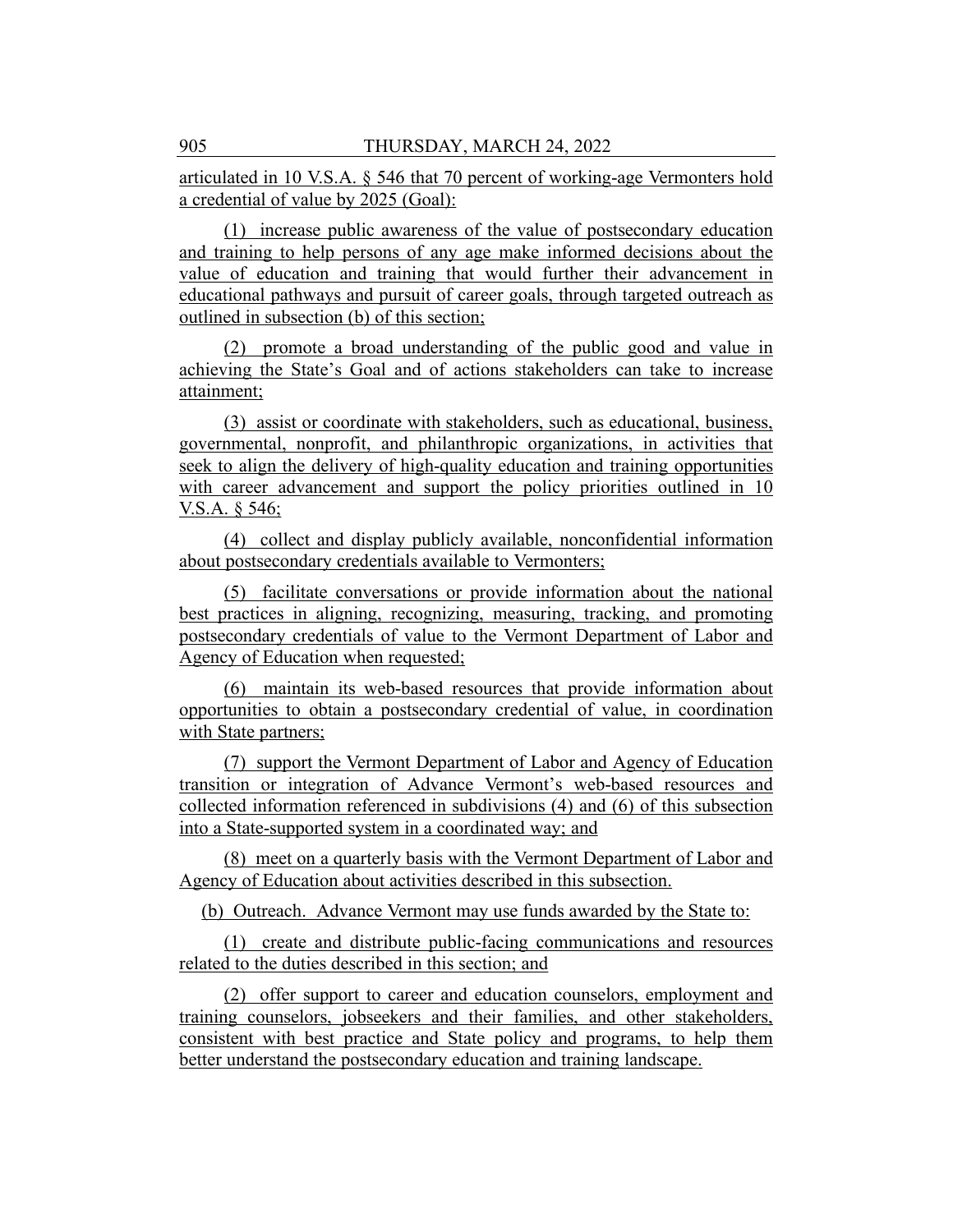articulated in 10 V.S.A. § 546 that 70 percent of working-age Vermonters hold a credential of value by 2025 (Goal):

(1) increase public awareness of the value of postsecondary education and training to help persons of any age make informed decisions about the value of education and training that would further their advancement in educational pathways and pursuit of career goals, through targeted outreach as outlined in subsection (b) of this section;

(2) promote a broad understanding of the public good and value in achieving the State's Goal and of actions stakeholders can take to increase attainment;

(3) assist or coordinate with stakeholders, such as educational, business, governmental, nonprofit, and philanthropic organizations, in activities that seek to align the delivery of high-quality education and training opportunities with career advancement and support the policy priorities outlined in 10 V.S.A. § 546;

(4) collect and display publicly available, nonconfidential information about postsecondary credentials available to Vermonters;

(5) facilitate conversations or provide information about the national best practices in aligning, recognizing, measuring, tracking, and promoting postsecondary credentials of value to the Vermont Department of Labor and Agency of Education when requested;

(6) maintain its web-based resources that provide information about opportunities to obtain a postsecondary credential of value, in coordination with State partners;

(7) support the Vermont Department of Labor and Agency of Education transition or integration of Advance Vermont's web-based resources and collected information referenced in subdivisions (4) and (6) of this subsection into a State-supported system in a coordinated way; and

(8) meet on a quarterly basis with the Vermont Department of Labor and Agency of Education about activities described in this subsection.

(b) Outreach. Advance Vermont may use funds awarded by the State to:

(1) create and distribute public-facing communications and resources related to the duties described in this section; and

(2) offer support to career and education counselors, employment and training counselors, jobseekers and their families, and other stakeholders, consistent with best practice and State policy and programs, to help them better understand the postsecondary education and training landscape.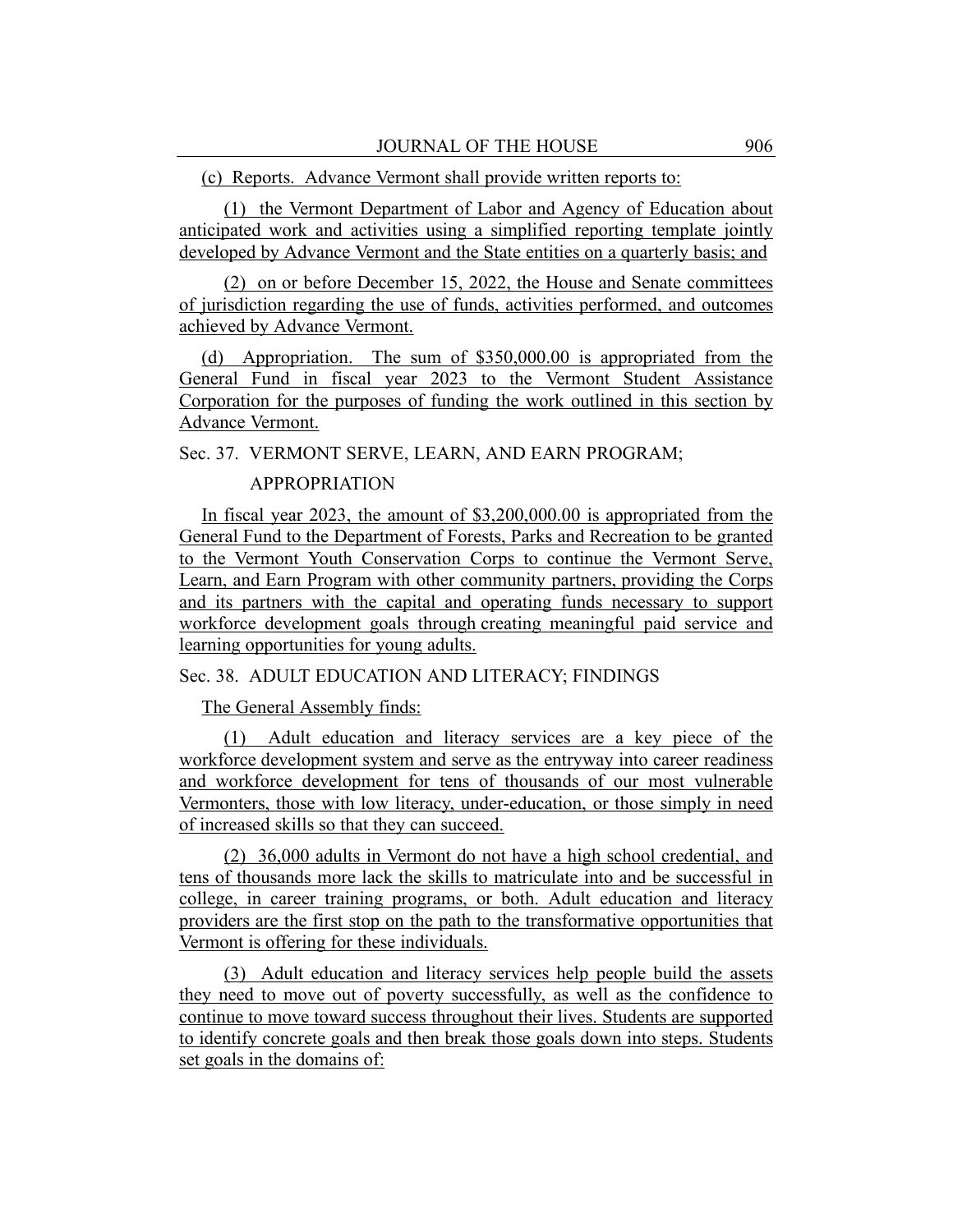(c) Reports. Advance Vermont shall provide written reports to:

(1) the Vermont Department of Labor and Agency of Education about anticipated work and activities using a simplified reporting template jointly developed by Advance Vermont and the State entities on a quarterly basis; and

(2) on or before December 15, 2022, the House and Senate committees of jurisdiction regarding the use of funds, activities performed, and outcomes achieved by Advance Vermont.

(d) Appropriation. The sum of \$350,000.00 is appropriated from the General Fund in fiscal year 2023 to the Vermont Student Assistance Corporation for the purposes of funding the work outlined in this section by Advance Vermont.

Sec. 37. VERMONT SERVE, LEARN, AND EARN PROGRAM;

#### APPROPRIATION

In fiscal year 2023, the amount of \$3,200,000.00 is appropriated from the General Fund to the Department of Forests, Parks and Recreation to be granted to the Vermont Youth Conservation Corps to continue the Vermont Serve, Learn, and Earn Program with other community partners, providing the Corps and its partners with the capital and operating funds necessary to support workforce development goals through creating meaningful paid service and learning opportunities for young adults.

Sec. 38. ADULT EDUCATION AND LITERACY; FINDINGS

The General Assembly finds:

(1) Adult education and literacy services are a key piece of the workforce development system and serve as the entryway into career readiness and workforce development for tens of thousands of our most vulnerable Vermonters, those with low literacy, under-education, or those simply in need of increased skills so that they can succeed.

(2) 36,000 adults in Vermont do not have a high school credential, and tens of thousands more lack the skills to matriculate into and be successful in college, in career training programs, or both. Adult education and literacy providers are the first stop on the path to the transformative opportunities that Vermont is offering for these individuals.

(3) Adult education and literacy services help people build the assets they need to move out of poverty successfully, as well as the confidence to continue to move toward success throughout their lives. Students are supported to identify concrete goals and then break those goals down into steps. Students set goals in the domains of: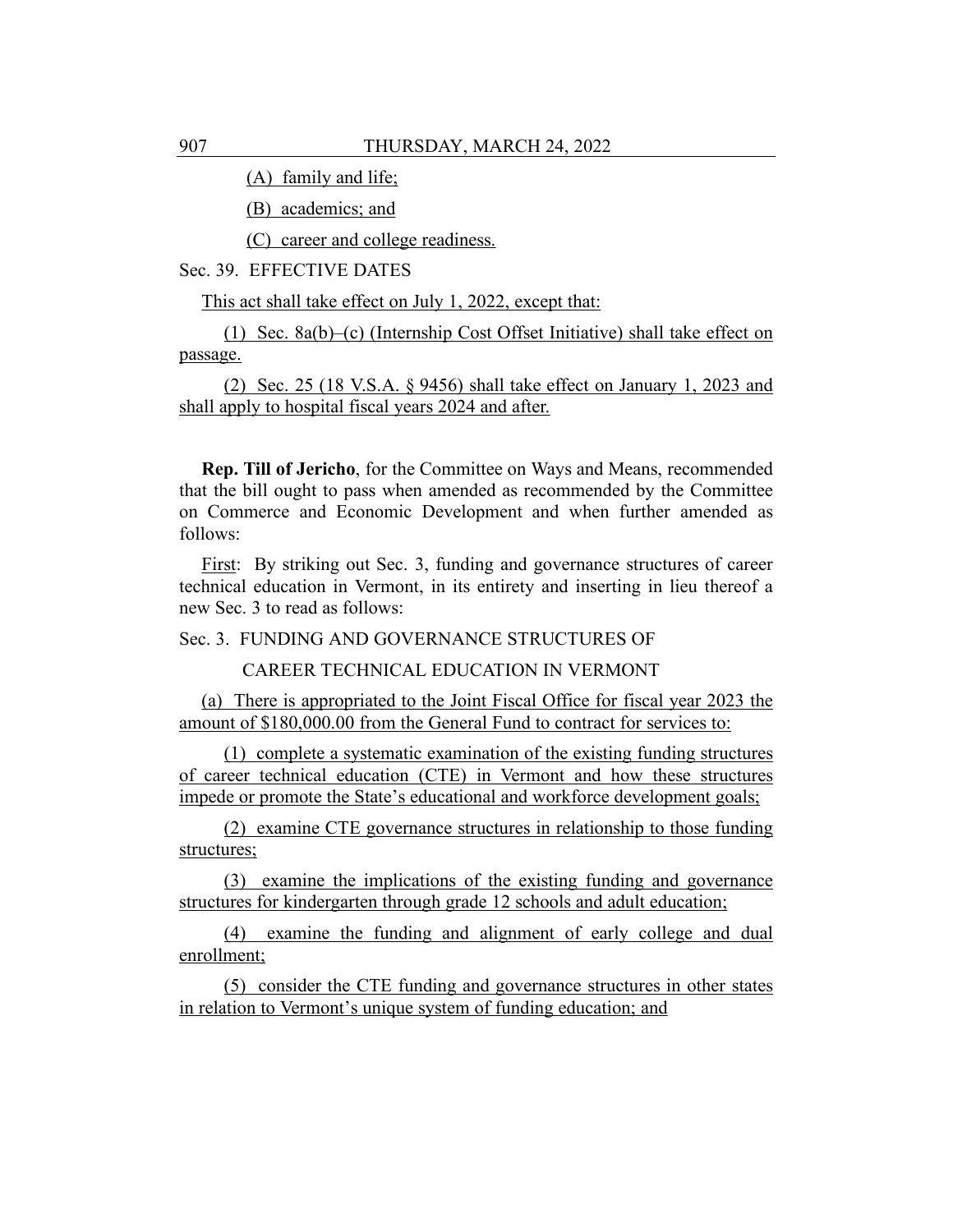(A) family and life;

(B) academics; and

(C) career and college readiness.

Sec. 39. EFFECTIVE DATES

This act shall take effect on July 1, 2022, except that:

(1) Sec. 8a(b)–(c) (Internship Cost Offset Initiative) shall take effect on passage.

(2) Sec. 25 (18 V.S.A. § 9456) shall take effect on January 1, 2023 and shall apply to hospital fiscal years 2024 and after.

**Rep. Till of Jericho**, for the Committee on Ways and Means, recommended that the bill ought to pass when amended as recommended by the Committee on Commerce and Economic Development and when further amended as follows:

First: By striking out Sec. 3, funding and governance structures of career technical education in Vermont, in its entirety and inserting in lieu thereof a new Sec. 3 to read as follows:

Sec. 3. FUNDING AND GOVERNANCE STRUCTURES OF

CAREER TECHNICAL EDUCATION IN VERMONT

(a) There is appropriated to the Joint Fiscal Office for fiscal year 2023 the amount of \$180,000.00 from the General Fund to contract for services to:

(1) complete a systematic examination of the existing funding structures of career technical education (CTE) in Vermont and how these structures impede or promote the State's educational and workforce development goals;

(2) examine CTE governance structures in relationship to those funding structures;

(3) examine the implications of the existing funding and governance structures for kindergarten through grade 12 schools and adult education;

(4) examine the funding and alignment of early college and dual enrollment;

(5) consider the CTE funding and governance structures in other states in relation to Vermont's unique system of funding education; and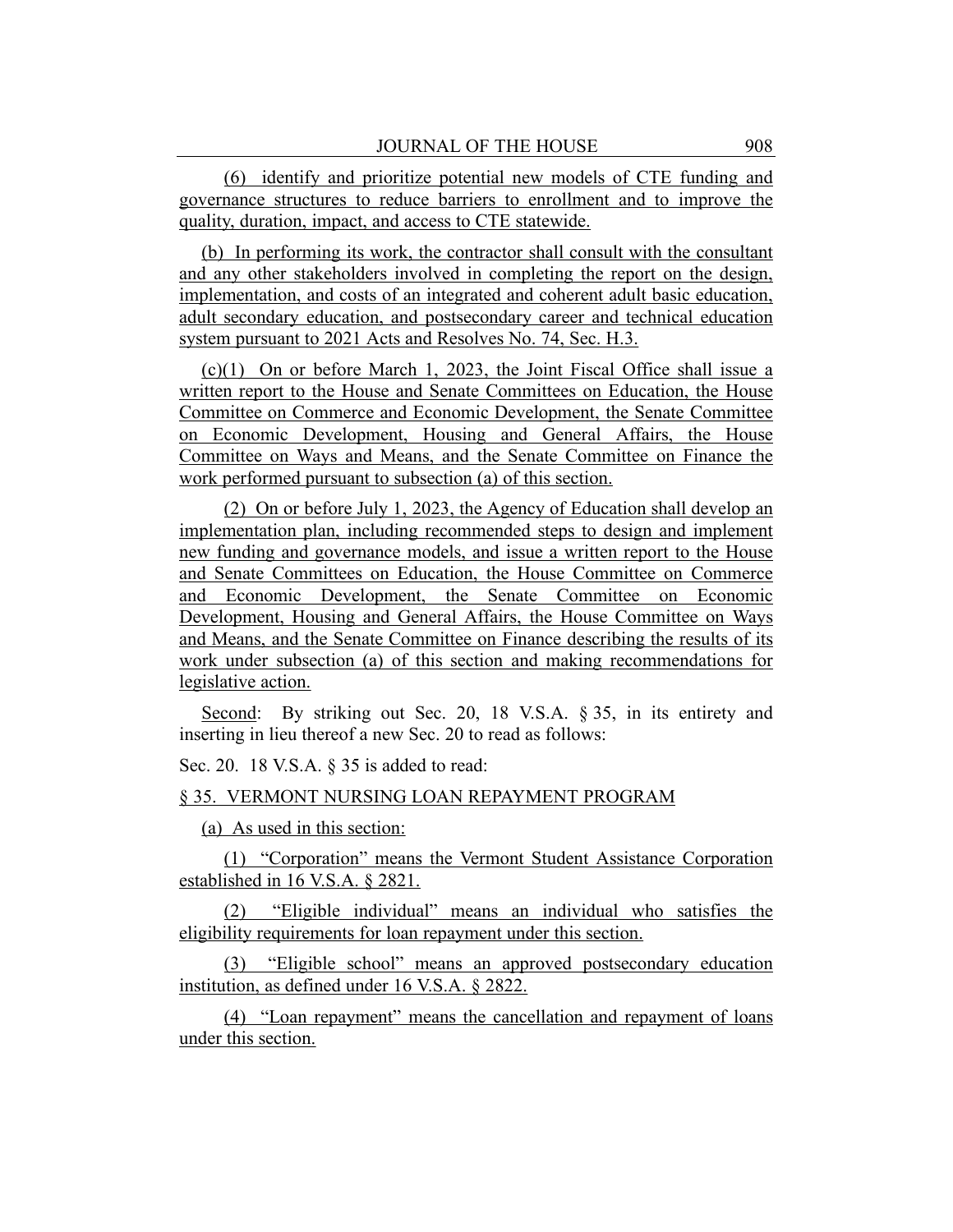(6) identify and prioritize potential new models of CTE funding and governance structures to reduce barriers to enrollment and to improve the quality, duration, impact, and access to CTE statewide.

(b) In performing its work, the contractor shall consult with the consultant and any other stakeholders involved in completing the report on the design, implementation, and costs of an integrated and coherent adult basic education, adult secondary education, and postsecondary career and technical education system pursuant to 2021 Acts and Resolves No. 74, Sec. H.3.

(c)(1) On or before March 1, 2023, the Joint Fiscal Office shall issue a written report to the House and Senate Committees on Education, the House Committee on Commerce and Economic Development, the Senate Committee on Economic Development, Housing and General Affairs, the House Committee on Ways and Means, and the Senate Committee on Finance the work performed pursuant to subsection (a) of this section.

(2) On or before July 1, 2023, the Agency of Education shall develop an implementation plan, including recommended steps to design and implement new funding and governance models, and issue a written report to the House and Senate Committees on Education, the House Committee on Commerce and Economic Development, the Senate Committee on Economic Development, Housing and General Affairs, the House Committee on Ways and Means, and the Senate Committee on Finance describing the results of its work under subsection (a) of this section and making recommendations for legislative action.

Second: By striking out Sec. 20, 18 V.S.A. § 35, in its entirety and inserting in lieu thereof a new Sec. 20 to read as follows:

Sec. 20. 18 V.S.A. § 35 is added to read:

#### § 35. VERMONT NURSING LOAN REPAYMENT PROGRAM

(a) As used in this section:

(1) "Corporation" means the Vermont Student Assistance Corporation established in 16 V.S.A. § 2821.

(2) "Eligible individual" means an individual who satisfies the eligibility requirements for loan repayment under this section.

(3) "Eligible school" means an approved postsecondary education institution, as defined under 16 V.S.A. § 2822.

(4) "Loan repayment" means the cancellation and repayment of loans under this section.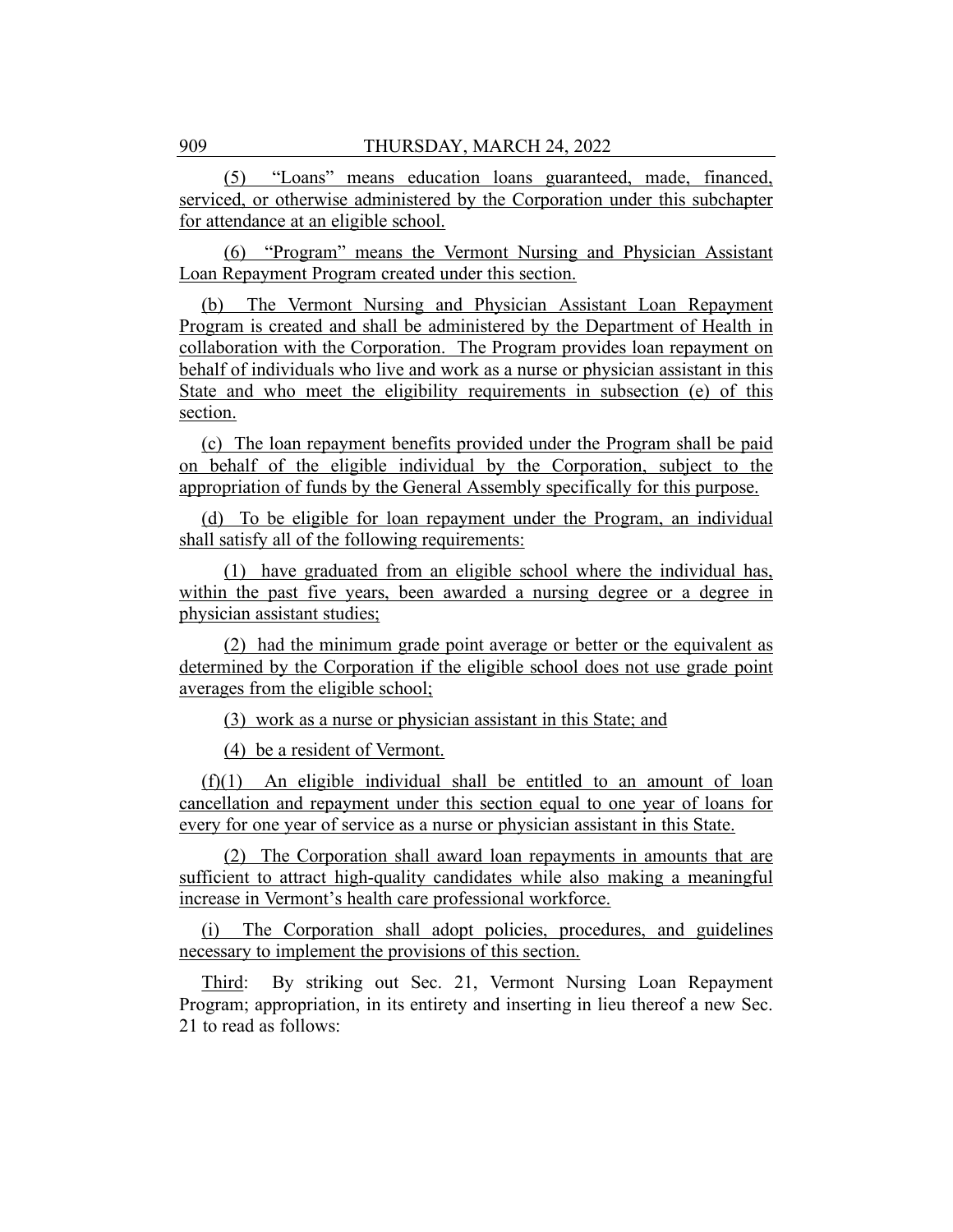(5) "Loans" means education loans guaranteed, made, financed, serviced, or otherwise administered by the Corporation under this subchapter for attendance at an eligible school.

(6) "Program" means the Vermont Nursing and Physician Assistant Loan Repayment Program created under this section.

(b) The Vermont Nursing and Physician Assistant Loan Repayment Program is created and shall be administered by the Department of Health in collaboration with the Corporation. The Program provides loan repayment on behalf of individuals who live and work as a nurse or physician assistant in this State and who meet the eligibility requirements in subsection (e) of this section.

(c) The loan repayment benefits provided under the Program shall be paid on behalf of the eligible individual by the Corporation, subject to the appropriation of funds by the General Assembly specifically for this purpose.

(d) To be eligible for loan repayment under the Program, an individual shall satisfy all of the following requirements:

(1) have graduated from an eligible school where the individual has, within the past five years, been awarded a nursing degree or a degree in physician assistant studies;

(2) had the minimum grade point average or better or the equivalent as determined by the Corporation if the eligible school does not use grade point averages from the eligible school;

(3) work as a nurse or physician assistant in this State; and

(4) be a resident of Vermont.

(f)(1) An eligible individual shall be entitled to an amount of loan cancellation and repayment under this section equal to one year of loans for every for one year of service as a nurse or physician assistant in this State.

(2) The Corporation shall award loan repayments in amounts that are sufficient to attract high-quality candidates while also making a meaningful increase in Vermont's health care professional workforce.

(i) The Corporation shall adopt policies, procedures, and guidelines necessary to implement the provisions of this section.

Third: By striking out Sec. 21, Vermont Nursing Loan Repayment Program; appropriation, in its entirety and inserting in lieu thereof a new Sec. 21 to read as follows: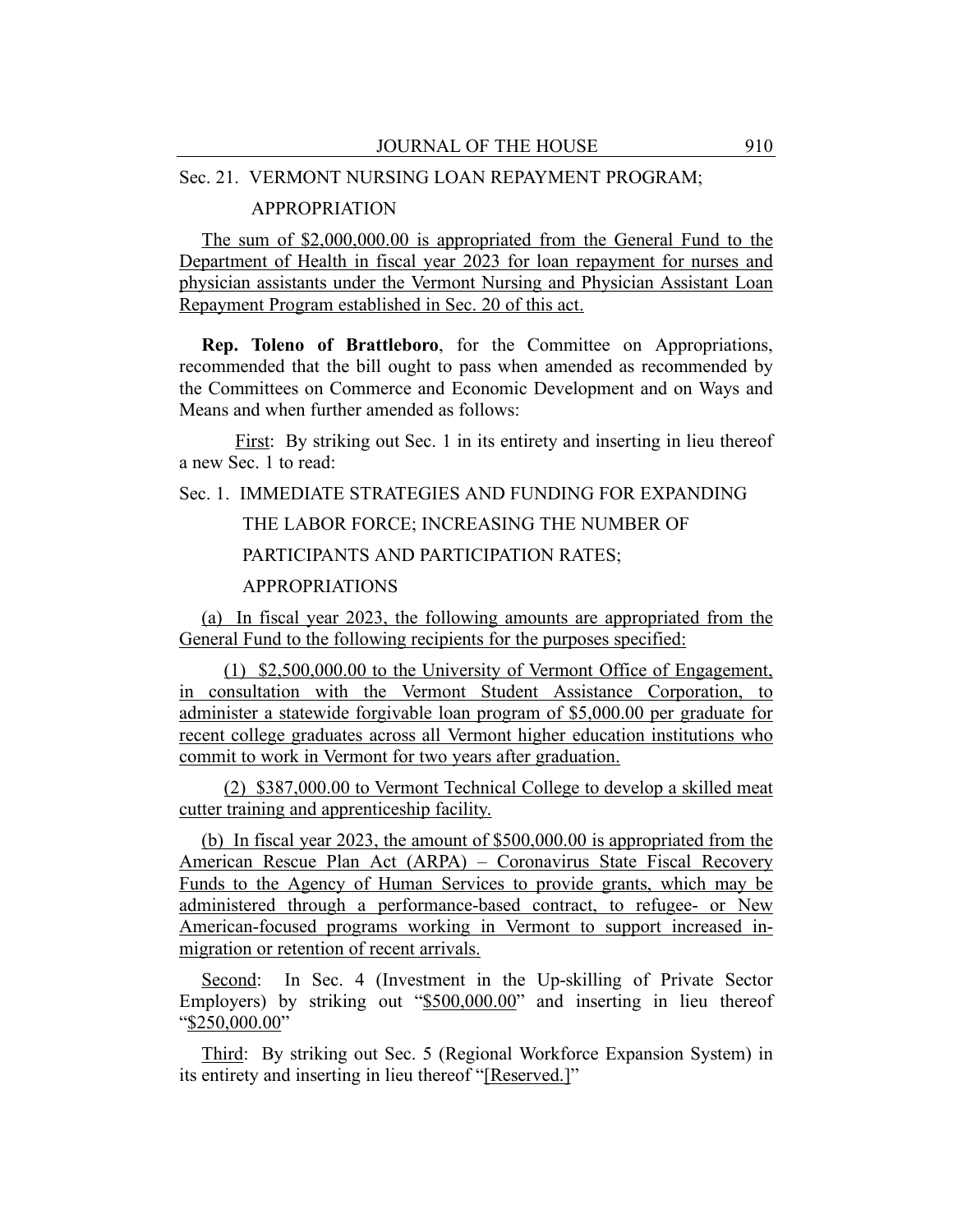#### Sec. 21. VERMONT NURSING LOAN REPAYMENT PROGRAM;

# APPROPRIATION

The sum of \$2,000,000.00 is appropriated from the General Fund to the Department of Health in fiscal year 2023 for loan repayment for nurses and physician assistants under the Vermont Nursing and Physician Assistant Loan Repayment Program established in Sec. 20 of this act.

**Rep. Toleno of Brattleboro**, for the Committee on Appropriations, recommended that the bill ought to pass when amended as recommended by the Committees on Commerce and Economic Development and on Ways and Means and when further amended as follows:

First: By striking out Sec. 1 in its entirety and inserting in lieu thereof a new Sec. 1 to read:

Sec. 1. IMMEDIATE STRATEGIES AND FUNDING FOR EXPANDING

THE LABOR FORCE; INCREASING THE NUMBER OF

PARTICIPANTS AND PARTICIPATION RATES;

#### APPROPRIATIONS

(a) In fiscal year 2023, the following amounts are appropriated from the General Fund to the following recipients for the purposes specified:

(1) \$2,500,000.00 to the University of Vermont Office of Engagement, in consultation with the Vermont Student Assistance Corporation, to administer a statewide forgivable loan program of \$5,000.00 per graduate for recent college graduates across all Vermont higher education institutions who commit to work in Vermont for two years after graduation.

(2) \$387,000.00 to Vermont Technical College to develop a skilled meat cutter training and apprenticeship facility.

(b) In fiscal year 2023, the amount of \$500,000.00 is appropriated from the American Rescue Plan Act (ARPA) – Coronavirus State Fiscal Recovery Funds to the Agency of Human Services to provide grants, which may be administered through a performance-based contract, to refugee- or New American-focused programs working in Vermont to support increased inmigration or retention of recent arrivals.

Second: In Sec. 4 (Investment in the Up-skilling of Private Sector Employers) by striking out "\$500,000.00" and inserting in lieu thereof "\$250,000.00"

Third: By striking out Sec. 5 (Regional Workforce Expansion System) in its entirety and inserting in lieu thereof "[Reserved.]"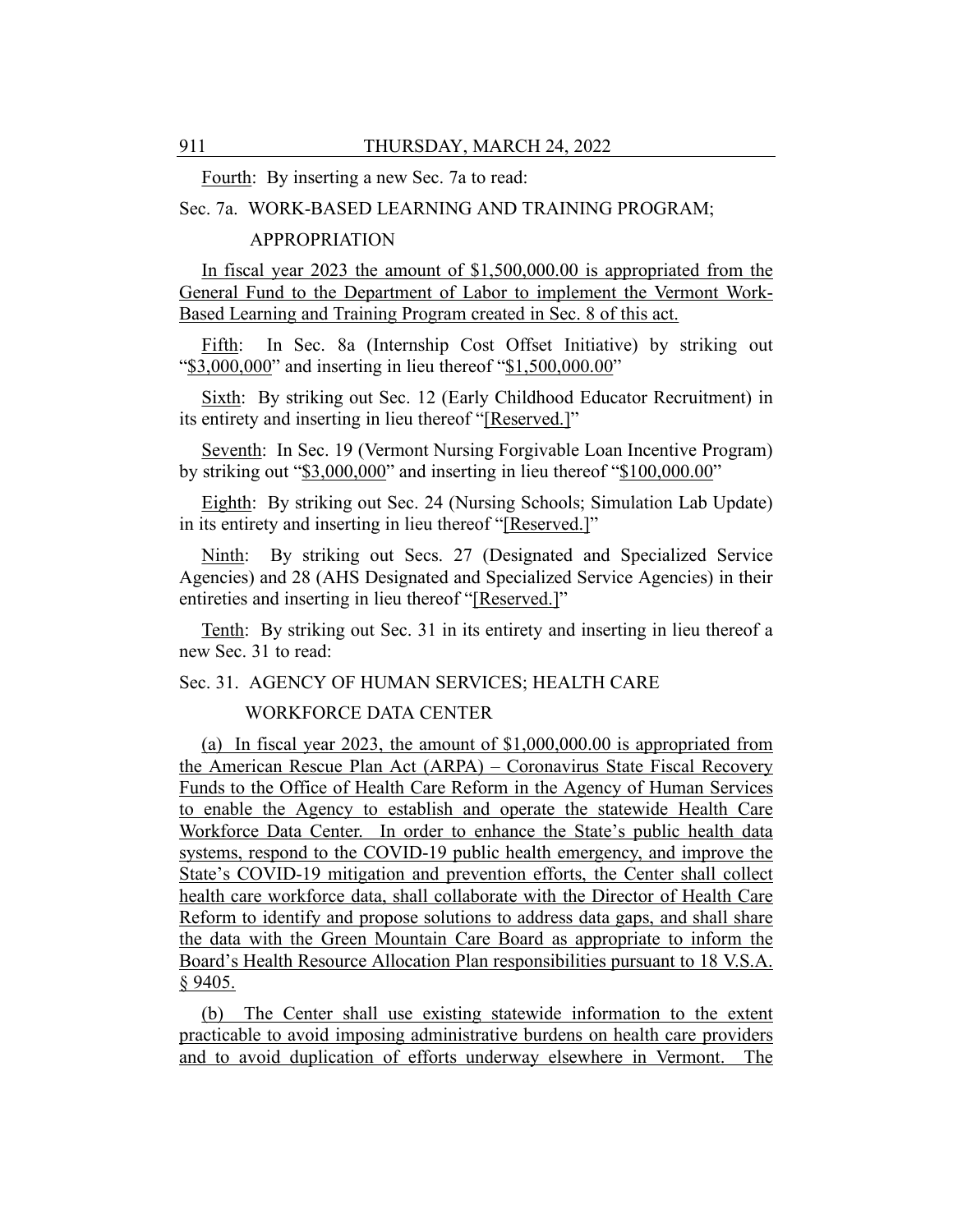Fourth: By inserting a new Sec. 7a to read:

#### Sec. 7a. WORK-BASED LEARNING AND TRAINING PROGRAM;

#### APPROPRIATION

In fiscal year 2023 the amount of \$1,500,000.00 is appropriated from the General Fund to the Department of Labor to implement the Vermont Work-Based Learning and Training Program created in Sec. 8 of this act.

Fifth: In Sec. 8a (Internship Cost Offset Initiative) by striking out "\$3,000,000" and inserting in lieu thereof "\$1,500,000.00"

Sixth: By striking out Sec. 12 (Early Childhood Educator Recruitment) in its entirety and inserting in lieu thereof "[Reserved.]"

Seventh: In Sec. 19 (Vermont Nursing Forgivable Loan Incentive Program) by striking out "\$3,000,000" and inserting in lieu thereof "\$100,000.00"

Eighth: By striking out Sec. 24 (Nursing Schools; Simulation Lab Update) in its entirety and inserting in lieu thereof "[Reserved.]"

Ninth: By striking out Secs. 27 (Designated and Specialized Service Agencies) and 28 (AHS Designated and Specialized Service Agencies) in their entireties and inserting in lieu thereof "[Reserved.]"

Tenth: By striking out Sec. 31 in its entirety and inserting in lieu thereof a new Sec. 31 to read:

#### Sec. 31. AGENCY OF HUMAN SERVICES; HEALTH CARE

#### WORKFORCE DATA CENTER

(a) In fiscal year 2023, the amount of \$1,000,000.00 is appropriated from the American Rescue Plan Act (ARPA) – Coronavirus State Fiscal Recovery Funds to the Office of Health Care Reform in the Agency of Human Services to enable the Agency to establish and operate the statewide Health Care Workforce Data Center. In order to enhance the State's public health data systems, respond to the COVID-19 public health emergency, and improve the State's COVID-19 mitigation and prevention efforts, the Center shall collect health care workforce data, shall collaborate with the Director of Health Care Reform to identify and propose solutions to address data gaps, and shall share the data with the Green Mountain Care Board as appropriate to inform the Board's Health Resource Allocation Plan responsibilities pursuant to 18 V.S.A. § 9405.

(b) The Center shall use existing statewide information to the extent practicable to avoid imposing administrative burdens on health care providers and to avoid duplication of efforts underway elsewhere in Vermont. The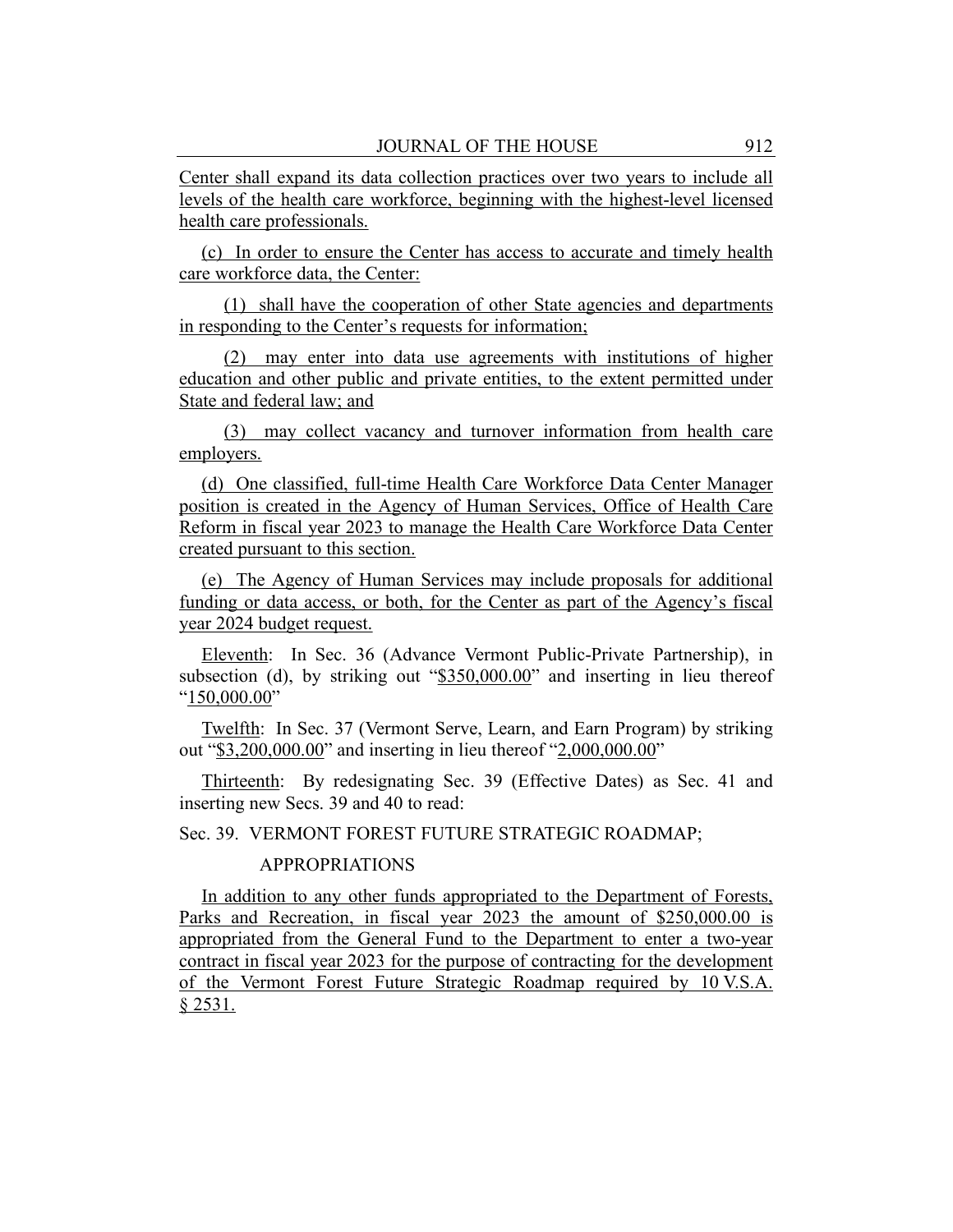Center shall expand its data collection practices over two years to include all levels of the health care workforce, beginning with the highest-level licensed health care professionals.

(c) In order to ensure the Center has access to accurate and timely health care workforce data, the Center:

(1) shall have the cooperation of other State agencies and departments in responding to the Center's requests for information;

(2) may enter into data use agreements with institutions of higher education and other public and private entities, to the extent permitted under State and federal law; and

(3) may collect vacancy and turnover information from health care employers.

(d) One classified, full-time Health Care Workforce Data Center Manager position is created in the Agency of Human Services, Office of Health Care Reform in fiscal year 2023 to manage the Health Care Workforce Data Center created pursuant to this section.

(e) The Agency of Human Services may include proposals for additional funding or data access, or both, for the Center as part of the Agency's fiscal year 2024 budget request.

Eleventh: In Sec. 36 (Advance Vermont Public-Private Partnership), in subsection (d), by striking out "\$350,000.00" and inserting in lieu thereof "150,000.00"

Twelfth: In Sec. 37 (Vermont Serve, Learn, and Earn Program) by striking out "\$3,200,000.00" and inserting in lieu thereof "2,000,000.00"

Thirteenth: By redesignating Sec. 39 (Effective Dates) as Sec. 41 and inserting new Secs. 39 and 40 to read:

Sec. 39. VERMONT FOREST FUTURE STRATEGIC ROADMAP;

#### APPROPRIATIONS

In addition to any other funds appropriated to the Department of Forests, Parks and Recreation, in fiscal year 2023 the amount of \$250,000.00 is appropriated from the General Fund to the Department to enter a two-year contract in fiscal year 2023 for the purpose of contracting for the development of the Vermont Forest Future Strategic Roadmap required by 10 V.S.A. § 2531.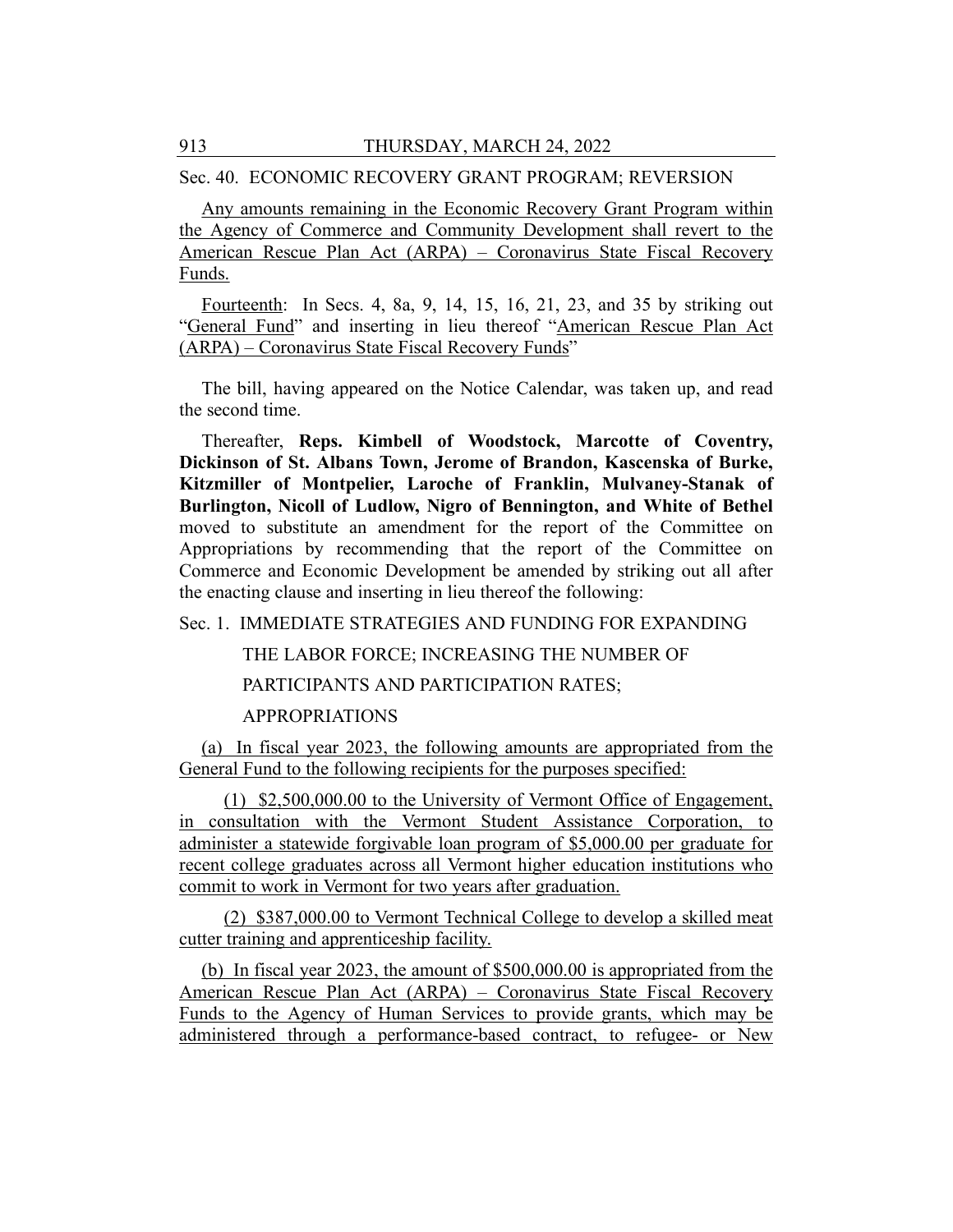Sec. 40. ECONOMIC RECOVERY GRANT PROGRAM; REVERSION

Any amounts remaining in the Economic Recovery Grant Program within the Agency of Commerce and Community Development shall revert to the American Rescue Plan Act (ARPA) – Coronavirus State Fiscal Recovery Funds.

Fourteenth: In Secs. 4, 8a, 9, 14, 15, 16, 21, 23, and 35 by striking out "General Fund" and inserting in lieu thereof "American Rescue Plan Act (ARPA) – Coronavirus State Fiscal Recovery Funds"

The bill, having appeared on the Notice Calendar, was taken up, and read the second time.

Thereafter, **Reps. Kimbell of Woodstock, Marcotte of Coventry, Dickinson of St. Albans Town, Jerome of Brandon, Kascenska of Burke, Kitzmiller of Montpelier, Laroche of Franklin, Mulvaney-Stanak of Burlington, Nicoll of Ludlow, Nigro of Bennington, and White of Bethel** moved to substitute an amendment for the report of the Committee on Appropriations by recommending that the report of the Committee on Commerce and Economic Development be amended by striking out all after the enacting clause and inserting in lieu thereof the following:

Sec. 1. IMMEDIATE STRATEGIES AND FUNDING FOR EXPANDING

THE LABOR FORCE; INCREASING THE NUMBER OF

PARTICIPANTS AND PARTICIPATION RATES;

#### APPROPRIATIONS

(a) In fiscal year 2023, the following amounts are appropriated from the General Fund to the following recipients for the purposes specified:

(1) \$2,500,000.00 to the University of Vermont Office of Engagement, in consultation with the Vermont Student Assistance Corporation, to administer a statewide forgivable loan program of \$5,000.00 per graduate for recent college graduates across all Vermont higher education institutions who commit to work in Vermont for two years after graduation.

(2) \$387,000.00 to Vermont Technical College to develop a skilled meat cutter training and apprenticeship facility.

(b) In fiscal year 2023, the amount of \$500,000.00 is appropriated from the American Rescue Plan Act (ARPA) – Coronavirus State Fiscal Recovery Funds to the Agency of Human Services to provide grants, which may be administered through a performance-based contract, to refugee- or New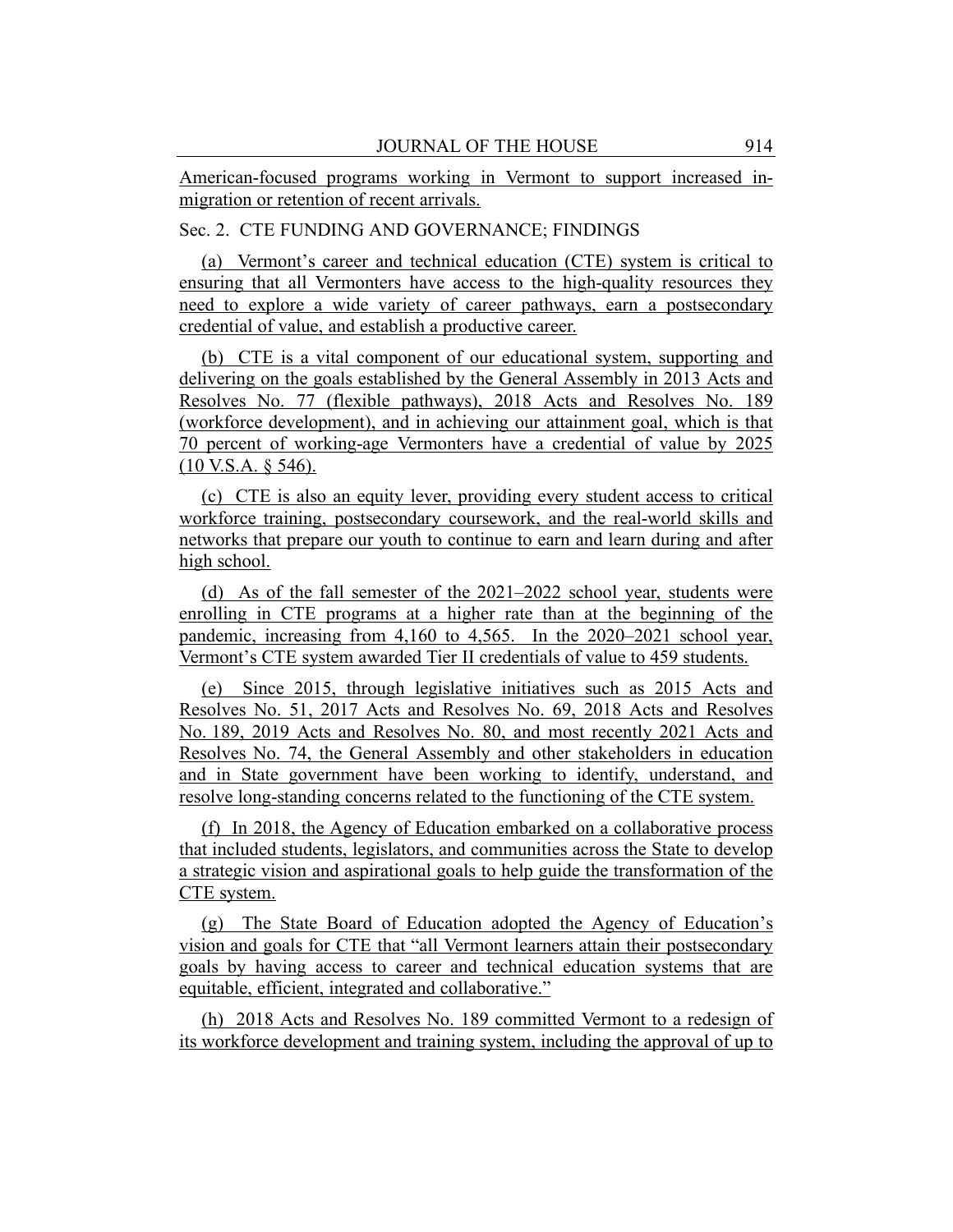American-focused programs working in Vermont to support increased inmigration or retention of recent arrivals.

#### Sec. 2. CTE FUNDING AND GOVERNANCE; FINDINGS

(a) Vermont's career and technical education (CTE) system is critical to ensuring that all Vermonters have access to the high-quality resources they need to explore a wide variety of career pathways, earn a postsecondary credential of value, and establish a productive career.

(b) CTE is a vital component of our educational system, supporting and delivering on the goals established by the General Assembly in 2013 Acts and Resolves No. 77 (flexible pathways), 2018 Acts and Resolves No. 189 (workforce development), and in achieving our attainment goal, which is that 70 percent of working-age Vermonters have a credential of value by 2025 (10 V.S.A. § 546).

(c) CTE is also an equity lever, providing every student access to critical workforce training, postsecondary coursework, and the real-world skills and networks that prepare our youth to continue to earn and learn during and after high school.

(d) As of the fall semester of the 2021–2022 school year, students were enrolling in CTE programs at a higher rate than at the beginning of the pandemic, increasing from 4,160 to 4,565. In the 2020–2021 school year, Vermont's CTE system awarded Tier II credentials of value to 459 students.

(e) Since 2015, through legislative initiatives such as 2015 Acts and Resolves No. 51, 2017 Acts and Resolves No. 69, 2018 Acts and Resolves No. 189, 2019 Acts and Resolves No. 80, and most recently 2021 Acts and Resolves No. 74, the General Assembly and other stakeholders in education and in State government have been working to identify, understand, and resolve long-standing concerns related to the functioning of the CTE system.

(f) In 2018, the Agency of Education embarked on a collaborative process that included students, legislators, and communities across the State to develop a strategic vision and aspirational goals to help guide the transformation of the CTE system.

(g) The State Board of Education adopted the Agency of Education's vision and goals for CTE that "all Vermont learners attain their postsecondary goals by having access to career and technical education systems that are equitable, efficient, integrated and collaborative."

(h) 2018 Acts and Resolves No. 189 committed Vermont to a redesign of its workforce development and training system, including the approval of up to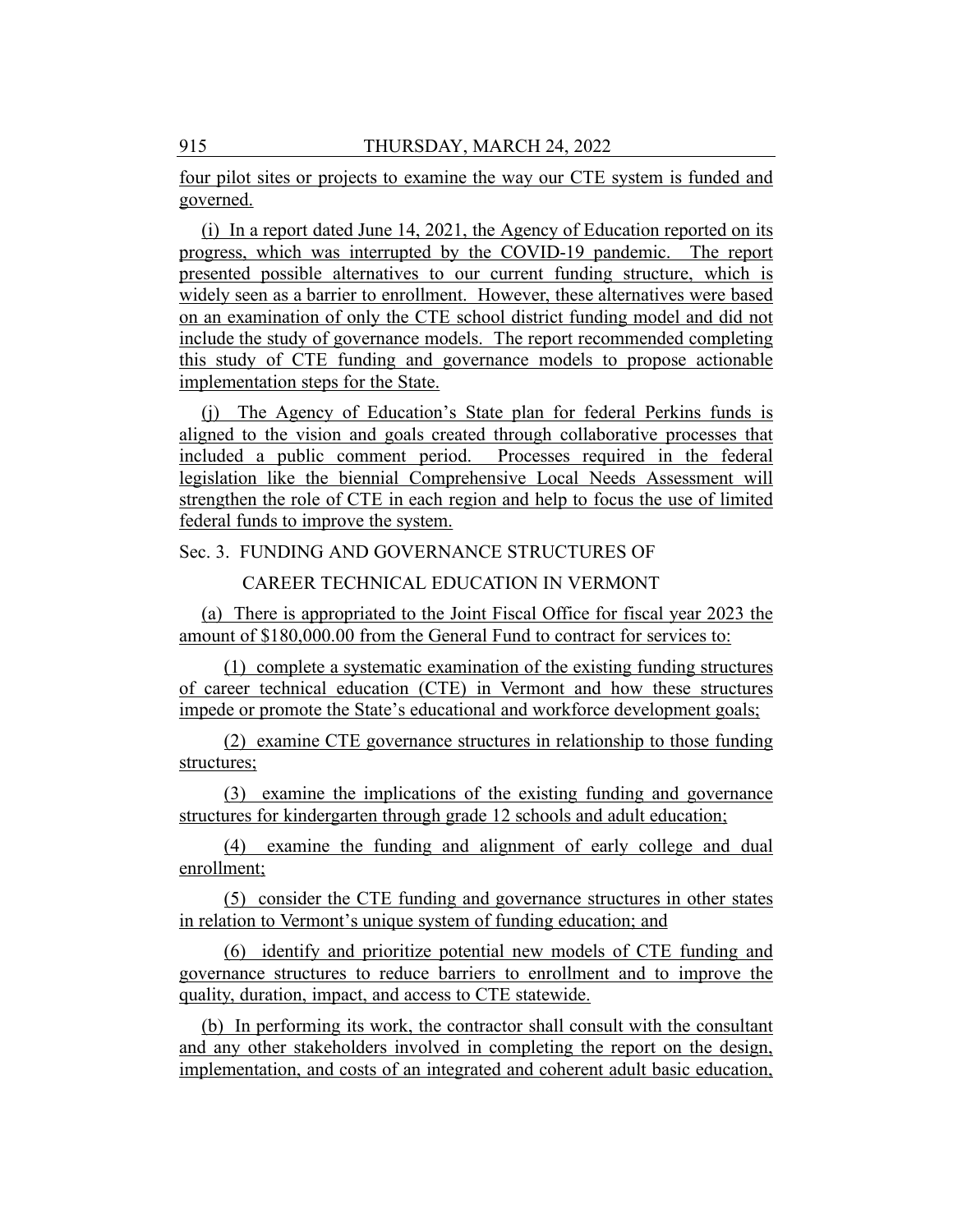four pilot sites or projects to examine the way our CTE system is funded and governed.

(i) In a report dated June 14, 2021, the Agency of Education reported on its progress, which was interrupted by the COVID-19 pandemic. The report presented possible alternatives to our current funding structure, which is widely seen as a barrier to enrollment. However, these alternatives were based on an examination of only the CTE school district funding model and did not include the study of governance models. The report recommended completing this study of CTE funding and governance models to propose actionable implementation steps for the State.

(j) The Agency of Education's State plan for federal Perkins funds is aligned to the vision and goals created through collaborative processes that included a public comment period. Processes required in the federal legislation like the biennial Comprehensive Local Needs Assessment will strengthen the role of CTE in each region and help to focus the use of limited federal funds to improve the system.

#### Sec. 3. FUNDING AND GOVERNANCE STRUCTURES OF

#### CAREER TECHNICAL EDUCATION IN VERMONT

(a) There is appropriated to the Joint Fiscal Office for fiscal year 2023 the amount of \$180,000.00 from the General Fund to contract for services to:

(1) complete a systematic examination of the existing funding structures of career technical education (CTE) in Vermont and how these structures impede or promote the State's educational and workforce development goals;

(2) examine CTE governance structures in relationship to those funding structures;

(3) examine the implications of the existing funding and governance structures for kindergarten through grade 12 schools and adult education;

(4) examine the funding and alignment of early college and dual enrollment;

(5) consider the CTE funding and governance structures in other states in relation to Vermont's unique system of funding education; and

(6) identify and prioritize potential new models of CTE funding and governance structures to reduce barriers to enrollment and to improve the quality, duration, impact, and access to CTE statewide.

(b) In performing its work, the contractor shall consult with the consultant and any other stakeholders involved in completing the report on the design, implementation, and costs of an integrated and coherent adult basic education,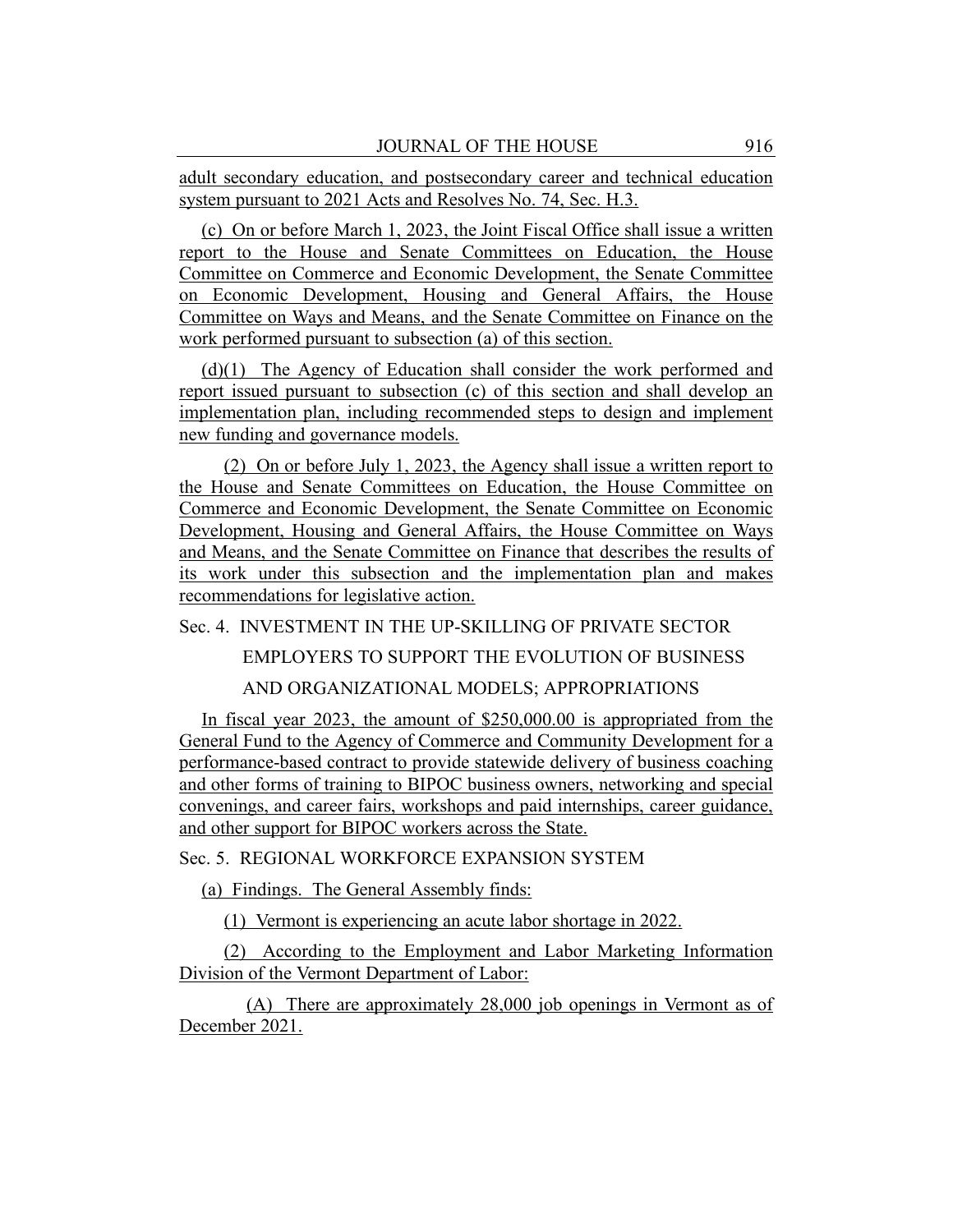adult secondary education, and postsecondary career and technical education system pursuant to 2021 Acts and Resolves No. 74, Sec. H.3.

(c) On or before March 1, 2023, the Joint Fiscal Office shall issue a written report to the House and Senate Committees on Education, the House Committee on Commerce and Economic Development, the Senate Committee on Economic Development, Housing and General Affairs, the House Committee on Ways and Means, and the Senate Committee on Finance on the work performed pursuant to subsection (a) of this section.

(d)(1) The Agency of Education shall consider the work performed and report issued pursuant to subsection (c) of this section and shall develop an implementation plan, including recommended steps to design and implement new funding and governance models.

(2) On or before July 1, 2023, the Agency shall issue a written report to the House and Senate Committees on Education, the House Committee on Commerce and Economic Development, the Senate Committee on Economic Development, Housing and General Affairs, the House Committee on Ways and Means, and the Senate Committee on Finance that describes the results of its work under this subsection and the implementation plan and makes recommendations for legislative action.

Sec. 4. INVESTMENT IN THE UP-SKILLING OF PRIVATE SECTOR

EMPLOYERS TO SUPPORT THE EVOLUTION OF BUSINESS

AND ORGANIZATIONAL MODELS; APPROPRIATIONS

In fiscal year 2023, the amount of \$250,000.00 is appropriated from the General Fund to the Agency of Commerce and Community Development for a performance-based contract to provide statewide delivery of business coaching and other forms of training to BIPOC business owners, networking and special convenings, and career fairs, workshops and paid internships, career guidance, and other support for BIPOC workers across the State.

Sec. 5. REGIONAL WORKFORCE EXPANSION SYSTEM

(a) Findings. The General Assembly finds:

(1) Vermont is experiencing an acute labor shortage in 2022.

(2) According to the Employment and Labor Marketing Information Division of the Vermont Department of Labor:

(A) There are approximately 28,000 job openings in Vermont as of December 2021.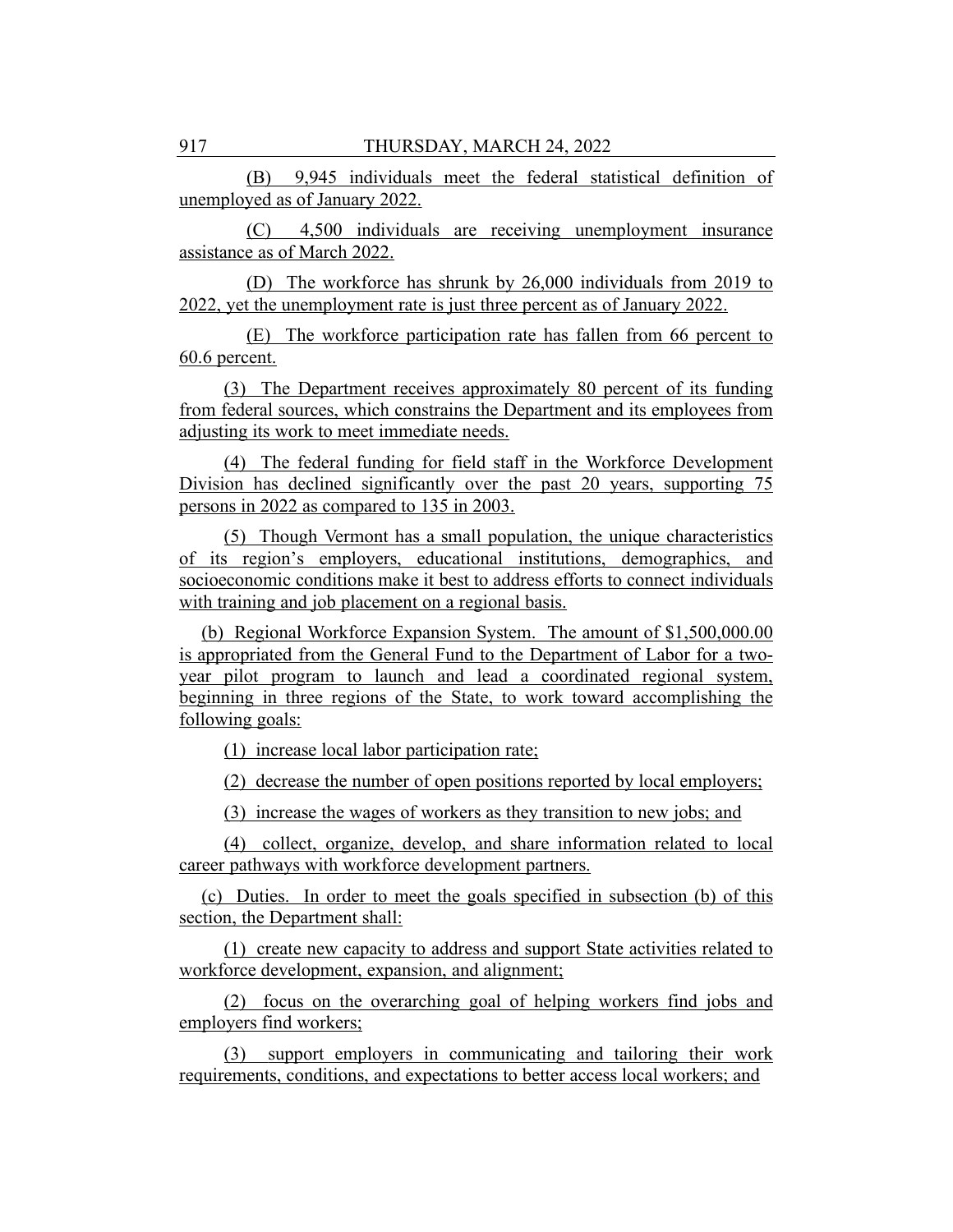(B) 9,945 individuals meet the federal statistical definition of unemployed as of January 2022.

(C) 4,500 individuals are receiving unemployment insurance assistance as of March 2022.

(D) The workforce has shrunk by 26,000 individuals from 2019 to 2022, yet the unemployment rate is just three percent as of January 2022.

(E) The workforce participation rate has fallen from 66 percent to 60.6 percent.

(3) The Department receives approximately 80 percent of its funding from federal sources, which constrains the Department and its employees from adjusting its work to meet immediate needs.

(4) The federal funding for field staff in the Workforce Development Division has declined significantly over the past 20 years, supporting 75 persons in 2022 as compared to 135 in 2003.

(5) Though Vermont has a small population, the unique characteristics of its region's employers, educational institutions, demographics, and socioeconomic conditions make it best to address efforts to connect individuals with training and job placement on a regional basis.

(b) Regional Workforce Expansion System. The amount of \$1,500,000.00 is appropriated from the General Fund to the Department of Labor for a twoyear pilot program to launch and lead a coordinated regional system, beginning in three regions of the State, to work toward accomplishing the following goals:

(1) increase local labor participation rate;

(2) decrease the number of open positions reported by local employers;

(3) increase the wages of workers as they transition to new jobs; and

(4) collect, organize, develop, and share information related to local career pathways with workforce development partners.

(c) Duties. In order to meet the goals specified in subsection (b) of this section, the Department shall:

(1) create new capacity to address and support State activities related to workforce development, expansion, and alignment;

(2) focus on the overarching goal of helping workers find jobs and employers find workers;

(3) support employers in communicating and tailoring their work requirements, conditions, and expectations to better access local workers; and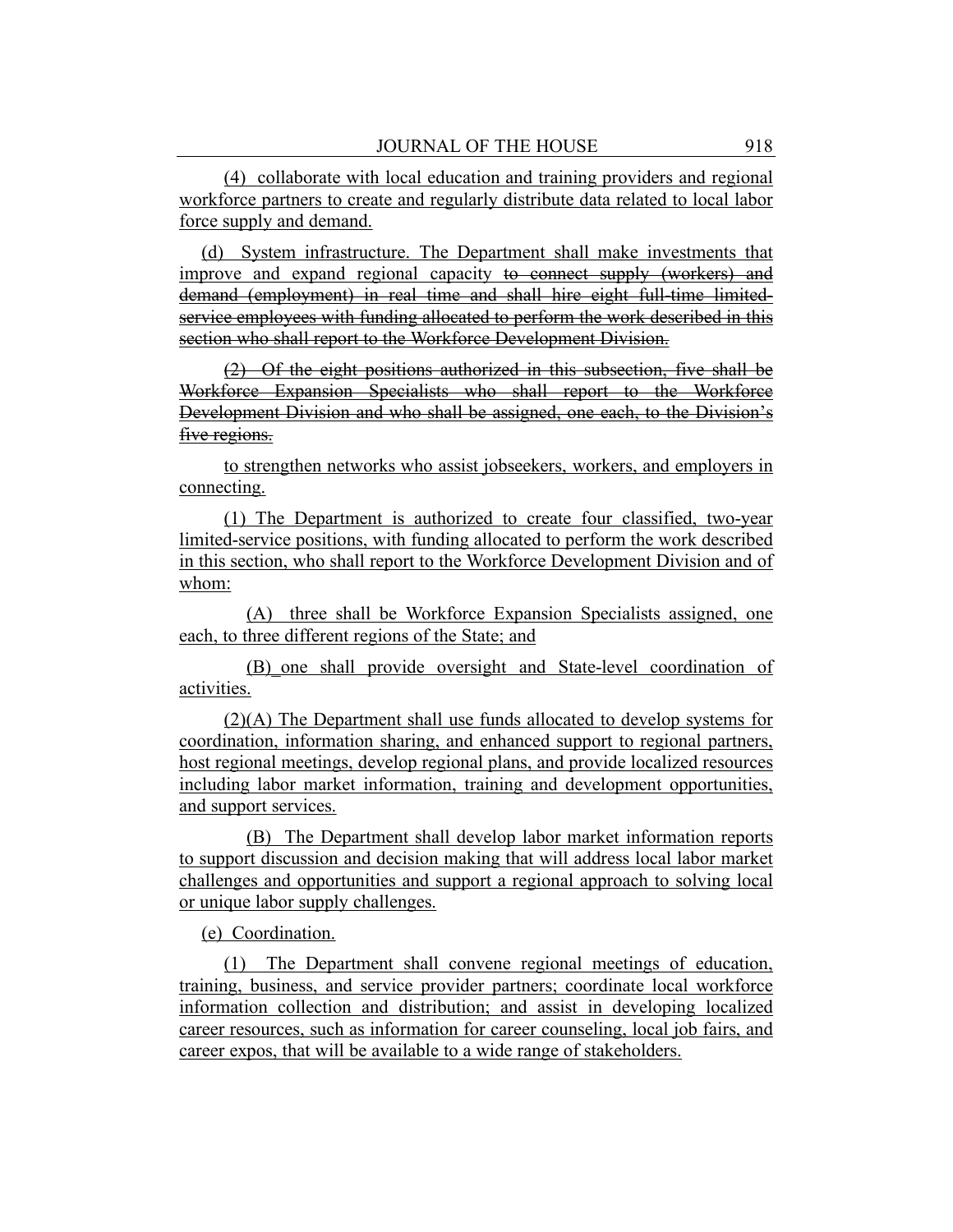(4) collaborate with local education and training providers and regional workforce partners to create and regularly distribute data related to local labor force supply and demand.

(d) System infrastructure. The Department shall make investments that improve and expand regional capacity to connect supply (workers) and demand (employment) in real time and shall hire eight full-time limitedservice employees with funding allocated to perform the work described in this section who shall report to the Workforce Development Division.

(2) Of the eight positions authorized in this subsection, five shall be Workforce Expansion Specialists who shall report to the Workforce Development Division and who shall be assigned, one each, to the Division's five regions.

to strengthen networks who assist jobseekers, workers, and employers in connecting.

(1) The Department is authorized to create four classified, two-year limited-service positions, with funding allocated to perform the work described in this section, who shall report to the Workforce Development Division and of whom:

(A) three shall be Workforce Expansion Specialists assigned, one each, to three different regions of the State; and

(B) one shall provide oversight and State-level coordination of activities.

(2)(A) The Department shall use funds allocated to develop systems for coordination, information sharing, and enhanced support to regional partners, host regional meetings, develop regional plans, and provide localized resources including labor market information, training and development opportunities, and support services.

(B) The Department shall develop labor market information reports to support discussion and decision making that will address local labor market challenges and opportunities and support a regional approach to solving local or unique labor supply challenges.

(e) Coordination.

(1) The Department shall convene regional meetings of education, training, business, and service provider partners; coordinate local workforce information collection and distribution; and assist in developing localized career resources, such as information for career counseling, local job fairs, and career expos, that will be available to a wide range of stakeholders.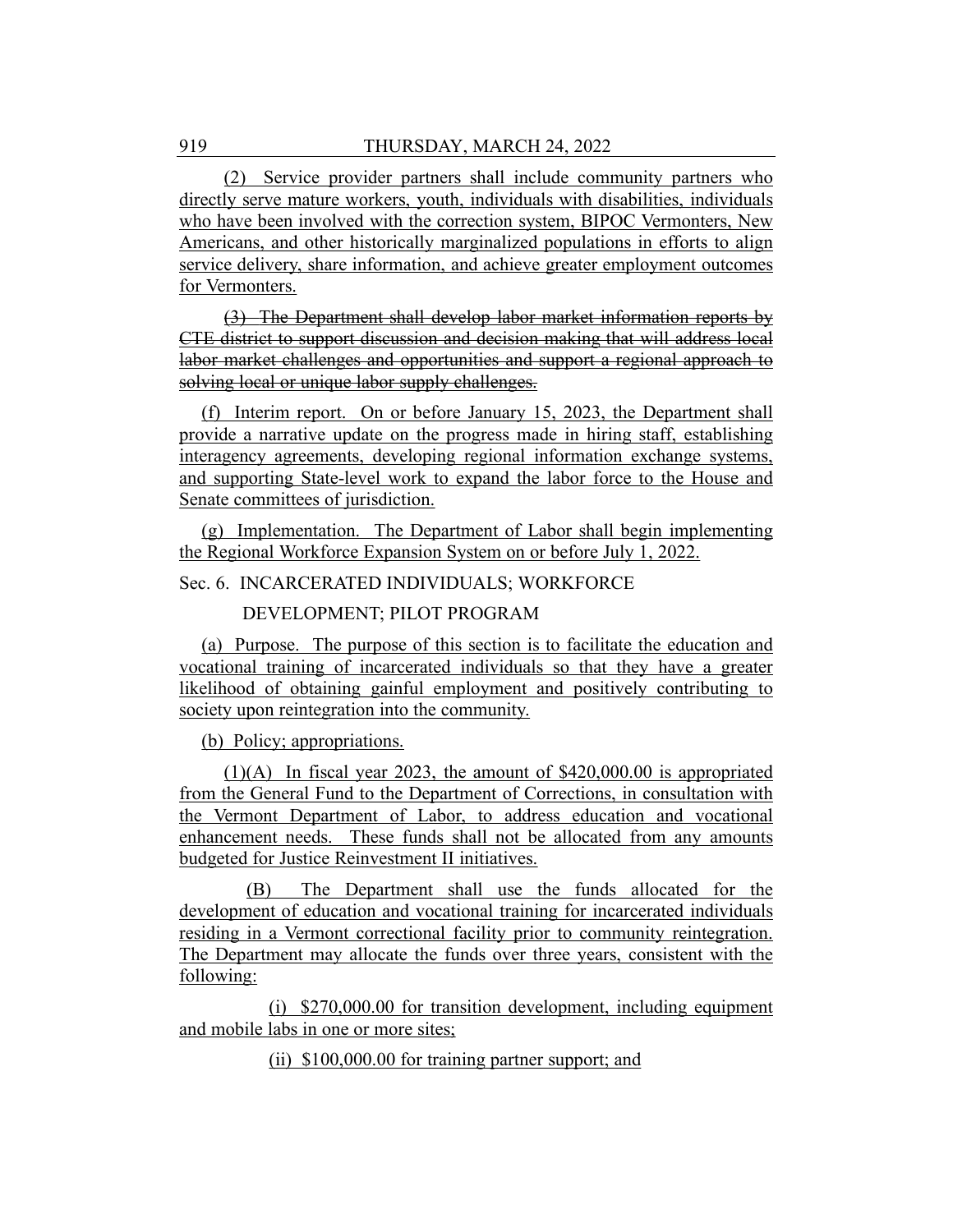(2) Service provider partners shall include community partners who directly serve mature workers, youth, individuals with disabilities, individuals who have been involved with the correction system, BIPOC Vermonters, New Americans, and other historically marginalized populations in efforts to align service delivery, share information, and achieve greater employment outcomes for Vermonters.

(3) The Department shall develop labor market information reports by CTE district to support discussion and decision making that will address local labor market challenges and opportunities and support a regional approach to solving local or unique labor supply challenges.

(f) Interim report. On or before January 15, 2023, the Department shall provide a narrative update on the progress made in hiring staff, establishing interagency agreements, developing regional information exchange systems, and supporting State-level work to expand the labor force to the House and Senate committees of jurisdiction.

(g) Implementation. The Department of Labor shall begin implementing the Regional Workforce Expansion System on or before July 1, 2022.

Sec. 6. INCARCERATED INDIVIDUALS; WORKFORCE

#### DEVELOPMENT; PILOT PROGRAM

(a) Purpose. The purpose of this section is to facilitate the education and vocational training of incarcerated individuals so that they have a greater likelihood of obtaining gainful employment and positively contributing to society upon reintegration into the community.

(b) Policy; appropriations.

(1)(A) In fiscal year 2023, the amount of \$420,000.00 is appropriated from the General Fund to the Department of Corrections, in consultation with the Vermont Department of Labor, to address education and vocational enhancement needs. These funds shall not be allocated from any amounts budgeted for Justice Reinvestment II initiatives.

(B) The Department shall use the funds allocated for the development of education and vocational training for incarcerated individuals residing in a Vermont correctional facility prior to community reintegration. The Department may allocate the funds over three years, consistent with the following:

(i) \$270,000.00 for transition development, including equipment and mobile labs in one or more sites;

(ii) \$100,000.00 for training partner support; and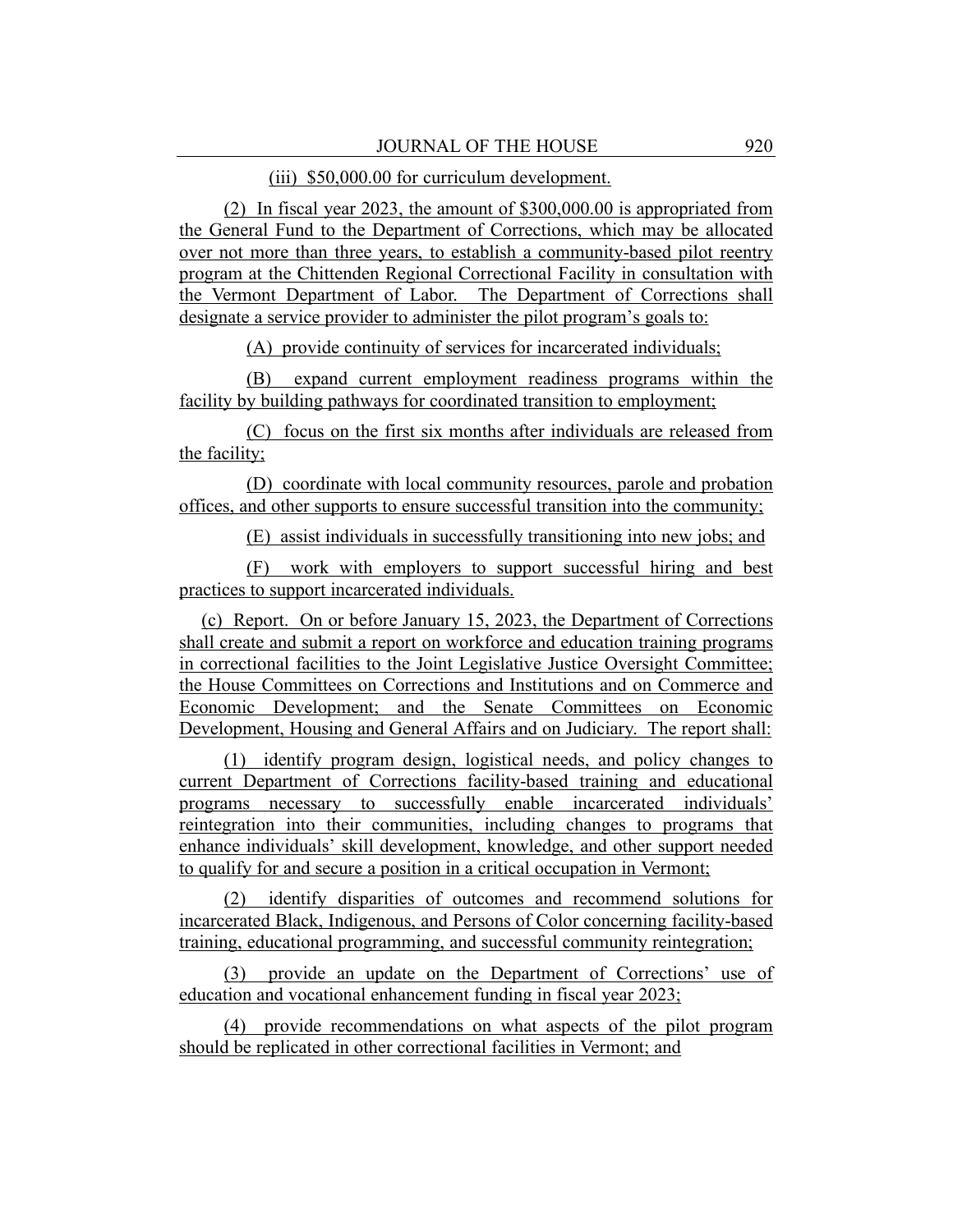#### (iii) \$50,000.00 for curriculum development.

(2) In fiscal year 2023, the amount of \$300,000.00 is appropriated from the General Fund to the Department of Corrections, which may be allocated over not more than three years, to establish a community-based pilot reentry program at the Chittenden Regional Correctional Facility in consultation with the Vermont Department of Labor. The Department of Corrections shall designate a service provider to administer the pilot program's goals to:

(A) provide continuity of services for incarcerated individuals;

(B) expand current employment readiness programs within the facility by building pathways for coordinated transition to employment;

(C) focus on the first six months after individuals are released from the facility;

(D) coordinate with local community resources, parole and probation offices, and other supports to ensure successful transition into the community;

(E) assist individuals in successfully transitioning into new jobs; and

(F) work with employers to support successful hiring and best practices to support incarcerated individuals.

(c) Report. On or before January 15, 2023, the Department of Corrections shall create and submit a report on workforce and education training programs in correctional facilities to the Joint Legislative Justice Oversight Committee; the House Committees on Corrections and Institutions and on Commerce and Economic Development; and the Senate Committees on Economic Development, Housing and General Affairs and on Judiciary. The report shall:

(1) identify program design, logistical needs, and policy changes to current Department of Corrections facility-based training and educational programs necessary to successfully enable incarcerated individuals' reintegration into their communities, including changes to programs that enhance individuals' skill development, knowledge, and other support needed to qualify for and secure a position in a critical occupation in Vermont;

(2) identify disparities of outcomes and recommend solutions for incarcerated Black, Indigenous, and Persons of Color concerning facility-based training, educational programming, and successful community reintegration;

(3) provide an update on the Department of Corrections' use of education and vocational enhancement funding in fiscal year 2023;

(4) provide recommendations on what aspects of the pilot program should be replicated in other correctional facilities in Vermont; and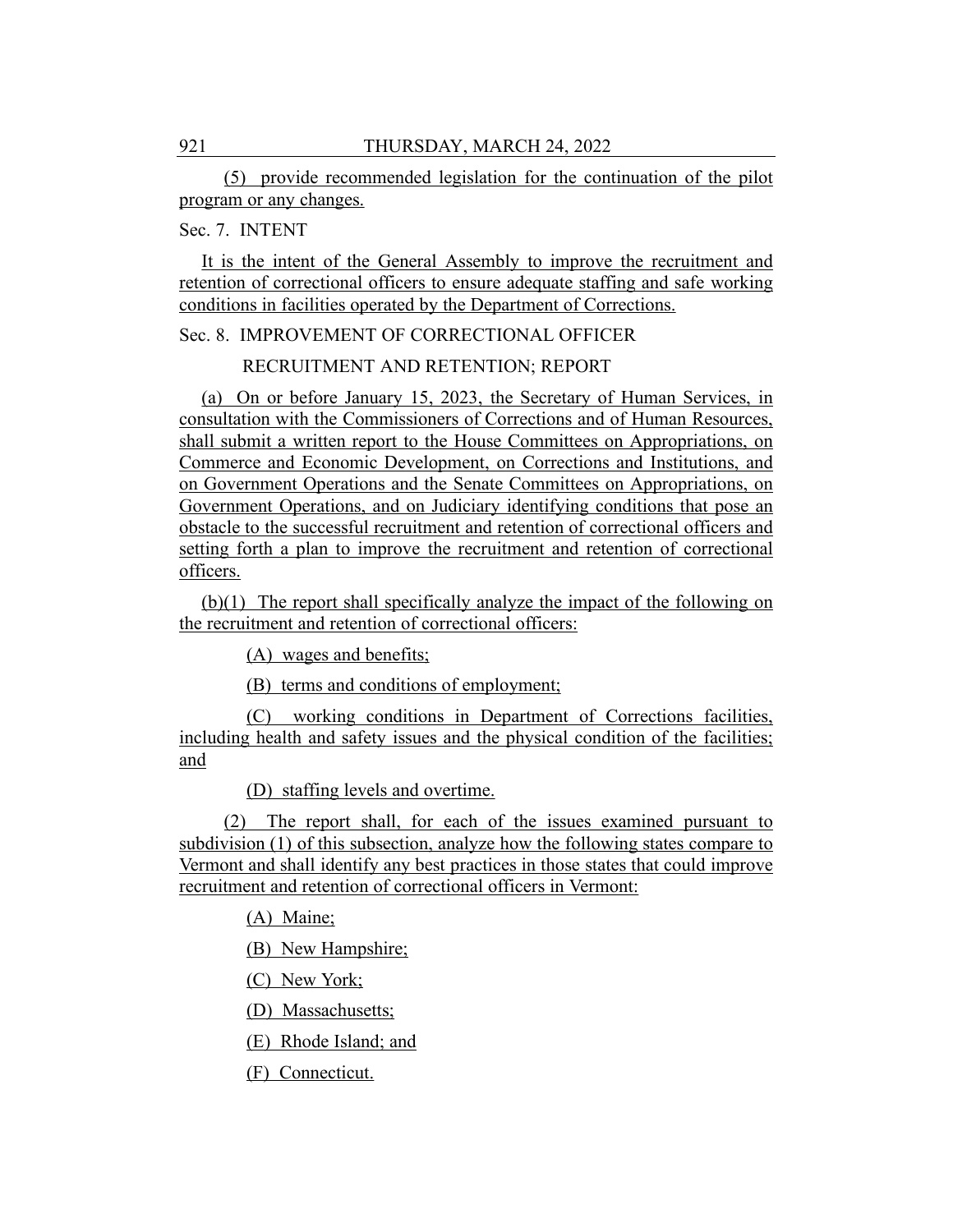(5) provide recommended legislation for the continuation of the pilot program or any changes.

#### Sec. 7. INTENT

It is the intent of the General Assembly to improve the recruitment and retention of correctional officers to ensure adequate staffing and safe working conditions in facilities operated by the Department of Corrections.

Sec. 8. IMPROVEMENT OF CORRECTIONAL OFFICER

RECRUITMENT AND RETENTION; REPORT

(a) On or before January 15, 2023, the Secretary of Human Services, in consultation with the Commissioners of Corrections and of Human Resources, shall submit a written report to the House Committees on Appropriations, on Commerce and Economic Development, on Corrections and Institutions, and on Government Operations and the Senate Committees on Appropriations, on Government Operations, and on Judiciary identifying conditions that pose an obstacle to the successful recruitment and retention of correctional officers and setting forth a plan to improve the recruitment and retention of correctional officers.

(b)(1) The report shall specifically analyze the impact of the following on the recruitment and retention of correctional officers:

(A) wages and benefits;

(B) terms and conditions of employment;

(C) working conditions in Department of Corrections facilities, including health and safety issues and the physical condition of the facilities; and

(D) staffing levels and overtime.

(2) The report shall, for each of the issues examined pursuant to subdivision (1) of this subsection, analyze how the following states compare to Vermont and shall identify any best practices in those states that could improve recruitment and retention of correctional officers in Vermont:

(A) Maine;

(B) New Hampshire;

(C) New York;

(D) Massachusetts;

(E) Rhode Island; and

(F) Connecticut.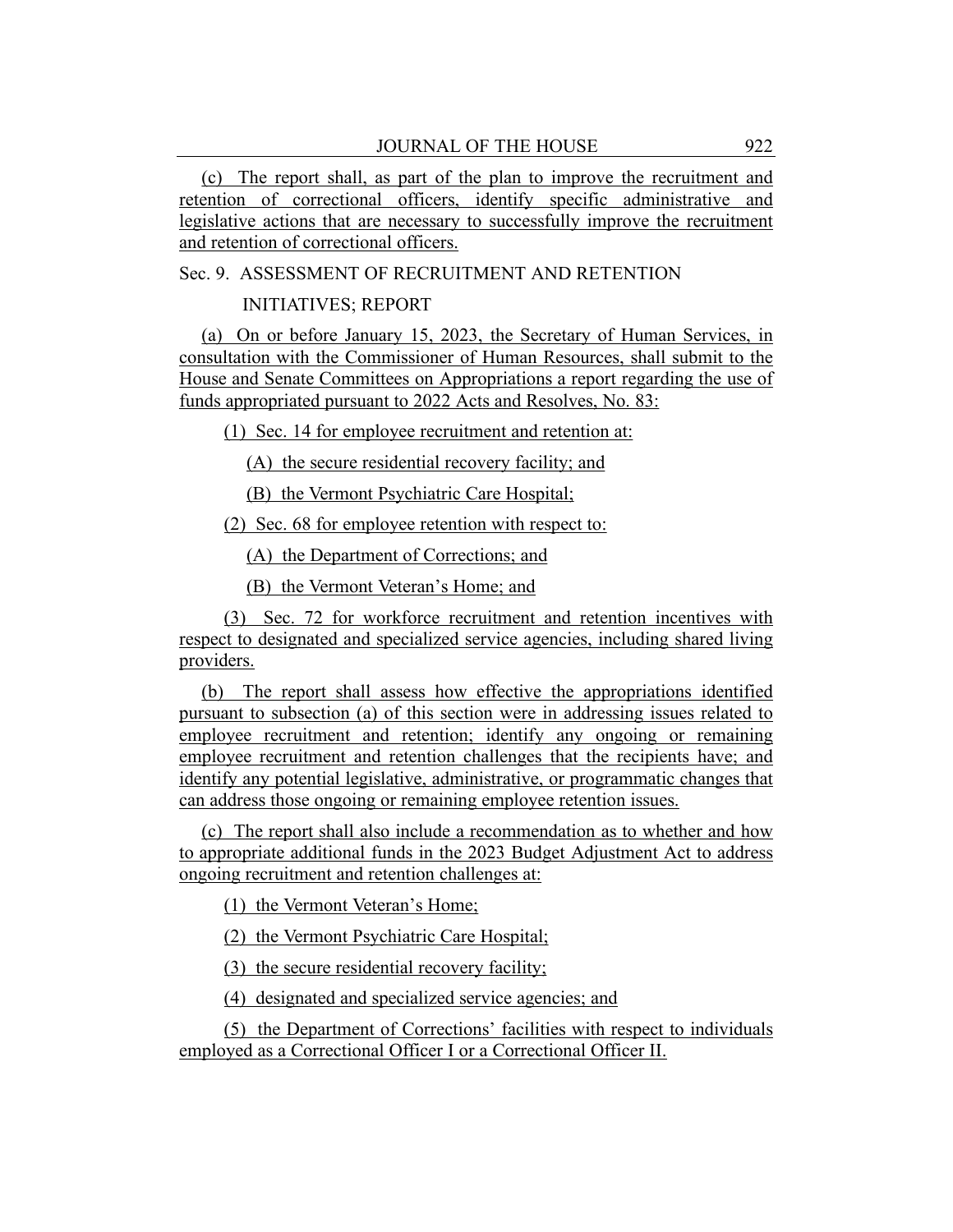(c) The report shall, as part of the plan to improve the recruitment and retention of correctional officers, identify specific administrative and legislative actions that are necessary to successfully improve the recruitment and retention of correctional officers.

#### Sec. 9. ASSESSMENT OF RECRUITMENT AND RETENTION

#### INITIATIVES; REPORT

(a) On or before January 15, 2023, the Secretary of Human Services, in consultation with the Commissioner of Human Resources, shall submit to the House and Senate Committees on Appropriations a report regarding the use of funds appropriated pursuant to 2022 Acts and Resolves, No. 83:

(1) Sec. 14 for employee recruitment and retention at:

(A) the secure residential recovery facility; and

(B) the Vermont Psychiatric Care Hospital;

(2) Sec. 68 for employee retention with respect to:

(A) the Department of Corrections; and

(B) the Vermont Veteran's Home; and

(3) Sec. 72 for workforce recruitment and retention incentives with respect to designated and specialized service agencies, including shared living providers.

(b) The report shall assess how effective the appropriations identified pursuant to subsection (a) of this section were in addressing issues related to employee recruitment and retention; identify any ongoing or remaining employee recruitment and retention challenges that the recipients have; and identify any potential legislative, administrative, or programmatic changes that can address those ongoing or remaining employee retention issues.

(c) The report shall also include a recommendation as to whether and how to appropriate additional funds in the 2023 Budget Adjustment Act to address ongoing recruitment and retention challenges at:

(1) the Vermont Veteran's Home;

(2) the Vermont Psychiatric Care Hospital;

(3) the secure residential recovery facility;

(4) designated and specialized service agencies; and

(5) the Department of Corrections' facilities with respect to individuals employed as a Correctional Officer I or a Correctional Officer II.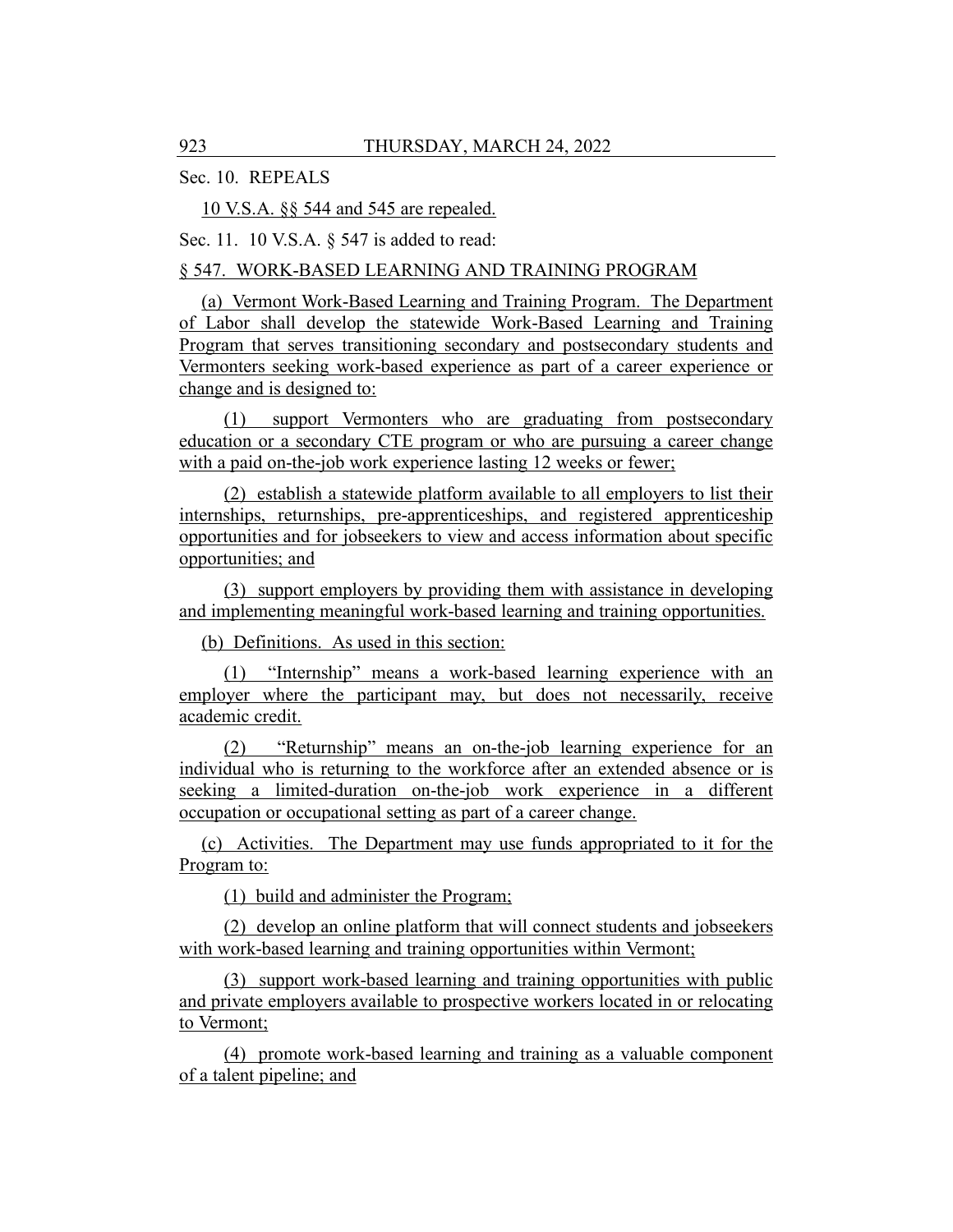Sec. 10. REPEALS

10 V.S.A. §§ 544 and 545 are repealed.

Sec. 11. 10 V.S.A. § 547 is added to read:

#### § 547. WORK-BASED LEARNING AND TRAINING PROGRAM

(a) Vermont Work-Based Learning and Training Program. The Department of Labor shall develop the statewide Work-Based Learning and Training Program that serves transitioning secondary and postsecondary students and Vermonters seeking work-based experience as part of a career experience or change and is designed to:

(1) support Vermonters who are graduating from postsecondary education or a secondary CTE program or who are pursuing a career change with a paid on-the-job work experience lasting 12 weeks or fewer;

(2) establish a statewide platform available to all employers to list their internships, returnships, pre-apprenticeships, and registered apprenticeship opportunities and for jobseekers to view and access information about specific opportunities; and

(3) support employers by providing them with assistance in developing and implementing meaningful work-based learning and training opportunities.

(b) Definitions. As used in this section:

(1) "Internship" means a work-based learning experience with an employer where the participant may, but does not necessarily, receive academic credit.

(2) "Returnship" means an on-the-job learning experience for an individual who is returning to the workforce after an extended absence or is seeking a limited-duration on-the-job work experience in a different occupation or occupational setting as part of a career change.

(c) Activities. The Department may use funds appropriated to it for the Program to:

(1) build and administer the Program;

(2) develop an online platform that will connect students and jobseekers with work-based learning and training opportunities within Vermont;

(3) support work-based learning and training opportunities with public and private employers available to prospective workers located in or relocating to Vermont;

(4) promote work-based learning and training as a valuable component of a talent pipeline; and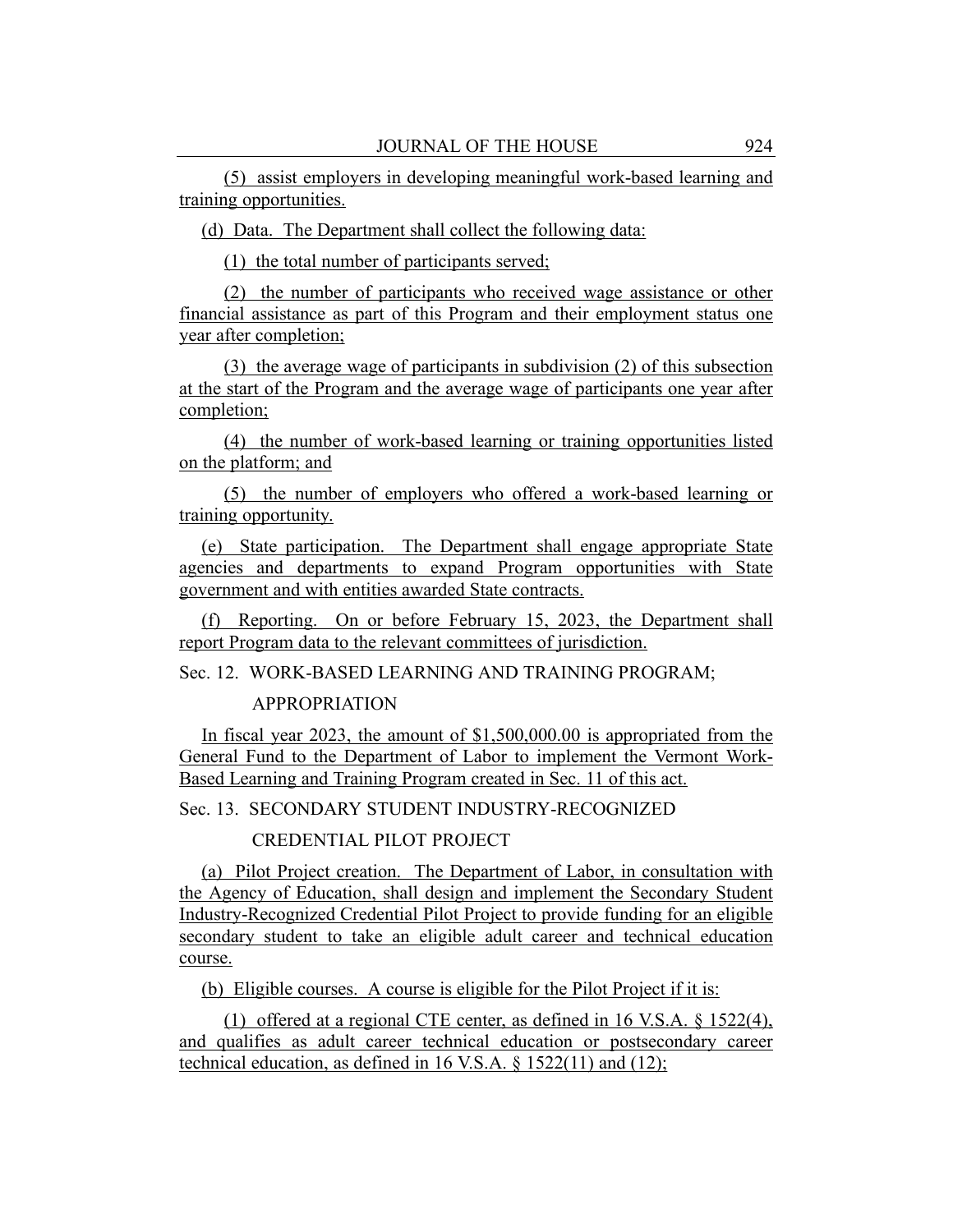(5) assist employers in developing meaningful work-based learning and training opportunities.

(d) Data. The Department shall collect the following data:

(1) the total number of participants served;

(2) the number of participants who received wage assistance or other financial assistance as part of this Program and their employment status one year after completion;

(3) the average wage of participants in subdivision (2) of this subsection at the start of the Program and the average wage of participants one year after completion;

(4) the number of work-based learning or training opportunities listed on the platform; and

(5) the number of employers who offered a work-based learning or training opportunity.

(e) State participation. The Department shall engage appropriate State agencies and departments to expand Program opportunities with State government and with entities awarded State contracts.

(f) Reporting. On or before February 15, 2023, the Department shall report Program data to the relevant committees of jurisdiction.

Sec. 12. WORK-BASED LEARNING AND TRAINING PROGRAM;

#### APPROPRIATION

In fiscal year 2023, the amount of \$1,500,000.00 is appropriated from the General Fund to the Department of Labor to implement the Vermont Work-Based Learning and Training Program created in Sec. 11 of this act.

Sec. 13. SECONDARY STUDENT INDUSTRY-RECOGNIZED

CREDENTIAL PILOT PROJECT

(a) Pilot Project creation. The Department of Labor, in consultation with the Agency of Education, shall design and implement the Secondary Student Industry-Recognized Credential Pilot Project to provide funding for an eligible secondary student to take an eligible adult career and technical education course.

(b) Eligible courses. A course is eligible for the Pilot Project if it is:

(1) offered at a regional CTE center, as defined in 16 V.S.A. § 1522(4), and qualifies as adult career technical education or postsecondary career technical education, as defined in 16 V.S.A. § 1522(11) and (12);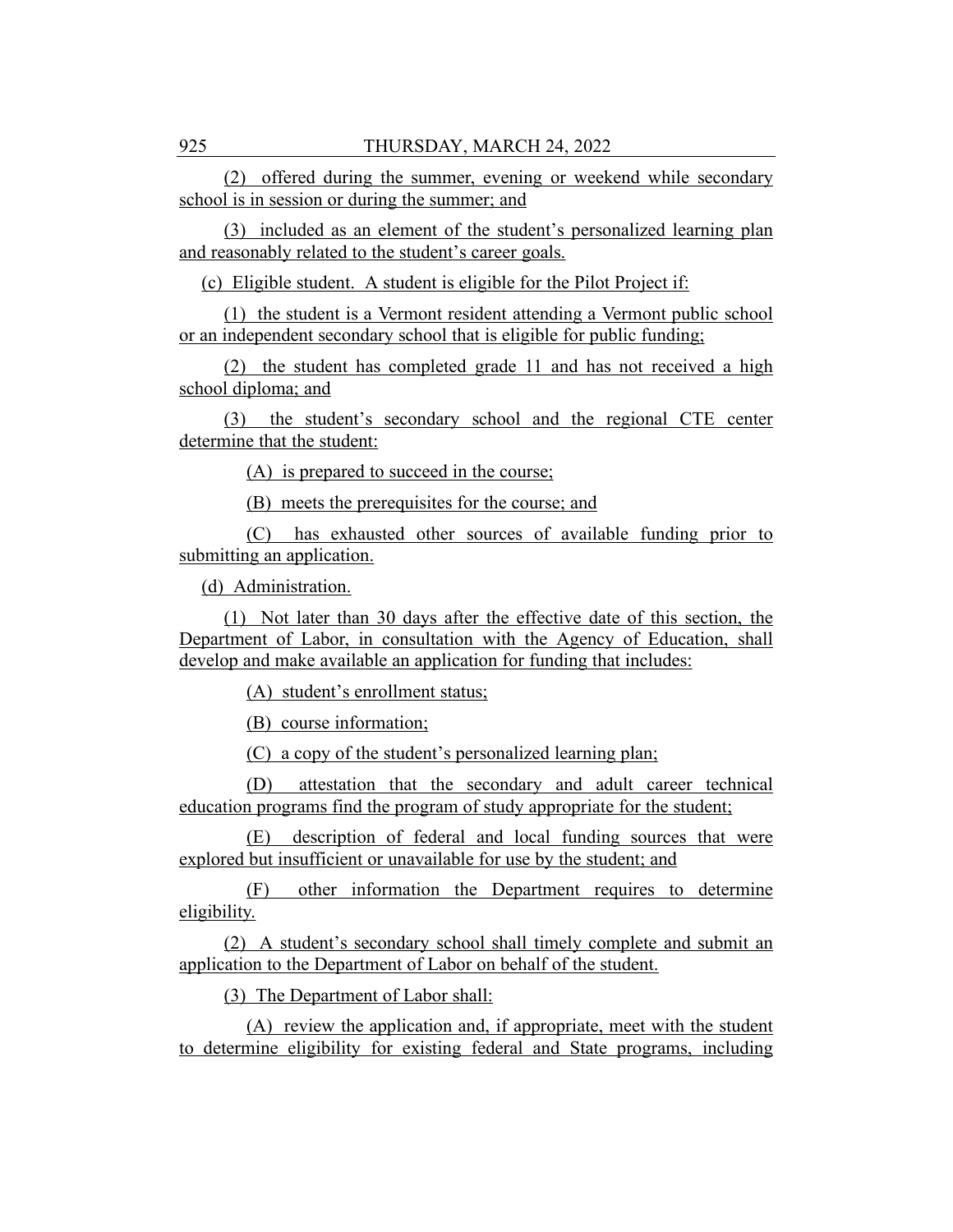(2) offered during the summer, evening or weekend while secondary school is in session or during the summer; and

(3) included as an element of the student's personalized learning plan and reasonably related to the student's career goals.

(c) Eligible student. A student is eligible for the Pilot Project if:

(1) the student is a Vermont resident attending a Vermont public school or an independent secondary school that is eligible for public funding;

(2) the student has completed grade 11 and has not received a high school diploma; and

(3) the student's secondary school and the regional CTE center determine that the student:

(A) is prepared to succeed in the course;

(B) meets the prerequisites for the course; and

(C) has exhausted other sources of available funding prior to submitting an application.

(d) Administration.

(1) Not later than 30 days after the effective date of this section, the Department of Labor, in consultation with the Agency of Education, shall develop and make available an application for funding that includes:

(A) student's enrollment status;

(B) course information;

(C) a copy of the student's personalized learning plan;

(D) attestation that the secondary and adult career technical education programs find the program of study appropriate for the student;

(E) description of federal and local funding sources that were explored but insufficient or unavailable for use by the student; and

(F) other information the Department requires to determine eligibility.

(2) A student's secondary school shall timely complete and submit an application to the Department of Labor on behalf of the student.

(3) The Department of Labor shall:

(A) review the application and, if appropriate, meet with the student to determine eligibility for existing federal and State programs, including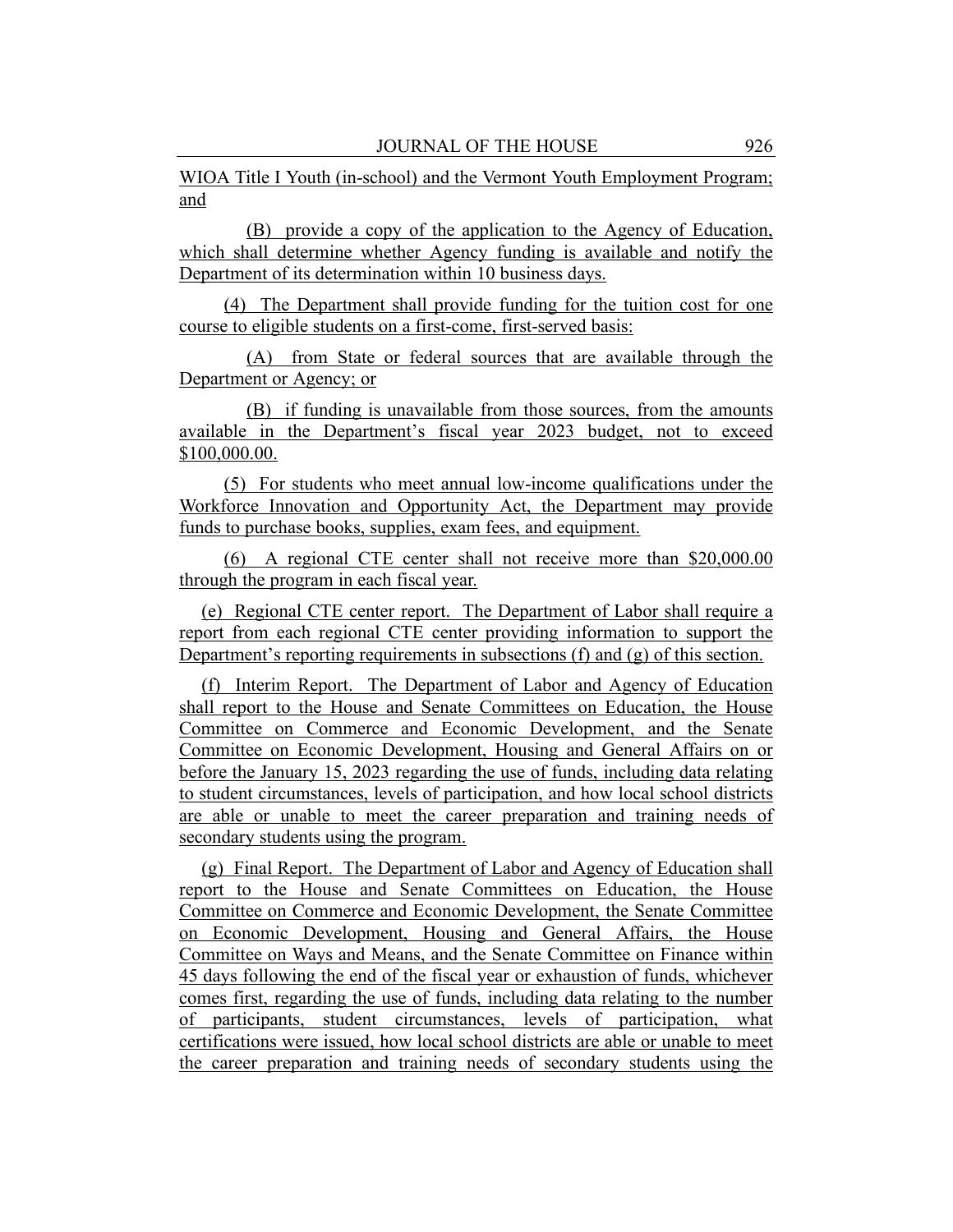WIOA Title I Youth (in-school) and the Vermont Youth Employment Program; and

(B) provide a copy of the application to the Agency of Education, which shall determine whether Agency funding is available and notify the Department of its determination within 10 business days.

(4) The Department shall provide funding for the tuition cost for one course to eligible students on a first-come, first-served basis:

(A) from State or federal sources that are available through the Department or Agency; or

(B) if funding is unavailable from those sources, from the amounts available in the Department's fiscal year 2023 budget, not to exceed \$100,000.00.

(5) For students who meet annual low-income qualifications under the Workforce Innovation and Opportunity Act, the Department may provide funds to purchase books, supplies, exam fees, and equipment.

(6) A regional CTE center shall not receive more than \$20,000.00 through the program in each fiscal year.

(e) Regional CTE center report. The Department of Labor shall require a report from each regional CTE center providing information to support the Department's reporting requirements in subsections (f) and (g) of this section.

(f) Interim Report. The Department of Labor and Agency of Education shall report to the House and Senate Committees on Education, the House Committee on Commerce and Economic Development, and the Senate Committee on Economic Development, Housing and General Affairs on or before the January 15, 2023 regarding the use of funds, including data relating to student circumstances, levels of participation, and how local school districts are able or unable to meet the career preparation and training needs of secondary students using the program.

(g) Final Report. The Department of Labor and Agency of Education shall report to the House and Senate Committees on Education, the House Committee on Commerce and Economic Development, the Senate Committee on Economic Development, Housing and General Affairs, the House Committee on Ways and Means, and the Senate Committee on Finance within 45 days following the end of the fiscal year or exhaustion of funds, whichever comes first, regarding the use of funds, including data relating to the number of participants, student circumstances, levels of participation, what certifications were issued, how local school districts are able or unable to meet the career preparation and training needs of secondary students using the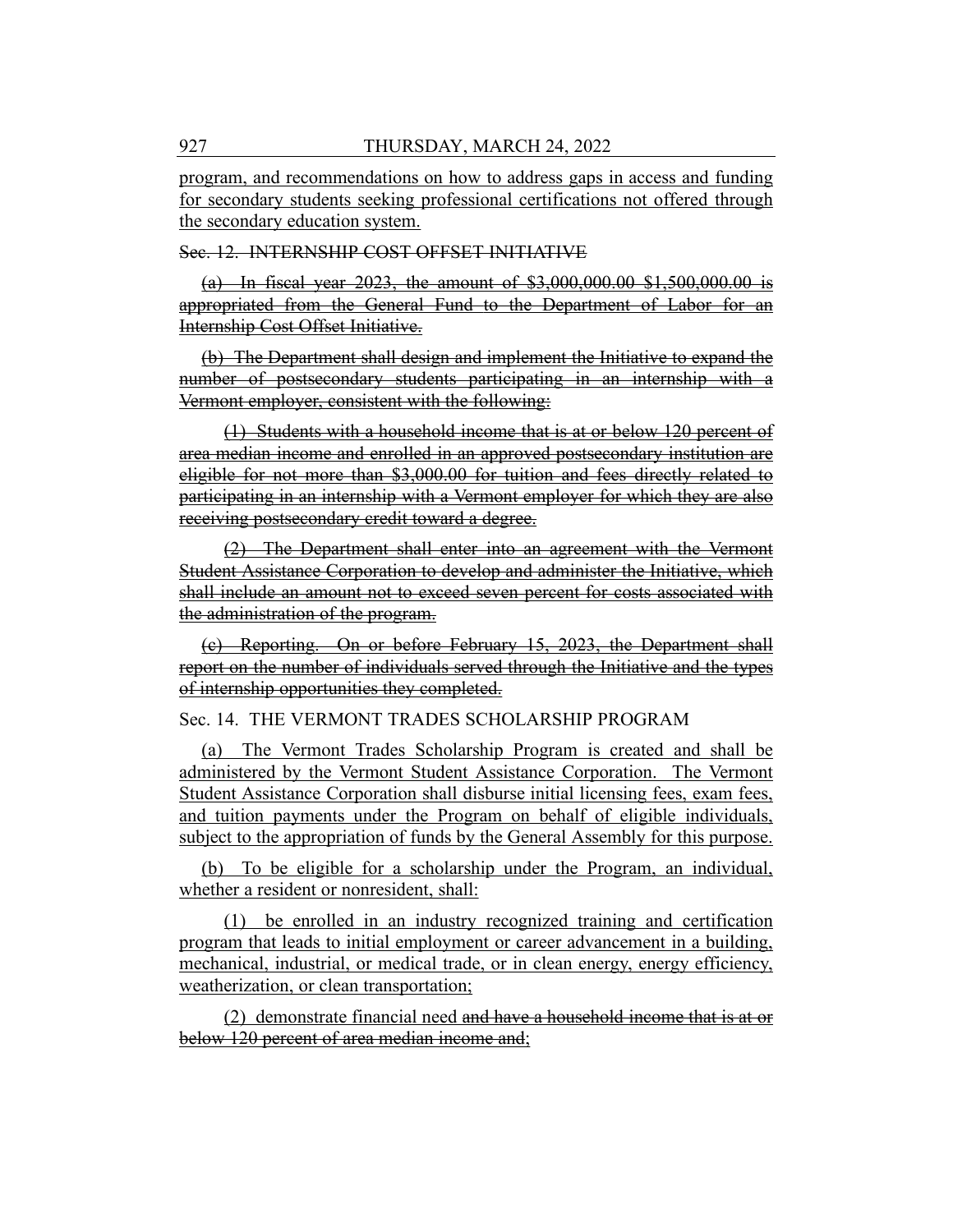program, and recommendations on how to address gaps in access and funding for secondary students seeking professional certifications not offered through the secondary education system.

Sec. 12. INTERNSHIP COST OFFSET INITIATIVE

(a) In fiscal year 2023, the amount of \$3,000,000.00 \$1,500,000.00 is appropriated from the General Fund to the Department of Labor for an Internship Cost Offset Initiative.

(b) The Department shall design and implement the Initiative to expand the number of postsecondary students participating in an internship with a Vermont employer, consistent with the following:

(1) Students with a household income that is at or below 120 percent of area median income and enrolled in an approved postsecondary institution are eligible for not more than \$3,000.00 for tuition and fees directly related to participating in an internship with a Vermont employer for which they are also receiving postsecondary credit toward a degree.

(2) The Department shall enter into an agreement with the Vermont Student Assistance Corporation to develop and administer the Initiative, which shall include an amount not to exceed seven percent for costs associated with the administration of the program.

(c) Reporting. On or before February 15, 2023, the Department shall report on the number of individuals served through the Initiative and the types of internship opportunities they completed.

Sec. 14. THE VERMONT TRADES SCHOLARSHIP PROGRAM

(a) The Vermont Trades Scholarship Program is created and shall be administered by the Vermont Student Assistance Corporation. The Vermont Student Assistance Corporation shall disburse initial licensing fees, exam fees, and tuition payments under the Program on behalf of eligible individuals, subject to the appropriation of funds by the General Assembly for this purpose.

(b) To be eligible for a scholarship under the Program, an individual, whether a resident or nonresident, shall:

(1) be enrolled in an industry recognized training and certification program that leads to initial employment or career advancement in a building, mechanical, industrial, or medical trade, or in clean energy, energy efficiency, weatherization, or clean transportation;

(2) demonstrate financial need and have a household income that is at or below 120 percent of area median income and;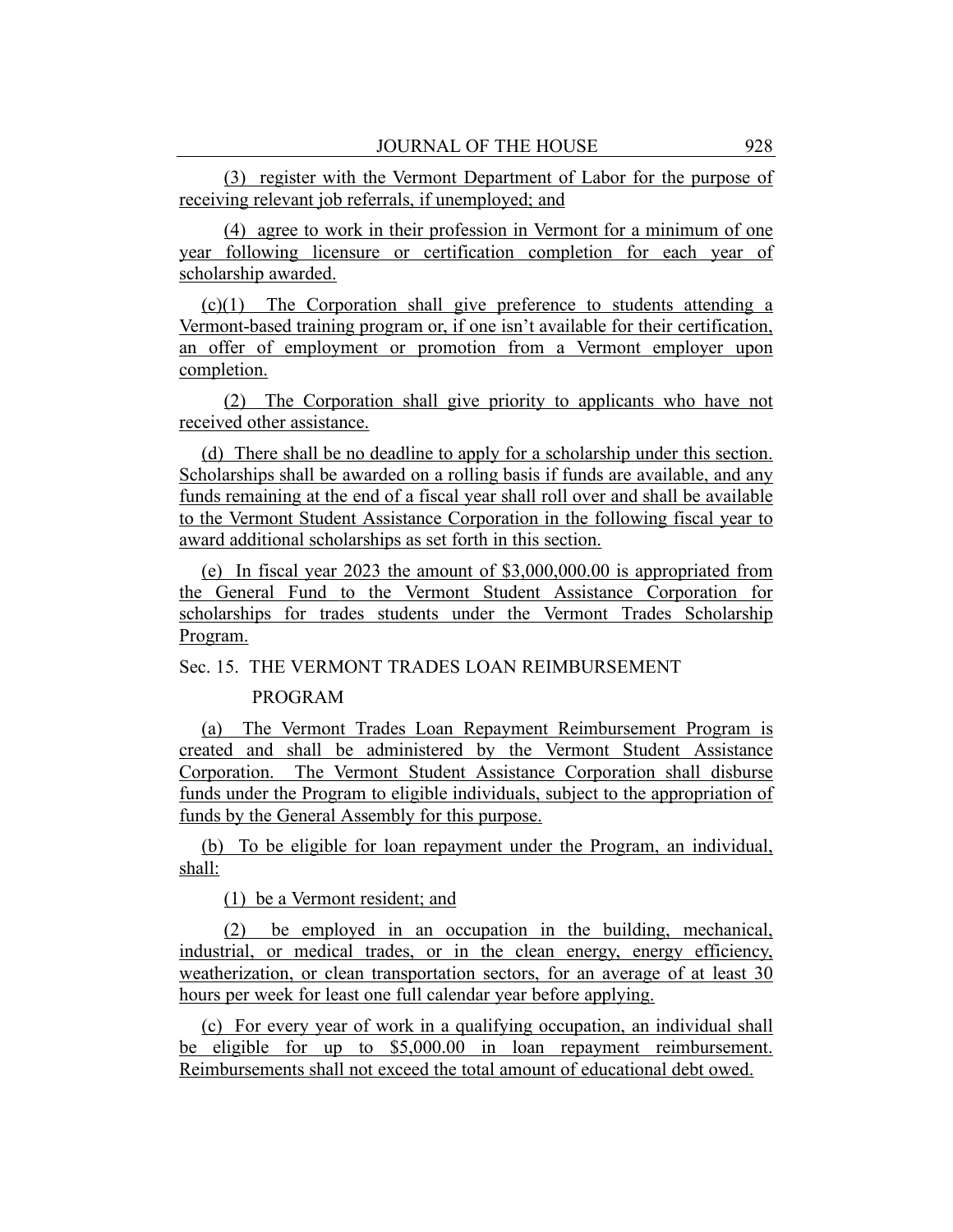(3) register with the Vermont Department of Labor for the purpose of receiving relevant job referrals, if unemployed; and

(4) agree to work in their profession in Vermont for a minimum of one year following licensure or certification completion for each year of scholarship awarded.

(c)(1) The Corporation shall give preference to students attending a Vermont-based training program or, if one isn't available for their certification, an offer of employment or promotion from a Vermont employer upon completion.

(2) The Corporation shall give priority to applicants who have not received other assistance.

(d) There shall be no deadline to apply for a scholarship under this section. Scholarships shall be awarded on a rolling basis if funds are available, and any funds remaining at the end of a fiscal year shall roll over and shall be available to the Vermont Student Assistance Corporation in the following fiscal year to award additional scholarships as set forth in this section.

(e) In fiscal year 2023 the amount of \$3,000,000.00 is appropriated from the General Fund to the Vermont Student Assistance Corporation for scholarships for trades students under the Vermont Trades Scholarship Program.

Sec. 15. THE VERMONT TRADES LOAN REIMBURSEMENT

#### PROGRAM

(a) The Vermont Trades Loan Repayment Reimbursement Program is created and shall be administered by the Vermont Student Assistance Corporation. The Vermont Student Assistance Corporation shall disburse funds under the Program to eligible individuals, subject to the appropriation of funds by the General Assembly for this purpose.

(b) To be eligible for loan repayment under the Program, an individual, shall:

(1) be a Vermont resident; and

(2) be employed in an occupation in the building, mechanical, industrial, or medical trades, or in the clean energy, energy efficiency, weatherization, or clean transportation sectors, for an average of at least 30 hours per week for least one full calendar year before applying.

(c) For every year of work in a qualifying occupation, an individual shall be eligible for up to \$5,000.00 in loan repayment reimbursement. Reimbursements shall not exceed the total amount of educational debt owed.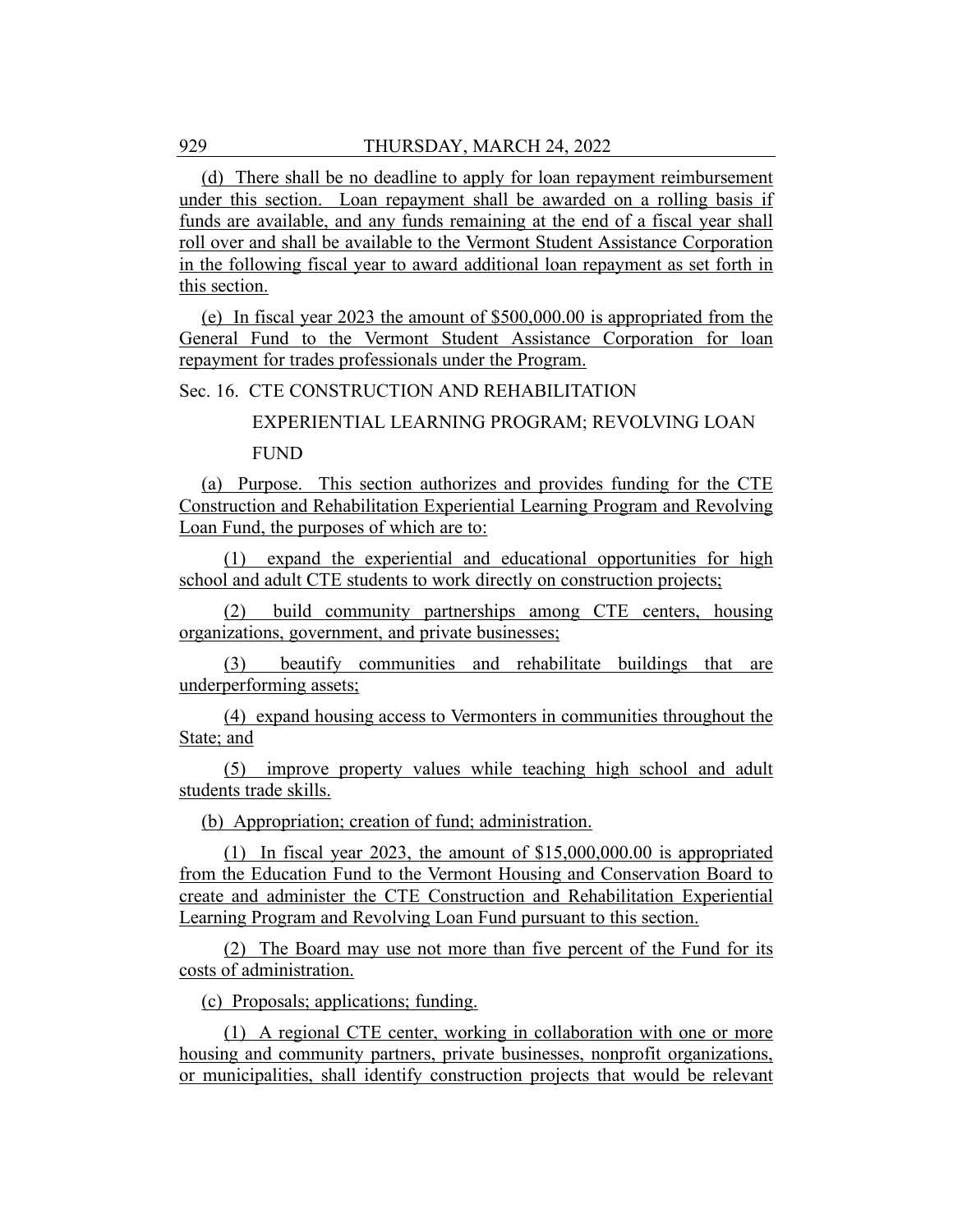(d) There shall be no deadline to apply for loan repayment reimbursement under this section. Loan repayment shall be awarded on a rolling basis if funds are available, and any funds remaining at the end of a fiscal year shall roll over and shall be available to the Vermont Student Assistance Corporation in the following fiscal year to award additional loan repayment as set forth in this section.

(e) In fiscal year 2023 the amount of \$500,000.00 is appropriated from the General Fund to the Vermont Student Assistance Corporation for loan repayment for trades professionals under the Program.

Sec. 16. CTE CONSTRUCTION AND REHABILITATION

EXPERIENTIAL LEARNING PROGRAM; REVOLVING LOAN

FUND

(a) Purpose. This section authorizes and provides funding for the CTE Construction and Rehabilitation Experiential Learning Program and Revolving Loan Fund, the purposes of which are to:

(1) expand the experiential and educational opportunities for high school and adult CTE students to work directly on construction projects;

(2) build community partnerships among CTE centers, housing organizations, government, and private businesses;

(3) beautify communities and rehabilitate buildings that are underperforming assets;

(4) expand housing access to Vermonters in communities throughout the State; and

(5) improve property values while teaching high school and adult students trade skills.

(b) Appropriation; creation of fund; administration.

(1) In fiscal year 2023, the amount of \$15,000,000.00 is appropriated from the Education Fund to the Vermont Housing and Conservation Board to create and administer the CTE Construction and Rehabilitation Experiential Learning Program and Revolving Loan Fund pursuant to this section.

(2) The Board may use not more than five percent of the Fund for its costs of administration.

(c) Proposals; applications; funding.

(1) A regional CTE center, working in collaboration with one or more housing and community partners, private businesses, nonprofit organizations, or municipalities, shall identify construction projects that would be relevant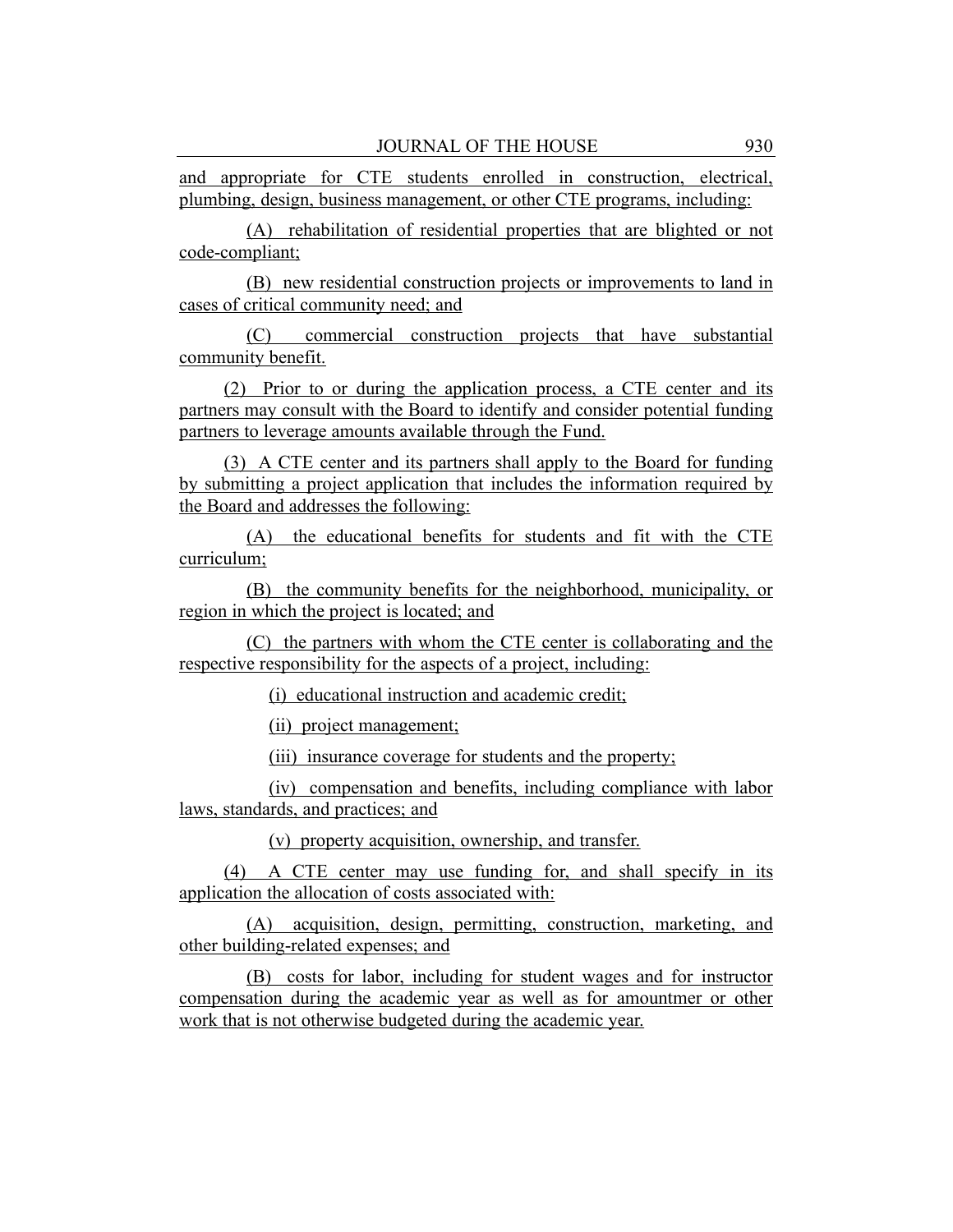and appropriate for CTE students enrolled in construction, electrical, plumbing, design, business management, or other CTE programs, including:

(A) rehabilitation of residential properties that are blighted or not code-compliant;

(B) new residential construction projects or improvements to land in cases of critical community need; and

(C) commercial construction projects that have substantial community benefit.

(2) Prior to or during the application process, a CTE center and its partners may consult with the Board to identify and consider potential funding partners to leverage amounts available through the Fund.

(3) A CTE center and its partners shall apply to the Board for funding by submitting a project application that includes the information required by the Board and addresses the following:

(A) the educational benefits for students and fit with the CTE curriculum;

(B) the community benefits for the neighborhood, municipality, or region in which the project is located; and

(C) the partners with whom the CTE center is collaborating and the respective responsibility for the aspects of a project, including:

(i) educational instruction and academic credit;

(ii) project management;

(iii) insurance coverage for students and the property;

(iv) compensation and benefits, including compliance with labor laws, standards, and practices; and

(v) property acquisition, ownership, and transfer.

(4) A CTE center may use funding for, and shall specify in its application the allocation of costs associated with:

(A) acquisition, design, permitting, construction, marketing, and other building-related expenses; and

(B) costs for labor, including for student wages and for instructor compensation during the academic year as well as for amountmer or other work that is not otherwise budgeted during the academic year.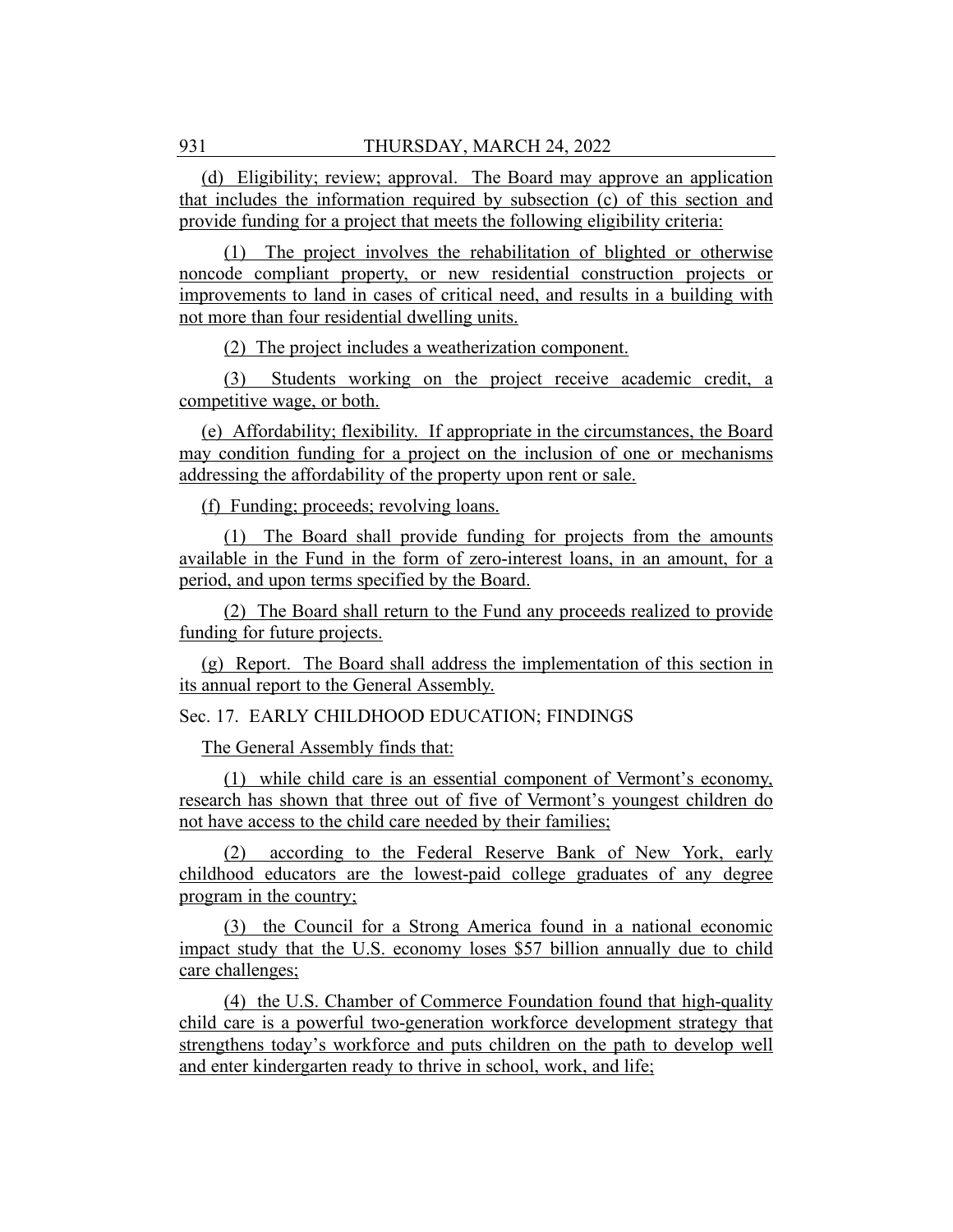(d) Eligibility; review; approval. The Board may approve an application that includes the information required by subsection (c) of this section and provide funding for a project that meets the following eligibility criteria:

(1) The project involves the rehabilitation of blighted or otherwise noncode compliant property, or new residential construction projects or improvements to land in cases of critical need, and results in a building with not more than four residential dwelling units.

(2) The project includes a weatherization component.

(3) Students working on the project receive academic credit, a competitive wage, or both.

(e) Affordability; flexibility. If appropriate in the circumstances, the Board may condition funding for a project on the inclusion of one or mechanisms addressing the affordability of the property upon rent or sale.

(f) Funding; proceeds; revolving loans.

(1) The Board shall provide funding for projects from the amounts available in the Fund in the form of zero-interest loans, in an amount, for a period, and upon terms specified by the Board.

(2) The Board shall return to the Fund any proceeds realized to provide funding for future projects.

(g) Report. The Board shall address the implementation of this section in its annual report to the General Assembly.

Sec. 17. EARLY CHILDHOOD EDUCATION; FINDINGS

The General Assembly finds that:

(1) while child care is an essential component of Vermont's economy, research has shown that three out of five of Vermont's youngest children do not have access to the child care needed by their families;

(2) according to the Federal Reserve Bank of New York, early childhood educators are the lowest-paid college graduates of any degree program in the country;

(3) the Council for a Strong America found in a national economic impact study that the U.S. economy loses \$57 billion annually due to child care challenges;

(4) the U.S. Chamber of Commerce Foundation found that high-quality child care is a powerful two-generation workforce development strategy that strengthens today's workforce and puts children on the path to develop well and enter kindergarten ready to thrive in school, work, and life;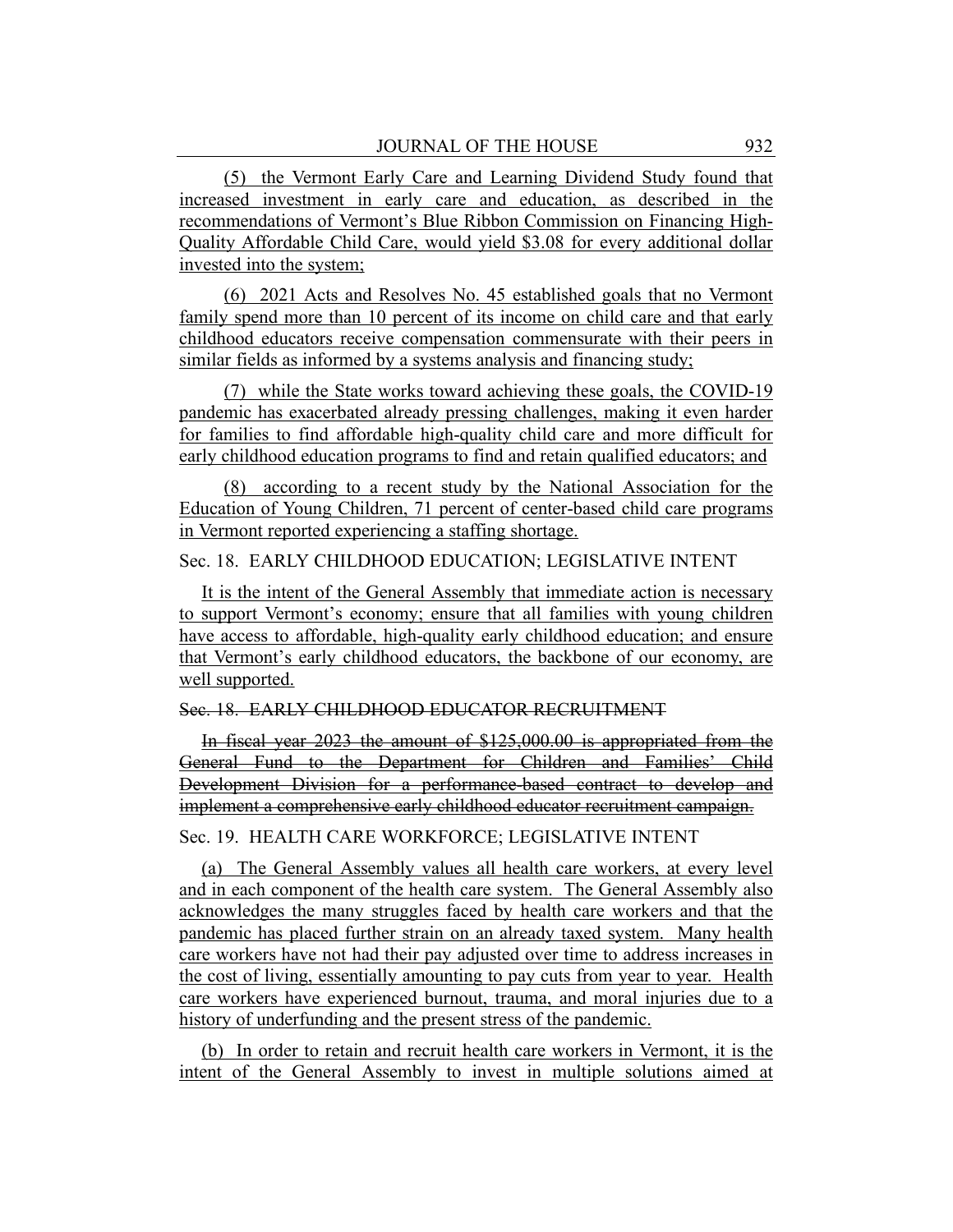(5) the Vermont Early Care and Learning Dividend Study found that increased investment in early care and education, as described in the recommendations of Vermont's Blue Ribbon Commission on Financing High-Quality Affordable Child Care, would yield \$3.08 for every additional dollar invested into the system;

(6) 2021 Acts and Resolves No. 45 established goals that no Vermont family spend more than 10 percent of its income on child care and that early childhood educators receive compensation commensurate with their peers in similar fields as informed by a systems analysis and financing study;

(7) while the State works toward achieving these goals, the COVID-19 pandemic has exacerbated already pressing challenges, making it even harder for families to find affordable high-quality child care and more difficult for early childhood education programs to find and retain qualified educators; and

(8) according to a recent study by the National Association for the Education of Young Children, 71 percent of center-based child care programs in Vermont reported experiencing a staffing shortage.

#### Sec. 18. EARLY CHILDHOOD EDUCATION; LEGISLATIVE INTENT

It is the intent of the General Assembly that immediate action is necessary to support Vermont's economy; ensure that all families with young children have access to affordable, high-quality early childhood education; and ensure that Vermont's early childhood educators, the backbone of our economy, are well supported.

#### Sec. 18. EARLY CHILDHOOD EDUCATOR RECRUITMENT

In fiscal year 2023 the amount of \$125,000.00 is appropriated from the General Fund to the Department for Children and Families' Child Development Division for a performance-based contract to develop and implement a comprehensive early childhood educator recruitment campaign.

#### Sec. 19. HEALTH CARE WORKFORCE; LEGISLATIVE INTENT

(a) The General Assembly values all health care workers, at every level and in each component of the health care system. The General Assembly also acknowledges the many struggles faced by health care workers and that the pandemic has placed further strain on an already taxed system. Many health care workers have not had their pay adjusted over time to address increases in the cost of living, essentially amounting to pay cuts from year to year. Health care workers have experienced burnout, trauma, and moral injuries due to a history of underfunding and the present stress of the pandemic.

(b) In order to retain and recruit health care workers in Vermont, it is the intent of the General Assembly to invest in multiple solutions aimed at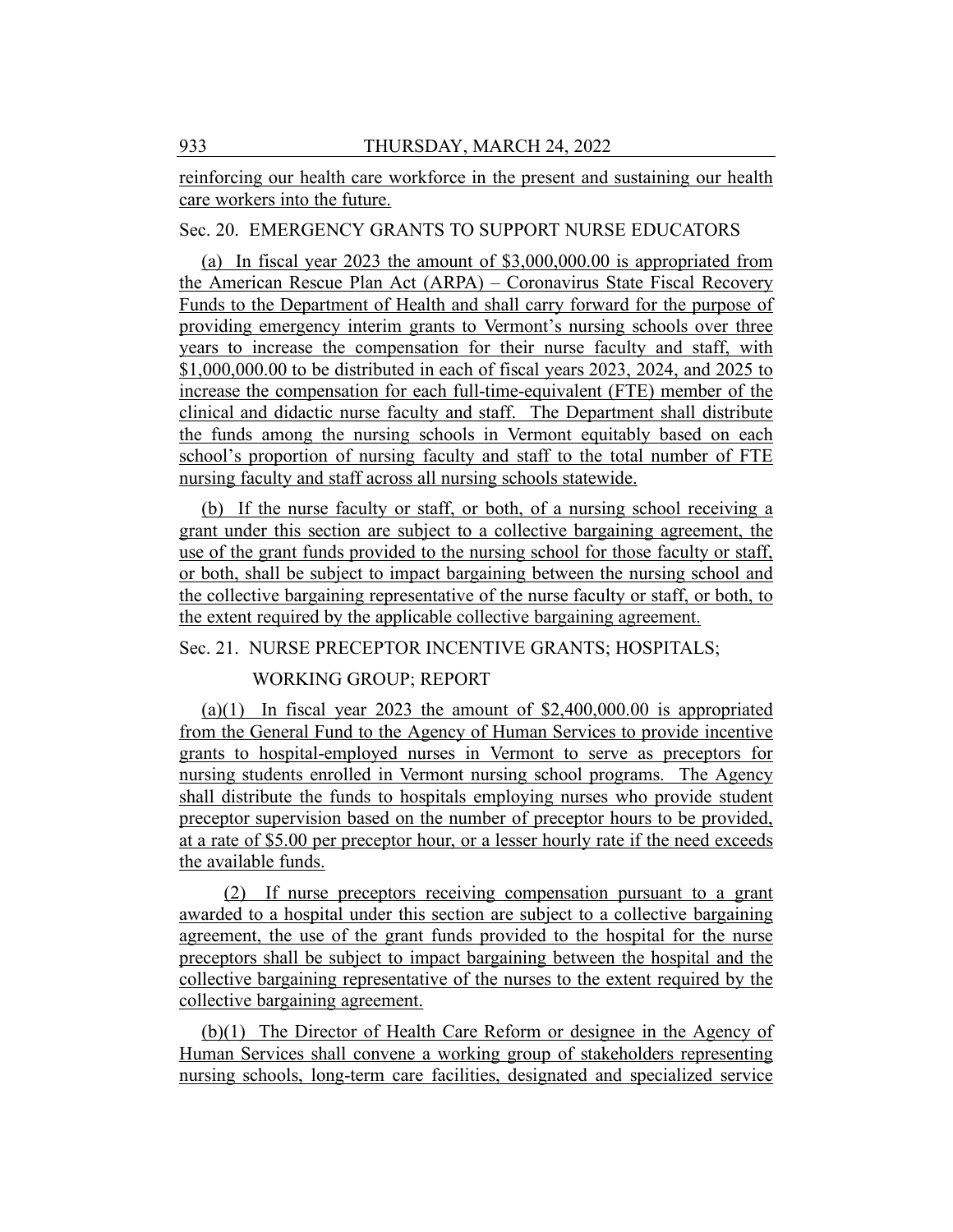reinforcing our health care workforce in the present and sustaining our health care workers into the future.

## Sec. 20. EMERGENCY GRANTS TO SUPPORT NURSE EDUCATORS

(a) In fiscal year 2023 the amount of \$3,000,000.00 is appropriated from the American Rescue Plan Act (ARPA) – Coronavirus State Fiscal Recovery Funds to the Department of Health and shall carry forward for the purpose of providing emergency interim grants to Vermont's nursing schools over three years to increase the compensation for their nurse faculty and staff, with \$1,000,000.00 to be distributed in each of fiscal years 2023, 2024, and 2025 to increase the compensation for each full-time-equivalent (FTE) member of the clinical and didactic nurse faculty and staff. The Department shall distribute the funds among the nursing schools in Vermont equitably based on each school's proportion of nursing faculty and staff to the total number of FTE nursing faculty and staff across all nursing schools statewide.

(b) If the nurse faculty or staff, or both, of a nursing school receiving a grant under this section are subject to a collective bargaining agreement, the use of the grant funds provided to the nursing school for those faculty or staff, or both, shall be subject to impact bargaining between the nursing school and the collective bargaining representative of the nurse faculty or staff, or both, to the extent required by the applicable collective bargaining agreement.

## Sec. 21. NURSE PRECEPTOR INCENTIVE GRANTS; HOSPITALS;

#### WORKING GROUP; REPORT

(a)(1) In fiscal year 2023 the amount of  $$2,400,000.00$  is appropriated from the General Fund to the Agency of Human Services to provide incentive grants to hospital-employed nurses in Vermont to serve as preceptors for nursing students enrolled in Vermont nursing school programs. The Agency shall distribute the funds to hospitals employing nurses who provide student preceptor supervision based on the number of preceptor hours to be provided, at a rate of \$5.00 per preceptor hour, or a lesser hourly rate if the need exceeds the available funds.

(2) If nurse preceptors receiving compensation pursuant to a grant awarded to a hospital under this section are subject to a collective bargaining agreement, the use of the grant funds provided to the hospital for the nurse preceptors shall be subject to impact bargaining between the hospital and the collective bargaining representative of the nurses to the extent required by the collective bargaining agreement.

(b)(1) The Director of Health Care Reform or designee in the Agency of Human Services shall convene a working group of stakeholders representing nursing schools, long-term care facilities, designated and specialized service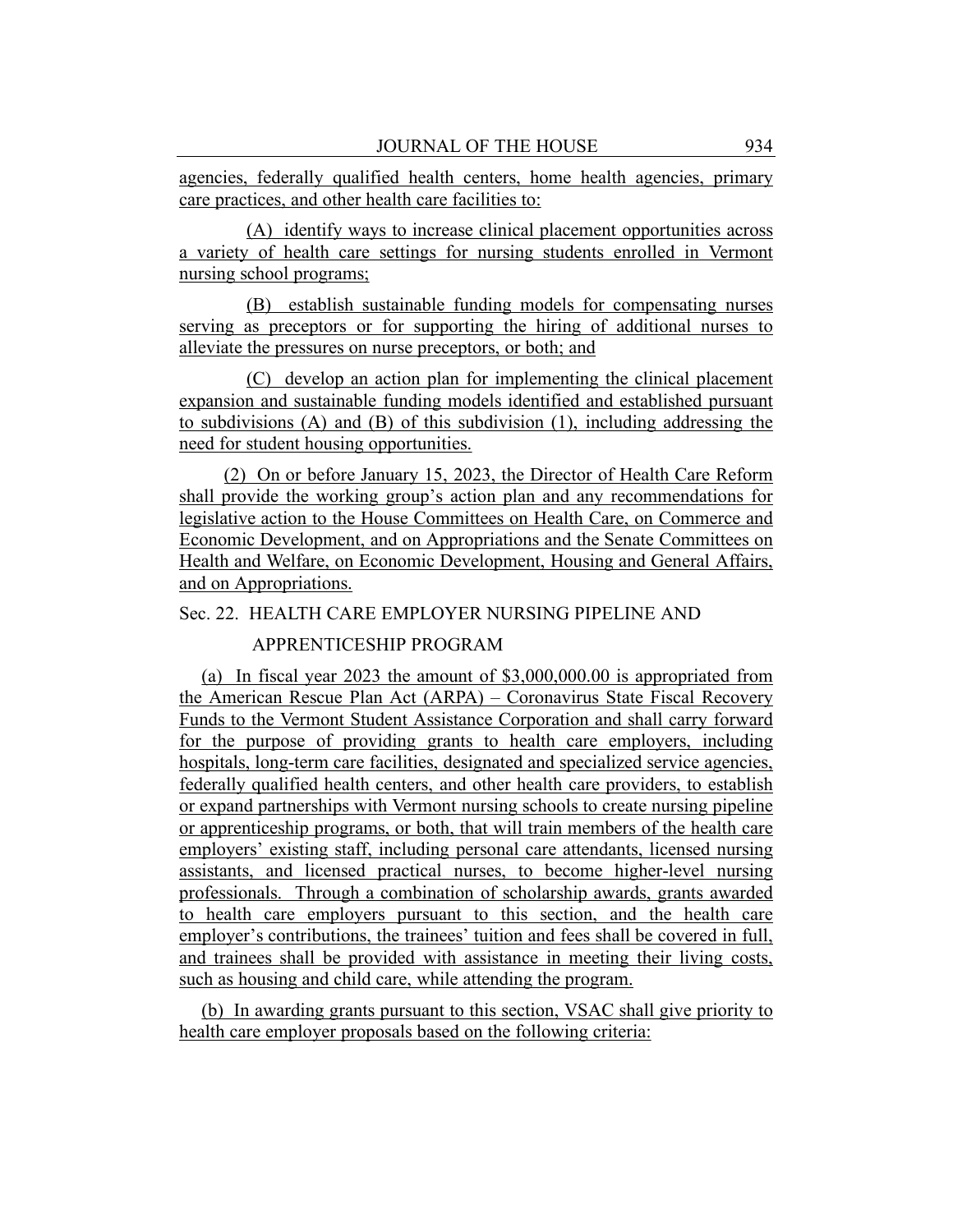agencies, federally qualified health centers, home health agencies, primary care practices, and other health care facilities to:

(A) identify ways to increase clinical placement opportunities across a variety of health care settings for nursing students enrolled in Vermont nursing school programs;

(B) establish sustainable funding models for compensating nurses serving as preceptors or for supporting the hiring of additional nurses to alleviate the pressures on nurse preceptors, or both; and

(C) develop an action plan for implementing the clinical placement expansion and sustainable funding models identified and established pursuant to subdivisions (A) and (B) of this subdivision (1), including addressing the need for student housing opportunities.

(2) On or before January 15, 2023, the Director of Health Care Reform shall provide the working group's action plan and any recommendations for legislative action to the House Committees on Health Care, on Commerce and Economic Development, and on Appropriations and the Senate Committees on Health and Welfare, on Economic Development, Housing and General Affairs, and on Appropriations.

Sec. 22. HEALTH CARE EMPLOYER NURSING PIPELINE AND

#### APPRENTICESHIP PROGRAM

(a) In fiscal year 2023 the amount of \$3,000,000.00 is appropriated from the American Rescue Plan Act (ARPA) – Coronavirus State Fiscal Recovery Funds to the Vermont Student Assistance Corporation and shall carry forward for the purpose of providing grants to health care employers, including hospitals, long-term care facilities, designated and specialized service agencies, federally qualified health centers, and other health care providers, to establish or expand partnerships with Vermont nursing schools to create nursing pipeline or apprenticeship programs, or both, that will train members of the health care employers' existing staff, including personal care attendants, licensed nursing assistants, and licensed practical nurses, to become higher-level nursing professionals. Through a combination of scholarship awards, grants awarded to health care employers pursuant to this section, and the health care employer's contributions, the trainees' tuition and fees shall be covered in full, and trainees shall be provided with assistance in meeting their living costs, such as housing and child care, while attending the program.

(b) In awarding grants pursuant to this section, VSAC shall give priority to health care employer proposals based on the following criteria: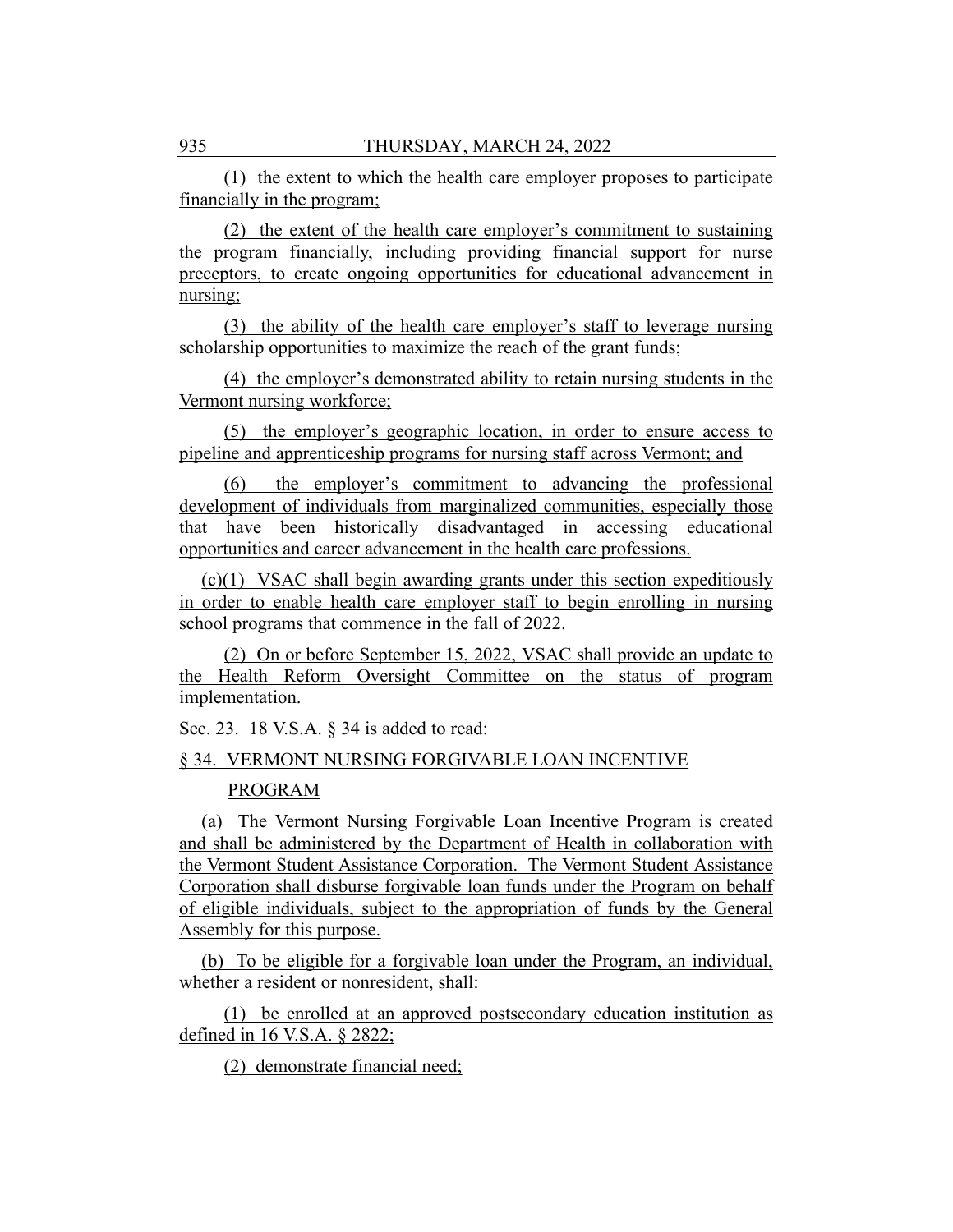(1) the extent to which the health care employer proposes to participate financially in the program;

(2) the extent of the health care employer's commitment to sustaining the program financially, including providing financial support for nurse preceptors, to create ongoing opportunities for educational advancement in nursing;

(3) the ability of the health care employer's staff to leverage nursing scholarship opportunities to maximize the reach of the grant funds;

(4) the employer's demonstrated ability to retain nursing students in the Vermont nursing workforce;

(5) the employer's geographic location, in order to ensure access to pipeline and apprenticeship programs for nursing staff across Vermont; and

(6) the employer's commitment to advancing the professional development of individuals from marginalized communities, especially those that have been historically disadvantaged in accessing educational opportunities and career advancement in the health care professions.

(c)(1) VSAC shall begin awarding grants under this section expeditiously in order to enable health care employer staff to begin enrolling in nursing school programs that commence in the fall of 2022.

(2) On or before September 15, 2022, VSAC shall provide an update to the Health Reform Oversight Committee on the status of program implementation.

Sec. 23. 18 V.S.A. § 34 is added to read:

#### § 34. VERMONT NURSING FORGIVABLE LOAN INCENTIVE

#### PROGRAM

(a) The Vermont Nursing Forgivable Loan Incentive Program is created and shall be administered by the Department of Health in collaboration with the Vermont Student Assistance Corporation. The Vermont Student Assistance Corporation shall disburse forgivable loan funds under the Program on behalf of eligible individuals, subject to the appropriation of funds by the General Assembly for this purpose.

(b) To be eligible for a forgivable loan under the Program, an individual, whether a resident or nonresident, shall:

(1) be enrolled at an approved postsecondary education institution as defined in 16 V.S.A. § 2822;

(2) demonstrate financial need;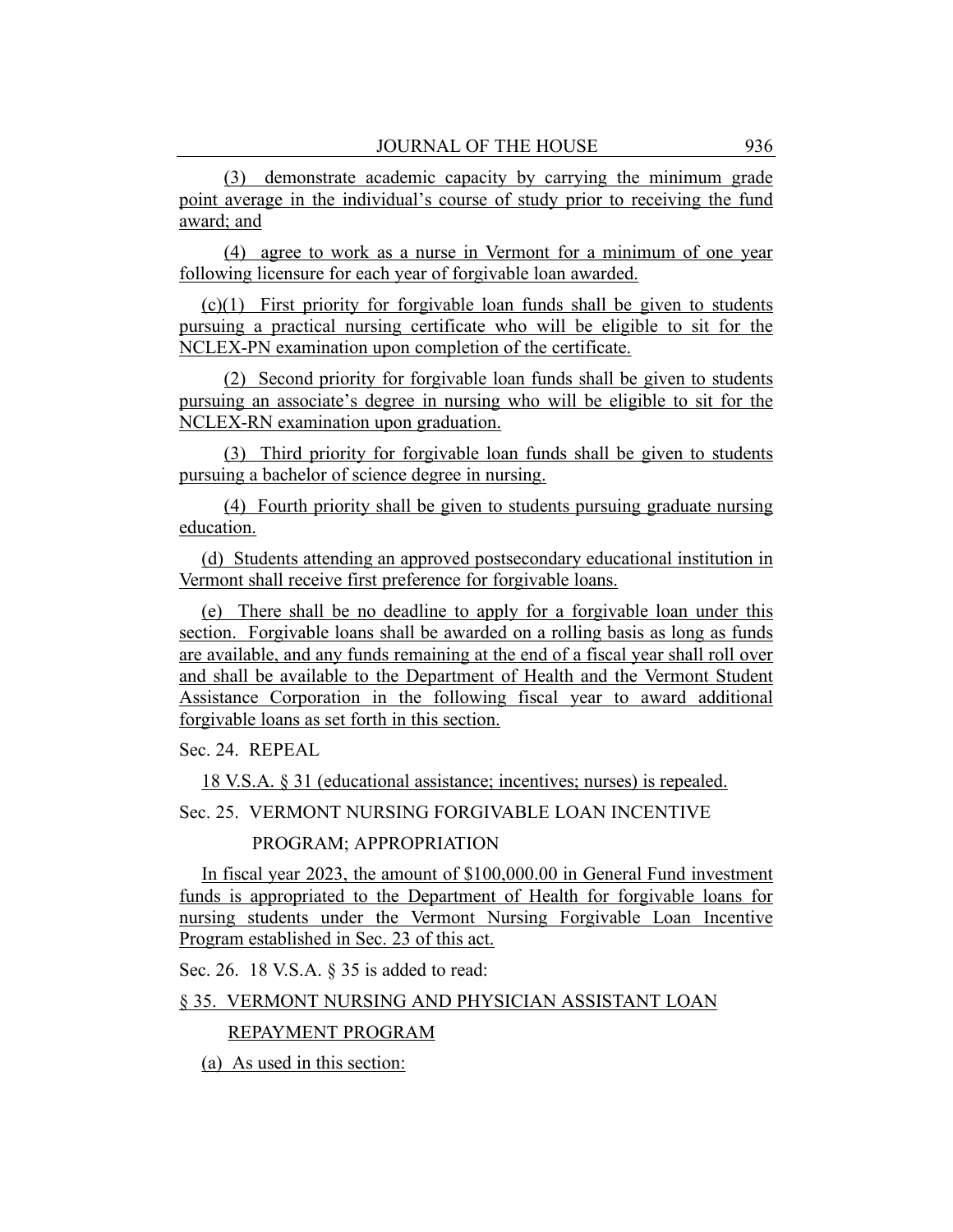(3) demonstrate academic capacity by carrying the minimum grade point average in the individual's course of study prior to receiving the fund award; and

(4) agree to work as a nurse in Vermont for a minimum of one year following licensure for each year of forgivable loan awarded.

(c)(1) First priority for forgivable loan funds shall be given to students pursuing a practical nursing certificate who will be eligible to sit for the NCLEX-PN examination upon completion of the certificate.

(2) Second priority for forgivable loan funds shall be given to students pursuing an associate's degree in nursing who will be eligible to sit for the NCLEX-RN examination upon graduation.

(3) Third priority for forgivable loan funds shall be given to students pursuing a bachelor of science degree in nursing.

(4) Fourth priority shall be given to students pursuing graduate nursing education.

(d) Students attending an approved postsecondary educational institution in Vermont shall receive first preference for forgivable loans.

(e) There shall be no deadline to apply for a forgivable loan under this section. Forgivable loans shall be awarded on a rolling basis as long as funds are available, and any funds remaining at the end of a fiscal year shall roll over and shall be available to the Department of Health and the Vermont Student Assistance Corporation in the following fiscal year to award additional forgivable loans as set forth in this section.

Sec. 24. REPEAL

18 V.S.A. § 31 (educational assistance; incentives; nurses) is repealed.

Sec. 25. VERMONT NURSING FORGIVABLE LOAN INCENTIVE

PROGRAM; APPROPRIATION

In fiscal year 2023, the amount of \$100,000.00 in General Fund investment funds is appropriated to the Department of Health for forgivable loans for nursing students under the Vermont Nursing Forgivable Loan Incentive Program established in Sec. 23 of this act.

Sec. 26. 18 V.S.A. § 35 is added to read:

§ 35. VERMONT NURSING AND PHYSICIAN ASSISTANT LOAN

#### REPAYMENT PROGRAM

(a) As used in this section: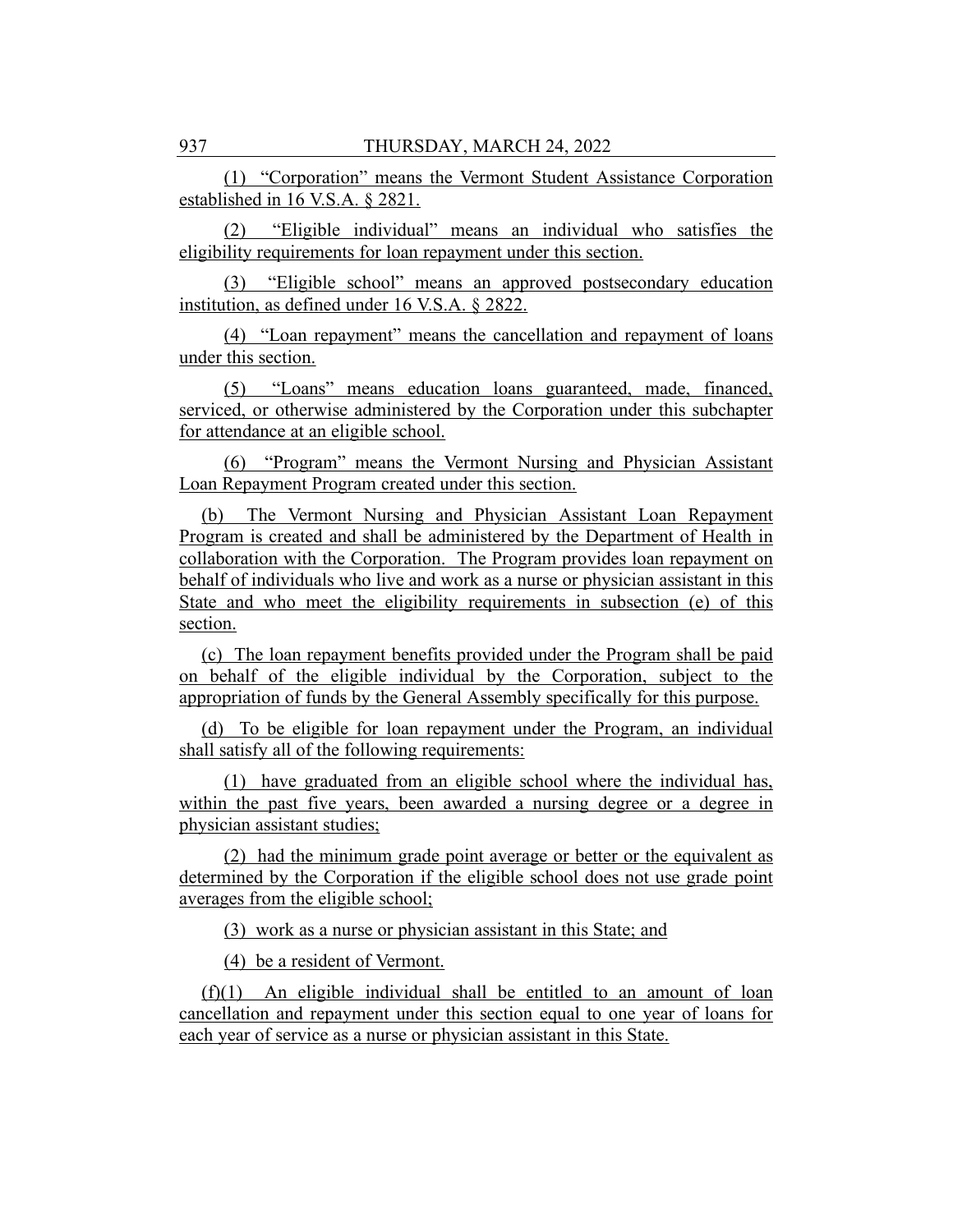(1) "Corporation" means the Vermont Student Assistance Corporation established in 16 V.S.A. § 2821.

(2) "Eligible individual" means an individual who satisfies the eligibility requirements for loan repayment under this section.

(3) "Eligible school" means an approved postsecondary education institution, as defined under 16 V.S.A. § 2822.

(4) "Loan repayment" means the cancellation and repayment of loans under this section.

(5) "Loans" means education loans guaranteed, made, financed, serviced, or otherwise administered by the Corporation under this subchapter for attendance at an eligible school.

(6) "Program" means the Vermont Nursing and Physician Assistant Loan Repayment Program created under this section.

(b) The Vermont Nursing and Physician Assistant Loan Repayment Program is created and shall be administered by the Department of Health in collaboration with the Corporation. The Program provides loan repayment on behalf of individuals who live and work as a nurse or physician assistant in this State and who meet the eligibility requirements in subsection (e) of this section.

(c) The loan repayment benefits provided under the Program shall be paid on behalf of the eligible individual by the Corporation, subject to the appropriation of funds by the General Assembly specifically for this purpose.

(d) To be eligible for loan repayment under the Program, an individual shall satisfy all of the following requirements:

(1) have graduated from an eligible school where the individual has, within the past five years, been awarded a nursing degree or a degree in physician assistant studies;

(2) had the minimum grade point average or better or the equivalent as determined by the Corporation if the eligible school does not use grade point averages from the eligible school;

(3) work as a nurse or physician assistant in this State; and

(4) be a resident of Vermont.

(f)(1) An eligible individual shall be entitled to an amount of loan cancellation and repayment under this section equal to one year of loans for each year of service as a nurse or physician assistant in this State.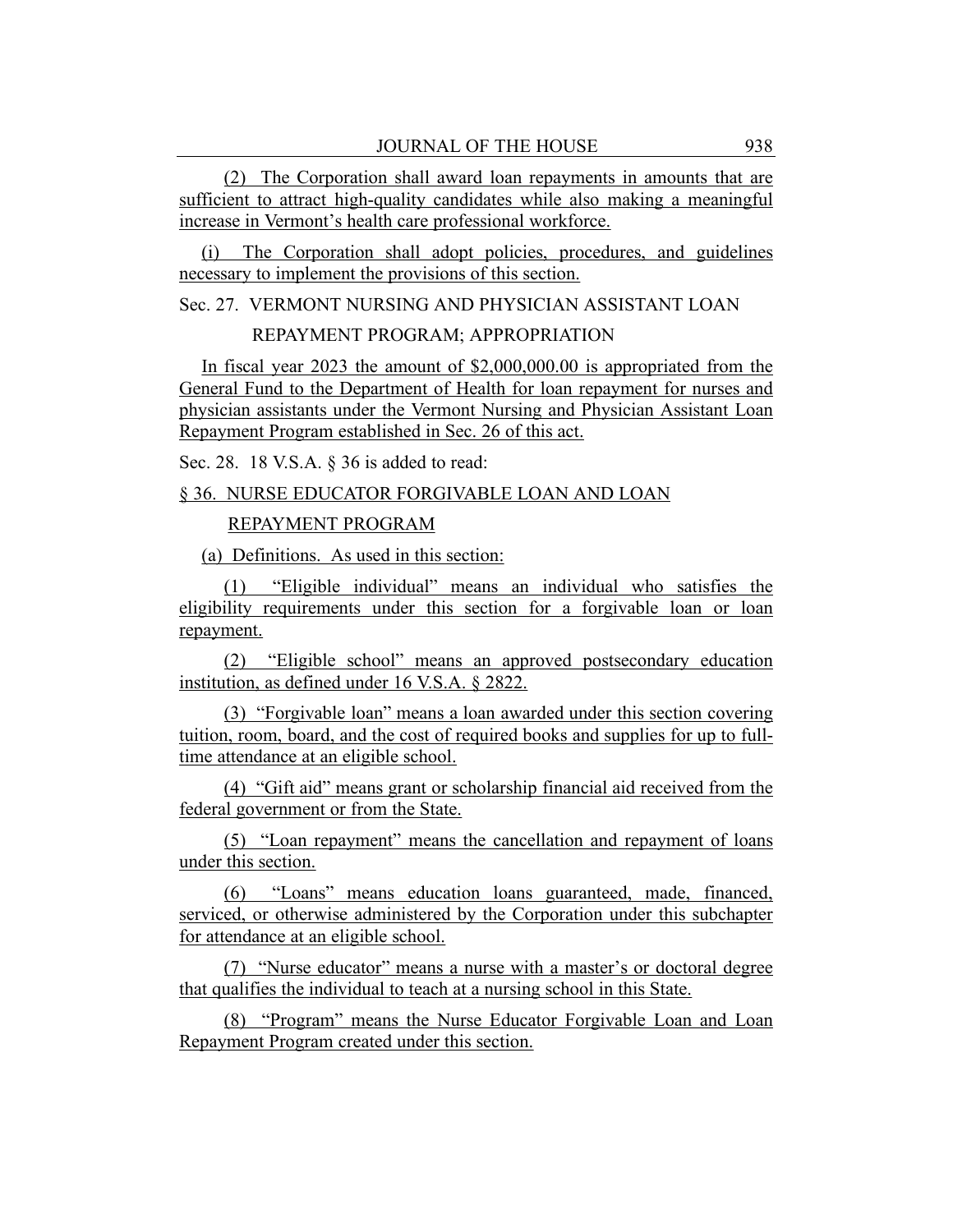(2) The Corporation shall award loan repayments in amounts that are sufficient to attract high-quality candidates while also making a meaningful increase in Vermont's health care professional workforce.

(i) The Corporation shall adopt policies, procedures, and guidelines necessary to implement the provisions of this section.

Sec. 27. VERMONT NURSING AND PHYSICIAN ASSISTANT LOAN

REPAYMENT PROGRAM; APPROPRIATION

In fiscal year 2023 the amount of \$2,000,000.00 is appropriated from the General Fund to the Department of Health for loan repayment for nurses and physician assistants under the Vermont Nursing and Physician Assistant Loan Repayment Program established in Sec. 26 of this act.

Sec. 28. 18 V.S.A. § 36 is added to read:

§ 36. NURSE EDUCATOR FORGIVABLE LOAN AND LOAN

REPAYMENT PROGRAM

(a) Definitions. As used in this section:

(1) "Eligible individual" means an individual who satisfies the eligibility requirements under this section for a forgivable loan or loan repayment.

(2) "Eligible school" means an approved postsecondary education institution, as defined under 16 V.S.A. § 2822.

(3) "Forgivable loan" means a loan awarded under this section covering tuition, room, board, and the cost of required books and supplies for up to fulltime attendance at an eligible school.

(4) "Gift aid" means grant or scholarship financial aid received from the federal government or from the State.

(5) "Loan repayment" means the cancellation and repayment of loans under this section.

(6) "Loans" means education loans guaranteed, made, financed, serviced, or otherwise administered by the Corporation under this subchapter for attendance at an eligible school.

(7) "Nurse educator" means a nurse with a master's or doctoral degree that qualifies the individual to teach at a nursing school in this State.

(8) "Program" means the Nurse Educator Forgivable Loan and Loan Repayment Program created under this section.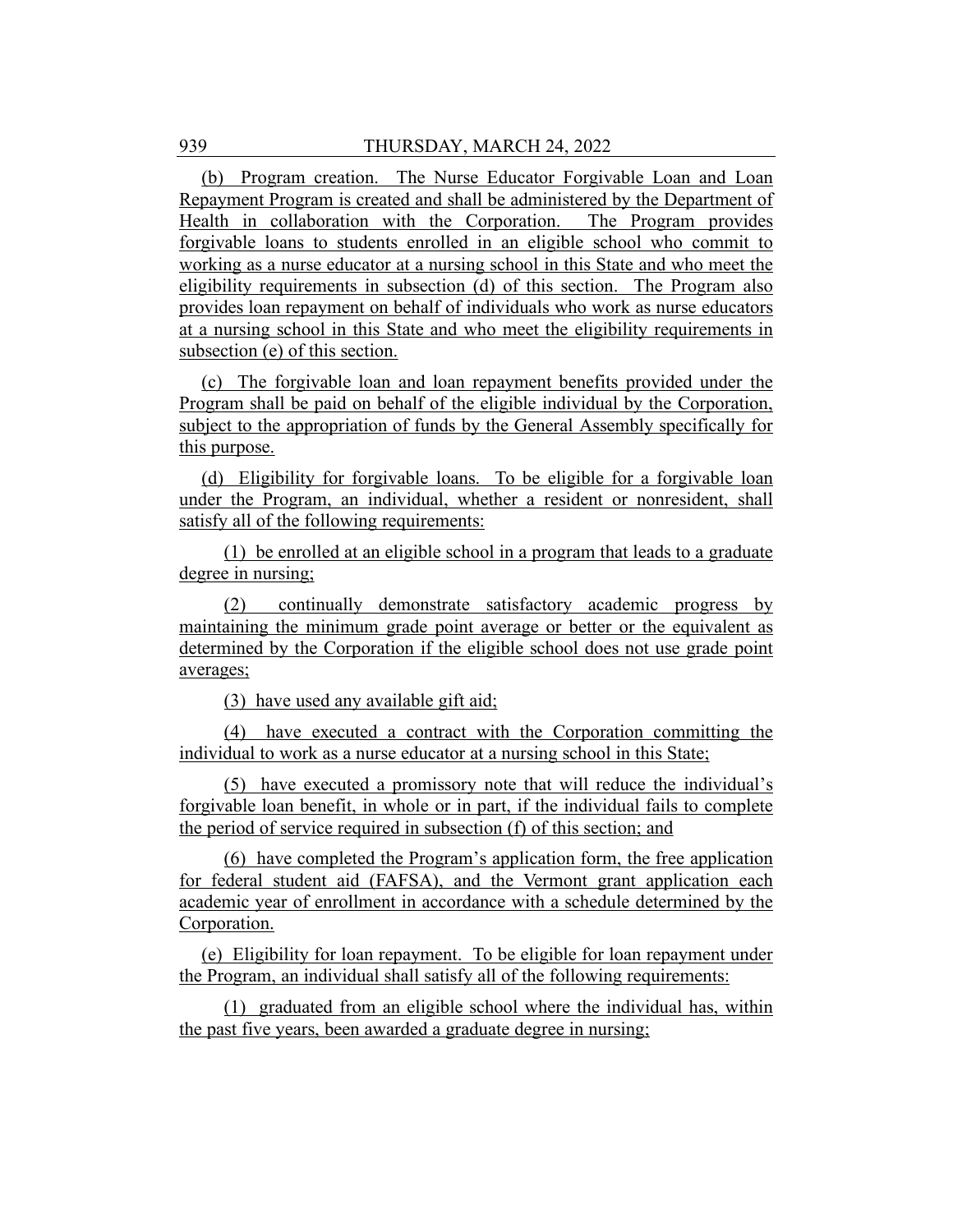(b) Program creation. The Nurse Educator Forgivable Loan and Loan Repayment Program is created and shall be administered by the Department of Health in collaboration with the Corporation. The Program provides forgivable loans to students enrolled in an eligible school who commit to working as a nurse educator at a nursing school in this State and who meet the eligibility requirements in subsection (d) of this section. The Program also provides loan repayment on behalf of individuals who work as nurse educators at a nursing school in this State and who meet the eligibility requirements in subsection (e) of this section.

(c) The forgivable loan and loan repayment benefits provided under the Program shall be paid on behalf of the eligible individual by the Corporation, subject to the appropriation of funds by the General Assembly specifically for this purpose.

(d) Eligibility for forgivable loans. To be eligible for a forgivable loan under the Program, an individual, whether a resident or nonresident, shall satisfy all of the following requirements:

(1) be enrolled at an eligible school in a program that leads to a graduate degree in nursing;

(2) continually demonstrate satisfactory academic progress by maintaining the minimum grade point average or better or the equivalent as determined by the Corporation if the eligible school does not use grade point averages;

(3) have used any available gift aid;

(4) have executed a contract with the Corporation committing the individual to work as a nurse educator at a nursing school in this State;

(5) have executed a promissory note that will reduce the individual's forgivable loan benefit, in whole or in part, if the individual fails to complete the period of service required in subsection (f) of this section; and

(6) have completed the Program's application form, the free application for federal student aid (FAFSA), and the Vermont grant application each academic year of enrollment in accordance with a schedule determined by the Corporation.

(e) Eligibility for loan repayment. To be eligible for loan repayment under the Program, an individual shall satisfy all of the following requirements:

(1) graduated from an eligible school where the individual has, within the past five years, been awarded a graduate degree in nursing;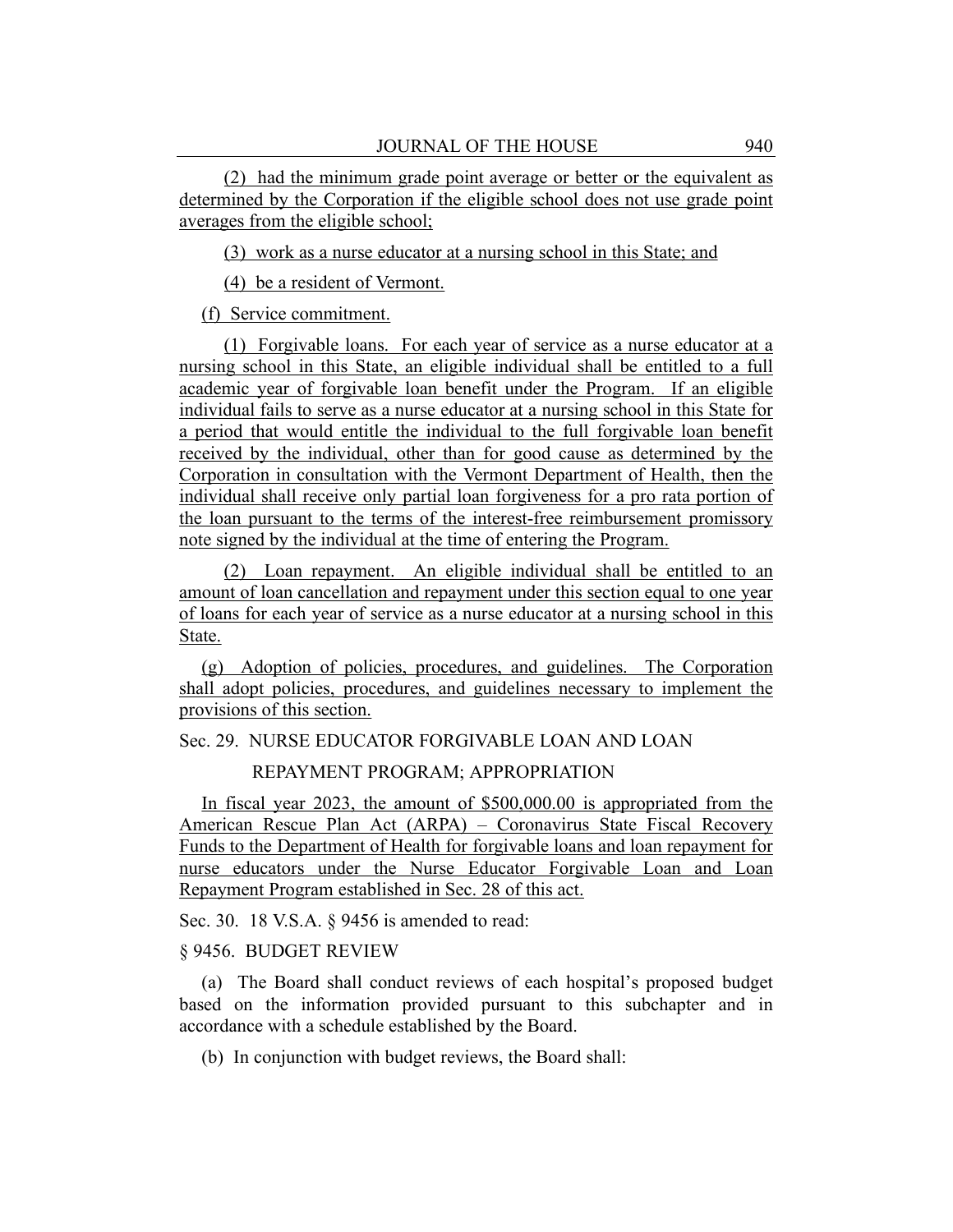(2) had the minimum grade point average or better or the equivalent as determined by the Corporation if the eligible school does not use grade point averages from the eligible school;

(3) work as a nurse educator at a nursing school in this State; and

(4) be a resident of Vermont.

(f) Service commitment.

(1) Forgivable loans. For each year of service as a nurse educator at a nursing school in this State, an eligible individual shall be entitled to a full academic year of forgivable loan benefit under the Program. If an eligible individual fails to serve as a nurse educator at a nursing school in this State for a period that would entitle the individual to the full forgivable loan benefit received by the individual, other than for good cause as determined by the Corporation in consultation with the Vermont Department of Health, then the individual shall receive only partial loan forgiveness for a pro rata portion of the loan pursuant to the terms of the interest-free reimbursement promissory note signed by the individual at the time of entering the Program.

(2) Loan repayment. An eligible individual shall be entitled to an amount of loan cancellation and repayment under this section equal to one year of loans for each year of service as a nurse educator at a nursing school in this State.

(g) Adoption of policies, procedures, and guidelines. The Corporation shall adopt policies, procedures, and guidelines necessary to implement the provisions of this section.

Sec. 29. NURSE EDUCATOR FORGIVABLE LOAN AND LOAN

#### REPAYMENT PROGRAM; APPROPRIATION

In fiscal year 2023, the amount of \$500,000.00 is appropriated from the American Rescue Plan Act (ARPA) – Coronavirus State Fiscal Recovery Funds to the Department of Health for forgivable loans and loan repayment for nurse educators under the Nurse Educator Forgivable Loan and Loan Repayment Program established in Sec. 28 of this act.

Sec. 30. 18 V.S.A. § 9456 is amended to read:

#### § 9456. BUDGET REVIEW

(a) The Board shall conduct reviews of each hospital's proposed budget based on the information provided pursuant to this subchapter and in accordance with a schedule established by the Board.

(b) In conjunction with budget reviews, the Board shall: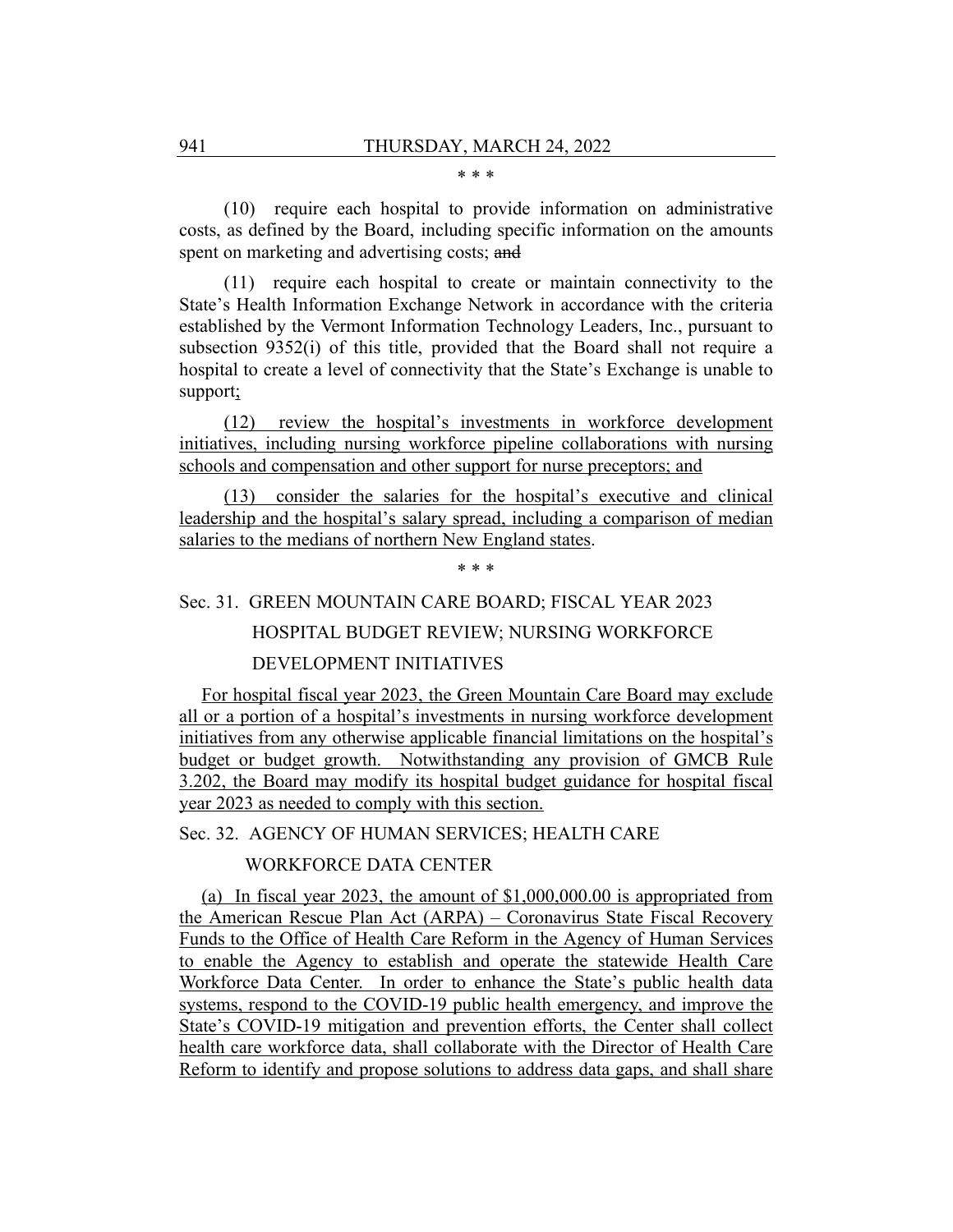#### \* \* \*

(10) require each hospital to provide information on administrative costs, as defined by the Board, including specific information on the amounts spent on marketing and advertising costs; and

(11) require each hospital to create or maintain connectivity to the State's Health Information Exchange Network in accordance with the criteria established by the Vermont Information Technology Leaders, Inc., pursuant to subsection 9352(i) of this title, provided that the Board shall not require a hospital to create a level of connectivity that the State's Exchange is unable to support;

(12) review the hospital's investments in workforce development initiatives, including nursing workforce pipeline collaborations with nursing schools and compensation and other support for nurse preceptors; and

(13) consider the salaries for the hospital's executive and clinical leadership and the hospital's salary spread, including a comparison of median salaries to the medians of northern New England states.

\* \* \*

# Sec. 31. GREEN MOUNTAIN CARE BOARD; FISCAL YEAR 2023

# HOSPITAL BUDGET REVIEW; NURSING WORKFORCE DEVELOPMENT INITIATIVES

For hospital fiscal year 2023, the Green Mountain Care Board may exclude all or a portion of a hospital's investments in nursing workforce development initiatives from any otherwise applicable financial limitations on the hospital's budget or budget growth. Notwithstanding any provision of GMCB Rule 3.202, the Board may modify its hospital budget guidance for hospital fiscal year 2023 as needed to comply with this section.

Sec. 32. AGENCY OF HUMAN SERVICES; HEALTH CARE

#### WORKFORCE DATA CENTER

(a) In fiscal year 2023, the amount of \$1,000,000.00 is appropriated from the American Rescue Plan Act (ARPA) – Coronavirus State Fiscal Recovery Funds to the Office of Health Care Reform in the Agency of Human Services to enable the Agency to establish and operate the statewide Health Care Workforce Data Center. In order to enhance the State's public health data systems, respond to the COVID-19 public health emergency, and improve the State's COVID-19 mitigation and prevention efforts, the Center shall collect health care workforce data, shall collaborate with the Director of Health Care Reform to identify and propose solutions to address data gaps, and shall share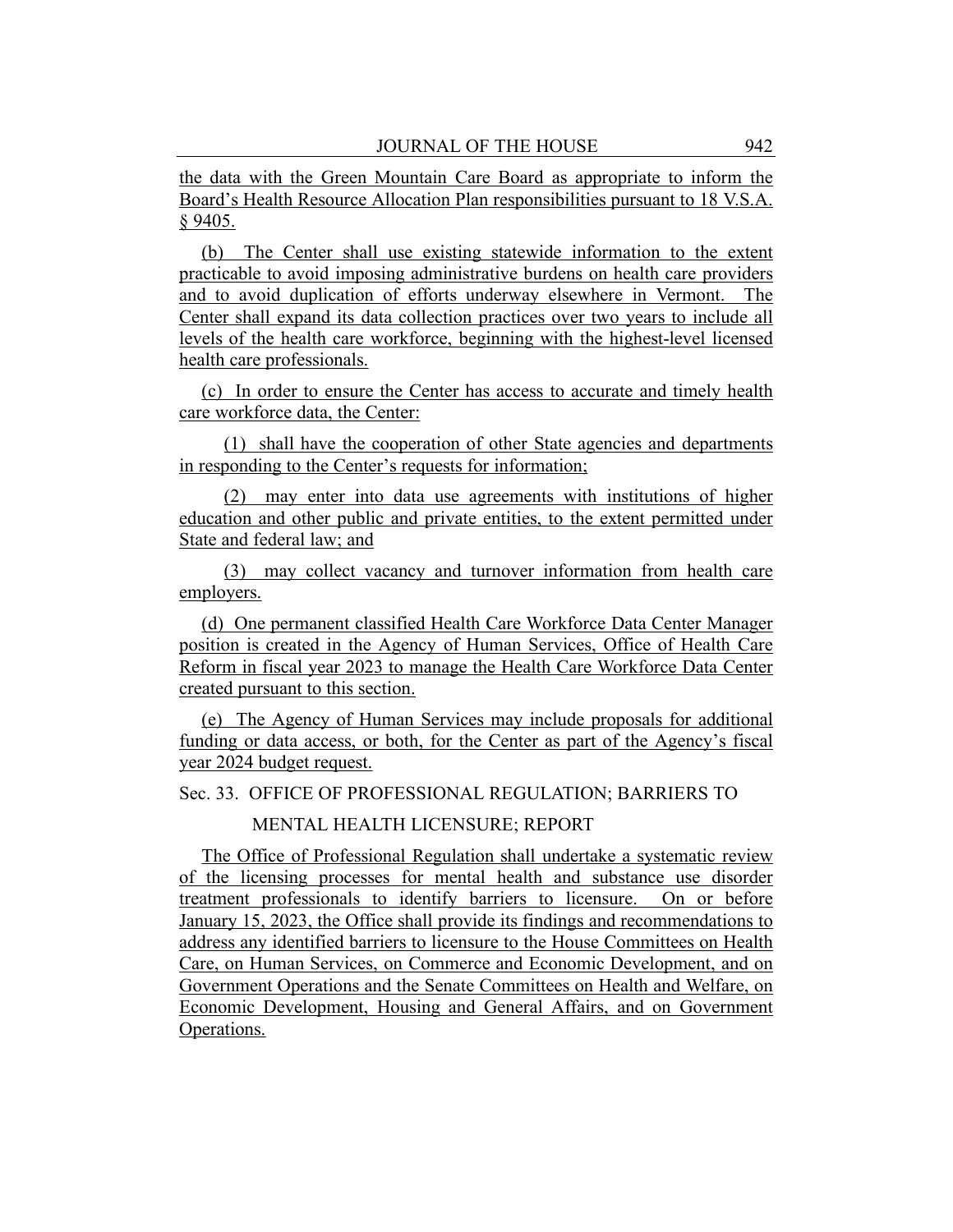the data with the Green Mountain Care Board as appropriate to inform the Board's Health Resource Allocation Plan responsibilities pursuant to 18 V.S.A. § 9405.

(b) The Center shall use existing statewide information to the extent practicable to avoid imposing administrative burdens on health care providers and to avoid duplication of efforts underway elsewhere in Vermont. The Center shall expand its data collection practices over two years to include all levels of the health care workforce, beginning with the highest-level licensed health care professionals.

(c) In order to ensure the Center has access to accurate and timely health care workforce data, the Center:

(1) shall have the cooperation of other State agencies and departments in responding to the Center's requests for information;

(2) may enter into data use agreements with institutions of higher education and other public and private entities, to the extent permitted under State and federal law; and

(3) may collect vacancy and turnover information from health care employers.

(d) One permanent classified Health Care Workforce Data Center Manager position is created in the Agency of Human Services, Office of Health Care Reform in fiscal year 2023 to manage the Health Care Workforce Data Center created pursuant to this section.

(e) The Agency of Human Services may include proposals for additional funding or data access, or both, for the Center as part of the Agency's fiscal year 2024 budget request.

Sec. 33. OFFICE OF PROFESSIONAL REGULATION; BARRIERS TO

MENTAL HEALTH LICENSURE; REPORT

The Office of Professional Regulation shall undertake a systematic review of the licensing processes for mental health and substance use disorder treatment professionals to identify barriers to licensure. On or before January 15, 2023, the Office shall provide its findings and recommendations to address any identified barriers to licensure to the House Committees on Health Care, on Human Services, on Commerce and Economic Development, and on Government Operations and the Senate Committees on Health and Welfare, on Economic Development, Housing and General Affairs, and on Government Operations.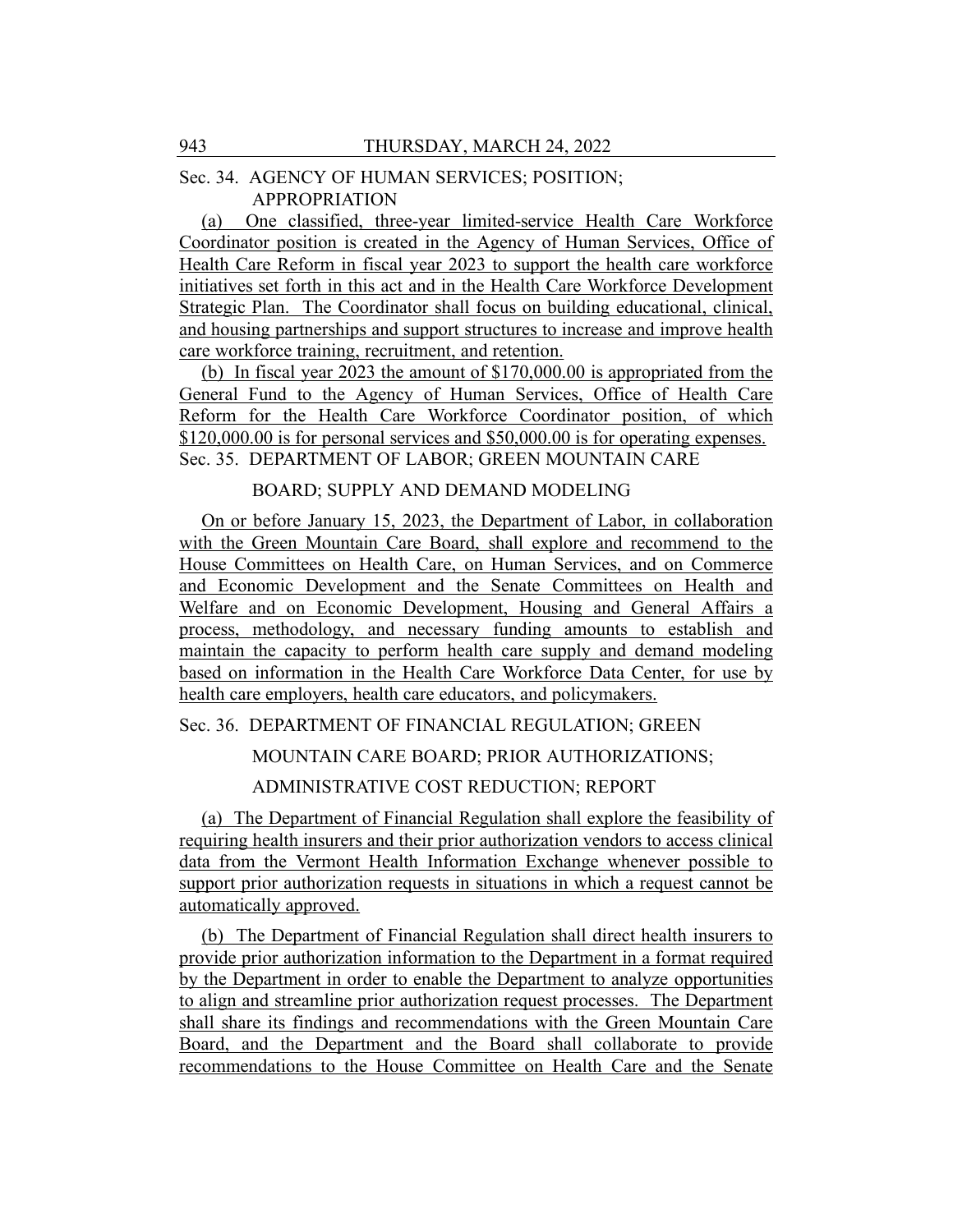#### Sec. 34. AGENCY OF HUMAN SERVICES; POSITION; APPROPRIATION

(a) One classified, three-year limited-service Health Care Workforce Coordinator position is created in the Agency of Human Services, Office of Health Care Reform in fiscal year 2023 to support the health care workforce initiatives set forth in this act and in the Health Care Workforce Development Strategic Plan. The Coordinator shall focus on building educational, clinical, and housing partnerships and support structures to increase and improve health care workforce training, recruitment, and retention.

(b) In fiscal year 2023 the amount of \$170,000.00 is appropriated from the General Fund to the Agency of Human Services, Office of Health Care Reform for the Health Care Workforce Coordinator position, of which \$120,000.00 is for personal services and \$50,000.00 is for operating expenses. Sec. 35. DEPARTMENT OF LABOR; GREEN MOUNTAIN CARE

#### BOARD; SUPPLY AND DEMAND MODELING

On or before January 15, 2023, the Department of Labor, in collaboration with the Green Mountain Care Board, shall explore and recommend to the House Committees on Health Care, on Human Services, and on Commerce and Economic Development and the Senate Committees on Health and Welfare and on Economic Development, Housing and General Affairs a process, methodology, and necessary funding amounts to establish and maintain the capacity to perform health care supply and demand modeling based on information in the Health Care Workforce Data Center, for use by health care employers, health care educators, and policymakers.

Sec. 36. DEPARTMENT OF FINANCIAL REGULATION; GREEN

MOUNTAIN CARE BOARD; PRIOR AUTHORIZATIONS;

ADMINISTRATIVE COST REDUCTION; REPORT

(a) The Department of Financial Regulation shall explore the feasibility of requiring health insurers and their prior authorization vendors to access clinical data from the Vermont Health Information Exchange whenever possible to support prior authorization requests in situations in which a request cannot be automatically approved.

(b) The Department of Financial Regulation shall direct health insurers to provide prior authorization information to the Department in a format required by the Department in order to enable the Department to analyze opportunities to align and streamline prior authorization request processes. The Department shall share its findings and recommendations with the Green Mountain Care Board, and the Department and the Board shall collaborate to provide recommendations to the House Committee on Health Care and the Senate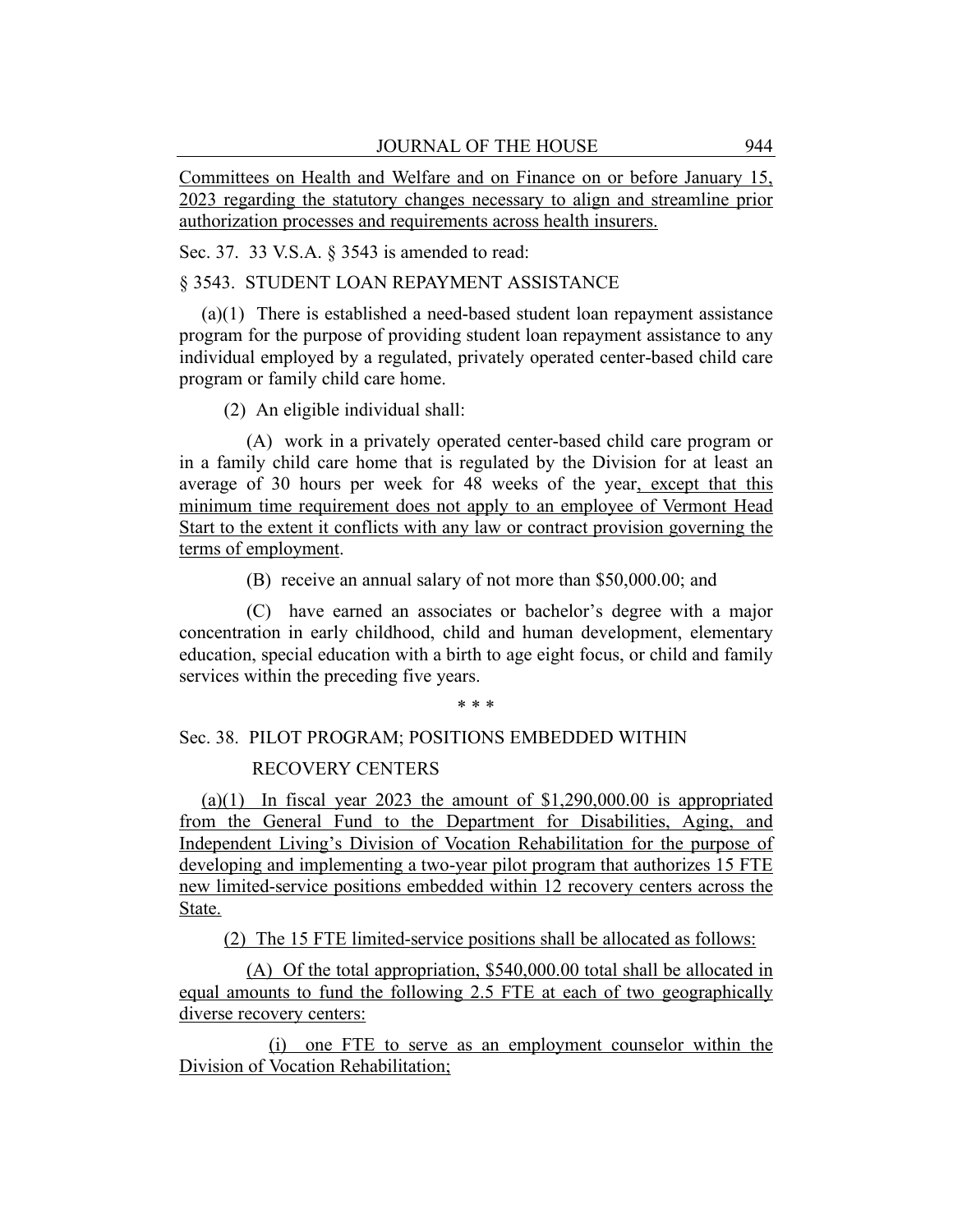Committees on Health and Welfare and on Finance on or before January 15, 2023 regarding the statutory changes necessary to align and streamline prior authorization processes and requirements across health insurers.

Sec. 37. 33 V.S.A. § 3543 is amended to read:

§ 3543. STUDENT LOAN REPAYMENT ASSISTANCE

(a)(1) There is established a need-based student loan repayment assistance program for the purpose of providing student loan repayment assistance to any individual employed by a regulated, privately operated center-based child care program or family child care home.

(2) An eligible individual shall:

(A) work in a privately operated center-based child care program or in a family child care home that is regulated by the Division for at least an average of 30 hours per week for 48 weeks of the year, except that this minimum time requirement does not apply to an employee of Vermont Head Start to the extent it conflicts with any law or contract provision governing the terms of employment.

(B) receive an annual salary of not more than \$50,000.00; and

(C) have earned an associates or bachelor's degree with a major concentration in early childhood, child and human development, elementary education, special education with a birth to age eight focus, or child and family services within the preceding five years.

\* \* \*

## Sec. 38. PILOT PROGRAM; POSITIONS EMBEDDED WITHIN RECOVERY CENTERS

(a)(1) In fiscal year 2023 the amount of  $$1,290,000.00$  is appropriated from the General Fund to the Department for Disabilities, Aging, and Independent Living's Division of Vocation Rehabilitation for the purpose of developing and implementing a two-year pilot program that authorizes 15 FTE new limited-service positions embedded within 12 recovery centers across the State.

(2) The 15 FTE limited-service positions shall be allocated as follows:

(A) Of the total appropriation, \$540,000.00 total shall be allocated in equal amounts to fund the following 2.5 FTE at each of two geographically diverse recovery centers:

(i) one FTE to serve as an employment counselor within the Division of Vocation Rehabilitation;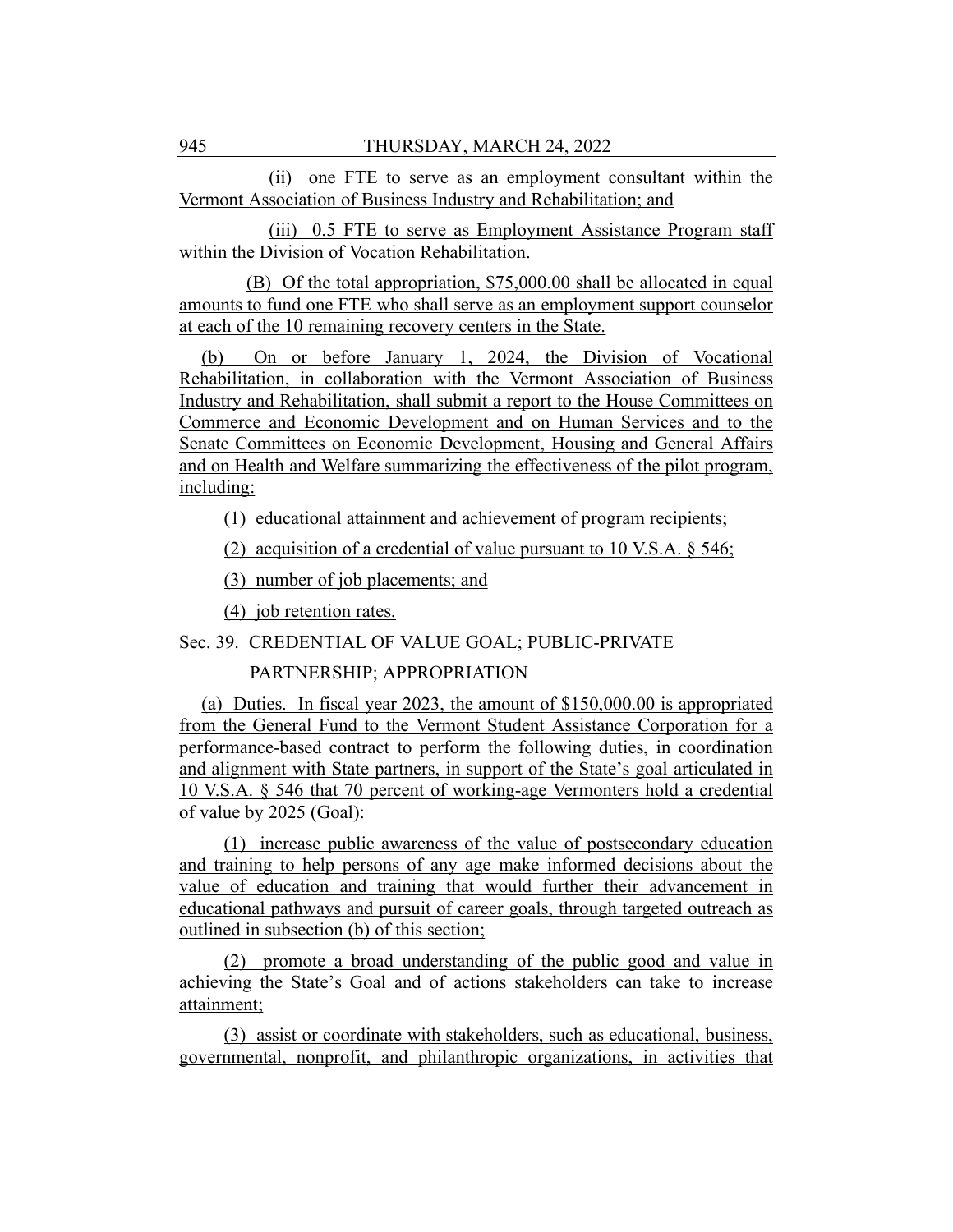(ii) one FTE to serve as an employment consultant within the Vermont Association of Business Industry and Rehabilitation; and

(iii) 0.5 FTE to serve as Employment Assistance Program staff within the Division of Vocation Rehabilitation.

(B) Of the total appropriation, \$75,000.00 shall be allocated in equal amounts to fund one FTE who shall serve as an employment support counselor at each of the 10 remaining recovery centers in the State.

(b) On or before January 1, 2024, the Division of Vocational Rehabilitation, in collaboration with the Vermont Association of Business Industry and Rehabilitation, shall submit a report to the House Committees on Commerce and Economic Development and on Human Services and to the Senate Committees on Economic Development, Housing and General Affairs and on Health and Welfare summarizing the effectiveness of the pilot program, including:

(1) educational attainment and achievement of program recipients;

(2) acquisition of a credential of value pursuant to 10 V.S.A.  $\S$  546;

(3) number of job placements; and

(4) job retention rates.

Sec. 39. CREDENTIAL OF VALUE GOAL; PUBLIC-PRIVATE

#### PARTNERSHIP; APPROPRIATION

(a) Duties. In fiscal year 2023, the amount of \$150,000.00 is appropriated from the General Fund to the Vermont Student Assistance Corporation for a performance-based contract to perform the following duties, in coordination and alignment with State partners, in support of the State's goal articulated in 10 V.S.A. § 546 that 70 percent of working-age Vermonters hold a credential of value by 2025 (Goal):

(1) increase public awareness of the value of postsecondary education and training to help persons of any age make informed decisions about the value of education and training that would further their advancement in educational pathways and pursuit of career goals, through targeted outreach as outlined in subsection (b) of this section;

(2) promote a broad understanding of the public good and value in achieving the State's Goal and of actions stakeholders can take to increase attainment;

(3) assist or coordinate with stakeholders, such as educational, business, governmental, nonprofit, and philanthropic organizations, in activities that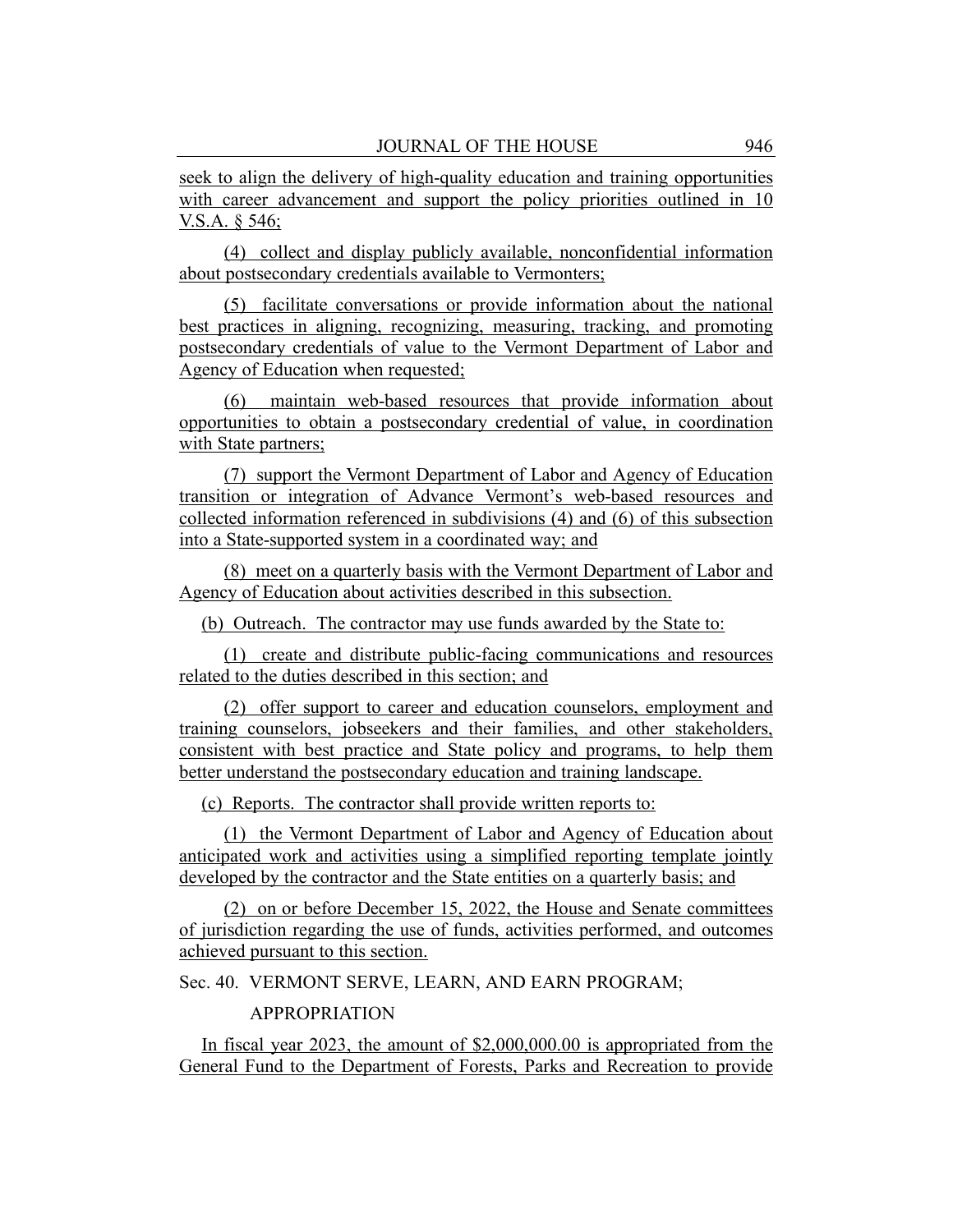seek to align the delivery of high-quality education and training opportunities with career advancement and support the policy priorities outlined in 10 V.S.A. § 546;

(4) collect and display publicly available, nonconfidential information about postsecondary credentials available to Vermonters;

(5) facilitate conversations or provide information about the national best practices in aligning, recognizing, measuring, tracking, and promoting postsecondary credentials of value to the Vermont Department of Labor and Agency of Education when requested;

(6) maintain web-based resources that provide information about opportunities to obtain a postsecondary credential of value, in coordination with State partners;

(7) support the Vermont Department of Labor and Agency of Education transition or integration of Advance Vermont's web-based resources and collected information referenced in subdivisions (4) and (6) of this subsection into a State-supported system in a coordinated way; and

(8) meet on a quarterly basis with the Vermont Department of Labor and Agency of Education about activities described in this subsection.

(b) Outreach. The contractor may use funds awarded by the State to:

(1) create and distribute public-facing communications and resources related to the duties described in this section; and

(2) offer support to career and education counselors, employment and training counselors, jobseekers and their families, and other stakeholders, consistent with best practice and State policy and programs, to help them better understand the postsecondary education and training landscape.

(c) Reports. The contractor shall provide written reports to:

(1) the Vermont Department of Labor and Agency of Education about anticipated work and activities using a simplified reporting template jointly developed by the contractor and the State entities on a quarterly basis; and

(2) on or before December 15, 2022, the House and Senate committees of jurisdiction regarding the use of funds, activities performed, and outcomes achieved pursuant to this section.

Sec. 40. VERMONT SERVE, LEARN, AND EARN PROGRAM;

#### APPROPRIATION

In fiscal year 2023, the amount of \$2,000,000.00 is appropriated from the General Fund to the Department of Forests, Parks and Recreation to provide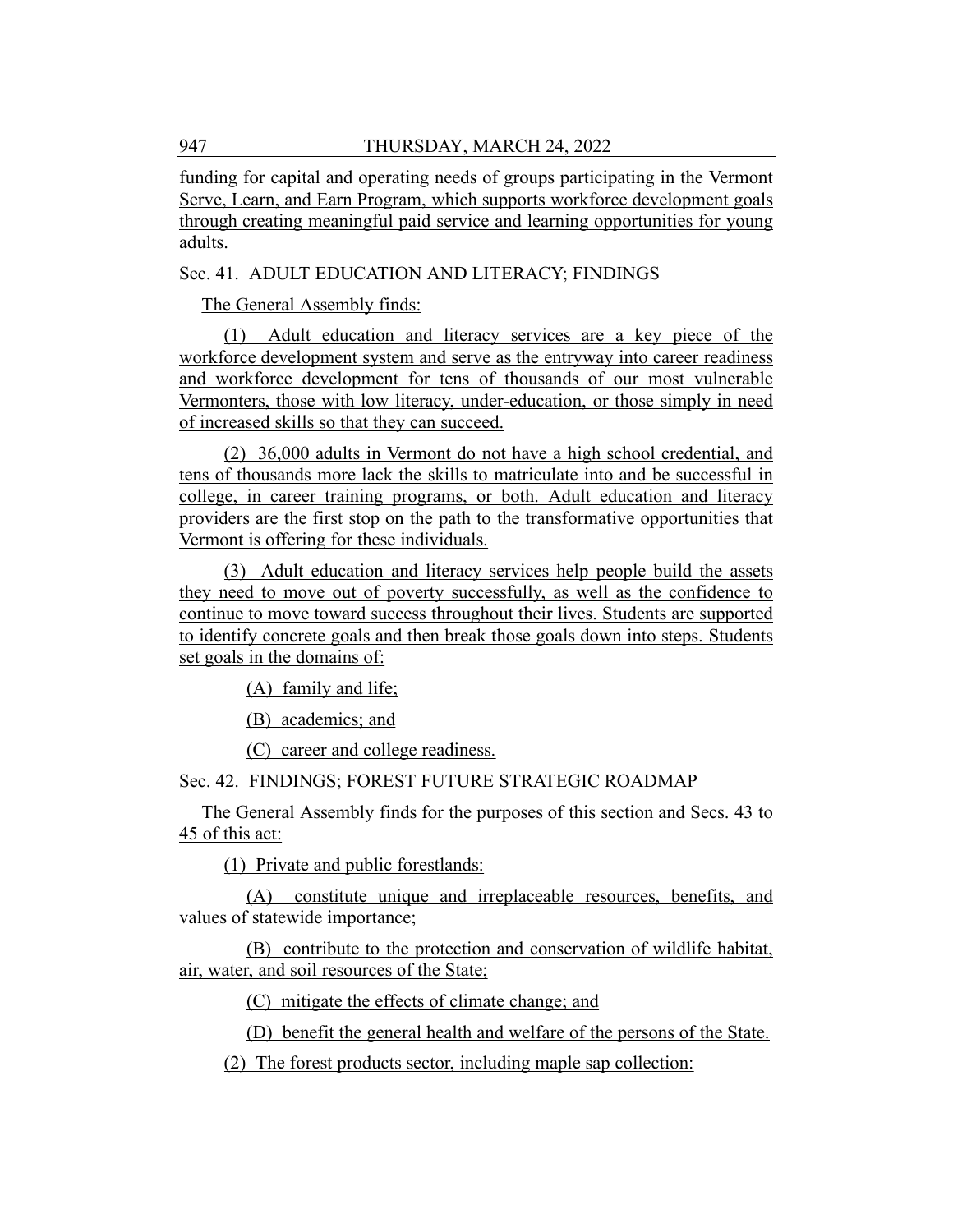funding for capital and operating needs of groups participating in the Vermont Serve, Learn, and Earn Program, which supports workforce development goals through creating meaningful paid service and learning opportunities for young adults.

#### Sec. 41. ADULT EDUCATION AND LITERACY; FINDINGS

The General Assembly finds:

(1) Adult education and literacy services are a key piece of the workforce development system and serve as the entryway into career readiness and workforce development for tens of thousands of our most vulnerable Vermonters, those with low literacy, under-education, or those simply in need of increased skills so that they can succeed.

(2) 36,000 adults in Vermont do not have a high school credential, and tens of thousands more lack the skills to matriculate into and be successful in college, in career training programs, or both. Adult education and literacy providers are the first stop on the path to the transformative opportunities that Vermont is offering for these individuals.

(3) Adult education and literacy services help people build the assets they need to move out of poverty successfully, as well as the confidence to continue to move toward success throughout their lives. Students are supported to identify concrete goals and then break those goals down into steps. Students set goals in the domains of:

(A) family and life;

(B) academics; and

(C) career and college readiness.

Sec. 42. FINDINGS; FOREST FUTURE STRATEGIC ROADMAP

The General Assembly finds for the purposes of this section and Secs. 43 to 45 of this act:

(1) Private and public forestlands:

(A) constitute unique and irreplaceable resources, benefits, and values of statewide importance;

(B) contribute to the protection and conservation of wildlife habitat, air, water, and soil resources of the State;

(C) mitigate the effects of climate change; and

(D) benefit the general health and welfare of the persons of the State.

(2) The forest products sector, including maple sap collection: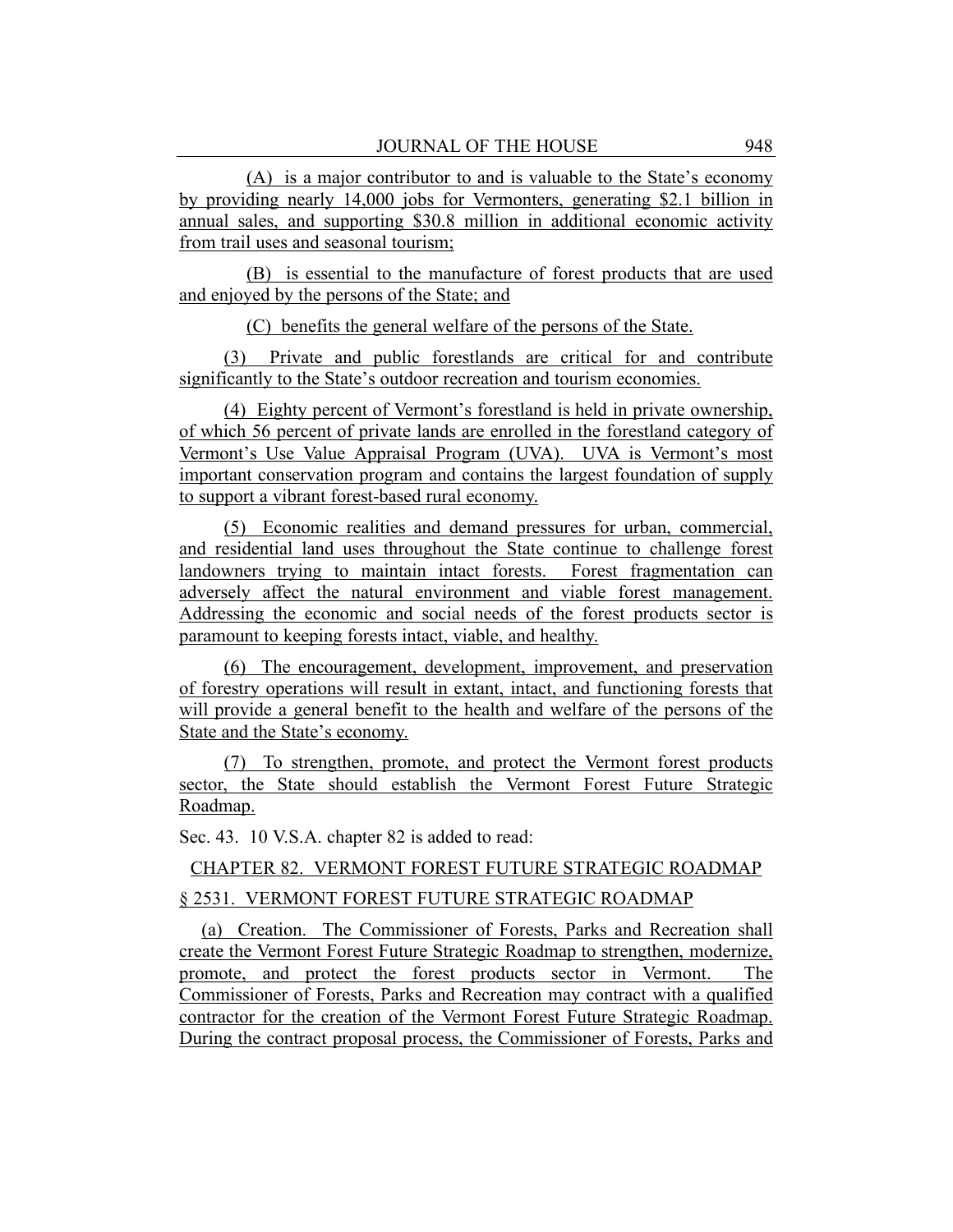(A) is a major contributor to and is valuable to the State's economy by providing nearly 14,000 jobs for Vermonters, generating \$2.1 billion in annual sales, and supporting \$30.8 million in additional economic activity from trail uses and seasonal tourism;

(B) is essential to the manufacture of forest products that are used and enjoyed by the persons of the State; and

(C) benefits the general welfare of the persons of the State.

(3) Private and public forestlands are critical for and contribute significantly to the State's outdoor recreation and tourism economies.

(4) Eighty percent of Vermont's forestland is held in private ownership, of which 56 percent of private lands are enrolled in the forestland category of Vermont's Use Value Appraisal Program (UVA). UVA is Vermont's most important conservation program and contains the largest foundation of supply to support a vibrant forest-based rural economy.

(5) Economic realities and demand pressures for urban, commercial, and residential land uses throughout the State continue to challenge forest landowners trying to maintain intact forests. Forest fragmentation can adversely affect the natural environment and viable forest management. Addressing the economic and social needs of the forest products sector is paramount to keeping forests intact, viable, and healthy.

(6) The encouragement, development, improvement, and preservation of forestry operations will result in extant, intact, and functioning forests that will provide a general benefit to the health and welfare of the persons of the State and the State's economy.

(7) To strengthen, promote, and protect the Vermont forest products sector, the State should establish the Vermont Forest Future Strategic Roadmap.

Sec. 43. 10 V.S.A. chapter 82 is added to read:

CHAPTER 82. VERMONT FOREST FUTURE STRATEGIC ROADMAP § 2531. VERMONT FOREST FUTURE STRATEGIC ROADMAP

(a) Creation. The Commissioner of Forests, Parks and Recreation shall create the Vermont Forest Future Strategic Roadmap to strengthen, modernize, promote, and protect the forest products sector in Vermont. The Commissioner of Forests, Parks and Recreation may contract with a qualified contractor for the creation of the Vermont Forest Future Strategic Roadmap. During the contract proposal process, the Commissioner of Forests, Parks and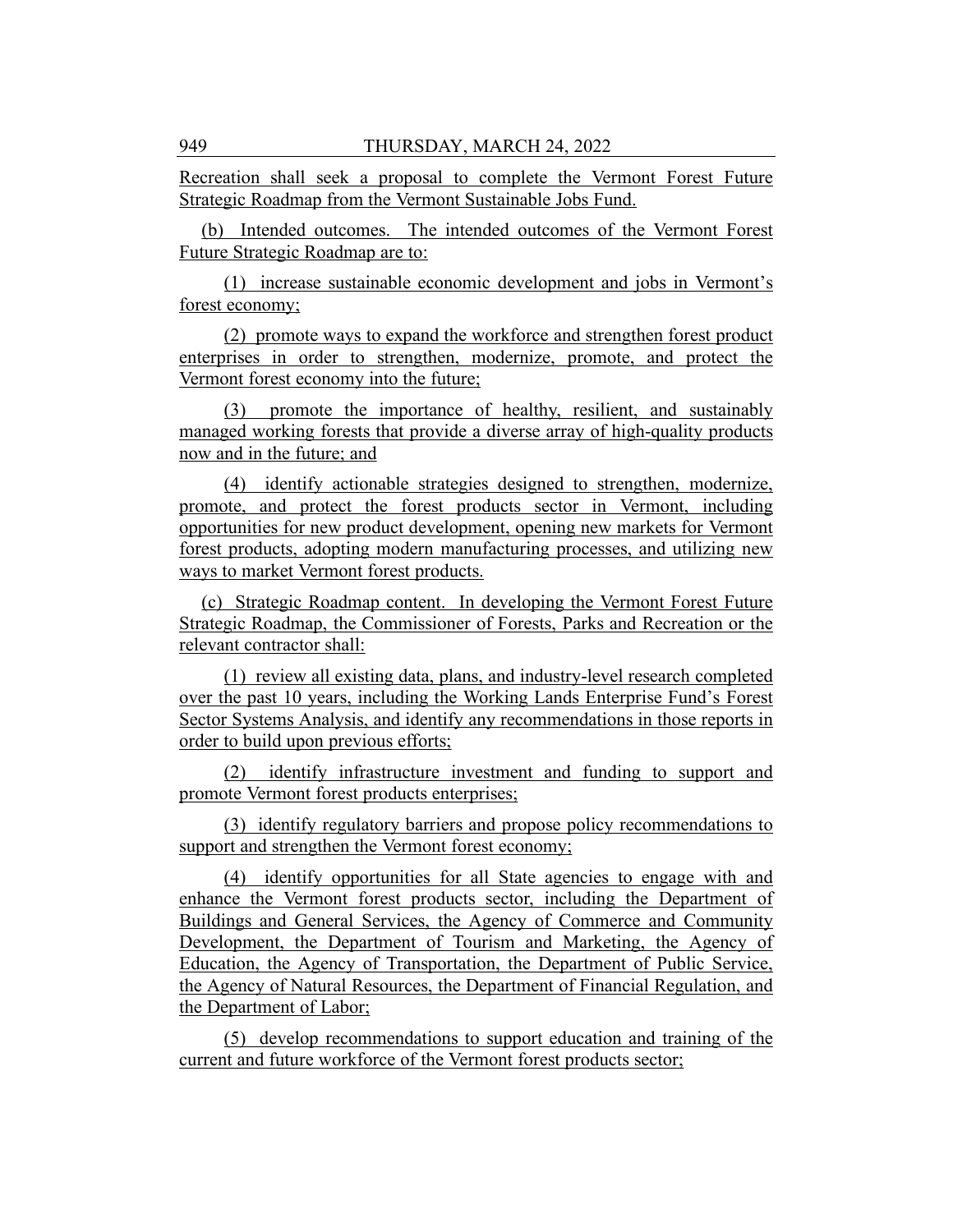Recreation shall seek a proposal to complete the Vermont Forest Future Strategic Roadmap from the Vermont Sustainable Jobs Fund.

(b) Intended outcomes. The intended outcomes of the Vermont Forest Future Strategic Roadmap are to:

(1) increase sustainable economic development and jobs in Vermont's forest economy;

(2) promote ways to expand the workforce and strengthen forest product enterprises in order to strengthen, modernize, promote, and protect the Vermont forest economy into the future;

(3) promote the importance of healthy, resilient, and sustainably managed working forests that provide a diverse array of high-quality products now and in the future; and

(4) identify actionable strategies designed to strengthen, modernize, promote, and protect the forest products sector in Vermont, including opportunities for new product development, opening new markets for Vermont forest products, adopting modern manufacturing processes, and utilizing new ways to market Vermont forest products.

(c) Strategic Roadmap content. In developing the Vermont Forest Future Strategic Roadmap, the Commissioner of Forests, Parks and Recreation or the relevant contractor shall:

(1) review all existing data, plans, and industry-level research completed over the past 10 years, including the Working Lands Enterprise Fund's Forest Sector Systems Analysis, and identify any recommendations in those reports in order to build upon previous efforts;

(2) identify infrastructure investment and funding to support and promote Vermont forest products enterprises;

(3) identify regulatory barriers and propose policy recommendations to support and strengthen the Vermont forest economy;

(4) identify opportunities for all State agencies to engage with and enhance the Vermont forest products sector, including the Department of Buildings and General Services, the Agency of Commerce and Community Development, the Department of Tourism and Marketing, the Agency of Education, the Agency of Transportation, the Department of Public Service, the Agency of Natural Resources, the Department of Financial Regulation, and the Department of Labor;

(5) develop recommendations to support education and training of the current and future workforce of the Vermont forest products sector;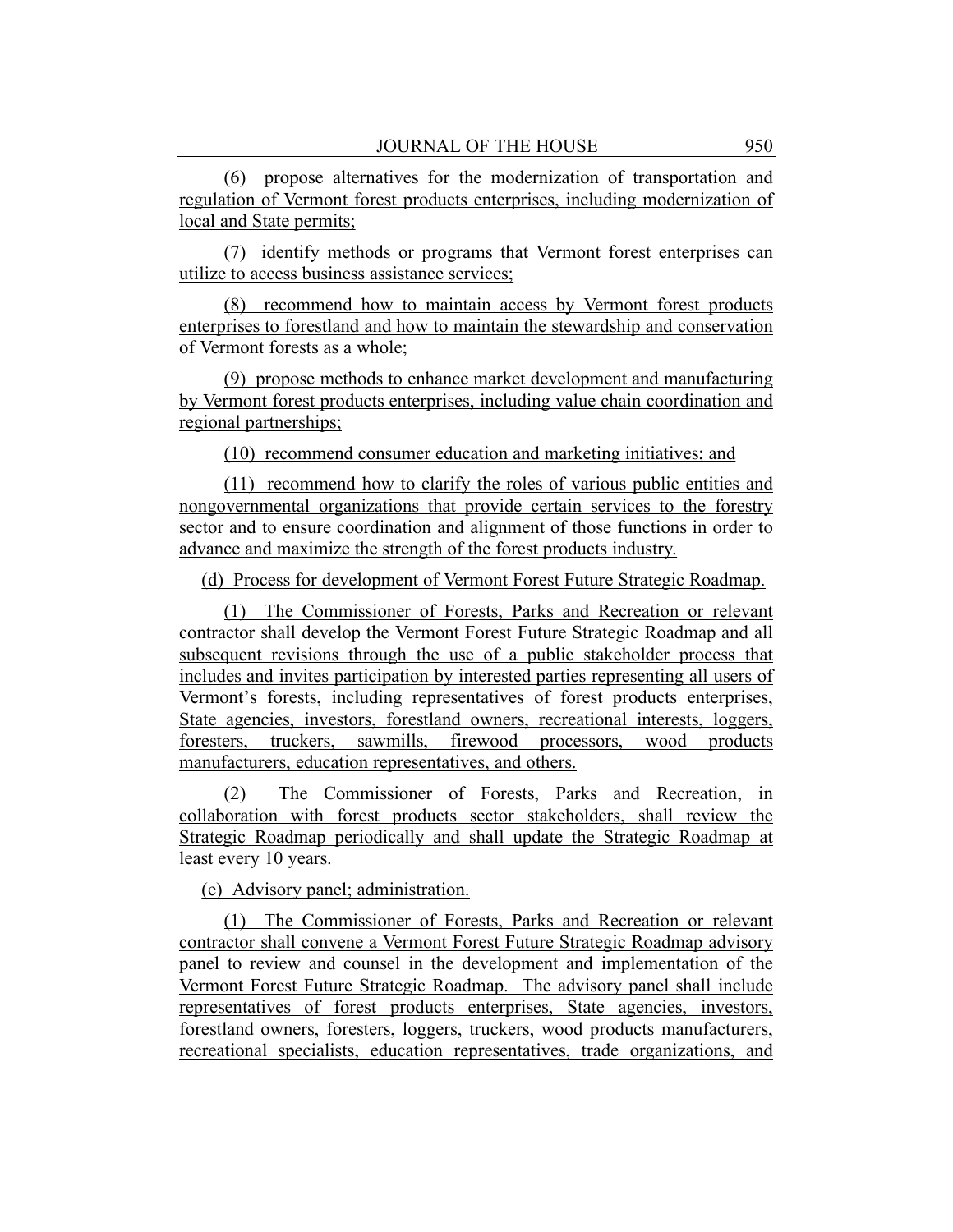(6) propose alternatives for the modernization of transportation and regulation of Vermont forest products enterprises, including modernization of local and State permits;

(7) identify methods or programs that Vermont forest enterprises can utilize to access business assistance services;

(8) recommend how to maintain access by Vermont forest products enterprises to forestland and how to maintain the stewardship and conservation of Vermont forests as a whole;

(9) propose methods to enhance market development and manufacturing by Vermont forest products enterprises, including value chain coordination and regional partnerships;

(10) recommend consumer education and marketing initiatives; and

(11) recommend how to clarify the roles of various public entities and nongovernmental organizations that provide certain services to the forestry sector and to ensure coordination and alignment of those functions in order to advance and maximize the strength of the forest products industry.

(d) Process for development of Vermont Forest Future Strategic Roadmap.

(1) The Commissioner of Forests, Parks and Recreation or relevant contractor shall develop the Vermont Forest Future Strategic Roadmap and all subsequent revisions through the use of a public stakeholder process that includes and invites participation by interested parties representing all users of Vermont's forests, including representatives of forest products enterprises, State agencies, investors, forestland owners, recreational interests, loggers, foresters, truckers, sawmills, firewood processors, wood products manufacturers, education representatives, and others.

(2) The Commissioner of Forests, Parks and Recreation, in collaboration with forest products sector stakeholders, shall review the Strategic Roadmap periodically and shall update the Strategic Roadmap at least every 10 years.

(e) Advisory panel; administration.

(1) The Commissioner of Forests, Parks and Recreation or relevant contractor shall convene a Vermont Forest Future Strategic Roadmap advisory panel to review and counsel in the development and implementation of the Vermont Forest Future Strategic Roadmap. The advisory panel shall include representatives of forest products enterprises, State agencies, investors, forestland owners, foresters, loggers, truckers, wood products manufacturers, recreational specialists, education representatives, trade organizations, and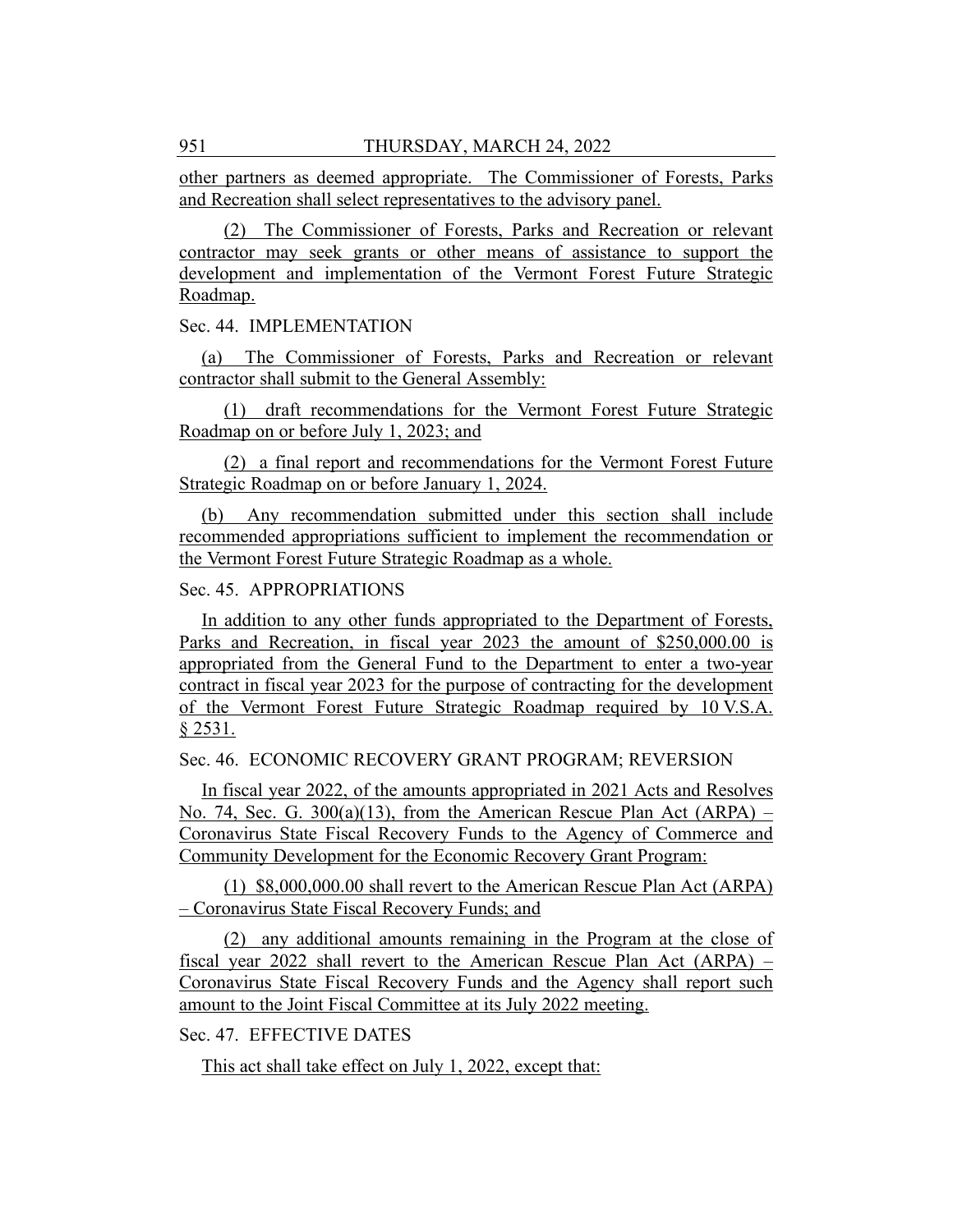other partners as deemed appropriate. The Commissioner of Forests, Parks and Recreation shall select representatives to the advisory panel.

(2) The Commissioner of Forests, Parks and Recreation or relevant contractor may seek grants or other means of assistance to support the development and implementation of the Vermont Forest Future Strategic Roadmap.

# Sec. 44. IMPLEMENTATION

(a) The Commissioner of Forests, Parks and Recreation or relevant contractor shall submit to the General Assembly:

(1) draft recommendations for the Vermont Forest Future Strategic Roadmap on or before July 1, 2023; and

(2) a final report and recommendations for the Vermont Forest Future Strategic Roadmap on or before January 1, 2024.

(b) Any recommendation submitted under this section shall include recommended appropriations sufficient to implement the recommendation or the Vermont Forest Future Strategic Roadmap as a whole.

# Sec. 45. APPROPRIATIONS

In addition to any other funds appropriated to the Department of Forests, Parks and Recreation, in fiscal year 2023 the amount of \$250,000.00 is appropriated from the General Fund to the Department to enter a two-year contract in fiscal year 2023 for the purpose of contracting for the development of the Vermont Forest Future Strategic Roadmap required by 10 V.S.A. § 2531.

### Sec. 46. ECONOMIC RECOVERY GRANT PROGRAM; REVERSION

In fiscal year 2022, of the amounts appropriated in 2021 Acts and Resolves No. 74, Sec. G. 300(a)(13), from the American Rescue Plan Act (ARPA) – Coronavirus State Fiscal Recovery Funds to the Agency of Commerce and Community Development for the Economic Recovery Grant Program:

(1) \$8,000,000.00 shall revert to the American Rescue Plan Act (ARPA) – Coronavirus State Fiscal Recovery Funds; and

(2) any additional amounts remaining in the Program at the close of fiscal year 2022 shall revert to the American Rescue Plan Act (ARPA) – Coronavirus State Fiscal Recovery Funds and the Agency shall report such amount to the Joint Fiscal Committee at its July 2022 meeting.

# Sec. 47. EFFECTIVE DATES

This act shall take effect on July 1, 2022, except that: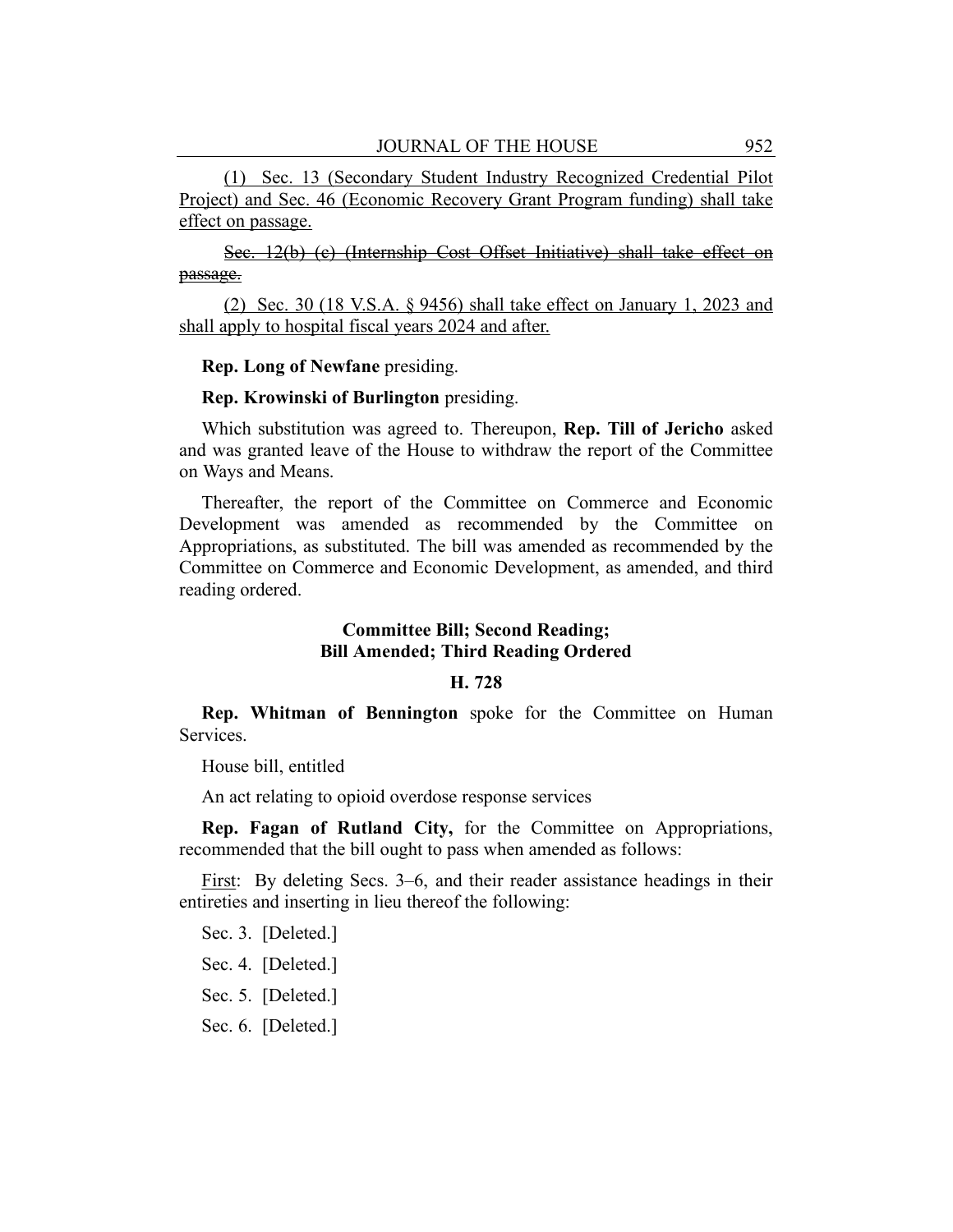(1) Sec. 13 (Secondary Student Industry Recognized Credential Pilot Project) and Sec. 46 (Economic Recovery Grant Program funding) shall take effect on passage.

Sec. 12(b)–(c) (Internship Cost Offset Initiative) shall take effect on passage.

(2) Sec. 30 (18 V.S.A. § 9456) shall take effect on January 1, 2023 and shall apply to hospital fiscal years 2024 and after.

### **Rep. Long of Newfane** presiding.

#### **Rep. Krowinski of Burlington** presiding.

Which substitution was agreed to. Thereupon, **Rep. Till of Jericho** asked and was granted leave of the House to withdraw the report of the Committee on Ways and Means.

Thereafter, the report of the Committee on Commerce and Economic Development was amended as recommended by the Committee on Appropriations, as substituted. The bill was amended as recommended by the Committee on Commerce and Economic Development, as amended, and third reading ordered.

# **Committee Bill; Second Reading; Bill Amended; Third Reading Ordered**

#### **H. 728**

**Rep. Whitman of Bennington** spoke for the Committee on Human Services.

House bill, entitled

An act relating to opioid overdose response services

**Rep. Fagan of Rutland City,** for the Committee on Appropriations, recommended that the bill ought to pass when amended as follows:

First: By deleting Secs. 3–6, and their reader assistance headings in their entireties and inserting in lieu thereof the following:

Sec. 3. [Deleted.]

Sec. 4. [Deleted.]

Sec. 5. [Deleted.]

Sec. 6. [Deleted.]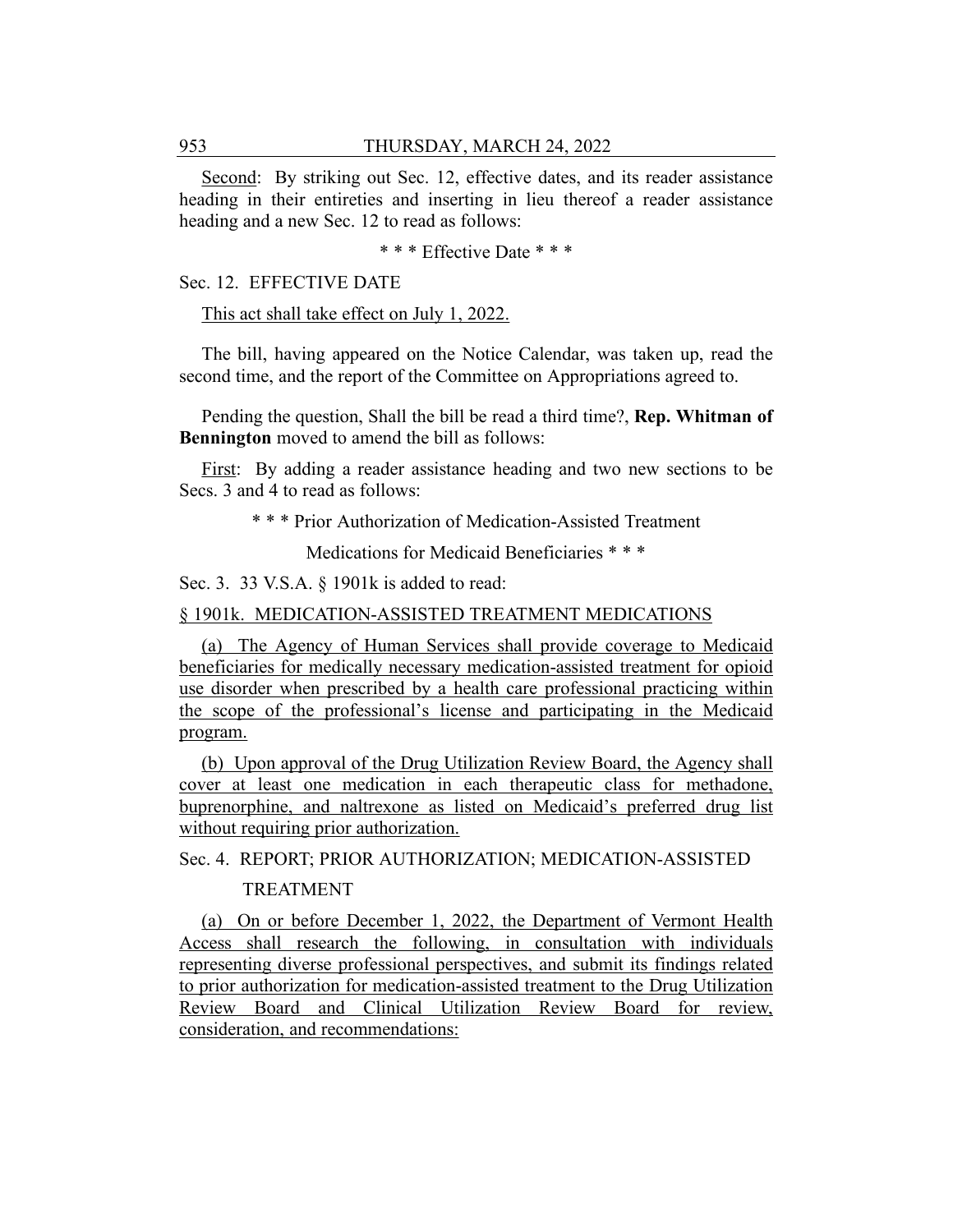Second: By striking out Sec. 12, effective dates, and its reader assistance heading in their entireties and inserting in lieu thereof a reader assistance heading and a new Sec. 12 to read as follows:

\* \* \* Effective Date \* \* \*

Sec. 12. EFFECTIVE DATE

This act shall take effect on July 1, 2022.

The bill, having appeared on the Notice Calendar, was taken up, read the second time, and the report of the Committee on Appropriations agreed to.

Pending the question, Shall the bill be read a third time?, **Rep. Whitman of Bennington** moved to amend the bill as follows:

First: By adding a reader assistance heading and two new sections to be Secs. 3 and 4 to read as follows:

\* \* \* Prior Authorization of Medication-Assisted Treatment

Medications for Medicaid Beneficiaries \* \* \*

Sec. 3. 33 V.S.A. § 1901k is added to read:

# § 1901k. MEDICATION-ASSISTED TREATMENT MEDICATIONS

(a) The Agency of Human Services shall provide coverage to Medicaid beneficiaries for medically necessary medication-assisted treatment for opioid use disorder when prescribed by a health care professional practicing within the scope of the professional's license and participating in the Medicaid program.

(b) Upon approval of the Drug Utilization Review Board, the Agency shall cover at least one medication in each therapeutic class for methadone, buprenorphine, and naltrexone as listed on Medicaid's preferred drug list without requiring prior authorization.

Sec. 4. REPORT; PRIOR AUTHORIZATION; MEDICATION-ASSISTED

### TREATMENT

(a) On or before December 1, 2022, the Department of Vermont Health Access shall research the following, in consultation with individuals representing diverse professional perspectives, and submit its findings related to prior authorization for medication-assisted treatment to the Drug Utilization Review Board and Clinical Utilization Review Board for review, consideration, and recommendations: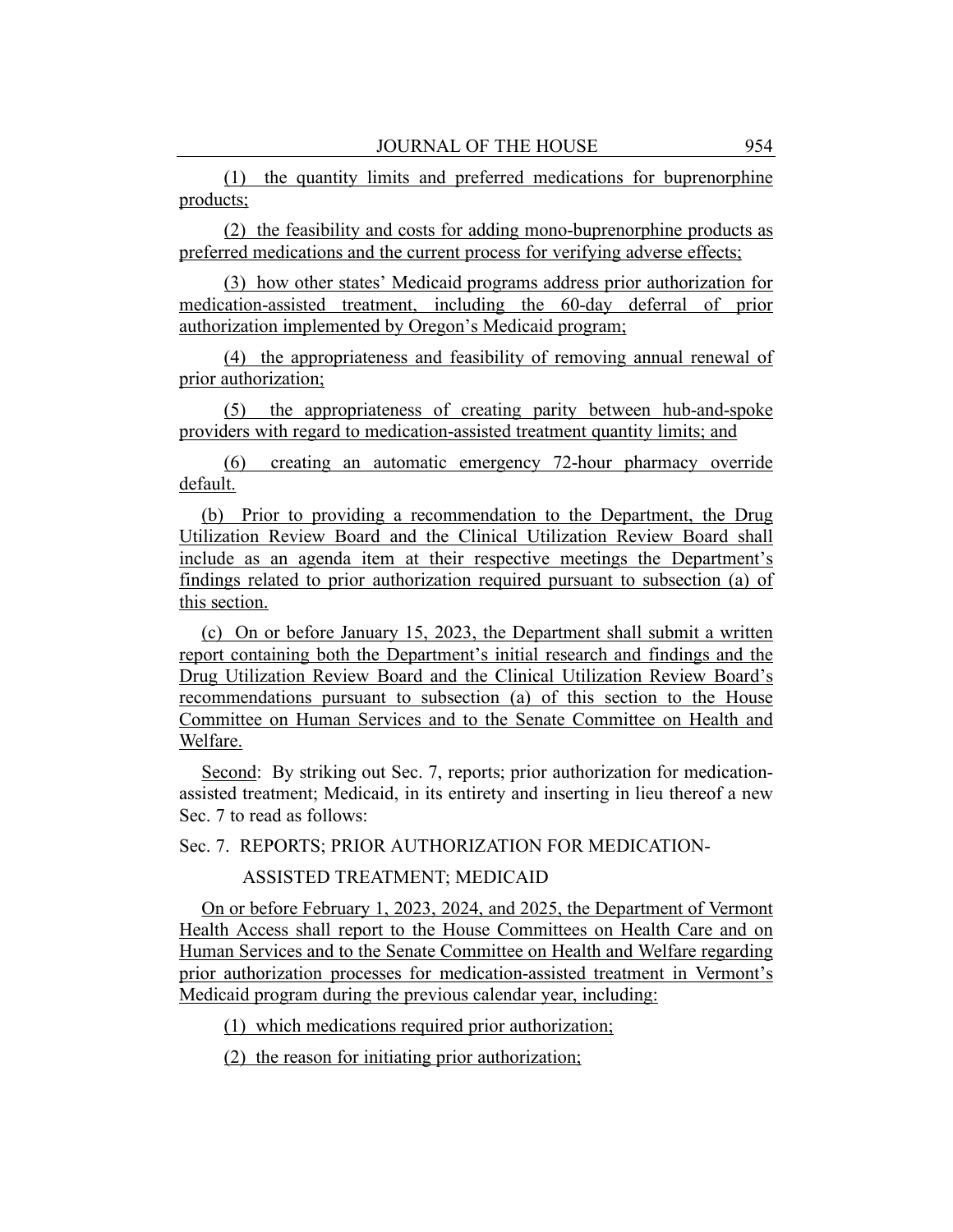(1) the quantity limits and preferred medications for buprenorphine products;

(2) the feasibility and costs for adding mono-buprenorphine products as preferred medications and the current process for verifying adverse effects;

(3) how other states' Medicaid programs address prior authorization for medication-assisted treatment, including the 60-day deferral of prior authorization implemented by Oregon's Medicaid program;

(4) the appropriateness and feasibility of removing annual renewal of prior authorization;

(5) the appropriateness of creating parity between hub-and-spoke providers with regard to medication-assisted treatment quantity limits; and

(6) creating an automatic emergency 72-hour pharmacy override default.

(b) Prior to providing a recommendation to the Department, the Drug Utilization Review Board and the Clinical Utilization Review Board shall include as an agenda item at their respective meetings the Department's findings related to prior authorization required pursuant to subsection (a) of this section.

(c) On or before January 15, 2023, the Department shall submit a written report containing both the Department's initial research and findings and the Drug Utilization Review Board and the Clinical Utilization Review Board's recommendations pursuant to subsection (a) of this section to the House Committee on Human Services and to the Senate Committee on Health and Welfare.

Second: By striking out Sec. 7, reports; prior authorization for medicationassisted treatment; Medicaid, in its entirety and inserting in lieu thereof a new Sec. 7 to read as follows:

Sec. 7. REPORTS; PRIOR AUTHORIZATION FOR MEDICATION-

# ASSISTED TREATMENT; MEDICAID

On or before February 1, 2023, 2024, and 2025, the Department of Vermont Health Access shall report to the House Committees on Health Care and on Human Services and to the Senate Committee on Health and Welfare regarding prior authorization processes for medication-assisted treatment in Vermont's Medicaid program during the previous calendar year, including:

(1) which medications required prior authorization;

(2) the reason for initiating prior authorization;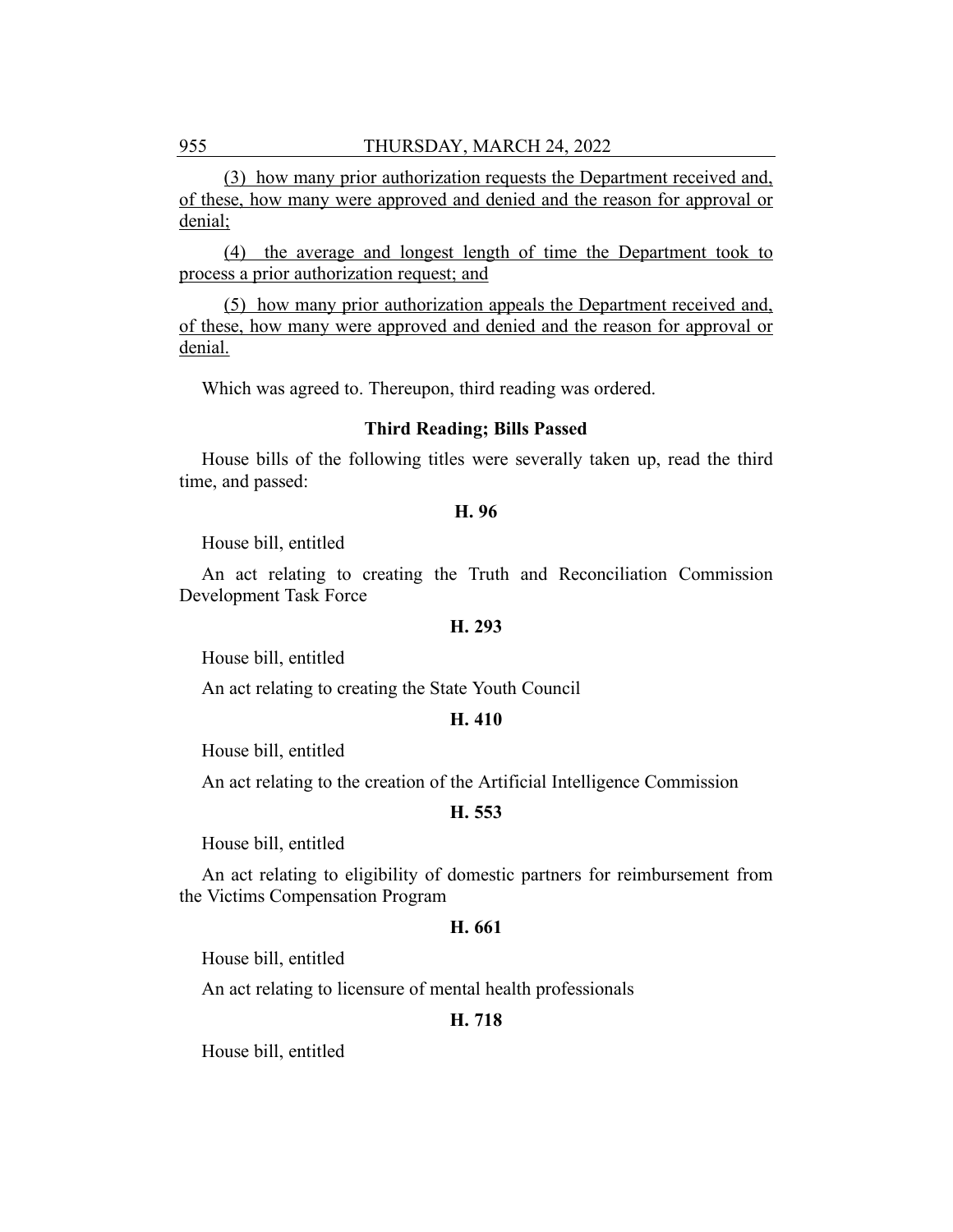(3) how many prior authorization requests the Department received and, of these, how many were approved and denied and the reason for approval or denial;

(4) the average and longest length of time the Department took to process a prior authorization request; and

(5) how many prior authorization appeals the Department received and, of these, how many were approved and denied and the reason for approval or denial.

Which was agreed to. Thereupon, third reading was ordered.

# **Third Reading; Bills Passed**

House bills of the following titles were severally taken up, read the third time, and passed:

# **H. 96**

House bill, entitled

An act relating to creating the Truth and Reconciliation Commission Development Task Force

#### **H. 293**

House bill, entitled

An act relating to creating the State Youth Council

#### **H. 410**

House bill, entitled

An act relating to the creation of the Artificial Intelligence Commission

### **H. 553**

House bill, entitled

An act relating to eligibility of domestic partners for reimbursement from the Victims Compensation Program

### **H. 661**

House bill, entitled

An act relating to licensure of mental health professionals

# **H. 718**

House bill, entitled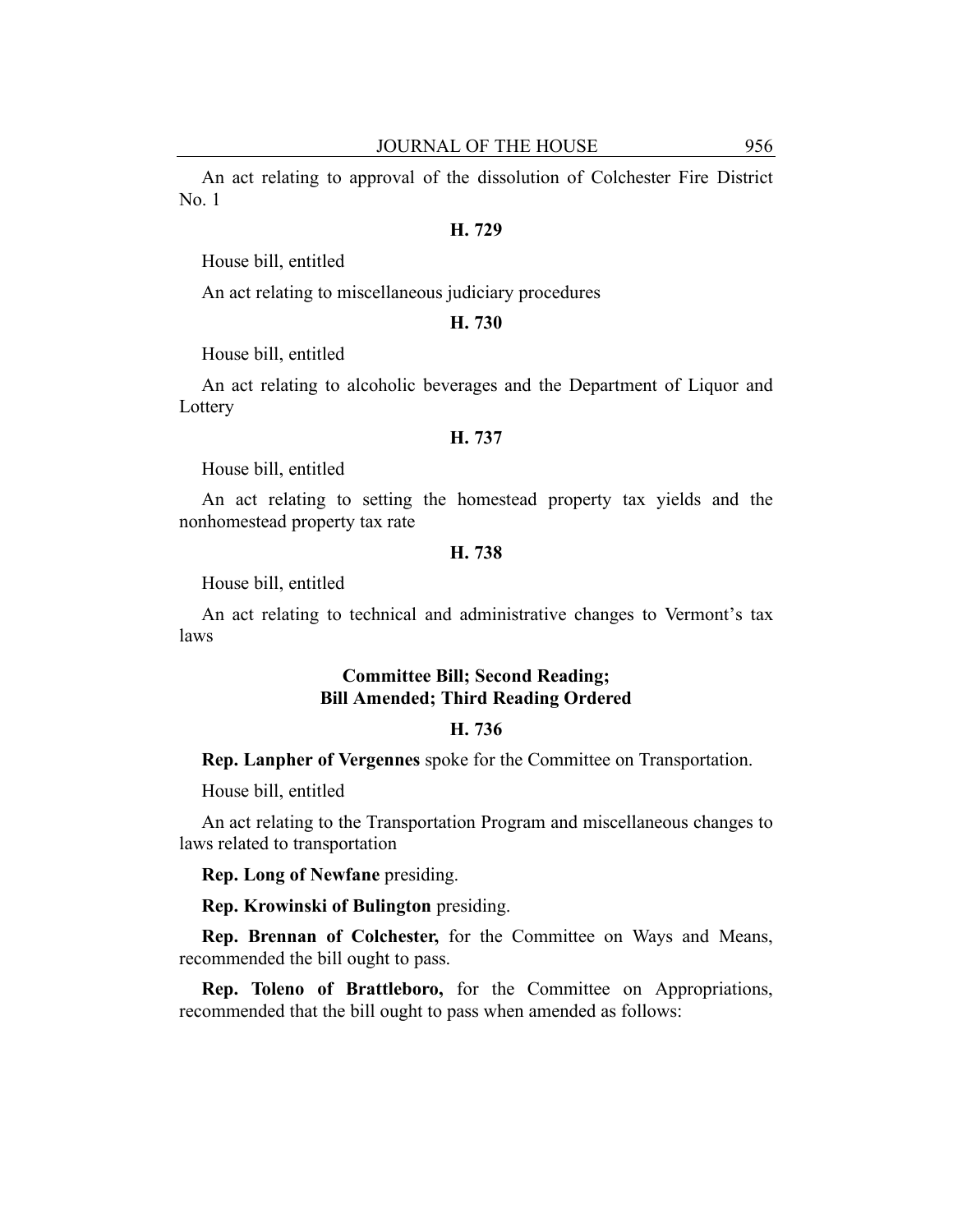An act relating to approval of the dissolution of Colchester Fire District No. 1

#### **H. 729**

House bill, entitled

An act relating to miscellaneous judiciary procedures

#### **H. 730**

House bill, entitled

An act relating to alcoholic beverages and the Department of Liquor and **Lottery** 

### **H. 737**

House bill, entitled

An act relating to setting the homestead property tax yields and the nonhomestead property tax rate

#### **H. 738**

House bill, entitled

An act relating to technical and administrative changes to Vermont's tax laws

# **Committee Bill; Second Reading; Bill Amended; Third Reading Ordered**

#### **H. 736**

**Rep. Lanpher of Vergennes** spoke for the Committee on Transportation.

House bill, entitled

An act relating to the Transportation Program and miscellaneous changes to laws related to transportation

**Rep. Long of Newfane** presiding.

**Rep. Krowinski of Bulington** presiding.

**Rep. Brennan of Colchester,** for the Committee on Ways and Means, recommended the bill ought to pass.

**Rep. Toleno of Brattleboro,** for the Committee on Appropriations, recommended that the bill ought to pass when amended as follows: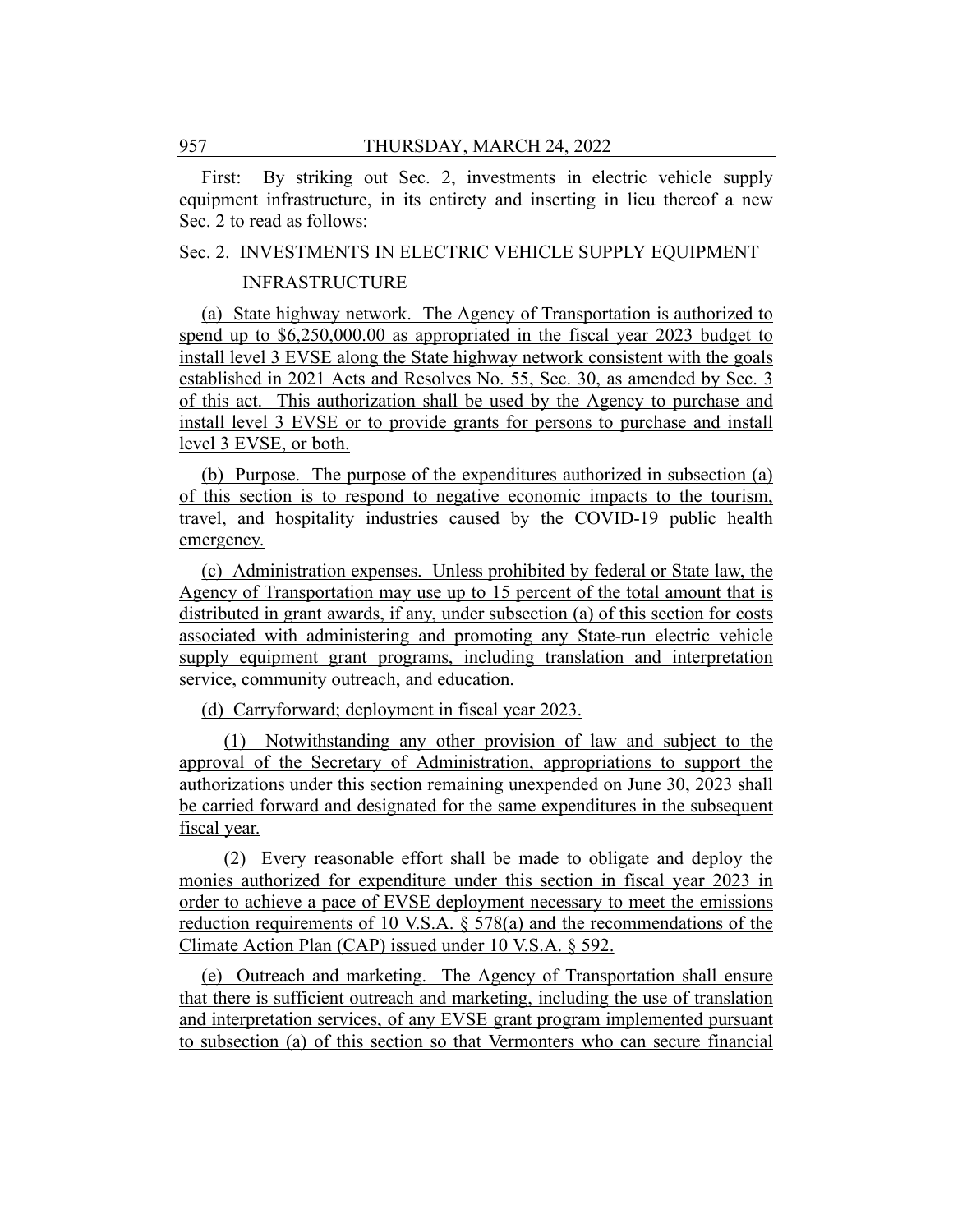First: By striking out Sec. 2, investments in electric vehicle supply equipment infrastructure, in its entirety and inserting in lieu thereof a new Sec. 2 to read as follows:

# Sec. 2. INVESTMENTS IN ELECTRIC VEHICLE SUPPLY EQUIPMENT

### INFRASTRUCTURE

(a) State highway network. The Agency of Transportation is authorized to spend up to \$6,250,000.00 as appropriated in the fiscal year 2023 budget to install level 3 EVSE along the State highway network consistent with the goals established in 2021 Acts and Resolves No. 55, Sec. 30, as amended by Sec. 3 of this act. This authorization shall be used by the Agency to purchase and install level 3 EVSE or to provide grants for persons to purchase and install level 3 EVSE, or both.

(b) Purpose. The purpose of the expenditures authorized in subsection (a) of this section is to respond to negative economic impacts to the tourism, travel, and hospitality industries caused by the COVID-19 public health emergency.

(c) Administration expenses. Unless prohibited by federal or State law, the Agency of Transportation may use up to 15 percent of the total amount that is distributed in grant awards, if any, under subsection (a) of this section for costs associated with administering and promoting any State-run electric vehicle supply equipment grant programs, including translation and interpretation service, community outreach, and education.

(d) Carryforward; deployment in fiscal year 2023.

(1) Notwithstanding any other provision of law and subject to the approval of the Secretary of Administration, appropriations to support the authorizations under this section remaining unexpended on June 30, 2023 shall be carried forward and designated for the same expenditures in the subsequent fiscal year.

(2) Every reasonable effort shall be made to obligate and deploy the monies authorized for expenditure under this section in fiscal year 2023 in order to achieve a pace of EVSE deployment necessary to meet the emissions reduction requirements of 10 V.S.A. § 578(a) and the recommendations of the Climate Action Plan (CAP) issued under 10 V.S.A. § 592.

(e) Outreach and marketing. The Agency of Transportation shall ensure that there is sufficient outreach and marketing, including the use of translation and interpretation services, of any EVSE grant program implemented pursuant to subsection (a) of this section so that Vermonters who can secure financial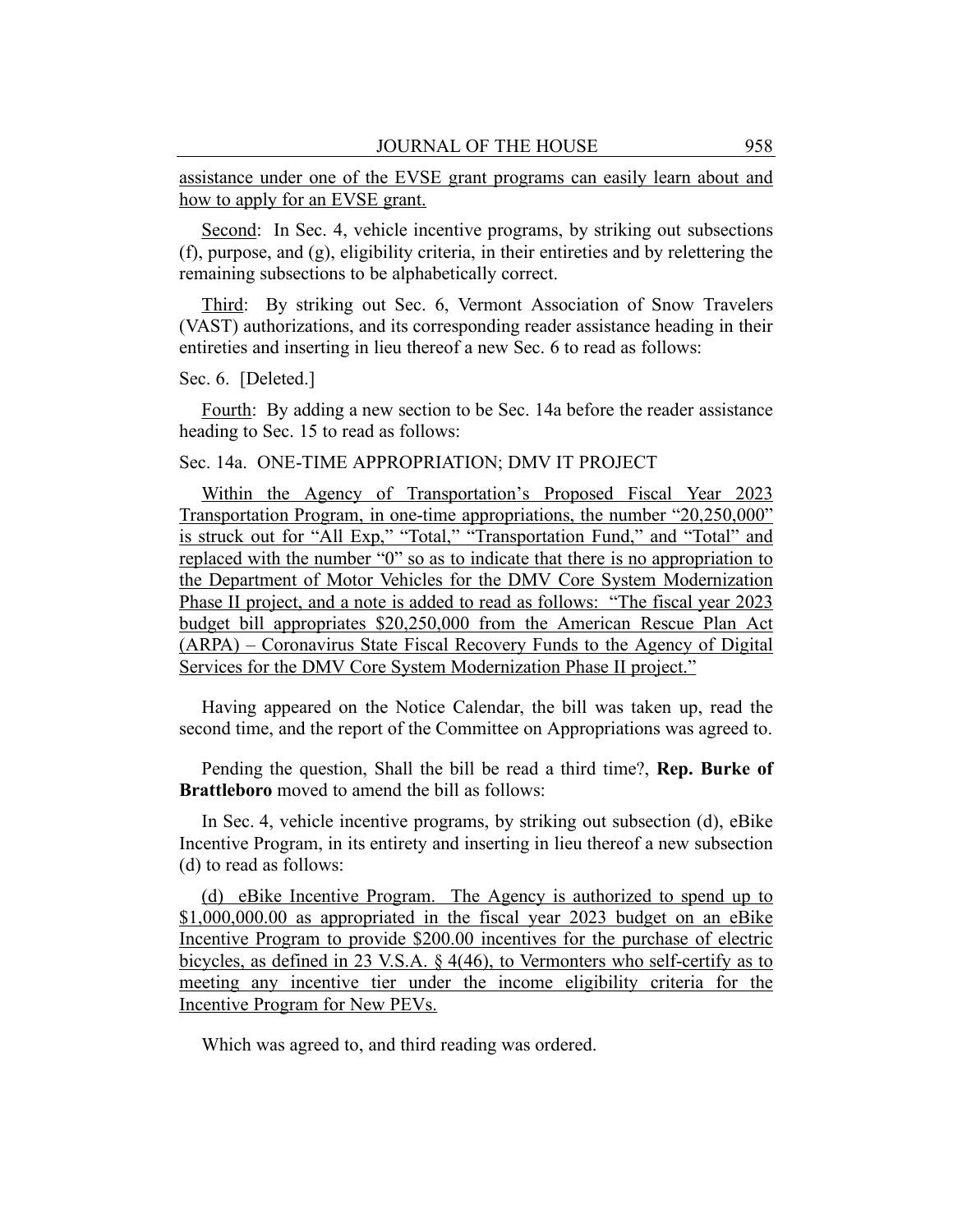assistance under one of the EVSE grant programs can easily learn about and how to apply for an EVSE grant.

Second: In Sec. 4, vehicle incentive programs, by striking out subsections (f), purpose, and (g), eligibility criteria, in their entireties and by relettering the remaining subsections to be alphabetically correct.

Third: By striking out Sec. 6, Vermont Association of Snow Travelers (VAST) authorizations, and its corresponding reader assistance heading in their entireties and inserting in lieu thereof a new Sec. 6 to read as follows:

# Sec. 6. [Deleted.]

Fourth: By adding a new section to be Sec. 14a before the reader assistance heading to Sec. 15 to read as follows:

Sec. 14a. ONE-TIME APPROPRIATION; DMV IT PROJECT

Within the Agency of Transportation's Proposed Fiscal Year 2023 Transportation Program, in one-time appropriations, the number "20,250,000" is struck out for "All Exp," "Total," "Transportation Fund," and "Total" and replaced with the number "0" so as to indicate that there is no appropriation to the Department of Motor Vehicles for the DMV Core System Modernization Phase II project, and a note is added to read as follows: "The fiscal year 2023 budget bill appropriates \$20,250,000 from the American Rescue Plan Act (ARPA) – Coronavirus State Fiscal Recovery Funds to the Agency of Digital Services for the DMV Core System Modernization Phase II project."

Having appeared on the Notice Calendar, the bill was taken up, read the second time, and the report of the Committee on Appropriations was agreed to.

Pending the question, Shall the bill be read a third time?, **Rep. Burke of Brattleboro** moved to amend the bill as follows:

In Sec. 4, vehicle incentive programs, by striking out subsection (d), eBike Incentive Program, in its entirety and inserting in lieu thereof a new subsection (d) to read as follows:

(d) eBike Incentive Program. The Agency is authorized to spend up to \$1,000,000.00 as appropriated in the fiscal year 2023 budget on an eBike Incentive Program to provide \$200.00 incentives for the purchase of electric bicycles, as defined in 23 V.S.A. § 4(46), to Vermonters who self-certify as to meeting any incentive tier under the income eligibility criteria for the Incentive Program for New PEVs.

Which was agreed to, and third reading was ordered.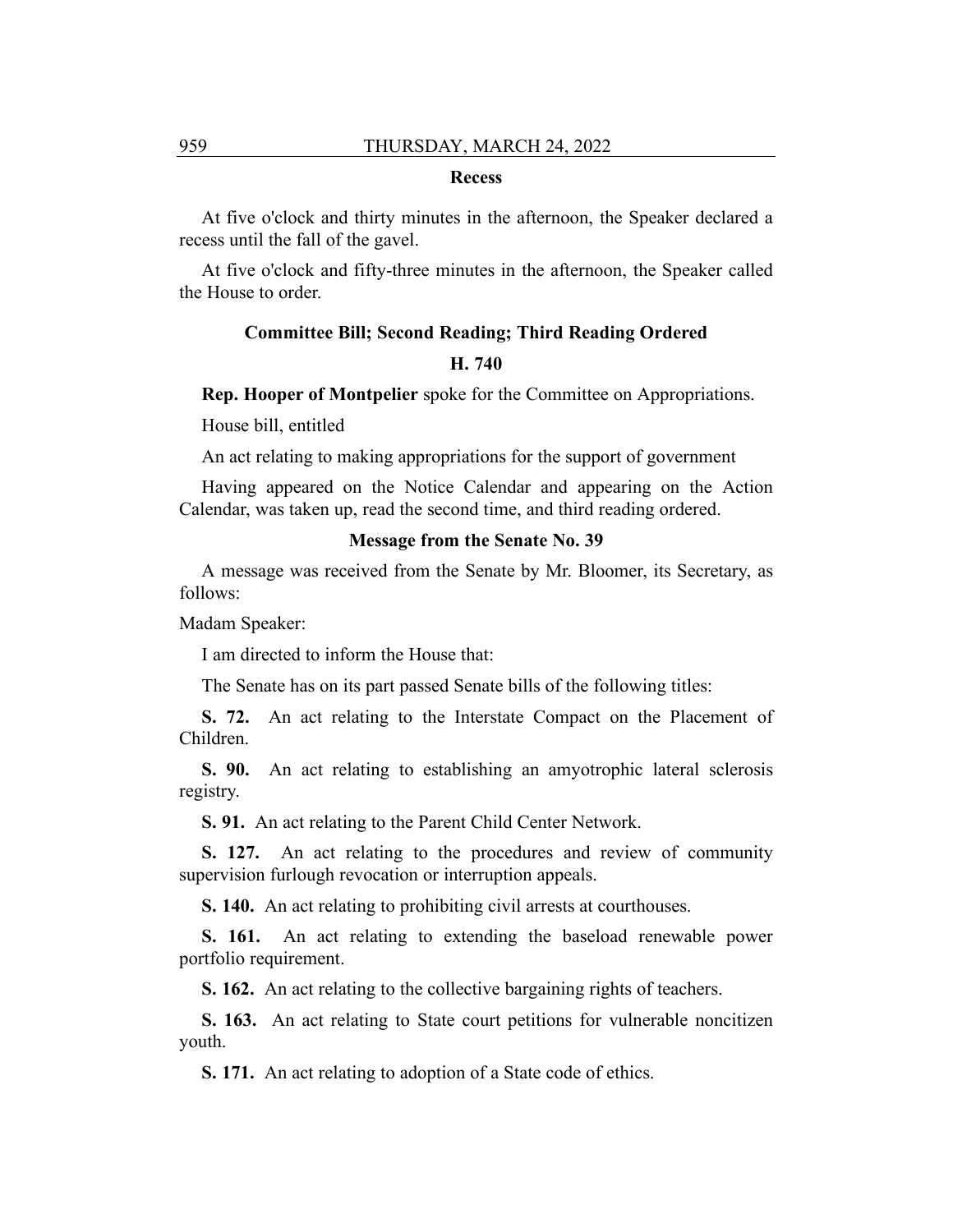#### **Recess**

At five o'clock and thirty minutes in the afternoon, the Speaker declared a recess until the fall of the gavel.

At five o'clock and fifty-three minutes in the afternoon, the Speaker called the House to order.

# **Committee Bill; Second Reading; Third Reading Ordered**

# **H. 740**

**Rep. Hooper of Montpelier** spoke for the Committee on Appropriations.

House bill, entitled

An act relating to making appropriations for the support of government

Having appeared on the Notice Calendar and appearing on the Action Calendar, was taken up, read the second time, and third reading ordered.

# **Message from the Senate No. 39**

A message was received from the Senate by Mr. Bloomer, its Secretary, as follows:

Madam Speaker:

I am directed to inform the House that:

The Senate has on its part passed Senate bills of the following titles:

**S. 72.** An act relating to the Interstate Compact on the Placement of Children.

**S. 90.** An act relating to establishing an amyotrophic lateral sclerosis registry.

**S. 91.** An act relating to the Parent Child Center Network.

**S. 127.** An act relating to the procedures and review of community supervision furlough revocation or interruption appeals.

**S. 140.** An act relating to prohibiting civil arrests at courthouses.

**S. 161.** An act relating to extending the baseload renewable power portfolio requirement.

**S. 162.** An act relating to the collective bargaining rights of teachers.

**S. 163.** An act relating to State court petitions for vulnerable noncitizen youth.

**S. 171.** An act relating to adoption of a State code of ethics.